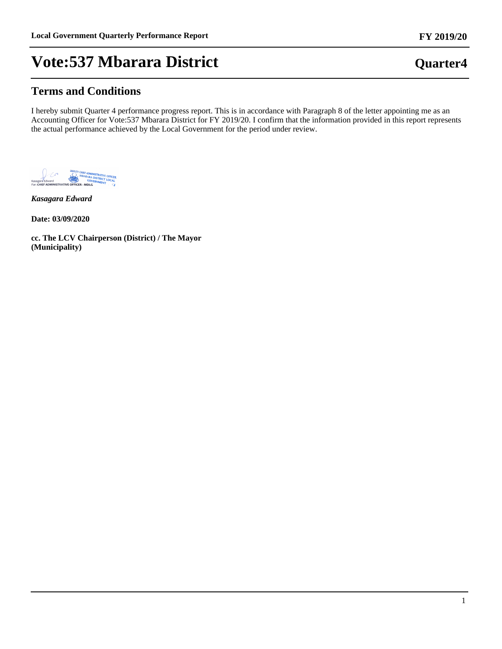### **Terms and Conditions**

I hereby submit Quarter 4 performance progress report. This is in accordance with Paragraph 8 of the letter appointing me as an Accounting Officer for Vote:537 Mbarara District for FY 2019/20. I confirm that the information provided in this report represents the actual performance achieved by the Local Government for the period under review.



*Kasagara Edward*

**Date: 03/09/2020**

**cc. The LCV Chairperson (District) / The Mayor (Municipality)**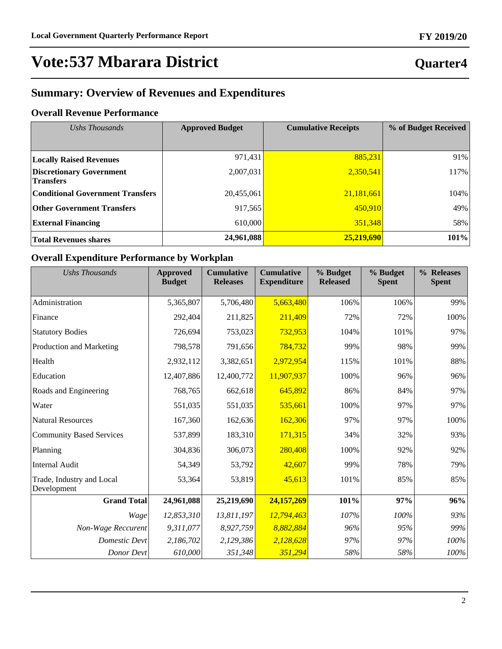## **Quarter4**

## **Summary: Overview of Revenues and Expenditures**

### **Overall Revenue Performance**

| Ushs Thousands                                      | <b>Approved Budget</b> | <b>Cumulative Receipts</b> | % of Budget Received |
|-----------------------------------------------------|------------------------|----------------------------|----------------------|
|                                                     |                        |                            |                      |
| <b>Locally Raised Revenues</b>                      | 971,431                | 885,231                    | 91%                  |
| <b>Discretionary Government</b><br><b>Transfers</b> | 2,007,031              | 2,350,541                  | 117%                 |
| <b>Conditional Government Transfers</b>             | 20,455,061             | 21,181,661                 | 104%                 |
| <b>Other Government Transfers</b>                   | 917,565                | 450,910                    | 49%                  |
| <b>External Financing</b>                           | 610,000                | 351,348                    | 58%                  |
| <b>Total Revenues shares</b>                        | 24,961,088             | 25,219,690                 | 101%                 |

### **Overall Expenditure Performance by Workplan**

| <b>Ushs Thousands</b>                    | <b>Approved</b><br><b>Budget</b> | <b>Cumulative</b><br><b>Releases</b> | <b>Cumulative</b><br><b>Expenditure</b> | % Budget<br><b>Released</b> | % Budget<br><b>Spent</b> | % Releases<br><b>Spent</b> |
|------------------------------------------|----------------------------------|--------------------------------------|-----------------------------------------|-----------------------------|--------------------------|----------------------------|
| Administration                           | 5,365,807                        | 5,706,480                            | 5,663,480                               | 106%                        | 106%                     | 99%                        |
| Finance                                  | 292,404                          | 211,825                              | 211,409                                 | 72%                         | 72%                      | 100%                       |
| <b>Statutory Bodies</b>                  | 726,694                          | 753,023                              | 732,953                                 | 104%                        | 101%                     | 97%                        |
| Production and Marketing                 | 798,578                          | 791,656                              | 784,732                                 | 99%                         | 98%                      | 99%                        |
| Health                                   | 2,932,112                        | 3,382,651                            | 2,972,954                               | 115%                        | 101%                     | 88%                        |
| Education                                | 12,407,886                       | 12,400,772                           | 11,907,937                              | 100%                        | 96%                      | 96%                        |
| Roads and Engineering                    | 768,765                          | 662,618                              | 645,892                                 | 86%                         | 84%                      | 97%                        |
| Water                                    | 551,035                          | 551,035                              | 535,661                                 | 100%                        | 97%                      | 97%                        |
| <b>Natural Resources</b>                 | 167,360                          | 162,636                              | 162,306                                 | 97%                         | 97%                      | 100%                       |
| <b>Community Based Services</b>          | 537,899                          | 183,310                              | 171,315                                 | 34%                         | 32%                      | 93%                        |
| Planning                                 | 304,836                          | 306,073                              | 280,408                                 | 100%                        | 92%                      | 92%                        |
| <b>Internal Audit</b>                    | 54,349                           | 53,792                               | 42,607                                  | 99%                         | 78%                      | 79%                        |
| Trade, Industry and Local<br>Development | 53,364                           | 53,819                               | 45,613                                  | 101%                        | 85%                      | 85%                        |
| <b>Grand Total</b>                       | 24,961,088                       | 25,219,690                           | 24,157,269                              | 101%                        | 97%                      | 96%                        |
| Wage                                     | 12,853,310                       | 13,811,197                           | 12,794,463                              | 107%                        | 100%                     | 93%                        |
| Non-Wage Reccurent                       | 9,311,077                        | 8,927,759                            | 8,882,884                               | 96%                         | 95%                      | 99%                        |
| <b>Domestic Devt</b>                     | 2,186,702                        | 2,129,386                            | 2,128,628                               | 97%                         | 97%                      | 100%                       |
| Donor Devt                               | 610,000                          | 351,348                              | 351,294                                 | 58%                         | 58%                      | $100\%$                    |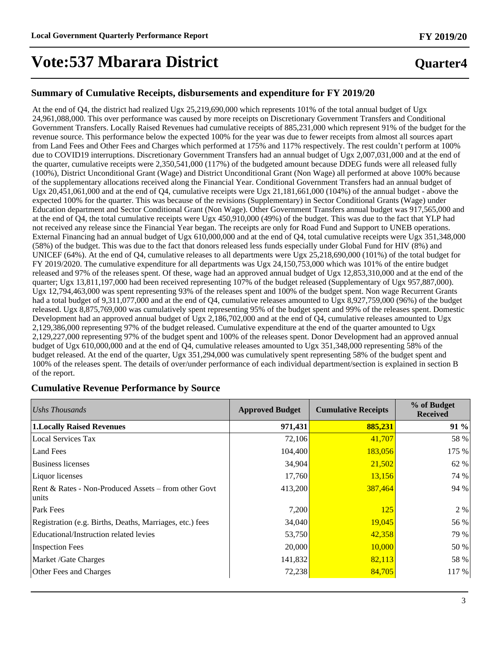## **Quarter4**

### **Summary of Cumulative Receipts, disbursements and expenditure for FY 2019/20**

At the end of Q4, the district had realized Ugx 25,219,690,000 which represents 101% of the total annual budget of Ugx 24,961,088,000. This over performance was caused by more receipts on Discretionary Government Transfers and Conditional Government Transfers. Locally Raised Revenues had cumulative receipts of 885,231,000 which represent 91% of the budget for the revenue source. This performance below the expected 100% for the year was due to fewer receipts from almost all sources apart from Land Fees and Other Fees and Charges which performed at 175% and 117% respectively. The rest couldn't perform at 100% due to COVID19 interruptions. Discretionary Government Transfers had an annual budget of Ugx 2,007,031,000 and at the end of the quarter, cumulative receipts were 2,350,541,000 (117%) of the budgeted amount because DDEG funds were all released fully (100%), District Unconditional Grant (Wage) and District Unconditional Grant (Non Wage) all performed at above 100% because of the supplementary allocations received along the Financial Year. Conditional Government Transfers had an annual budget of Ugx 20,451,061,000 and at the end of Q4, cumulative receipts were Ugx 21,181,661,000 (104%) of the annual budget - above the expected 100% for the quarter. This was because of the revisions (Supplementary) in Sector Conditional Grants (Wage) under Education department and Sector Conditional Grant (Non Wage). Other Government Transfers annual budget was 917,565,000 and at the end of Q4, the total cumulative receipts were Ugx 450,910,000 (49%) of the budget. This was due to the fact that YLP had not received any release since the Financial Year began. The receipts are only for Road Fund and Support to UNEB operations. External Financing had an annual budget of Ugx 610,000,000 and at the end of Q4, total cumulative receipts were Ugx 351,348,000 (58%) of the budget. This was due to the fact that donors released less funds especially under Global Fund for HIV (8%) and UNICEF (64%). At the end of Q4, cumulative releases to all departments were Ugx 25,218,690,000 (101%) of the total budget for FY 2019/2020. The cumulative expenditure for all departments was Ugx 24,150,753,000 which was 101% of the entire budget released and 97% of the releases spent. Of these, wage had an approved annual budget of Ugx 12,853,310,000 and at the end of the quarter; Ugx 13,811,197,000 had been received representing 107% of the budget released (Supplementary of Ugx 957,887,000). Ugx 12,794,463,000 was spent representing 93% of the releases spent and 100% of the budget spent. Non wage Recurrent Grants had a total budget of 9,311,077,000 and at the end of Q4, cumulative releases amounted to Ugx 8,927,759,000 (96%) of the budget released. Ugx 8,875,769,000 was cumulatively spent representing 95% of the budget spent and 99% of the releases spent. Domestic Development had an approved annual budget of Ugx 2,186,702,000 and at the end of Q4, cumulative releases amounted to Ugx 2,129,386,000 representing 97% of the budget released. Cumulative expenditure at the end of the quarter amounted to Ugx 2,129,227,000 representing 97% of the budget spent and 100% of the releases spent. Donor Development had an approved annual budget of Ugx 610,000,000 and at the end of Q4, cumulative releases amounted to Ugx 351,348,000 representing 58% of the budget released. At the end of the quarter, Ugx 351,294,000 was cumulatively spent representing 58% of the budget spent and 100% of the releases spent. The details of over/under performance of each individual department/section is explained in section B of the report.

#### **Cumulative Revenue Performance by Source**

| Ushs Thousands                                                | <b>Approved Budget</b> | <b>Cumulative Receipts</b> | % of Budget<br><b>Received</b> |
|---------------------------------------------------------------|------------------------|----------------------------|--------------------------------|
| <b>1.Locally Raised Revenues</b>                              | 971,431                | 885,231                    | 91 %                           |
| <b>Local Services Tax</b>                                     | 72,106                 | 41,707                     | 58 %                           |
| <b>Land Fees</b>                                              | 104,400                | 183,056                    | 175 %                          |
| <b>Business licenses</b>                                      | 34,904                 | 21,502                     | 62 %                           |
| Liquor licenses                                               | 17,760                 | 13,156                     | 74 %                           |
| Rent & Rates - Non-Produced Assets – from other Govt<br>units | 413,200                | 387,464                    | 94 %                           |
| Park Fees                                                     | 7,200                  | 125                        | 2 %                            |
| Registration (e.g. Births, Deaths, Marriages, etc.) fees      | 34,040                 | 19,045                     | 56 %                           |
| Educational/Instruction related levies                        | 53,750                 | 42,358                     | 79 %                           |
| <b>Inspection Fees</b>                                        | 20,000                 | 10,000                     | 50 %                           |
| Market /Gate Charges                                          | 141,832                | 82,113                     | 58 %                           |
| Other Fees and Charges                                        | 72,238                 | 84,705                     | 117 %                          |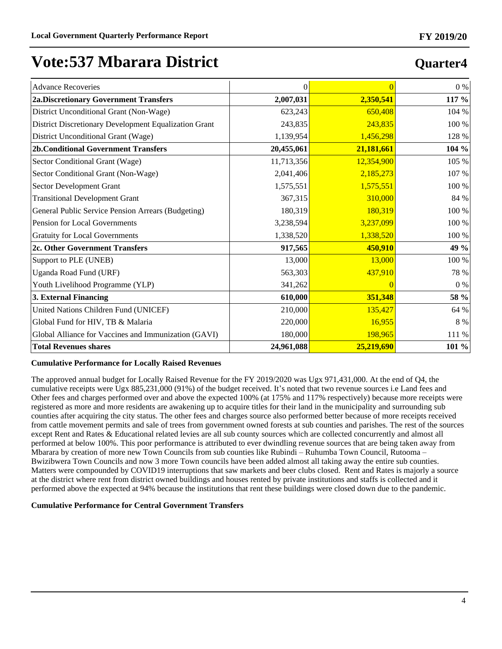| <b>Advance Recoveries</b>                             | $\Omega$   |            | $0\%$   |
|-------------------------------------------------------|------------|------------|---------|
| <b>2a.Discretionary Government Transfers</b>          | 2,007,031  | 2,350,541  | 117 %   |
|                                                       |            |            |         |
| District Unconditional Grant (Non-Wage)               | 623,243    | 650,408    | 104 %   |
| District Discretionary Development Equalization Grant | 243,835    | 243,835    | 100 %   |
| District Unconditional Grant (Wage)                   | 1,139,954  | 1,456,298  | 128 %   |
| <b>2b.Conditional Government Transfers</b>            | 20,455,061 | 21,181,661 | 104 %   |
| Sector Conditional Grant (Wage)                       | 11,713,356 | 12,354,900 | 105 %   |
| Sector Conditional Grant (Non-Wage)                   | 2,041,406  | 2,185,273  | 107 %   |
| <b>Sector Development Grant</b>                       | 1,575,551  | 1,575,551  | 100 %   |
| <b>Transitional Development Grant</b>                 | 367,315    | 310,000    | 84 %    |
| General Public Service Pension Arrears (Budgeting)    | 180,319    | 180,319    | 100 %   |
| Pension for Local Governments                         | 3,238,594  | 3,237,099  | 100 %   |
| <b>Gratuity for Local Governments</b>                 | 1,338,520  | 1,338,520  | 100 %   |
| 2c. Other Government Transfers                        | 917,565    | 450,910    | 49 %    |
| Support to PLE (UNEB)                                 | 13,000     | 13,000     | 100 %   |
| Uganda Road Fund (URF)                                | 563,303    | 437,910    | 78 %    |
| Youth Livelihood Programme (YLP)                      | 341,262    | $\theta$   | $0\ \%$ |
| 3. External Financing                                 | 610,000    | 351,348    | 58 %    |
| United Nations Children Fund (UNICEF)                 | 210,000    | 135,427    | 64 %    |
| Global Fund for HIV, TB & Malaria                     | 220,000    | 16,955     | $8\ \%$ |
| Global Alliance for Vaccines and Immunization (GAVI)  | 180,000    | 198,965    | 111 %   |
| <b>Total Revenues shares</b>                          | 24,961,088 | 25,219,690 | 101 %   |

#### **Cumulative Performance for Locally Raised Revenues**

The approved annual budget for Locally Raised Revenue for the FY 2019/2020 was Ugx 971,431,000. At the end of Q4, the cumulative receipts were Ugx  $885,231,000$  (91%) of the budget received. It's noted that two revenue sources i.e Land fees and Other fees and charges performed over and above the expected 100% (at 175% and 117% respectively) because more receipts were registered as more and more residents are awakening up to acquire titles for their land in the municipality and surrounding sub counties after acquiring the city status. The other fees and charges source also performed better because of more receipts received from cattle movement permits and sale of trees from government owned forests at sub counties and parishes. The rest of the sources except Rent and Rates & Educational related levies are all sub county sources which are collected concurrently and almost all performed at below 100%. This poor performance is attributed to ever dwindling revenue sources that are being taken away from Mbarara by creation of more new Town Councils from sub counties like Rubindi  $-$  Ruhumba Town Council, Rutooma  $-$ Bwizibwera Town Councils and now 3 more Town councils have been added almost all taking away the entire sub counties. Matters were compounded by COVID19 interruptions that saw markets and beer clubs closed. Rent and Rates is majorly a source at the district where rent from district owned buildings and houses rented by private institutions and staffs is collected and it performed above the expected at 94% because the institutions that rent these buildings were closed down due to the pandemic.

#### **Cumulative Performance for Central Government Transfers**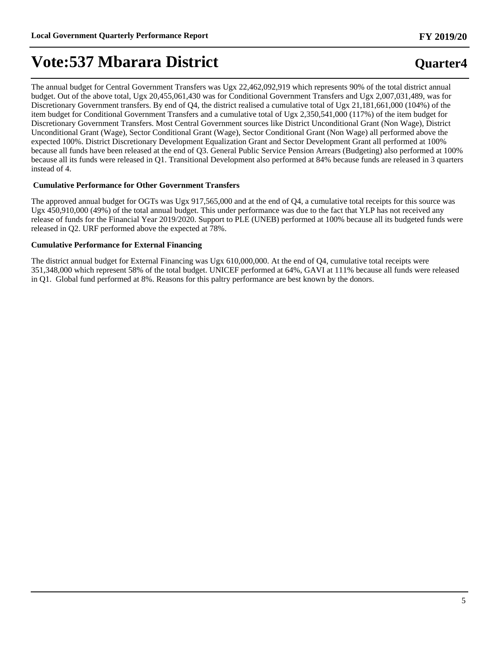## **Quarter4**

The annual budget for Central Government Transfers was Ugx 22,462,092,919 which represents 90% of the total district annual budget. Out of the above total, Ugx 20,455,061,430 was for Conditional Government Transfers and Ugx 2,007,031,489, was for Discretionary Government transfers. By end of Q4, the district realised a cumulative total of Ugx 21,181,661,000 (104%) of the item budget for Conditional Government Transfers and a cumulative total of Ugx 2,350,541,000 (117%) of the item budget for Discretionary Government Transfers. Most Central Government sources like District Unconditional Grant (Non Wage), District Unconditional Grant (Wage), Sector Conditional Grant (Wage), Sector Conditional Grant (Non Wage) all performed above the expected 100%. District Discretionary Development Equalization Grant and Sector Development Grant all performed at 100% because all funds have been released at the end of Q3. General Public Service Pension Arrears (Budgeting) also performed at 100% because all its funds were released in Q1. Transitional Development also performed at 84% because funds are released in 3 quarters instead of 4.

#### **Cumulative Performance for Other Government Transfers**

The approved annual budget for OGTs was Ugx 917,565,000 and at the end of Q4, a cumulative total receipts for this source was Ugx 450,910,000 (49%) of the total annual budget. This under performance was due to the fact that YLP has not received any release of funds for the Financial Year 2019/2020. Support to PLE (UNEB) performed at 100% because all its budgeted funds were released in Q2. URF performed above the expected at 78%.

#### **Cumulative Performance for External Financing**

The district annual budget for External Financing was Ugx 610,000,000. At the end of Q4, cumulative total receipts were 351,348,000 which represent 58% of the total budget. UNICEF performed at 64%, GAVI at 111% because all funds were released in Q1. Global fund performed at 8%. Reasons for this paltry performance are best known by the donors.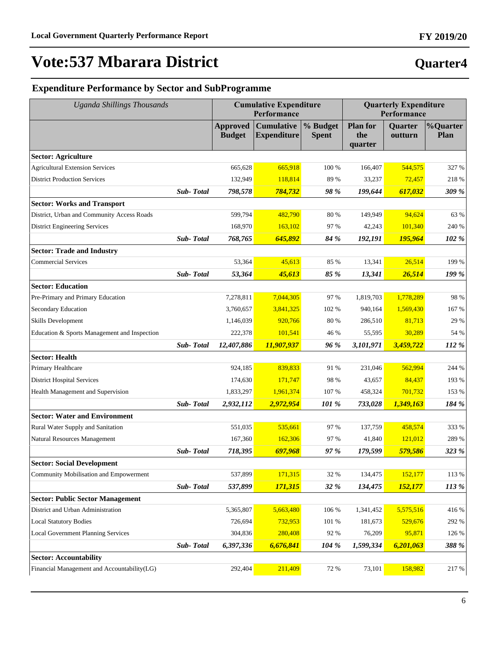# **Quarter4**

**FY 2019/20**

## **Expenditure Performance by Sector and SubProgramme**

| <b>Uganda Shillings Thousands</b>            |           |                                  | <b>Cumulative Expenditure</b><br>Performance |                          |                                   | <b>Quarterly Expenditure</b><br>Performance |                  |  |
|----------------------------------------------|-----------|----------------------------------|----------------------------------------------|--------------------------|-----------------------------------|---------------------------------------------|------------------|--|
|                                              |           | <b>Approved</b><br><b>Budget</b> | <b>Cumulative</b><br><b>Expenditure</b>      | % Budget<br><b>Spent</b> | <b>Plan for</b><br>the<br>quarter | <b>Quarter</b><br>outturn                   | %Quarter<br>Plan |  |
| <b>Sector: Agriculture</b>                   |           |                                  |                                              |                          |                                   |                                             |                  |  |
| <b>Agricultural Extension Services</b>       |           | 665,628                          | 665,918                                      | 100 %                    | 166,407                           | 544,575                                     | 327 %            |  |
| <b>District Production Services</b>          |           | 132,949                          | 118,814                                      | 89 %                     | 33,237                            | 72,457                                      | 218 %            |  |
|                                              | Sub-Total | 798,578                          | 784,732                                      | 98 %                     | 199,644                           | 617,032                                     | 309 %            |  |
| <b>Sector: Works and Transport</b>           |           |                                  |                                              |                          |                                   |                                             |                  |  |
| District, Urban and Community Access Roads   |           | 599,794                          | 482,790                                      | 80 %                     | 149,949                           | 94,624                                      | 63 %             |  |
| <b>District Engineering Services</b>         |           | 168,970                          | 163,102                                      | 97 %                     | 42,243                            | 101,340                                     | 240 %            |  |
|                                              | Sub-Total | 768,765                          | 645,892                                      | 84 %                     | 192,191                           | 195,964                                     | 102 %            |  |
| <b>Sector: Trade and Industry</b>            |           |                                  |                                              |                          |                                   |                                             |                  |  |
| <b>Commercial Services</b>                   |           | 53,364                           | 45,613                                       | 85 %                     | 13,341                            | 26,514                                      | 199 %            |  |
|                                              | Sub-Total | 53,364                           | 45,613                                       | 85 %                     | 13,341                            | 26,514                                      | 199 %            |  |
| <b>Sector: Education</b>                     |           |                                  |                                              |                          |                                   |                                             |                  |  |
| Pre-Primary and Primary Education            |           | 7,278,811                        | 7,044,305                                    | 97 %                     | 1,819,703                         | 1,778,289                                   | 98 %             |  |
| Secondary Education                          |           | 3,760,657                        | 3,841,325                                    | 102 %                    | 940,164                           | 1,569,430                                   | 167 %            |  |
| <b>Skills Development</b>                    |           | 1,146,039                        | 920.766                                      | 80 %                     | 286,510                           | 81,713                                      | 29 %             |  |
| Education & Sports Management and Inspection |           | 222,378                          | 101,541                                      | 46 %                     | 55,595                            | 30,289                                      | 54 %             |  |
|                                              | Sub-Total | 12,407,886                       | 11,907,937                                   | 96 %                     | 3,101,971                         | 3,459,722                                   | 112 %            |  |
| <b>Sector: Health</b>                        |           |                                  |                                              |                          |                                   |                                             |                  |  |
| Primary Healthcare                           |           | 924,185                          | 839,833                                      | 91 %                     | 231,046                           | 562,994                                     | 244 %            |  |
| <b>District Hospital Services</b>            |           | 174,630                          | 171,747                                      | 98 %                     | 43,657                            | 84,437                                      | 193 %            |  |
| Health Management and Supervision            |           | 1,833,297                        | 1,961,374                                    | 107 %                    | 458,324                           | 701,732                                     | 153 %            |  |
|                                              | Sub-Total | 2,932,112                        | 2,972,954                                    | 101 %                    | 733,028                           | 1,349,163                                   | 184 %            |  |
| <b>Sector: Water and Environment</b>         |           |                                  |                                              |                          |                                   |                                             |                  |  |
| Rural Water Supply and Sanitation            |           | 551,035                          | 535,661                                      | 97 %                     | 137,759                           | 458,574                                     | 333 %            |  |
| <b>Natural Resources Management</b>          |           | 167,360                          | 162,306                                      | 97 %                     | 41,840                            | 121,012                                     | 289 %            |  |
|                                              | Sub-Total | 718,395                          | 697,968                                      | 97 %                     | 179,599                           | 579,586                                     | 323 %            |  |
| <b>Sector: Social Development</b>            |           |                                  |                                              |                          |                                   |                                             |                  |  |
| Community Mobilisation and Empowerment       |           | 537,899                          | 171,315                                      | 32 %                     | 134,475                           | 152,177                                     | $113\ \%$        |  |
|                                              | Sub-Total | 537,899                          | 171,315                                      | 32 %                     | 134,475                           | 152,177                                     | 113 %            |  |
| <b>Sector: Public Sector Management</b>      |           |                                  |                                              |                          |                                   |                                             |                  |  |
| District and Urban Administration            |           | 5,365,807                        | 5,663,480                                    | 106 %                    | 1,341,452                         | 5,575,516                                   | 416 %            |  |
| <b>Local Statutory Bodies</b>                |           | 726,694                          | 732,953                                      | 101 %                    | 181,673                           | 529,676                                     | 292 %            |  |
| <b>Local Government Planning Services</b>    |           | 304,836                          | 280,408                                      | 92 %                     | 76,209                            | 95,871                                      | 126 %            |  |
|                                              | Sub-Total | 6,397,336                        | 6,676,841                                    | 104 %                    | 1,599,334                         | 6,201,063                                   | 388 %            |  |
| <b>Sector: Accountability</b>                |           |                                  |                                              |                          |                                   |                                             |                  |  |
| Financial Management and Accountability(LG)  |           | 292,404                          | 211,409                                      | 72 %                     | 73,101                            | 158,982                                     | 217 %            |  |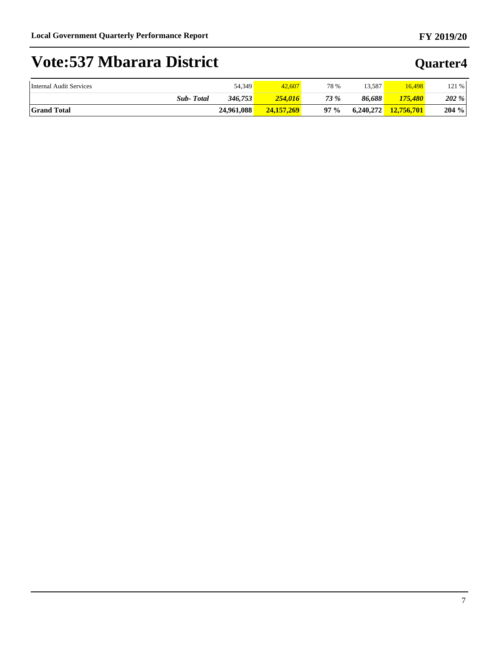| Internal Audit Services | 54,349     | 42,607       | 78 %   | 13.587    | 16,498     | 121%     |
|-------------------------|------------|--------------|--------|-----------|------------|----------|
| <b>Sub-Total</b>        | 346,753    | 254.016      | 73 %   | 86.688    | 175.480    | 202%     |
| <b>Grand Total</b>      | 24.961.088 | 24, 157, 269 | $97\%$ | 6,240,272 | 12,756,701 | $204 \%$ |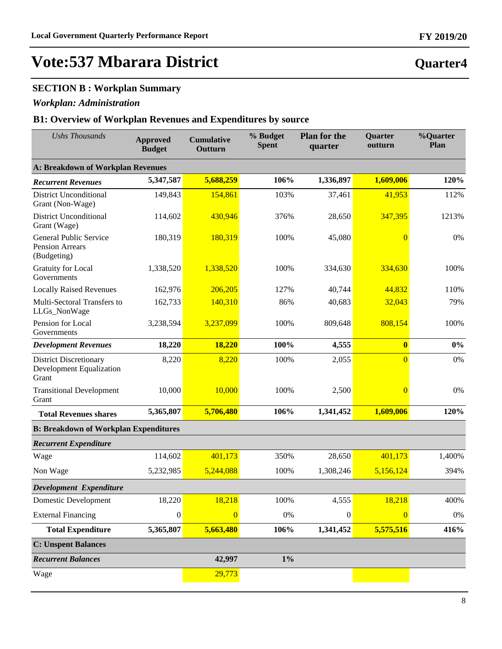### **SECTION B : Workplan Summary**

### *Workplan: Administration*

| <b>Ushs Thousands</b>                                              | <b>Approved</b><br><b>Budget</b> | <b>Cumulative</b><br>Outturn | % Budget<br><b>Spent</b> | <b>Plan for the</b><br>quarter | <b>Quarter</b><br>outturn | %Quarter<br>Plan |  |  |  |  |
|--------------------------------------------------------------------|----------------------------------|------------------------------|--------------------------|--------------------------------|---------------------------|------------------|--|--|--|--|
| <b>A: Breakdown of Workplan Revenues</b>                           |                                  |                              |                          |                                |                           |                  |  |  |  |  |
| <b>Recurrent Revenues</b>                                          | 5,347,587                        | 5,688,259                    | 106%                     | 1,336,897                      | 1,609,006                 | 120%             |  |  |  |  |
| <b>District Unconditional</b><br>Grant (Non-Wage)                  | 149,843                          | 154,861                      | 103%                     | 37,461                         | 41,953                    | 112%             |  |  |  |  |
| <b>District Unconditional</b><br>Grant (Wage)                      | 114,602                          | 430,946                      | 376%                     | 28,650                         | 347,395                   | 1213%            |  |  |  |  |
| General Public Service<br><b>Pension Arrears</b><br>(Budgeting)    | 180,319                          | 180,319                      | 100%                     | 45,080                         | $\overline{0}$            | 0%               |  |  |  |  |
| <b>Gratuity for Local</b><br>Governments                           | 1,338,520                        | 1,338,520                    | 100%                     | 334,630                        | 334,630                   | 100%             |  |  |  |  |
| <b>Locally Raised Revenues</b>                                     | 162,976                          | 206,205                      | 127%                     | 40,744                         | 44,832                    | 110%             |  |  |  |  |
| Multi-Sectoral Transfers to<br>LLGs_NonWage                        | 162,733                          | 140,310                      | 86%                      | 40,683                         | 32,043                    | 79%              |  |  |  |  |
| Pension for Local<br>Governments                                   | 3,238,594                        | 3,237,099                    | 100%                     | 809,648                        | 808,154                   | 100%             |  |  |  |  |
| <b>Development Revenues</b>                                        | 18,220                           | 18,220                       | 100%                     | 4,555                          | $\boldsymbol{0}$          | $0\%$            |  |  |  |  |
| <b>District Discretionary</b><br>Development Equalization<br>Grant | 8,220                            | 8,220                        | 100%                     | 2,055                          | $\overline{0}$            | 0%               |  |  |  |  |
| <b>Transitional Development</b><br>Grant                           | 10,000                           | 10,000                       | 100%                     | 2,500                          | $\overline{0}$            | 0%               |  |  |  |  |
| <b>Total Revenues shares</b>                                       | 5,365,807                        | 5,706,480                    | 106%                     | 1,341,452                      | 1,609,006                 | 120%             |  |  |  |  |
| <b>B: Breakdown of Workplan Expenditures</b>                       |                                  |                              |                          |                                |                           |                  |  |  |  |  |
| <b>Recurrent Expenditure</b>                                       |                                  |                              |                          |                                |                           |                  |  |  |  |  |
| Wage                                                               | 114,602                          | 401,173                      | 350%                     | 28,650                         | 401,173                   | 1,400%           |  |  |  |  |
| Non Wage                                                           | 5,232,985                        | 5,244,088                    | 100%                     | 1,308,246                      | 5,156,124                 | 394%             |  |  |  |  |
| Development Expenditure                                            |                                  |                              |                          |                                |                           |                  |  |  |  |  |
| <b>Domestic Development</b>                                        | 18,220                           | 18,218                       | 100%                     | 4,555                          | 18,218                    | 400%             |  |  |  |  |
| <b>External Financing</b>                                          | $\boldsymbol{0}$                 | $\overline{0}$               | 0%                       | $\boldsymbol{0}$               | $\overline{0}$            | $0\%$            |  |  |  |  |
| <b>Total Expenditure</b>                                           | 5,365,807                        | 5,663,480                    | 106%                     | 1,341,452                      | 5,575,516                 | 416%             |  |  |  |  |
| <b>C: Unspent Balances</b>                                         |                                  |                              |                          |                                |                           |                  |  |  |  |  |
| <b>Recurrent Balances</b>                                          |                                  | 42,997                       | $1\%$                    |                                |                           |                  |  |  |  |  |
| Wage                                                               |                                  | 29,773                       |                          |                                |                           |                  |  |  |  |  |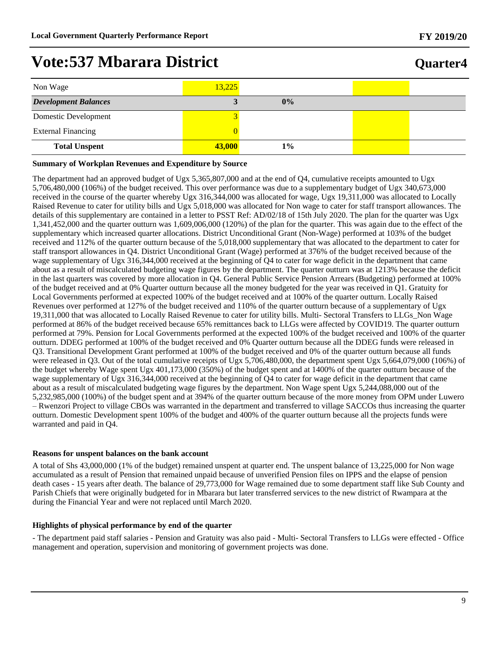| Non Wage                    | 13,225 |       |  |
|-----------------------------|--------|-------|--|
| <b>Development Balances</b> |        | $0\%$ |  |
| Domestic Development        |        |       |  |
| <b>External Financing</b>   |        |       |  |
| <b>Total Unspent</b>        | 43,000 | $1\%$ |  |

#### **Summary of Workplan Revenues and Expenditure by Source**

The department had an approved budget of Ugx 5,365,807,000 and at the end of Q4, cumulative receipts amounted to Ugx 5,706,480,000 (106%) of the budget received. This over performance was due to a supplementary budget of Ugx 340,673,000 received in the course of the quarter whereby Ugx 316,344,000 was allocated for wage, Ugx 19,311,000 was allocated to Locally Raised Revenue to cater for utility bills and Ugx 5,018,000 was allocated for Non wage to cater for staff transport allowances. The details of this supplementary are contained in a letter to PSST Ref: AD/02/18 of 15th July 2020. The plan for the quarter was Ugx 1,341,452,000 and the quarter outturn was 1,609,006,000 (120%) of the plan for the quarter. This was again due to the effect of the supplementary which increased quarter allocations. District Unconditional Grant (Non-Wage) performed at 103% of the budget received and 112% of the quarter outturn because of the 5,018,000 supplementary that was allocated to the department to cater for staff transport allowances in Q4. District Unconditional Grant (Wage) performed at 376% of the budget received because of the wage supplementary of Ugx 316,344,000 received at the beginning of Q4 to cater for wage deficit in the department that came about as a result of miscalculated budgeting wage figures by the department. The quarter outturn was at 1213% because the deficit in the last quarters was covered by more allocation in Q4. General Public Service Pension Arrears (Budgeting) performed at 100% of the budget received and at 0% Quarter outturn because all the money budgeted for the year was received in Q1. Gratuity for Local Governments performed at expected 100% of the budget received and at 100% of the quarter outturn. Locally Raised Revenues over performed at 127% of the budget received and 110% of the quarter outturn because of a supplementary of Ugx 19,311,000 that was allocated to Locally Raised Revenue to cater for utility bills. Multi- Sectoral Transfers to LLGs\_Non Wage performed at 86% of the budget received because 65% remittances back to LLGs were affected by COVID19. The quarter outturn performed at 79%. Pension for Local Governments performed at the expected 100% of the budget received and 100% of the quarter outturn. DDEG performed at 100% of the budget received and 0% Quarter outturn because all the DDEG funds were released in Q3. Transitional Development Grant performed at 100% of the budget received and 0% of the quarter outturn because all funds were released in Q3. Out of the total cumulative receipts of Ugx 5,706,480,000, the department spent Ugx 5,664,079,000 (106%) of the budget whereby Wage spent Ugx 401,173,000 (350%) of the budget spent and at 1400% of the quarter outturn because of the wage supplementary of Ugx 316,344,000 received at the beginning of Q4 to cater for wage deficit in the department that came about as a result of miscalculated budgeting wage figures by the department. Non Wage spent Ugx 5,244,088,000 out of the 5,232,985,000 (100%) of the budget spent and at 394% of the quarter outturn because of the more money from OPM under Luwero  $-$  Rwenzori Project to village CBOs was warranted in the department and transferred to village SACCOs thus increasing the quarter outturn. Domestic Development spent 100% of the budget and 400% of the quarter outturn because all the projects funds were warranted and paid in Q4.

#### **Reasons for unspent balances on the bank account**

A total of Shs 43,000,000 (1% of the budget) remained unspent at quarter end. The unspent balance of 13,225,000 for Non wage accumulated as a result of Pension that remained unpaid because of unverified Pension files on IPPS and the elapse of pension death cases - 15 years after death. The balance of 29,773,000 for Wage remained due to some department staff like Sub County and Parish Chiefs that were originally budgeted for in Mbarara but later transferred services to the new district of Rwampara at the during the Financial Year and were not replaced until March 2020.

#### **Highlights of physical performance by end of the quarter**

- The department paid staff salaries - Pension and Gratuity was also paid - Multi- Sectoral Transfers to LLGs were effected - Office management and operation, supervision and monitoring of government projects was done.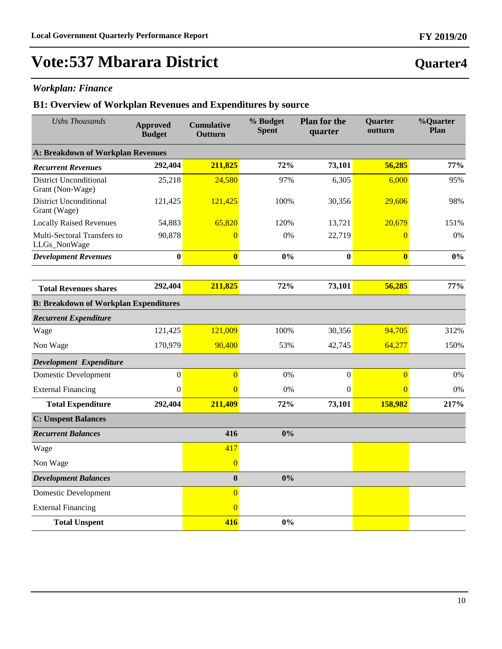**Quarter4**

# **Vote:537 Mbarara District**

### *Workplan: Finance*

| <b>Ushs Thousands</b>                             | <b>Approved</b><br><b>Budget</b> | <b>Cumulative</b><br>Outturn | % Budget<br><b>Spent</b> | <b>Plan for the</b><br>quarter | Quarter<br>outturn | %Quarter<br>Plan |
|---------------------------------------------------|----------------------------------|------------------------------|--------------------------|--------------------------------|--------------------|------------------|
| <b>A: Breakdown of Workplan Revenues</b>          |                                  |                              |                          |                                |                    |                  |
| <b>Recurrent Revenues</b>                         | 292,404                          | 211,825                      | 72%                      | 73,101                         | 56,285             | 77%              |
| <b>District Unconditional</b><br>Grant (Non-Wage) | 25,218                           | 24,580                       | 97%                      | 6,305                          | 6,000              | 95%              |
| <b>District Unconditional</b><br>Grant (Wage)     | 121,425                          | 121,425                      | 100%                     | 30,356                         | 29,606             | 98%              |
| <b>Locally Raised Revenues</b>                    | 54,883                           | 65,820                       | 120%                     | 13,721                         | 20,679             | 151%             |
| Multi-Sectoral Transfers to<br>LLGs_NonWage       | 90,878                           | $\overline{0}$               | 0%                       | 22,719                         | $\overline{0}$     | 0%               |
| <b>Development Revenues</b>                       | $\bf{0}$                         | $\overline{\mathbf{0}}$      | 0%                       | $\bf{0}$                       | $\bf{0}$           | 0%               |
|                                                   |                                  |                              |                          |                                |                    |                  |
| <b>Total Revenues shares</b>                      | 292,404                          | 211,825                      | 72%                      | 73,101                         | 56,285             | 77%              |
| <b>B: Breakdown of Workplan Expenditures</b>      |                                  |                              |                          |                                |                    |                  |
| <b>Recurrent Expenditure</b>                      |                                  |                              |                          |                                |                    |                  |
| Wage                                              | 121,425                          | 121,009                      | 100%                     | 30,356                         | 94,705             | 312%             |
| Non Wage                                          | 170,979                          | 90,400                       | 53%                      | 42,745                         | 64,277             | 150%             |
| Development Expenditure                           |                                  |                              |                          |                                |                    |                  |
| <b>Domestic Development</b>                       | $\mathbf{0}$                     | $\overline{0}$               | 0%                       | $\boldsymbol{0}$               | $\overline{0}$     | 0%               |
| <b>External Financing</b>                         | $\boldsymbol{0}$                 | $\Omega$                     | 0%                       | $\boldsymbol{0}$               | $\overline{0}$     | 0%               |
| <b>Total Expenditure</b>                          | 292,404                          | 211,409                      | 72%                      | 73,101                         | 158,982            | 217%             |
| <b>C: Unspent Balances</b>                        |                                  |                              |                          |                                |                    |                  |
| <b>Recurrent Balances</b>                         |                                  | 416                          | 0%                       |                                |                    |                  |
| Wage                                              |                                  | 417                          |                          |                                |                    |                  |
| Non Wage                                          |                                  | $\overline{0}$               |                          |                                |                    |                  |
| <b>Development Balances</b>                       |                                  | $\boldsymbol{0}$             | 0%                       |                                |                    |                  |
| <b>Domestic Development</b>                       |                                  | $\overline{0}$               |                          |                                |                    |                  |
| <b>External Financing</b>                         |                                  | $\overline{0}$               |                          |                                |                    |                  |
| <b>Total Unspent</b>                              |                                  | 416                          | 0%                       |                                |                    |                  |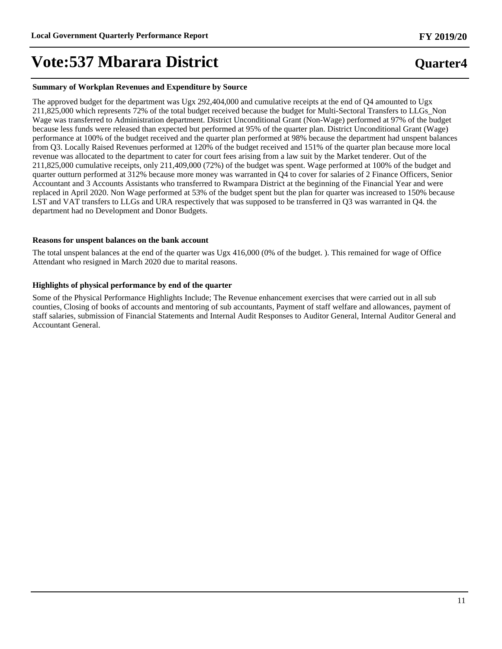#### **Summary of Workplan Revenues and Expenditure by Source**

The approved budget for the department was Ugx 292,404,000 and cumulative receipts at the end of Q4 amounted to Ugx 211,825,000 which represents 72% of the total budget received because the budget for Multi-Sectoral Transfers to LLGs\_Non Wage was transferred to Administration department. District Unconditional Grant (Non-Wage) performed at 97% of the budget because less funds were released than expected but performed at 95% of the quarter plan. District Unconditional Grant (Wage) performance at 100% of the budget received and the quarter plan performed at 98% because the department had unspent balances from Q3. Locally Raised Revenues performed at 120% of the budget received and 151% of the quarter plan because more local revenue was allocated to the department to cater for court fees arising from a law suit by the Market tenderer. Out of the 211,825,000 cumulative receipts, only 211,409,000 (72%) of the budget was spent. Wage performed at 100% of the budget and quarter outturn performed at 312% because more money was warranted in Q4 to cover for salaries of 2 Finance Officers, Senior Accountant and 3 Accounts Assistants who transferred to Rwampara District at the beginning of the Financial Year and were replaced in April 2020. Non Wage performed at 53% of the budget spent but the plan for quarter was increased to 150% because LST and VAT transfers to LLGs and URA respectively that was supposed to be transferred in Q3 was warranted in Q4. the department had no Development and Donor Budgets.

#### **Reasons for unspent balances on the bank account**

The total unspent balances at the end of the quarter was Ugx 416,000 (0% of the budget. ). This remained for wage of Office Attendant who resigned in March 2020 due to marital reasons.

#### **Highlights of physical performance by end of the quarter**

Some of the Physical Performance Highlights Include; The Revenue enhancement exercises that were carried out in all sub counties, Closing of books of accounts and mentoring of sub accountants, Payment of staff welfare and allowances, payment of staff salaries, submission of Financial Statements and Internal Audit Responses to Auditor General, Internal Auditor General and Accountant General.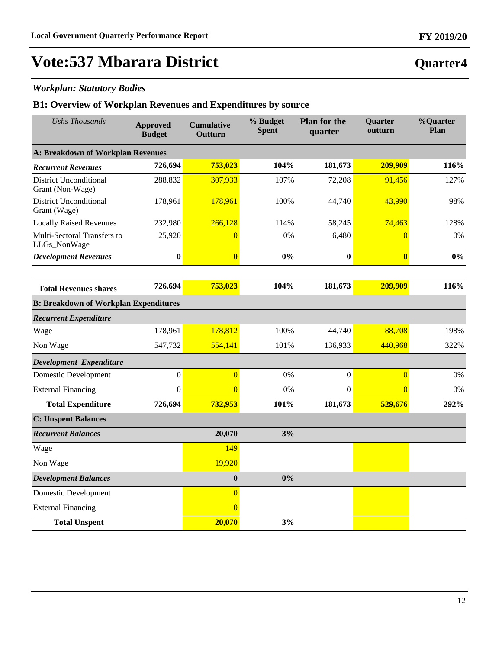**Quarter4**

# **Vote:537 Mbarara District**

### *Workplan: Statutory Bodies*

| <b>Ushs Thousands</b>                             | <b>Approved</b><br><b>Budget</b> | <b>Cumulative</b><br>Outturn | % Budget<br><b>Spent</b> | <b>Plan for the</b><br>quarter | Quarter<br>outturn      | %Quarter<br>Plan |  |  |  |
|---------------------------------------------------|----------------------------------|------------------------------|--------------------------|--------------------------------|-------------------------|------------------|--|--|--|
| <b>A: Breakdown of Workplan Revenues</b>          |                                  |                              |                          |                                |                         |                  |  |  |  |
| <b>Recurrent Revenues</b>                         | 726,694                          | 753,023                      | 104%                     | 181,673                        | 209,909                 | 116%             |  |  |  |
| <b>District Unconditional</b><br>Grant (Non-Wage) | 288,832                          | 307,933                      | 107%                     | 72,208                         | 91,456                  | 127%             |  |  |  |
| <b>District Unconditional</b><br>Grant (Wage)     | 178,961                          | 178,961                      | 100%                     | 44,740                         | 43,990                  | 98%              |  |  |  |
| <b>Locally Raised Revenues</b>                    | 232,980                          | 266,128                      | 114%                     | 58,245                         | 74,463                  | 128%             |  |  |  |
| Multi-Sectoral Transfers to<br>LLGs_NonWage       | 25,920                           | $\overline{0}$               | 0%                       | 6,480                          | $\overline{0}$          | 0%               |  |  |  |
| <b>Development Revenues</b>                       | $\bf{0}$                         | $\overline{\mathbf{0}}$      | 0%                       | $\bf{0}$                       | $\overline{\mathbf{0}}$ | $0\%$            |  |  |  |
|                                                   |                                  |                              |                          |                                |                         |                  |  |  |  |
| <b>Total Revenues shares</b>                      | 726,694                          | 753,023                      | 104%                     | 181,673                        | 209,909                 | 116%             |  |  |  |
| <b>B: Breakdown of Workplan Expenditures</b>      |                                  |                              |                          |                                |                         |                  |  |  |  |
| <b>Recurrent Expenditure</b>                      |                                  |                              |                          |                                |                         |                  |  |  |  |
| Wage                                              | 178,961                          | 178,812                      | 100%                     | 44,740                         | 88,708                  | 198%             |  |  |  |
| Non Wage                                          | 547,732                          | 554,141                      | 101%                     | 136,933                        | 440,968                 | 322%             |  |  |  |
| Development Expenditure                           |                                  |                              |                          |                                |                         |                  |  |  |  |
| <b>Domestic Development</b>                       | $\mathbf{0}$                     | $\overline{0}$               | 0%                       | $\boldsymbol{0}$               | $\overline{0}$          | $0\%$            |  |  |  |
| <b>External Financing</b>                         | $\boldsymbol{0}$                 | $\Omega$                     | 0%                       | $\boldsymbol{0}$               | $\overline{0}$          | 0%               |  |  |  |
| <b>Total Expenditure</b>                          | 726,694                          | 732,953                      | 101%                     | 181,673                        | 529,676                 | 292%             |  |  |  |
| <b>C: Unspent Balances</b>                        |                                  |                              |                          |                                |                         |                  |  |  |  |
| <b>Recurrent Balances</b>                         |                                  | 20,070                       | 3%                       |                                |                         |                  |  |  |  |
| Wage                                              |                                  | 149                          |                          |                                |                         |                  |  |  |  |
| Non Wage                                          |                                  | 19,920                       |                          |                                |                         |                  |  |  |  |
| <b>Development Balances</b>                       |                                  | $\bf{0}$                     | 0%                       |                                |                         |                  |  |  |  |
| <b>Domestic Development</b>                       |                                  | $\overline{0}$               |                          |                                |                         |                  |  |  |  |
| <b>External Financing</b>                         |                                  | $\overline{0}$               |                          |                                |                         |                  |  |  |  |
| <b>Total Unspent</b>                              |                                  | 20,070                       | 3%                       |                                |                         |                  |  |  |  |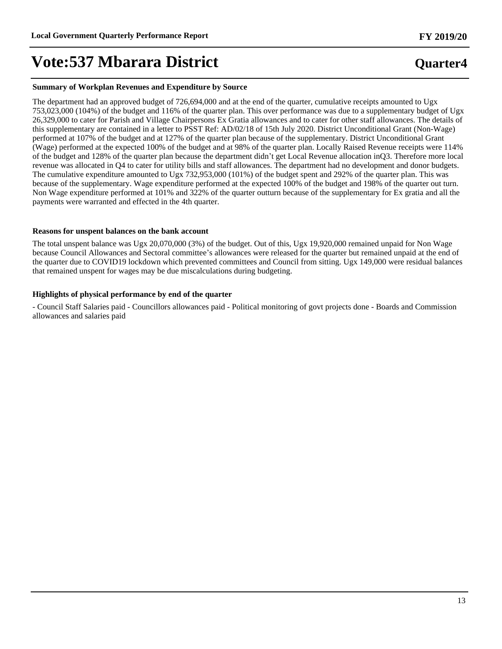#### **Summary of Workplan Revenues and Expenditure by Source**

The department had an approved budget of 726,694,000 and at the end of the quarter, cumulative receipts amounted to Ugx 753,023,000 (104%) of the budget and 116% of the quarter plan. This over performance was due to a supplementary budget of Ugx 26,329,000 to cater for Parish and Village Chairpersons Ex Gratia allowances and to cater for other staff allowances. The details of this supplementary are contained in a letter to PSST Ref: AD/02/18 of 15th July 2020. District Unconditional Grant (Non-Wage) performed at 107% of the budget and at 127% of the quarter plan because of the supplementary. District Unconditional Grant (Wage) performed at the expected 100% of the budget and at 98% of the quarter plan. Locally Raised Revenue receipts were 114% of the budget and 128% of the quarter plan because the department didn't get Local Revenue allocation inQ3. Therefore more local revenue was allocated in Q4 to cater for utility bills and staff allowances. The department had no development and donor budgets. The cumulative expenditure amounted to Ugx 732,953,000 (101%) of the budget spent and 292% of the quarter plan. This was because of the supplementary. Wage expenditure performed at the expected 100% of the budget and 198% of the quarter out turn. Non Wage expenditure performed at 101% and 322% of the quarter outturn because of the supplementary for Ex gratia and all the payments were warranted and effected in the 4th quarter.

#### **Reasons for unspent balances on the bank account**

The total unspent balance was Ugx 20,070,000 (3%) of the budget. Out of this, Ugx 19,920,000 remained unpaid for Non Wage because Council Allowances and Sectoral committee's allowances were released for the quarter but remained unpaid at the end of the quarter due to COVID19 lockdown which prevented committees and Council from sitting. Ugx 149,000 were residual balances that remained unspent for wages may be due miscalculations during budgeting.

#### **Highlights of physical performance by end of the quarter**

- Council Staff Salaries paid - Councillors allowances paid - Political monitoring of govt projects done - Boards and Commission allowances and salaries paid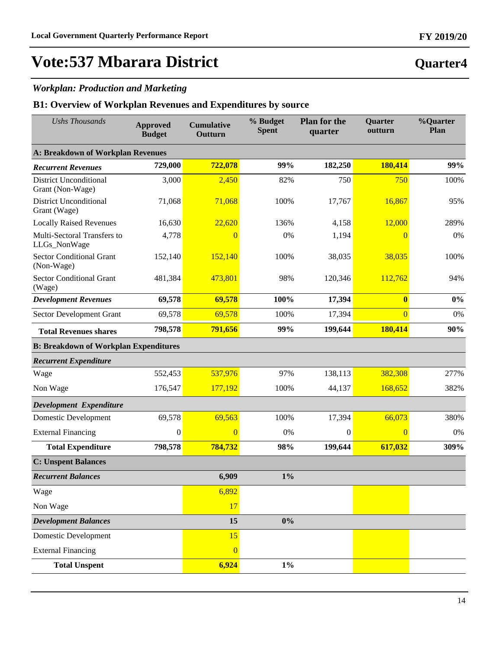### *Workplan: Production and Marketing*

| <b>Ushs Thousands</b>                             | <b>Approved</b><br><b>Budget</b> | <b>Cumulative</b><br>Outturn | % Budget<br><b>Spent</b> | <b>Plan for the</b><br>quarter | <b>Quarter</b><br>outturn | %Quarter<br>Plan |  |  |  |  |
|---------------------------------------------------|----------------------------------|------------------------------|--------------------------|--------------------------------|---------------------------|------------------|--|--|--|--|
| <b>A: Breakdown of Workplan Revenues</b>          |                                  |                              |                          |                                |                           |                  |  |  |  |  |
| <b>Recurrent Revenues</b>                         | 729,000                          | 722,078                      | 99%                      | 182,250                        | 180,414                   | 99%              |  |  |  |  |
| <b>District Unconditional</b><br>Grant (Non-Wage) | 3,000                            | 2,450                        | 82%                      | 750                            | 750                       | 100%             |  |  |  |  |
| <b>District Unconditional</b><br>Grant (Wage)     | 71,068                           | 71,068                       | 100%                     | 17,767                         | 16,867                    | 95%              |  |  |  |  |
| <b>Locally Raised Revenues</b>                    | 16,630                           | 22,620                       | 136%                     | 4,158                          | 12,000                    | 289%             |  |  |  |  |
| Multi-Sectoral Transfers to<br>LLGs_NonWage       | 4,778                            | $\overline{0}$               | 0%                       | 1,194                          | $\overline{0}$            | 0%               |  |  |  |  |
| <b>Sector Conditional Grant</b><br>(Non-Wage)     | 152,140                          | 152,140                      | 100%                     | 38,035                         | 38,035                    | 100%             |  |  |  |  |
| <b>Sector Conditional Grant</b><br>(Wage)         | 481,384                          | 473,801                      | 98%                      | 120,346                        | 112,762                   | 94%              |  |  |  |  |
| <b>Development Revenues</b>                       | 69,578                           | 69,578                       | 100%                     | 17,394                         | $\bf{0}$                  | $0\%$            |  |  |  |  |
| Sector Development Grant                          | 69,578                           | 69,578                       | 100%                     | 17,394                         | $\overline{0}$            | 0%               |  |  |  |  |
| <b>Total Revenues shares</b>                      | 798,578                          | 791,656                      | 99%                      | 199,644                        | 180,414                   | 90%              |  |  |  |  |
| <b>B: Breakdown of Workplan Expenditures</b>      |                                  |                              |                          |                                |                           |                  |  |  |  |  |
| <b>Recurrent Expenditure</b>                      |                                  |                              |                          |                                |                           |                  |  |  |  |  |
| Wage                                              | 552,453                          | 537,976                      | 97%                      | 138,113                        | 382,308                   | 277%             |  |  |  |  |
| Non Wage                                          | 176,547                          | 177,192                      | 100%                     | 44,137                         | 168,652                   | 382%             |  |  |  |  |
| Development Expenditure                           |                                  |                              |                          |                                |                           |                  |  |  |  |  |
| Domestic Development                              | 69,578                           | 69,563                       | 100%                     | 17,394                         | 66,073                    | 380%             |  |  |  |  |
| <b>External Financing</b>                         | $\boldsymbol{0}$                 | $\overline{0}$               | 0%                       | $\theta$                       | $\overline{0}$            | 0%               |  |  |  |  |
| <b>Total Expenditure</b>                          | 798,578                          | 784,732                      | 98%                      | 199,644                        | 617,032                   | 309%             |  |  |  |  |
| <b>C: Unspent Balances</b>                        |                                  |                              |                          |                                |                           |                  |  |  |  |  |
| <b>Recurrent Balances</b>                         |                                  | 6,909                        | $1\%$                    |                                |                           |                  |  |  |  |  |
| Wage                                              |                                  | 6,892                        |                          |                                |                           |                  |  |  |  |  |
| Non Wage                                          |                                  | 17                           |                          |                                |                           |                  |  |  |  |  |
| <b>Development Balances</b>                       |                                  | 15                           | 0%                       |                                |                           |                  |  |  |  |  |
| Domestic Development                              |                                  | 15                           |                          |                                |                           |                  |  |  |  |  |
| <b>External Financing</b>                         |                                  | $\overline{0}$               |                          |                                |                           |                  |  |  |  |  |
| <b>Total Unspent</b>                              |                                  | 6,924                        | $1\%$                    |                                |                           |                  |  |  |  |  |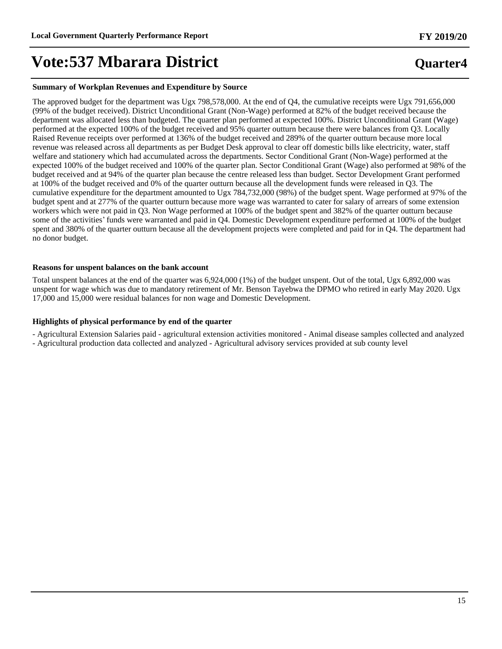#### **Summary of Workplan Revenues and Expenditure by Source**

The approved budget for the department was Ugx 798,578,000. At the end of Q4, the cumulative receipts were Ugx 791,656,000 (99% of the budget received). District Unconditional Grant (Non-Wage) performed at 82% of the budget received because the department was allocated less than budgeted. The quarter plan performed at expected 100%. District Unconditional Grant (Wage) performed at the expected 100% of the budget received and 95% quarter outturn because there were balances from Q3. Locally Raised Revenue receipts over performed at 136% of the budget received and 289% of the quarter outturn because more local revenue was released across all departments as per Budget Desk approval to clear off domestic bills like electricity, water, staff welfare and stationery which had accumulated across the departments. Sector Conditional Grant (Non-Wage) performed at the expected 100% of the budget received and 100% of the quarter plan. Sector Conditional Grant (Wage) also performed at 98% of the budget received and at 94% of the quarter plan because the centre released less than budget. Sector Development Grant performed at 100% of the budget received and 0% of the quarter outturn because all the development funds were released in Q3. The cumulative expenditure for the department amounted to Ugx 784,732,000 (98%) of the budget spent. Wage performed at 97% of the budget spent and at 277% of the quarter outturn because more wage was warranted to cater for salary of arrears of some extension workers which were not paid in Q3. Non Wage performed at 100% of the budget spent and 382% of the quarter outturn because some of the activities' funds were warranted and paid in Q4. Domestic Development expenditure performed at 100% of the budget spent and 380% of the quarter outturn because all the development projects were completed and paid for in Q4. The department had no donor budget.

#### **Reasons for unspent balances on the bank account**

Total unspent balances at the end of the quarter was 6,924,000 (1%) of the budget unspent. Out of the total, Ugx 6,892,000 was unspent for wage which was due to mandatory retirement of Mr. Benson Tayebwa the DPMO who retired in early May 2020. Ugx 17,000 and 15,000 were residual balances for non wage and Domestic Development.

#### **Highlights of physical performance by end of the quarter**

- Agricultural Extension Salaries paid - agricultural extension activities monitored - Animal disease samples collected and analyzed

- Agricultural production data collected and analyzed - Agricultural advisory services provided at sub county level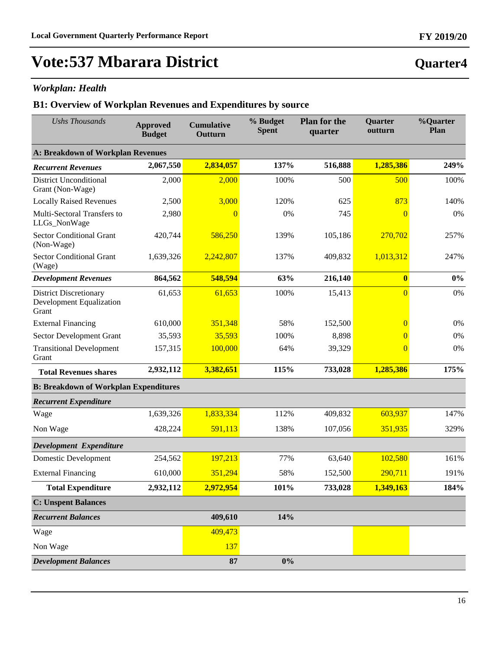**Quarter4**

# **Vote:537 Mbarara District**

### *Workplan: Health*

| <b>Ushs Thousands</b>                                                     | <b>Approved</b><br><b>Budget</b> | <b>Cumulative</b><br>Outturn | % Budget<br><b>Spent</b> | <b>Plan for the</b><br>quarter | <b>Quarter</b><br>outturn | %Quarter<br>Plan |  |  |  |
|---------------------------------------------------------------------------|----------------------------------|------------------------------|--------------------------|--------------------------------|---------------------------|------------------|--|--|--|
| <b>A: Breakdown of Workplan Revenues</b>                                  |                                  |                              |                          |                                |                           |                  |  |  |  |
| <b>Recurrent Revenues</b>                                                 | 2,067,550                        | 2,834,057                    | 137%                     | 516,888                        | 1,285,386                 | 249%             |  |  |  |
| <b>District Unconditional</b><br>Grant (Non-Wage)                         | 2,000                            | 2,000                        | 100%                     | 500                            | 500                       | 100%             |  |  |  |
| <b>Locally Raised Revenues</b>                                            | 2,500                            | 3,000                        | 120%                     | 625                            | 873                       | 140%             |  |  |  |
| Multi-Sectoral Transfers to<br>LLGs_NonWage                               | 2,980                            | 0                            | 0%                       | 745                            | $\overline{0}$            | 0%               |  |  |  |
| <b>Sector Conditional Grant</b><br>(Non-Wage)                             | 420,744                          | 586,250                      | 139%                     | 105,186                        | 270,702                   | 257%             |  |  |  |
| <b>Sector Conditional Grant</b><br>(Wage)                                 | 1,639,326                        | 2,242,807                    | 137%                     | 409,832                        | 1,013,312                 | 247%             |  |  |  |
| <b>Development Revenues</b>                                               | 864,562                          | 548,594                      | 63%                      | 216,140                        | $\boldsymbol{0}$          | $0\%$            |  |  |  |
| <b>District Discretionary</b><br><b>Development Equalization</b><br>Grant | 61,653                           | 61,653                       | 100%                     | 15,413                         | $\overline{0}$            | 0%               |  |  |  |
| <b>External Financing</b>                                                 | 610,000                          | 351,348                      | 58%                      | 152,500                        | $\overline{0}$            | 0%               |  |  |  |
| Sector Development Grant                                                  | 35,593                           | 35,593                       | 100%                     | 8,898                          | $\overline{0}$            | 0%               |  |  |  |
| <b>Transitional Development</b><br>Grant                                  | 157,315                          | 100,000                      | 64%                      | 39,329                         | $\overline{0}$            | 0%               |  |  |  |
| <b>Total Revenues shares</b>                                              | 2,932,112                        | 3,382,651                    | 115%                     | 733,028                        | 1,285,386                 | 175%             |  |  |  |
| <b>B: Breakdown of Workplan Expenditures</b>                              |                                  |                              |                          |                                |                           |                  |  |  |  |
| <b>Recurrent Expenditure</b>                                              |                                  |                              |                          |                                |                           |                  |  |  |  |
| Wage                                                                      | 1,639,326                        | 1,833,334                    | 112%                     | 409,832                        | 603,937                   | 147%             |  |  |  |
| Non Wage                                                                  | 428,224                          | 591,113                      | 138%                     | 107,056                        | 351,935                   | 329%             |  |  |  |
| Development Expenditure                                                   |                                  |                              |                          |                                |                           |                  |  |  |  |
| <b>Domestic Development</b>                                               | 254,562                          | 197,213                      | 77%                      | 63,640                         | 102,580                   | 161%             |  |  |  |
| <b>External Financing</b>                                                 | 610,000                          | 351,294                      | 58%                      | 152,500                        | 290,711                   | 191%             |  |  |  |
| <b>Total Expenditure</b>                                                  | 2,932,112                        | 2,972,954                    | 101%                     | 733,028                        | 1,349,163                 | 184%             |  |  |  |
| <b>C: Unspent Balances</b>                                                |                                  |                              |                          |                                |                           |                  |  |  |  |
| <b>Recurrent Balances</b>                                                 |                                  | 409,610                      | 14%                      |                                |                           |                  |  |  |  |
| Wage                                                                      |                                  | 409,473                      |                          |                                |                           |                  |  |  |  |
| Non Wage                                                                  |                                  | 137                          |                          |                                |                           |                  |  |  |  |
| <b>Development Balances</b>                                               |                                  | 87                           | $0\%$                    |                                |                           |                  |  |  |  |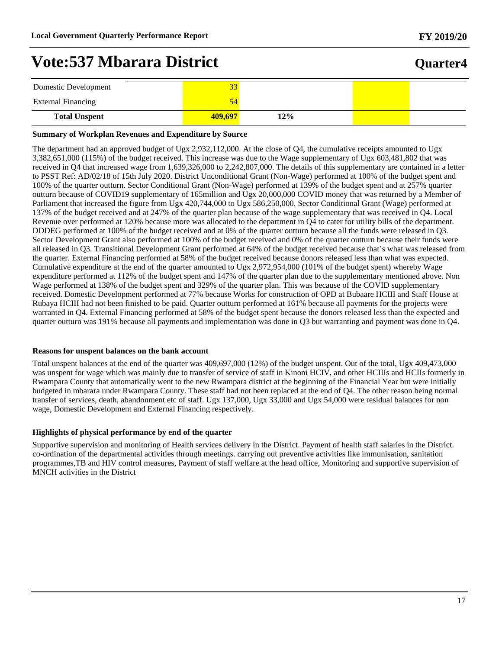## **Quarter4**

| Domestic Development      | 33      |    |  |
|---------------------------|---------|----|--|
| <b>External Financing</b> |         |    |  |
| <b>Total Unspent</b>      | 409.697 | 2% |  |

#### **Summary of Workplan Revenues and Expenditure by Source**

The department had an approved budget of Ugx 2,932,112,000. At the close of Q4, the cumulative receipts amounted to Ugx 3,382,651,000 (115%) of the budget received. This increase was due to the Wage supplementary of Ugx 603,481,802 that was received in Q4 that increased wage from 1,639,326,000 to 2,242,807,000. The details of this supplementary are contained in a letter to PSST Ref: AD/02/18 of 15th July 2020. District Unconditional Grant (Non-Wage) performed at 100% of the budget spent and 100% of the quarter outturn. Sector Conditional Grant (Non-Wage) performed at 139% of the budget spent and at 257% quarter outturn because of COVID19 supplementary of 165million and Ugx 20,000,000 COVID money that was returned by a Member of Parliament that increased the figure from Ugx 420,744,000 to Ugx 586,250,000. Sector Conditional Grant (Wage) performed at 137% of the budget received and at 247% of the quarter plan because of the wage supplementary that was received in Q4. Local Revenue over performed at 120% because more was allocated to the department in Q4 to cater for utility bills of the department. DDDEG performed at 100% of the budget received and at 0% of the quarter outturn because all the funds were released in Q3. Sector Development Grant also performed at 100% of the budget received and 0% of the quarter outturn because their funds were all released in Q3. Transitional Development Grant performed at 64% of the budget received because that's what was released from the quarter. External Financing performed at 58% of the budget received because donors released less than what was expected. Cumulative expenditure at the end of the quarter amounted to Ugx 2,972,954,000 (101% of the budget spent) whereby Wage expenditure performed at 112% of the budget spent and 147% of the quarter plan due to the supplementary mentioned above. Non Wage performed at 138% of the budget spent and 329% of the quarter plan. This was because of the COVID supplementary received. Domestic Development performed at 77% because Works for construction of OPD at Bubaare HCIII and Staff House at Rubaya HCIII had not been finished to be paid. Quarter outturn performed at 161% because all payments for the projects were warranted in Q4. External Financing performed at 58% of the budget spent because the donors released less than the expected and quarter outturn was 191% because all payments and implementation was done in Q3 but warranting and payment was done in Q4.

#### **Reasons for unspent balances on the bank account**

Total unspent balances at the end of the quarter was 409,697,000 (12%) of the budget unspent. Out of the total, Ugx 409,473,000 was unspent for wage which was mainly due to transfer of service of staff in Kinoni HCIV, and other HCIIIs and HCIIs formerly in Rwampara County that automatically went to the new Rwampara district at the beginning of the Financial Year but were initially budgeted in mbarara under Rwampara County. These staff had not been replaced at the end of Q4. The other reason being normal transfer of services, death, abandonment etc of staff. Ugx 137,000, Ugx 33,000 and Ugx 54,000 were residual balances for non wage, Domestic Development and External Financing respectively.

#### **Highlights of physical performance by end of the quarter**

Supportive supervision and monitoring of Health services delivery in the District. Payment of health staff salaries in the District. co-ordination of the departmental activities through meetings. carrying out preventive activities like immunisation, sanitation programmes,TB and HIV control measures, Payment of staff welfare at the head office, Monitoring and supportive supervision of MNCH activities in the District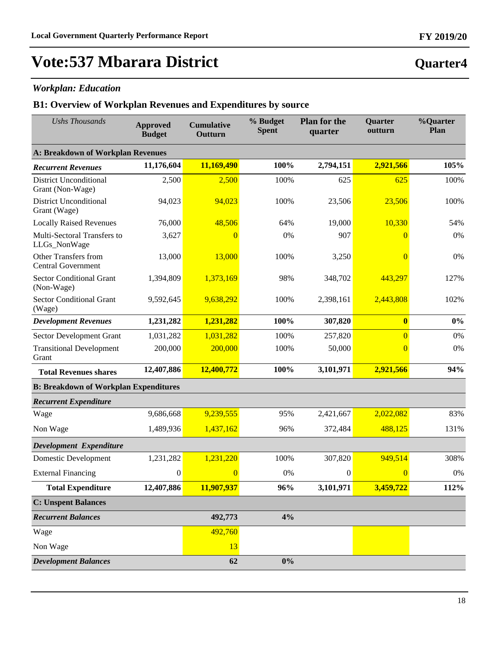**Quarter4**

# **Vote:537 Mbarara District**

### *Workplan: Education*

| <b>Ushs Thousands</b>                                    | <b>Approved</b><br><b>Budget</b> | <b>Cumulative</b><br>Outturn | % Budget<br><b>Spent</b> | <b>Plan for the</b><br>quarter | Quarter<br>outturn | %Quarter<br>Plan |
|----------------------------------------------------------|----------------------------------|------------------------------|--------------------------|--------------------------------|--------------------|------------------|
| <b>A: Breakdown of Workplan Revenues</b>                 |                                  |                              |                          |                                |                    |                  |
| <b>Recurrent Revenues</b>                                | 11,176,604                       | 11,169,490                   | 100%                     | 2,794,151                      | 2,921,566          | 105%             |
| <b>District Unconditional</b><br>Grant (Non-Wage)        | 2,500                            | 2,500                        | 100%                     | 625                            | 625                | 100%             |
| <b>District Unconditional</b><br>Grant (Wage)            | 94,023                           | 94,023                       | 100%                     | 23,506                         | 23,506             | 100%             |
| <b>Locally Raised Revenues</b>                           | 76,000                           | 48,506                       | 64%                      | 19,000                         | 10,330             | 54%              |
| Multi-Sectoral Transfers to<br>LLGs_NonWage              | 3,627                            | $\overline{0}$               | 0%                       | 907                            | $\theta$           | 0%               |
| <b>Other Transfers from</b><br><b>Central Government</b> | 13,000                           | 13,000                       | 100%                     | 3,250                          | $\overline{0}$     | 0%               |
| <b>Sector Conditional Grant</b><br>(Non-Wage)            | 1,394,809                        | 1,373,169                    | 98%                      | 348,702                        | 443,297            | 127%             |
| <b>Sector Conditional Grant</b><br>(Wage)                | 9,592,645                        | 9,638,292                    | 100%                     | 2,398,161                      | 2,443,808          | 102%             |
| <b>Development Revenues</b>                              | 1,231,282                        | 1,231,282                    | 100%                     | 307,820                        | $\boldsymbol{0}$   | $0\%$            |
| Sector Development Grant                                 | 1,031,282                        | 1,031,282                    | 100%                     | 257,820                        | $\overline{0}$     | 0%               |
| <b>Transitional Development</b><br>Grant                 | 200,000                          | 200,000                      | 100%                     | 50,000                         | $\overline{0}$     | 0%               |
| <b>Total Revenues shares</b>                             | 12,407,886                       | 12,400,772                   | 100%                     | 3,101,971                      | 2,921,566          | 94%              |
| <b>B: Breakdown of Workplan Expenditures</b>             |                                  |                              |                          |                                |                    |                  |
| <b>Recurrent Expenditure</b>                             |                                  |                              |                          |                                |                    |                  |
| Wage                                                     | 9,686,668                        | 9,239,555                    | 95%                      | 2,421,667                      | 2,022,082          | 83%              |
| Non Wage                                                 | 1,489,936                        | 1,437,162                    | 96%                      | 372,484                        | 488,125            | 131%             |
| Development Expenditure                                  |                                  |                              |                          |                                |                    |                  |
| <b>Domestic Development</b>                              | 1,231,282                        | 1,231,220                    | 100%                     | 307,820                        | 949,514            | 308%             |
| <b>External Financing</b>                                | $\boldsymbol{0}$                 | $\overline{0}$               | 0%                       | $\mathbf{0}$                   | $\overline{0}$     | 0%               |
| <b>Total Expenditure</b>                                 | 12,407,886                       | 11,907,937                   | 96%                      | 3,101,971                      | 3,459,722          | 112%             |
| <b>C: Unspent Balances</b>                               |                                  |                              |                          |                                |                    |                  |
| <b>Recurrent Balances</b>                                |                                  | 492,773                      | 4%                       |                                |                    |                  |
| Wage                                                     |                                  | 492,760                      |                          |                                |                    |                  |
| Non Wage                                                 |                                  | 13                           |                          |                                |                    |                  |
| <b>Development Balances</b>                              |                                  | 62                           | $0\%$                    |                                |                    |                  |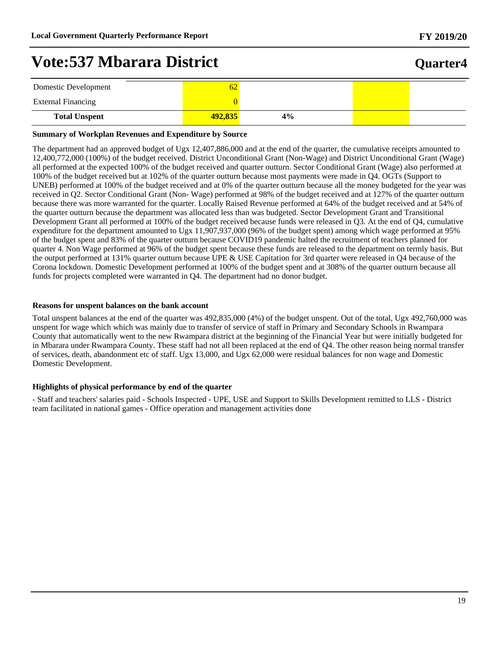## **Quarter4**

| Domestic Development      | 62      |    |  |
|---------------------------|---------|----|--|
| <b>External Financing</b> |         |    |  |
| <b>Total Unspent</b>      | 492,835 | 4% |  |

#### **Summary of Workplan Revenues and Expenditure by Source**

The department had an approved budget of Ugx 12,407,886,000 and at the end of the quarter, the cumulative receipts amounted to 12,400,772,000 (100%) of the budget received. District Unconditional Grant (Non-Wage) and District Unconditional Grant (Wage) all performed at the expected 100% of the budget received and quarter outturn. Sector Conditional Grant (Wage) also performed at 100% of the budget received but at 102% of the quarter outturn because most payments were made in Q4. OGTs (Support to UNEB) performed at 100% of the budget received and at 0% of the quarter outturn because all the money budgeted for the year was received in Q2. Sector Conditional Grant (Non- Wage) performed at 98% of the budget received and at 127% of the quarter outturn because there was more warranted for the quarter. Locally Raised Revenue performed at 64% of the budget received and at 54% of the quarter outturn because the department was allocated less than was budgeted. Sector Development Grant and Transitional Development Grant all performed at 100% of the budget received because funds were released in Q3. At the end of Q4, cumulative expenditure for the department amounted to Ugx 11,907,937,000 (96% of the budget spent) among which wage performed at 95% of the budget spent and 83% of the quarter outturn because COVID19 pandemic halted the recruitment of teachers planned for quarter 4. Non Wage performed at 96% of the budget spent because these funds are released to the department on termly basis. But the output performed at 131% quarter outturn because UPE & USE Capitation for 3rd quarter were released in Q4 because of the Corona lockdown. Domestic Development performed at 100% of the budget spent and at 308% of the quarter outturn because all funds for projects completed were warranted in Q4. The department had no donor budget.

#### **Reasons for unspent balances on the bank account**

Total unspent balances at the end of the quarter was 492,835,000 (4%) of the budget unspent. Out of the total, Ugx 492,760,000 was unspent for wage which which was mainly due to transfer of service of staff in Primary and Secondary Schools in Rwampara County that automatically went to the new Rwampara district at the beginning of the Financial Year but were initially budgeted for in Mbarara under Rwampara County. These staff had not all been replaced at the end of Q4. The other reason being normal transfer of services, death, abandonment etc of staff. Ugx 13,000, and Ugx 62,000 were residual balances for non wage and Domestic Domestic Development.

#### **Highlights of physical performance by end of the quarter**

- Staff and teachers' salaries paid - Schools Inspected - UPE, USE and Support to Skills Development remitted to LLS - District team facilitated in national games - Office operation and management activities done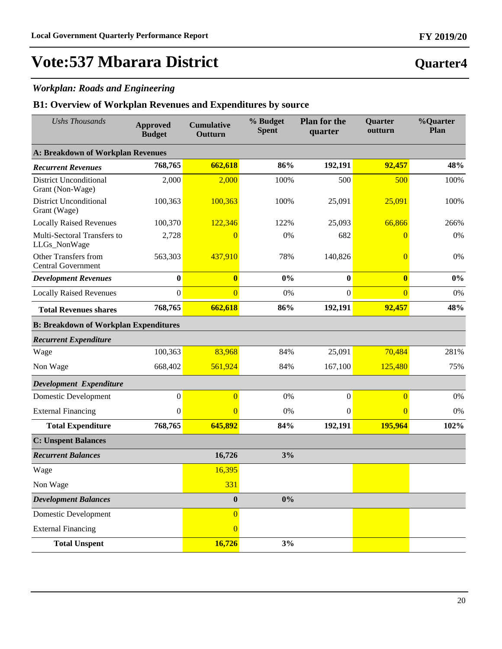### *Workplan: Roads and Engineering*

| <b>Ushs Thousands</b>                                    | <b>Approved</b><br><b>Budget</b> | <b>Cumulative</b><br>Outturn | % Budget<br><b>Spent</b> | <b>Plan for the</b><br>quarter | Quarter<br>outturn | %Quarter<br>Plan |
|----------------------------------------------------------|----------------------------------|------------------------------|--------------------------|--------------------------------|--------------------|------------------|
| <b>A: Breakdown of Workplan Revenues</b>                 |                                  |                              |                          |                                |                    |                  |
| <b>Recurrent Revenues</b>                                | 768,765                          | 662,618                      | 86%                      | 192,191                        | 92,457             | 48%              |
| <b>District Unconditional</b><br>Grant (Non-Wage)        | 2,000                            | 2,000                        | 100%                     | 500                            | 500                | 100%             |
| <b>District Unconditional</b><br>Grant (Wage)            | 100,363                          | 100,363                      | 100%                     | 25,091                         | 25,091             | 100%             |
| <b>Locally Raised Revenues</b>                           | 100,370                          | 122,346                      | 122%                     | 25,093                         | 66,866             | 266%             |
| Multi-Sectoral Transfers to<br>LLGs_NonWage              | 2,728                            | $\overline{0}$               | 0%                       | 682                            | $\overline{0}$     | 0%               |
| <b>Other Transfers from</b><br><b>Central Government</b> | 563,303                          | 437,910                      | 78%                      | 140,826                        | $\overline{0}$     | 0%               |
| <b>Development Revenues</b>                              | $\bf{0}$                         | $\bf{0}$                     | 0%                       | $\boldsymbol{0}$               | $\bf{0}$           | $0\%$            |
| <b>Locally Raised Revenues</b>                           | $\mathbf{0}$                     | $\overline{0}$               | 0%                       | $\boldsymbol{0}$               | $\overline{0}$     | 0%               |
| <b>Total Revenues shares</b>                             | 768,765                          | 662,618                      | 86%                      | 192,191                        | 92,457             | 48%              |
| <b>B: Breakdown of Workplan Expenditures</b>             |                                  |                              |                          |                                |                    |                  |
| <b>Recurrent Expenditure</b>                             |                                  |                              |                          |                                |                    |                  |
| Wage                                                     | 100,363                          | 83,968                       | 84%                      | 25,091                         | 70,484             | 281%             |
| Non Wage                                                 | 668,402                          | 561,924                      | 84%                      | 167,100                        | 125,480            | 75%              |
| Development Expenditure                                  |                                  |                              |                          |                                |                    |                  |
| <b>Domestic Development</b>                              | $\boldsymbol{0}$                 | $\overline{0}$               | 0%                       | $\boldsymbol{0}$               | $\overline{0}$     | 0%               |
| <b>External Financing</b>                                | $\boldsymbol{0}$                 | $\Omega$                     | 0%                       | $\mathbf{0}$                   | $\overline{0}$     | 0%               |
| <b>Total Expenditure</b>                                 | 768,765                          | 645,892                      | 84%                      | 192,191                        | 195,964            | 102%             |
| <b>C: Unspent Balances</b>                               |                                  |                              |                          |                                |                    |                  |
| <b>Recurrent Balances</b>                                |                                  | 16,726                       | 3%                       |                                |                    |                  |
| Wage                                                     |                                  | 16,395                       |                          |                                |                    |                  |
| Non Wage                                                 |                                  | <b>331</b>                   |                          |                                |                    |                  |
| <b>Development Balances</b>                              |                                  | $\pmb{0}$                    | $0\%$                    |                                |                    |                  |
| <b>Domestic Development</b>                              |                                  | $\overline{0}$               |                          |                                |                    |                  |
| <b>External Financing</b>                                |                                  | $\overline{0}$               |                          |                                |                    |                  |
| <b>Total Unspent</b>                                     |                                  | 16,726                       | 3%                       |                                |                    |                  |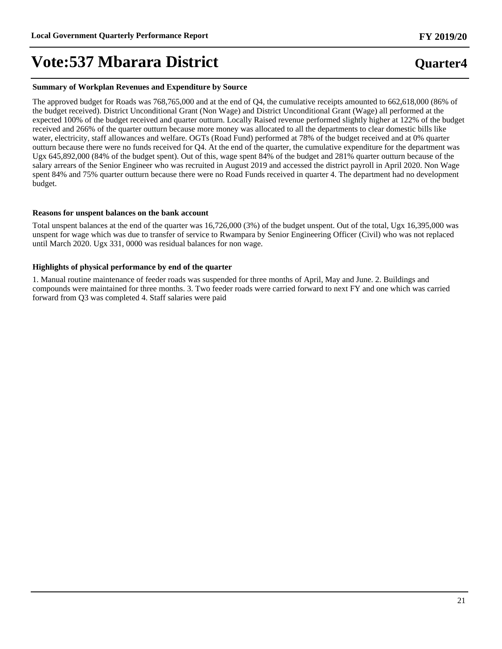#### **Summary of Workplan Revenues and Expenditure by Source**

The approved budget for Roads was 768,765,000 and at the end of Q4, the cumulative receipts amounted to 662,618,000 (86% of the budget received). District Unconditional Grant (Non Wage) and District Unconditional Grant (Wage) all performed at the expected 100% of the budget received and quarter outturn. Locally Raised revenue performed slightly higher at 122% of the budget received and 266% of the quarter outturn because more money was allocated to all the departments to clear domestic bills like water, electricity, staff allowances and welfare. OGTs (Road Fund) performed at 78% of the budget received and at 0% quarter outturn because there were no funds received for Q4. At the end of the quarter, the cumulative expenditure for the department was Ugx 645,892,000 (84% of the budget spent). Out of this, wage spent 84% of the budget and 281% quarter outturn because of the salary arrears of the Senior Engineer who was recruited in August 2019 and accessed the district payroll in April 2020. Non Wage spent 84% and 75% quarter outturn because there were no Road Funds received in quarter 4. The department had no development budget.

#### **Reasons for unspent balances on the bank account**

Total unspent balances at the end of the quarter was 16,726,000 (3%) of the budget unspent. Out of the total, Ugx 16,395,000 was unspent for wage which was due to transfer of service to Rwampara by Senior Engineering Officer (Civil) who was not replaced until March 2020. Ugx 331, 0000 was residual balances for non wage.

#### **Highlights of physical performance by end of the quarter**

1. Manual routine maintenance of feeder roads was suspended for three months of April, May and June. 2. Buildings and compounds were maintained for three months. 3. Two feeder roads were carried forward to next FY and one which was carried forward from Q3 was completed 4. Staff salaries were paid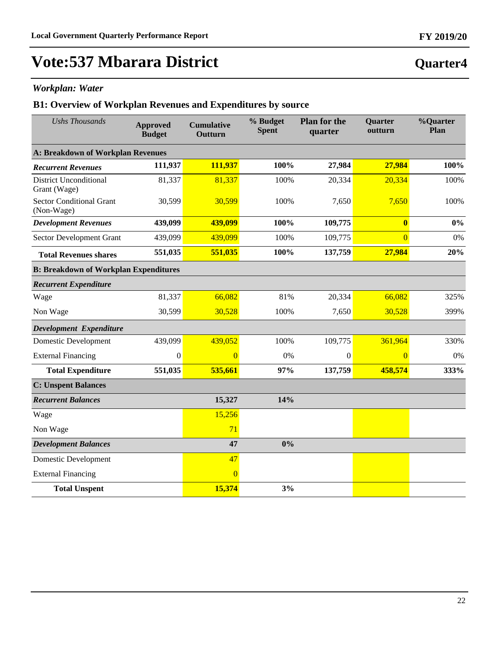### *Workplan: Water*

| <b>Ushs Thousands</b>                         | <b>Approved</b><br><b>Budget</b> | <b>Cumulative</b><br>Outturn | % Budget<br><b>Spent</b> | <b>Plan for the</b><br>quarter | Quarter<br>outturn | %Quarter<br>Plan |  |  |
|-----------------------------------------------|----------------------------------|------------------------------|--------------------------|--------------------------------|--------------------|------------------|--|--|
| A: Breakdown of Workplan Revenues             |                                  |                              |                          |                                |                    |                  |  |  |
| <b>Recurrent Revenues</b>                     | 111,937                          | 111,937                      | 100%                     | 27,984                         | 27,984             | 100%             |  |  |
| <b>District Unconditional</b><br>Grant (Wage) | 81,337                           | 81,337                       | 100%                     | 20,334                         | 20,334             | 100%             |  |  |
| <b>Sector Conditional Grant</b><br>(Non-Wage) | 30,599                           | 30,599                       | 100%                     | 7,650                          | 7,650              | 100%             |  |  |
| <b>Development Revenues</b>                   | 439,099                          | 439,099                      | 100%                     | 109,775                        | $\bf{0}$           | $0\%$            |  |  |
| Sector Development Grant                      | 439,099                          | 439,099                      | 100%                     | 109,775                        | $\overline{0}$     | 0%               |  |  |
| <b>Total Revenues shares</b>                  | 551,035                          | 551,035                      | 100%                     | 137,759                        | 27,984             | 20%              |  |  |
| <b>B: Breakdown of Workplan Expenditures</b>  |                                  |                              |                          |                                |                    |                  |  |  |
| <b>Recurrent Expenditure</b>                  |                                  |                              |                          |                                |                    |                  |  |  |
| Wage                                          | 81,337                           | 66,082                       | 81%                      | 20,334                         | 66,082             | 325%             |  |  |
| Non Wage                                      | 30,599                           | 30,528                       | 100%                     | 7,650                          | 30,528             | 399%             |  |  |
| Development Expenditure                       |                                  |                              |                          |                                |                    |                  |  |  |
| <b>Domestic Development</b>                   | 439,099                          | 439,052                      | 100%                     | 109,775                        | 361,964            | 330%             |  |  |
| <b>External Financing</b>                     | $\boldsymbol{0}$                 | $\Omega$                     | 0%                       | $\mathbf{0}$                   | $\overline{0}$     | 0%               |  |  |
| <b>Total Expenditure</b>                      | 551,035                          | 535,661                      | 97%                      | 137,759                        | 458,574            | 333%             |  |  |
| <b>C: Unspent Balances</b>                    |                                  |                              |                          |                                |                    |                  |  |  |
| <b>Recurrent Balances</b>                     |                                  | 15,327                       | 14%                      |                                |                    |                  |  |  |
| Wage                                          |                                  | 15,256                       |                          |                                |                    |                  |  |  |
| Non Wage                                      |                                  | 71                           |                          |                                |                    |                  |  |  |
| <b>Development Balances</b>                   |                                  | 47                           | 0%                       |                                |                    |                  |  |  |
| <b>Domestic Development</b>                   |                                  | 47                           |                          |                                |                    |                  |  |  |
| <b>External Financing</b>                     |                                  | $\Omega$                     |                          |                                |                    |                  |  |  |
| <b>Total Unspent</b>                          |                                  | 15,374                       | 3%                       |                                |                    |                  |  |  |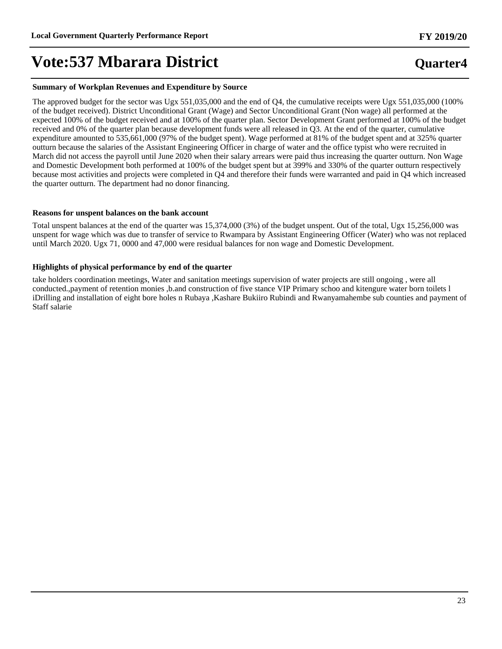**Quarter4**

# **Vote:537 Mbarara District**

#### **Summary of Workplan Revenues and Expenditure by Source**

The approved budget for the sector was Ugx 551,035,000 and the end of Q4, the cumulative receipts were Ugx 551,035,000 (100% of the budget received). District Unconditional Grant (Wage) and Sector Unconditional Grant (Non wage) all performed at the expected 100% of the budget received and at 100% of the quarter plan. Sector Development Grant performed at 100% of the budget received and 0% of the quarter plan because development funds were all released in Q3. At the end of the quarter, cumulative expenditure amounted to 535,661,000 (97% of the budget spent). Wage performed at 81% of the budget spent and at 325% quarter outturn because the salaries of the Assistant Engineering Officer in charge of water and the office typist who were recruited in March did not access the payroll until June 2020 when their salary arrears were paid thus increasing the quarter outturn. Non Wage and Domestic Development both performed at 100% of the budget spent but at 399% and 330% of the quarter outturn respectively because most activities and projects were completed in Q4 and therefore their funds were warranted and paid in Q4 which increased the quarter outturn. The department had no donor financing.

#### **Reasons for unspent balances on the bank account**

Total unspent balances at the end of the quarter was 15,374,000 (3%) of the budget unspent. Out of the total, Ugx 15,256,000 was unspent for wage which was due to transfer of service to Rwampara by Assistant Engineering Officer (Water) who was not replaced until March 2020. Ugx 71, 0000 and 47,000 were residual balances for non wage and Domestic Development.

#### **Highlights of physical performance by end of the quarter**

take holders coordination meetings, Water and sanitation meetings supervision of water projects are still ongoing , were all conducted.,payment of retention monies ,b.and construction of five stance VIP Primary schoo and kitengure water born toilets l iDrilling and installation of eight bore holes n Rubaya ,Kashare Bukiiro Rubindi and Rwanyamahembe sub counties and payment of Staff salarie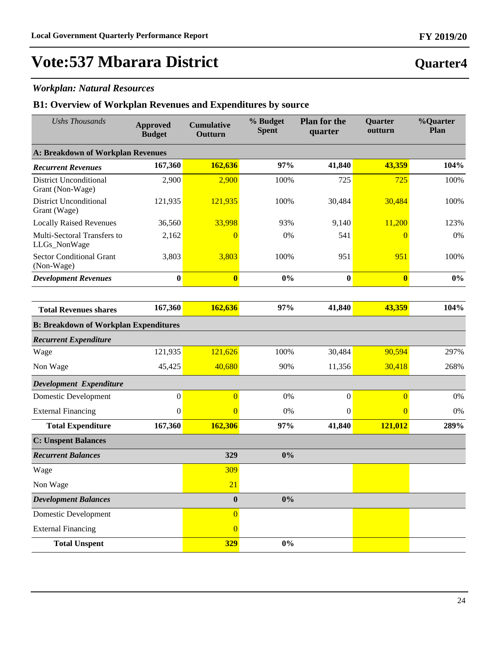### *Workplan: Natural Resources*

| <b>Ushs Thousands</b>                             | <b>Approved</b><br><b>Budget</b> | <b>Cumulative</b><br>Outturn | % Budget<br><b>Spent</b> | <b>Plan for the</b><br>quarter | Quarter<br>outturn | %Quarter<br>Plan |
|---------------------------------------------------|----------------------------------|------------------------------|--------------------------|--------------------------------|--------------------|------------------|
| <b>A: Breakdown of Workplan Revenues</b>          |                                  |                              |                          |                                |                    |                  |
| <b>Recurrent Revenues</b>                         | 167,360                          | 162,636                      | 97%                      | 41,840                         | 43,359             | 104%             |
| <b>District Unconditional</b><br>Grant (Non-Wage) | 2,900                            | 2,900                        | 100%                     | 725                            | 725                | 100%             |
| <b>District Unconditional</b><br>Grant (Wage)     | 121,935                          | 121,935                      | 100%                     | 30,484                         | 30,484             | 100%             |
| <b>Locally Raised Revenues</b>                    | 36,560                           | 33,998                       | 93%                      | 9,140                          | 11,200             | 123%             |
| Multi-Sectoral Transfers to<br>LLGs_NonWage       | 2,162                            | $\overline{0}$               | 0%                       | 541                            | $\overline{0}$     | 0%               |
| <b>Sector Conditional Grant</b><br>(Non-Wage)     | 3,803                            | 3,803                        | 100%                     | 951                            | 951                | 100%             |
| <b>Development Revenues</b>                       | $\bf{0}$                         | $\bf{0}$                     | 0%                       | $\bf{0}$                       | $\bf{0}$           | $0\%$            |
|                                                   |                                  |                              |                          |                                |                    |                  |
| <b>Total Revenues shares</b>                      | 167,360                          | 162,636                      | 97%                      | 41,840                         | 43,359             | 104%             |
| <b>B: Breakdown of Workplan Expenditures</b>      |                                  |                              |                          |                                |                    |                  |
| <b>Recurrent Expenditure</b>                      |                                  |                              |                          |                                |                    |                  |
| Wage                                              | 121,935                          | 121,626                      | 100%                     | 30,484                         | 90,594             | 297%             |
| Non Wage                                          | 45,425                           | 40,680                       | 90%                      | 11,356                         | 30,418             | 268%             |
| Development Expenditure                           |                                  |                              |                          |                                |                    |                  |
| Domestic Development                              | $\boldsymbol{0}$                 | $\overline{0}$               | 0%                       | $\boldsymbol{0}$               | $\overline{0}$     | 0%               |
| <b>External Financing</b>                         | $\mathbf{0}$                     | $\overline{0}$               | $0\%$                    | $\mathbf{0}$                   | $\overline{0}$     | 0%               |
| <b>Total Expenditure</b>                          | 167,360                          | 162,306                      | 97%                      | 41,840                         | 121,012            | 289%             |
| <b>C: Unspent Balances</b>                        |                                  |                              |                          |                                |                    |                  |
| <b>Recurrent Balances</b>                         |                                  | 329                          | 0%                       |                                |                    |                  |
| Wage                                              |                                  | 309                          |                          |                                |                    |                  |
| Non Wage                                          |                                  | 21                           |                          |                                |                    |                  |
| <b>Development Balances</b>                       |                                  | $\bf{0}$                     | $0\%$                    |                                |                    |                  |
| <b>Domestic Development</b>                       |                                  | $\overline{0}$               |                          |                                |                    |                  |
| <b>External Financing</b>                         |                                  | $\overline{0}$               |                          |                                |                    |                  |
| <b>Total Unspent</b>                              |                                  | <b>329</b>                   | $0\%$                    |                                |                    |                  |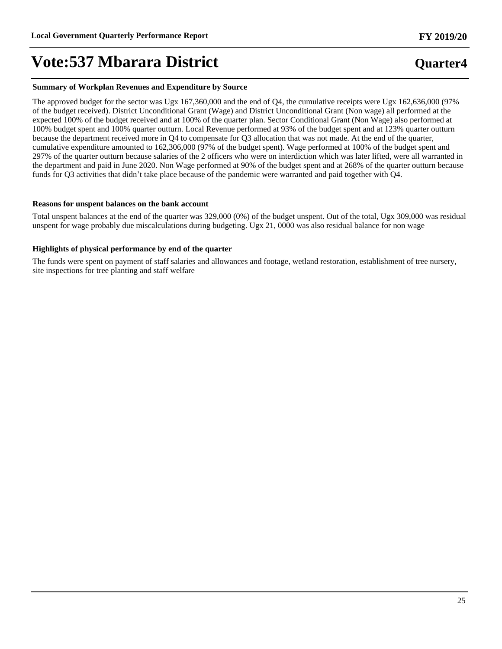#### **Summary of Workplan Revenues and Expenditure by Source**

The approved budget for the sector was Ugx 167,360,000 and the end of Q4, the cumulative receipts were Ugx 162,636,000 (97% of the budget received). District Unconditional Grant (Wage) and District Unconditional Grant (Non wage) all performed at the expected 100% of the budget received and at 100% of the quarter plan. Sector Conditional Grant (Non Wage) also performed at 100% budget spent and 100% quarter outturn. Local Revenue performed at 93% of the budget spent and at 123% quarter outturn because the department received more in Q4 to compensate for Q3 allocation that was not made. At the end of the quarter, cumulative expenditure amounted to 162,306,000 (97% of the budget spent). Wage performed at 100% of the budget spent and 297% of the quarter outturn because salaries of the 2 officers who were on interdiction which was later lifted, were all warranted in the department and paid in June 2020. Non Wage performed at 90% of the budget spent and at 268% of the quarter outturn because funds for Q3 activities that didn't take place because of the pandemic were warranted and paid together with Q4.

#### **Reasons for unspent balances on the bank account**

Total unspent balances at the end of the quarter was 329,000 (0%) of the budget unspent. Out of the total, Ugx 309,000 was residual unspent for wage probably due miscalculations during budgeting. Ugx 21, 0000 was also residual balance for non wage

#### **Highlights of physical performance by end of the quarter**

The funds were spent on payment of staff salaries and allowances and footage, wetland restoration, establishment of tree nursery, site inspections for tree planting and staff welfare

### **Quarter4**

**FY 2019/20**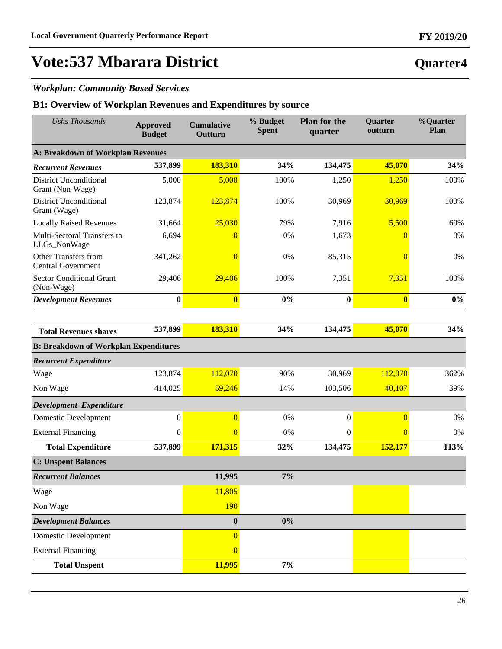**Quarter4**

# **Vote:537 Mbarara District**

### *Workplan: Community Based Services*

| <b>Ushs Thousands</b>                             | <b>Approved</b><br><b>Budget</b> | <b>Cumulative</b><br>Outturn | % Budget<br><b>Spent</b> | <b>Plan for the</b><br>quarter | <b>Ouarter</b><br>outturn | <b>%Quarter</b><br>Plan |
|---------------------------------------------------|----------------------------------|------------------------------|--------------------------|--------------------------------|---------------------------|-------------------------|
| <b>A: Breakdown of Workplan Revenues</b>          |                                  |                              |                          |                                |                           |                         |
| <b>Recurrent Revenues</b>                         | 537,899                          | 183,310                      | 34%                      | 134,475                        | 45,070                    | 34%                     |
| <b>District Unconditional</b><br>Grant (Non-Wage) | 5,000                            | 5,000                        | 100%                     | 1,250                          | 1,250                     | 100%                    |
| <b>District Unconditional</b><br>Grant (Wage)     | 123,874                          | 123,874                      | 100%                     | 30,969                         | 30,969                    | 100%                    |
| <b>Locally Raised Revenues</b>                    | 31,664                           | 25,030                       | 79%                      | 7,916                          | 5,500                     | 69%                     |
| Multi-Sectoral Transfers to<br>LLGs_NonWage       | 6,694                            | $\overline{0}$               | 0%                       | 1,673                          | $\theta$                  | 0%                      |
| Other Transfers from<br><b>Central Government</b> | 341,262                          | $\overline{0}$               | 0%                       | 85,315                         | $\overline{0}$            | 0%                      |
| <b>Sector Conditional Grant</b><br>(Non-Wage)     | 29,406                           | 29,406                       | 100%                     | 7,351                          | 7,351                     | 100%                    |
| <b>Development Revenues</b>                       | $\bf{0}$                         | $\bf{0}$                     | 0%                       | $\bf{0}$                       | $\bf{0}$                  | $0\%$                   |
|                                                   |                                  |                              |                          |                                |                           |                         |
| <b>Total Revenues shares</b>                      | 537,899                          | 183,310                      | 34%                      | 134,475                        | 45,070                    | 34%                     |
| <b>B: Breakdown of Workplan Expenditures</b>      |                                  |                              |                          |                                |                           |                         |
| <b>Recurrent Expenditure</b>                      |                                  |                              |                          |                                |                           |                         |
| Wage                                              | 123,874                          | 112,070                      | 90%                      | 30,969                         | 112,070                   | 362%                    |
| Non Wage                                          | 414,025                          | 59,246                       | 14%                      | 103,506                        | 40,107                    | 39%                     |
| Development Expenditure                           |                                  |                              |                          |                                |                           |                         |
| <b>Domestic Development</b>                       | $\boldsymbol{0}$                 | $\overline{0}$               | 0%                       | $\boldsymbol{0}$               | $\overline{0}$            | 0%                      |
| <b>External Financing</b>                         | $\boldsymbol{0}$                 | $\Omega$                     | 0%                       | $\boldsymbol{0}$               | $\overline{0}$            | 0%                      |
| <b>Total Expenditure</b>                          | 537,899                          | 171,315                      | 32%                      | 134,475                        | 152,177                   | 113%                    |
| <b>C: Unspent Balances</b>                        |                                  |                              |                          |                                |                           |                         |
| <b>Recurrent Balances</b>                         |                                  | 11,995                       | 7%                       |                                |                           |                         |
| Wage                                              |                                  | 11,805                       |                          |                                |                           |                         |
| Non Wage                                          |                                  | 190                          |                          |                                |                           |                         |
| <b>Development Balances</b>                       |                                  | $\boldsymbol{0}$             | 0%                       |                                |                           |                         |
| <b>Domestic Development</b>                       |                                  | $\overline{0}$               |                          |                                |                           |                         |
| <b>External Financing</b>                         |                                  | $\overline{0}$               |                          |                                |                           |                         |
| <b>Total Unspent</b>                              |                                  | 11,995                       | 7%                       |                                |                           |                         |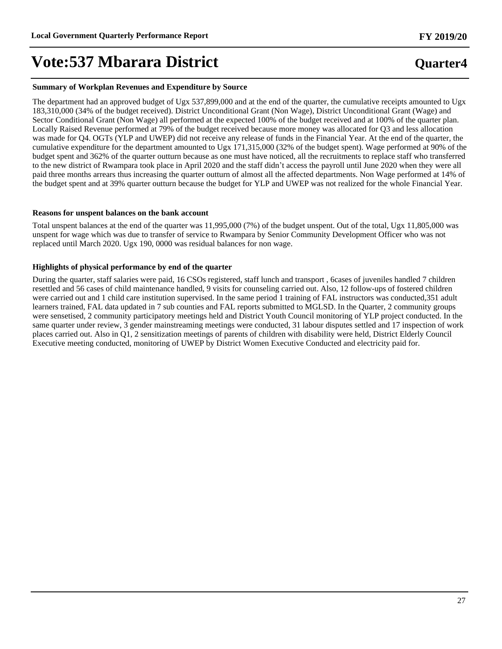#### **Summary of Workplan Revenues and Expenditure by Source**

The department had an approved budget of Ugx 537,899,000 and at the end of the quarter, the cumulative receipts amounted to Ugx 183,310,000 (34% of the budget received). District Unconditional Grant (Non Wage), District Unconditional Grant (Wage) and Sector Conditional Grant (Non Wage) all performed at the expected 100% of the budget received and at 100% of the quarter plan. Locally Raised Revenue performed at 79% of the budget received because more money was allocated for Q3 and less allocation was made for Q4. OGTs (YLP and UWEP) did not receive any release of funds in the Financial Year. At the end of the quarter, the cumulative expenditure for the department amounted to Ugx 171,315,000 (32% of the budget spent). Wage performed at 90% of the budget spent and 362% of the quarter outturn because as one must have noticed, all the recruitments to replace staff who transferred to the new district of Rwampara took place in April 2020 and the staff didn't access the payroll until June 2020 when they were all paid three months arrears thus increasing the quarter outturn of almost all the affected departments. Non Wage performed at 14% of the budget spent and at 39% quarter outturn because the budget for YLP and UWEP was not realized for the whole Financial Year.

#### **Reasons for unspent balances on the bank account**

Total unspent balances at the end of the quarter was 11,995,000 (7%) of the budget unspent. Out of the total, Ugx 11,805,000 was unspent for wage which was due to transfer of service to Rwampara by Senior Community Development Officer who was not replaced until March 2020. Ugx 190, 0000 was residual balances for non wage.

#### **Highlights of physical performance by end of the quarter**

During the quarter, staff salaries were paid, 16 CSOs registered, staff lunch and transport , 6cases of juveniles handled 7 children resettled and 56 cases of child maintenance handled, 9 visits for counseling carried out. Also, 12 follow-ups of fostered children were carried out and 1 child care institution supervised. In the same period 1 training of FAL instructors was conducted,351 adult learners trained, FAL data updated in 7 sub counties and FAL reports submitted to MGLSD. In the Quarter, 2 community groups were sensetised, 2 community participatory meetings held and District Youth Council monitoring of YLP project conducted. In the same quarter under review, 3 gender mainstreaming meetings were conducted, 31 labour disputes settled and 17 inspection of work places carried out. Also in Q1, 2 sensitization meetings of parents of children with disability were held, District Elderly Council Executive meeting conducted, monitoring of UWEP by District Women Executive Conducted and electricity paid for.

27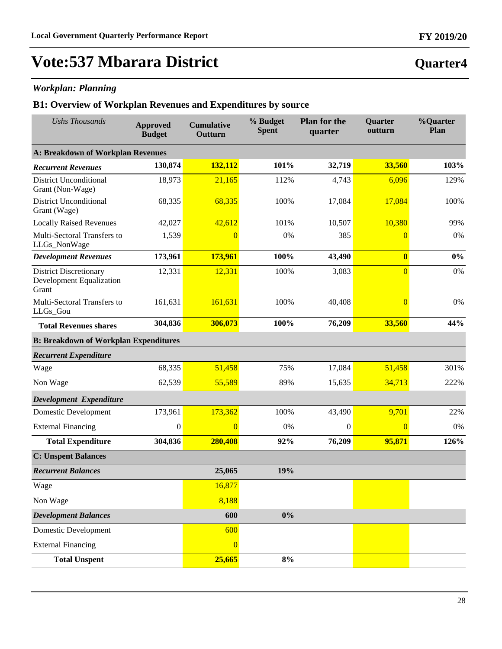### *Workplan: Planning*

### **B1: Overview of Workplan Revenues and Expenditures by source**

| <b>Ushs Thousands</b>                                              | <b>Approved</b><br><b>Budget</b> | <b>Cumulative</b><br>Outturn | % Budget<br><b>Spent</b> | <b>Plan for the</b><br>quarter | Quarter<br>outturn | %Quarter<br>Plan |
|--------------------------------------------------------------------|----------------------------------|------------------------------|--------------------------|--------------------------------|--------------------|------------------|
| <b>A: Breakdown of Workplan Revenues</b>                           |                                  |                              |                          |                                |                    |                  |
| <b>Recurrent Revenues</b>                                          | 130,874                          | 132,112                      | 101%                     | 32,719                         | 33,560             | 103%             |
| <b>District Unconditional</b><br>Grant (Non-Wage)                  | 18,973                           | 21,165                       | 112%                     | 4,743                          | 6,096              | 129%             |
| <b>District Unconditional</b><br>Grant (Wage)                      | 68,335                           | 68,335                       | 100%                     | 17,084                         | 17,084             | 100%             |
| <b>Locally Raised Revenues</b>                                     | 42,027                           | 42,612                       | 101%                     | 10,507                         | 10,380             | 99%              |
| Multi-Sectoral Transfers to<br>LLGs_NonWage                        | 1,539                            | $\overline{0}$               | 0%                       | 385                            | $\overline{0}$     | 0%               |
| <b>Development Revenues</b>                                        | 173,961                          | 173,961                      | 100%                     | 43,490                         | $\bf{0}$           | $0\%$            |
| <b>District Discretionary</b><br>Development Equalization<br>Grant | 12,331                           | 12,331                       | 100%                     | 3,083                          | $\overline{0}$     | 0%               |
| Multi-Sectoral Transfers to<br>LLGs_Gou                            | 161,631                          | 161,631                      | 100%                     | 40,408                         | $\overline{0}$     | 0%               |
| <b>Total Revenues shares</b>                                       | 304,836                          | 306,073                      | 100%                     | 76,209                         | 33,560             | 44%              |
| <b>B: Breakdown of Workplan Expenditures</b>                       |                                  |                              |                          |                                |                    |                  |
| <b>Recurrent Expenditure</b>                                       |                                  |                              |                          |                                |                    |                  |
| Wage                                                               | 68,335                           | 51,458                       | 75%                      | 17,084                         | 51,458             | 301%             |
| Non Wage                                                           | 62,539                           | 55,589                       | 89%                      | 15,635                         | 34,713             | 222%             |
| Development Expenditure                                            |                                  |                              |                          |                                |                    |                  |
| <b>Domestic Development</b>                                        | 173,961                          | 173,362                      | 100%                     | 43,490                         | 9,701              | 22%              |
| <b>External Financing</b>                                          | $\boldsymbol{0}$                 | $\overline{0}$               | 0%                       | $\mathbf{0}$                   | $\overline{0}$     | 0%               |
| <b>Total Expenditure</b>                                           | 304,836                          | 280,408                      | 92%                      | 76,209                         | 95,871             | 126%             |
| <b>C: Unspent Balances</b>                                         |                                  |                              |                          |                                |                    |                  |
| <b>Recurrent Balances</b>                                          |                                  | 25,065                       | 19%                      |                                |                    |                  |
| Wage                                                               |                                  | 16,877                       |                          |                                |                    |                  |
| Non Wage                                                           |                                  | 8,188                        |                          |                                |                    |                  |
| <b>Development Balances</b>                                        |                                  | 600                          | $0\%$                    |                                |                    |                  |
| <b>Domestic Development</b>                                        |                                  | 600                          |                          |                                |                    |                  |
| <b>External Financing</b>                                          |                                  | $\overline{0}$               |                          |                                |                    |                  |
| <b>Total Unspent</b>                                               |                                  | 25,665                       | $8\%$                    |                                |                    |                  |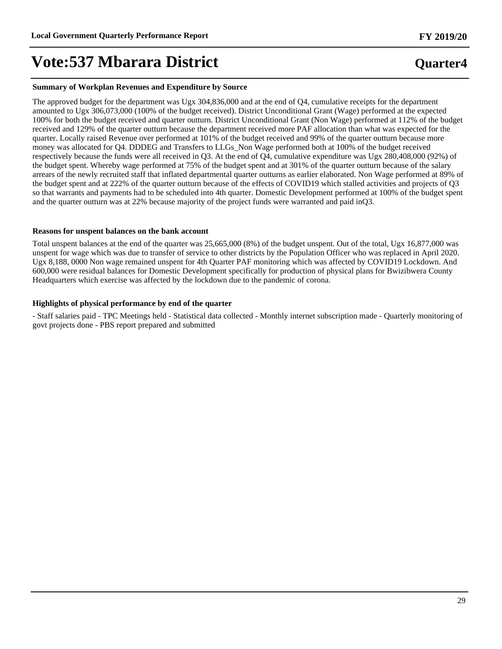#### **Summary of Workplan Revenues and Expenditure by Source**

The approved budget for the department was Ugx 304,836,000 and at the end of Q4, cumulative receipts for the department amounted to Ugx 306,073,000 (100% of the budget received). District Unconditional Grant (Wage) performed at the expected 100% for both the budget received and quarter outturn. District Unconditional Grant (Non Wage) performed at 112% of the budget received and 129% of the quarter outturn because the department received more PAF allocation than what was expected for the quarter. Locally raised Revenue over performed at 101% of the budget received and 99% of the quarter outturn because more money was allocated for Q4. DDDEG and Transfers to LLGs\_Non Wage performed both at 100% of the budget received respectively because the funds were all received in Q3. At the end of Q4, cumulative expenditure was Ugx 280,408,000 (92%) of the budget spent. Whereby wage performed at 75% of the budget spent and at 301% of the quarter outturn because of the salary arrears of the newly recruited staff that inflated departmental quarter outturns as earlier elaborated. Non Wage performed at 89% of the budget spent and at 222% of the quarter outturn because of the effects of COVID19 which stalled activities and projects of Q3 so that warrants and payments had to be scheduled into 4th quarter. Domestic Development performed at 100% of the budget spent and the quarter outturn was at 22% because majority of the project funds were warranted and paid inQ3.

#### **Reasons for unspent balances on the bank account**

Total unspent balances at the end of the quarter was 25,665,000 (8%) of the budget unspent. Out of the total, Ugx 16,877,000 was unspent for wage which was due to transfer of service to other districts by the Population Officer who was replaced in April 2020. Ugx 8,188, 0000 Non wage remained unspent for 4th Quarter PAF monitoring which was affected by COVID19 Lockdown. And 600,000 were residual balances for Domestic Development specifically for production of physical plans for Bwizibwera County Headquarters which exercise was affected by the lockdown due to the pandemic of corona.

#### **Highlights of physical performance by end of the quarter**

- Staff salaries paid - TPC Meetings held - Statistical data collected - Monthly internet subscription made - Quarterly monitoring of govt projects done - PBS report prepared and submitted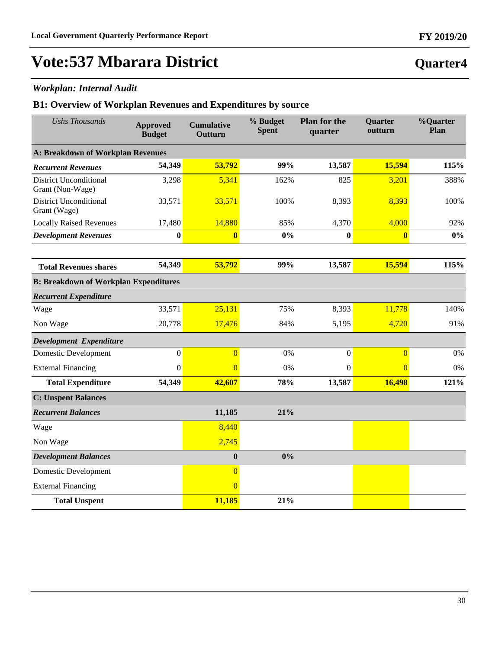### *Workplan: Internal Audit*

| <b>Ushs Thousands</b>                             | <b>Approved</b><br><b>Budget</b> | <b>Cumulative</b><br>Outturn | % Budget<br><b>Spent</b> | <b>Plan for the</b><br>quarter | Quarter<br>outturn | %Quarter<br>Plan |
|---------------------------------------------------|----------------------------------|------------------------------|--------------------------|--------------------------------|--------------------|------------------|
| <b>A: Breakdown of Workplan Revenues</b>          |                                  |                              |                          |                                |                    |                  |
| <b>Recurrent Revenues</b>                         | 54,349                           | 53,792                       | 99%                      | 13,587                         | 15,594             | 115%             |
| <b>District Unconditional</b><br>Grant (Non-Wage) | 3,298                            | 5,341                        | 162%                     | 825                            | 3,201              | 388%             |
| <b>District Unconditional</b><br>Grant (Wage)     | 33,571                           | 33,571                       | 100%                     | 8,393                          | 8,393              | 100%             |
| <b>Locally Raised Revenues</b>                    | 17,480                           | 14,880                       | 85%                      | 4,370                          | 4,000              | 92%              |
| <b>Development Revenues</b>                       | $\bf{0}$                         | $\bf{0}$                     | 0%                       | $\bf{0}$                       | $\bf{0}$           | $0\%$            |
|                                                   |                                  |                              |                          |                                |                    |                  |
| <b>Total Revenues shares</b>                      | 54,349                           | 53,792                       | 99%                      | 13,587                         | 15,594             | 115%             |
| <b>B: Breakdown of Workplan Expenditures</b>      |                                  |                              |                          |                                |                    |                  |
| <b>Recurrent Expenditure</b>                      |                                  |                              |                          |                                |                    |                  |
| Wage                                              | 33,571                           | 25,131                       | 75%                      | 8,393                          | 11,778             | 140%             |
| Non Wage                                          | 20,778                           | 17,476                       | 84%                      | 5,195                          | 4,720              | 91%              |
| Development Expenditure                           |                                  |                              |                          |                                |                    |                  |
| <b>Domestic Development</b>                       | $\boldsymbol{0}$                 | $\Omega$                     | 0%                       | $\boldsymbol{0}$               | $\overline{0}$     | 0%               |
| <b>External Financing</b>                         | $\boldsymbol{0}$                 | $\overline{0}$               | 0%                       | $\mathbf{0}$                   | $\overline{0}$     | 0%               |
| <b>Total Expenditure</b>                          | 54,349                           | 42,607                       | 78%                      | 13,587                         | 16,498             | 121%             |
| <b>C: Unspent Balances</b>                        |                                  |                              |                          |                                |                    |                  |
| <b>Recurrent Balances</b>                         |                                  | 11,185                       | 21%                      |                                |                    |                  |
| Wage                                              |                                  | 8,440                        |                          |                                |                    |                  |
| Non Wage                                          |                                  | 2,745                        |                          |                                |                    |                  |
| <b>Development Balances</b>                       |                                  | $\bf{0}$                     | 0%                       |                                |                    |                  |
| <b>Domestic Development</b>                       |                                  | $\overline{0}$               |                          |                                |                    |                  |
| <b>External Financing</b>                         |                                  | $\overline{0}$               |                          |                                |                    |                  |
| <b>Total Unspent</b>                              |                                  | 11,185                       | 21%                      |                                |                    |                  |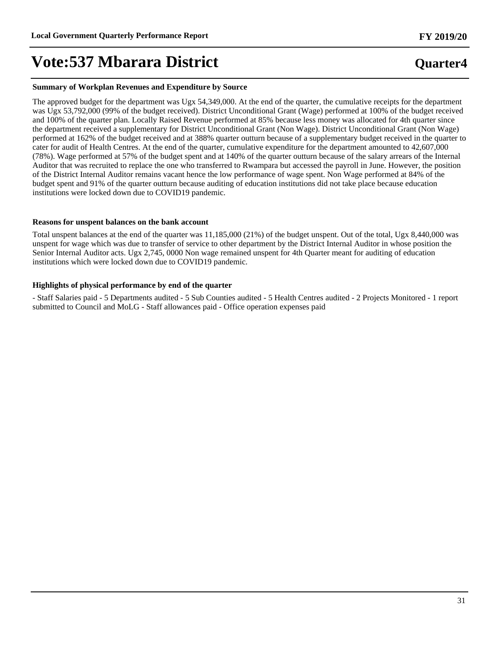#### **Summary of Workplan Revenues and Expenditure by Source**

The approved budget for the department was Ugx 54,349,000. At the end of the quarter, the cumulative receipts for the department was Ugx 53,792,000 (99% of the budget received). District Unconditional Grant (Wage) performed at 100% of the budget received and 100% of the quarter plan. Locally Raised Revenue performed at 85% because less money was allocated for 4th quarter since the department received a supplementary for District Unconditional Grant (Non Wage). District Unconditional Grant (Non Wage) performed at 162% of the budget received and at 388% quarter outturn because of a supplementary budget received in the quarter to cater for audit of Health Centres. At the end of the quarter, cumulative expenditure for the department amounted to 42,607,000 (78%). Wage performed at 57% of the budget spent and at 140% of the quarter outturn because of the salary arrears of the Internal Auditor that was recruited to replace the one who transferred to Rwampara but accessed the payroll in June. However, the position of the District Internal Auditor remains vacant hence the low performance of wage spent. Non Wage performed at 84% of the budget spent and 91% of the quarter outturn because auditing of education institutions did not take place because education institutions were locked down due to COVID19 pandemic.

#### **Reasons for unspent balances on the bank account**

Total unspent balances at the end of the quarter was 11,185,000 (21%) of the budget unspent. Out of the total, Ugx 8,440,000 was unspent for wage which was due to transfer of service to other department by the District Internal Auditor in whose position the Senior Internal Auditor acts. Ugx 2,745, 0000 Non wage remained unspent for 4th Quarter meant for auditing of education institutions which were locked down due to COVID19 pandemic.

#### **Highlights of physical performance by end of the quarter**

- Staff Salaries paid - 5 Departments audited - 5 Sub Counties audited - 5 Health Centres audited - 2 Projects Monitored - 1 report submitted to Council and MoLG - Staff allowances paid - Office operation expenses paid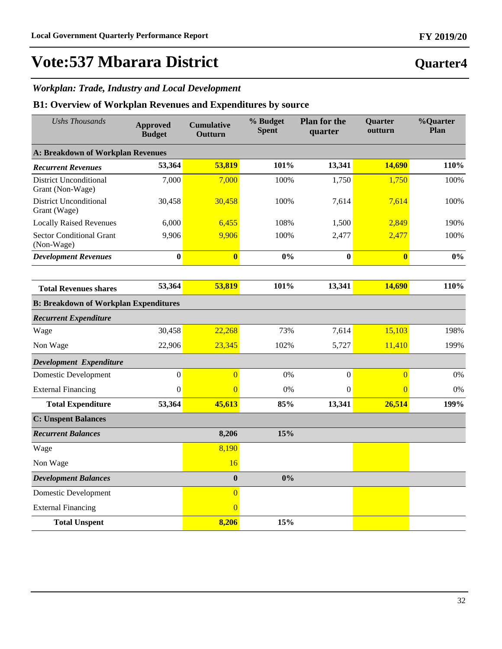### *Workplan: Trade, Industry and Local Development*

### **B1: Overview of Workplan Revenues and Expenditures by source**

| <b>Ushs Thousands</b>                             | <b>Approved</b><br><b>Budget</b> | <b>Cumulative</b><br>Outturn | % Budget<br><b>Spent</b> | <b>Plan for the</b><br>quarter | Quarter<br>outturn | %Quarter<br>Plan |
|---------------------------------------------------|----------------------------------|------------------------------|--------------------------|--------------------------------|--------------------|------------------|
| <b>A: Breakdown of Workplan Revenues</b>          |                                  |                              |                          |                                |                    |                  |
| <b>Recurrent Revenues</b>                         | 53,364                           | 53,819                       | 101%                     | 13,341                         | 14,690             | 110%             |
| <b>District Unconditional</b><br>Grant (Non-Wage) | 7,000                            | 7,000                        | 100%                     | 1,750                          | 1,750              | 100%             |
| <b>District Unconditional</b><br>Grant (Wage)     | 30,458                           | 30,458                       | 100%                     | 7,614                          | 7,614              | 100%             |
| <b>Locally Raised Revenues</b>                    | 6,000                            | 6,455                        | 108%                     | 1,500                          | 2,849              | 190%             |
| <b>Sector Conditional Grant</b><br>(Non-Wage)     | 9,906                            | 9,906                        | 100%                     | 2,477                          | 2,477              | 100%             |
| <b>Development Revenues</b>                       | $\bf{0}$                         | $\bf{0}$                     | 0%                       | $\bf{0}$                       | $\bf{0}$           | 0%               |
|                                                   |                                  |                              |                          |                                |                    |                  |
| <b>Total Revenues shares</b>                      | 53,364                           | 53,819                       | 101%                     | 13,341                         | 14,690             | 110%             |
| <b>B: Breakdown of Workplan Expenditures</b>      |                                  |                              |                          |                                |                    |                  |
| <b>Recurrent Expenditure</b>                      |                                  |                              |                          |                                |                    |                  |
| Wage                                              | 30,458                           | 22,268                       | 73%                      | 7,614                          | 15,103             | 198%             |
| Non Wage                                          | 22,906                           | 23,345                       | 102%                     | 5,727                          | 11,410             | 199%             |
| Development Expenditure                           |                                  |                              |                          |                                |                    |                  |
| <b>Domestic Development</b>                       | $\boldsymbol{0}$                 | $\overline{0}$               | 0%                       | $\boldsymbol{0}$               | $\overline{0}$     | 0%               |
| <b>External Financing</b>                         | $\mathbf{0}$                     | $\Omega$                     | 0%                       | $\mathbf{0}$                   | $\overline{0}$     | 0%               |
| <b>Total Expenditure</b>                          | 53,364                           | 45,613                       | 85%                      | 13,341                         | 26,514             | 199%             |
| <b>C: Unspent Balances</b>                        |                                  |                              |                          |                                |                    |                  |
| <b>Recurrent Balances</b>                         |                                  | 8,206                        | 15%                      |                                |                    |                  |
| Wage                                              |                                  | 8,190                        |                          |                                |                    |                  |
| Non Wage                                          |                                  | 16                           |                          |                                |                    |                  |
| <b>Development Balances</b>                       |                                  | $\boldsymbol{0}$             | 0%                       |                                |                    |                  |
| Domestic Development                              |                                  | $\overline{0}$               |                          |                                |                    |                  |
| <b>External Financing</b>                         |                                  | $\overline{0}$               |                          |                                |                    |                  |
| <b>Total Unspent</b>                              |                                  | 8,206                        | 15%                      |                                |                    |                  |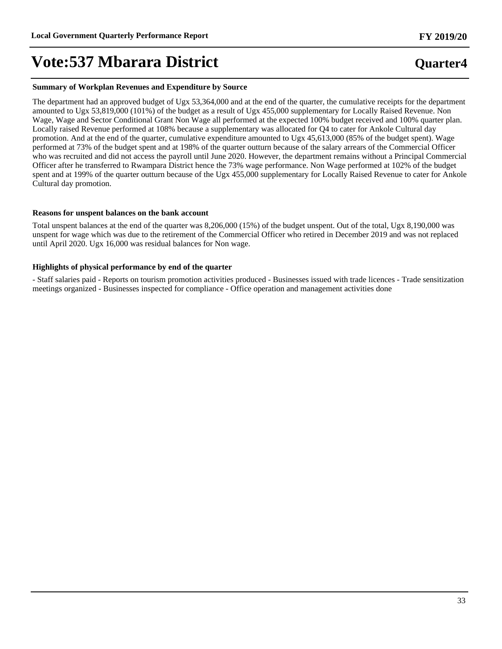#### **Summary of Workplan Revenues and Expenditure by Source**

The department had an approved budget of Ugx 53,364,000 and at the end of the quarter, the cumulative receipts for the department amounted to Ugx 53,819,000 (101%) of the budget as a result of Ugx 455,000 supplementary for Locally Raised Revenue. Non Wage, Wage and Sector Conditional Grant Non Wage all performed at the expected 100% budget received and 100% quarter plan. Locally raised Revenue performed at 108% because a supplementary was allocated for Q4 to cater for Ankole Cultural day promotion. And at the end of the quarter, cumulative expenditure amounted to Ugx 45,613,000 (85% of the budget spent). Wage performed at 73% of the budget spent and at 198% of the quarter outturn because of the salary arrears of the Commercial Officer who was recruited and did not access the payroll until June 2020. However, the department remains without a Principal Commercial Officer after he transferred to Rwampara District hence the 73% wage performance. Non Wage performed at 102% of the budget spent and at 199% of the quarter outturn because of the Ugx 455,000 supplementary for Locally Raised Revenue to cater for Ankole Cultural day promotion.

#### **Reasons for unspent balances on the bank account**

Total unspent balances at the end of the quarter was 8,206,000 (15%) of the budget unspent. Out of the total, Ugx 8,190,000 was unspent for wage which was due to the retirement of the Commercial Officer who retired in December 2019 and was not replaced until April 2020. Ugx 16,000 was residual balances for Non wage.

#### **Highlights of physical performance by end of the quarter**

- Staff salaries paid - Reports on tourism promotion activities produced - Businesses issued with trade licences - Trade sensitization meetings organized - Businesses inspected for compliance - Office operation and management activities done

## **Quarter4**

**FY 2019/20**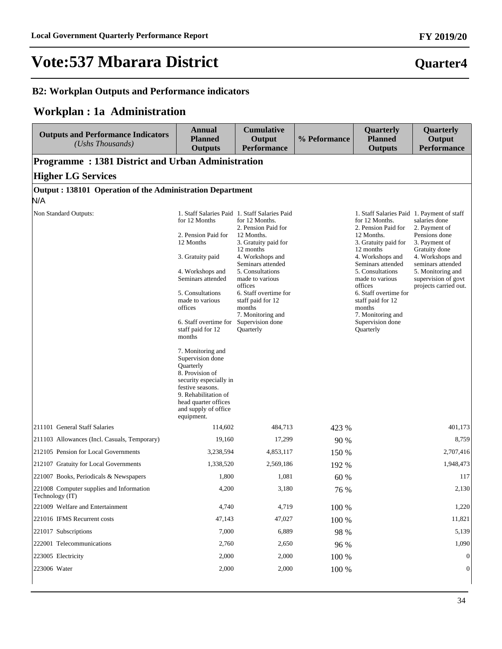### **B2: Workplan Outputs and Performance indicators**

## **Workplan : 1a Administration**

| <b>Outputs and Performance Indicators</b><br>(Ushs Thousands) | <b>Annual</b><br><b>Planned</b><br><b>Outputs</b>                                                                                                                                                                                                                                                                                                                                                                       | <b>Cumulative</b><br>Output<br><b>Performance</b>                                                                                                                                                                                                                                                                                                  | % Peformance  | Quarterly<br><b>Planned</b><br><b>Outputs</b>                                                                                                                                                                                                                                                                                                   | Quarterly<br>Output<br><b>Performance</b>                                                                                                                                                       |
|---------------------------------------------------------------|-------------------------------------------------------------------------------------------------------------------------------------------------------------------------------------------------------------------------------------------------------------------------------------------------------------------------------------------------------------------------------------------------------------------------|----------------------------------------------------------------------------------------------------------------------------------------------------------------------------------------------------------------------------------------------------------------------------------------------------------------------------------------------------|---------------|-------------------------------------------------------------------------------------------------------------------------------------------------------------------------------------------------------------------------------------------------------------------------------------------------------------------------------------------------|-------------------------------------------------------------------------------------------------------------------------------------------------------------------------------------------------|
| Programme: 1381 District and Urban Administration             |                                                                                                                                                                                                                                                                                                                                                                                                                         |                                                                                                                                                                                                                                                                                                                                                    |               |                                                                                                                                                                                                                                                                                                                                                 |                                                                                                                                                                                                 |
| <b>Higher LG Services</b>                                     |                                                                                                                                                                                                                                                                                                                                                                                                                         |                                                                                                                                                                                                                                                                                                                                                    |               |                                                                                                                                                                                                                                                                                                                                                 |                                                                                                                                                                                                 |
| Output: 138101 Operation of the Administration Department     |                                                                                                                                                                                                                                                                                                                                                                                                                         |                                                                                                                                                                                                                                                                                                                                                    |               |                                                                                                                                                                                                                                                                                                                                                 |                                                                                                                                                                                                 |
| N/A                                                           |                                                                                                                                                                                                                                                                                                                                                                                                                         |                                                                                                                                                                                                                                                                                                                                                    |               |                                                                                                                                                                                                                                                                                                                                                 |                                                                                                                                                                                                 |
| Non Standard Outputs:                                         | for 12 Months<br>2. Pension Paid for<br>12 Months<br>3. Gratuity paid<br>4. Workshops and<br>Seminars attended<br>5. Consultations<br>made to various<br>offices<br>6. Staff overtime for<br>staff paid for 12<br>months<br>7. Monitoring and<br>Supervision done<br>Quarterly<br>8. Provision of<br>security especially in<br>festive seasons.<br>9. Rehabilitation of<br>head quarter offices<br>and supply of office | 1. Staff Salaries Paid 1. Staff Salaries Paid<br>for 12 Months.<br>2. Pension Paid for<br>12 Months.<br>3. Gratuity paid for<br>12 months<br>4. Workshops and<br>Seminars attended<br>5. Consultations<br>made to various<br>offices<br>6. Staff overtime for<br>staff paid for 12<br>months<br>7. Monitoring and<br>Supervision done<br>Quarterly |               | 1. Staff Salaries Paid 1. Payment of staff<br>for 12 Months.<br>2. Pension Paid for<br>12 Months.<br>3. Gratuity paid for<br>12 months<br>4. Workshops and<br>Seminars attended<br>5. Consultations<br>made to various<br>offices<br>6. Staff overtime for<br>staff paid for 12<br>months<br>7. Monitoring and<br>Supervision done<br>Quarterly | salaries done<br>2. Payment of<br>Pensions done<br>3. Payment of<br>Gratuity done<br>4. Workshops and<br>seminars attended<br>5. Monitoring and<br>supervision of govt<br>projects carried out. |
| 211101 General Staff Salaries                                 | equipment.<br>114,602                                                                                                                                                                                                                                                                                                                                                                                                   | 484,713                                                                                                                                                                                                                                                                                                                                            |               |                                                                                                                                                                                                                                                                                                                                                 | 401,173                                                                                                                                                                                         |
| 211103 Allowances (Incl. Casuals, Temporary)                  | 19,160                                                                                                                                                                                                                                                                                                                                                                                                                  | 17,299                                                                                                                                                                                                                                                                                                                                             | 423 %<br>90 % |                                                                                                                                                                                                                                                                                                                                                 | 8,759                                                                                                                                                                                           |
| 212105 Pension for Local Governments                          | 3,238,594                                                                                                                                                                                                                                                                                                                                                                                                               | 4,853,117                                                                                                                                                                                                                                                                                                                                          | 150 %         |                                                                                                                                                                                                                                                                                                                                                 | 2,707,416                                                                                                                                                                                       |
| 212107 Gratuity for Local Governments                         | 1,338,520                                                                                                                                                                                                                                                                                                                                                                                                               | 2,569,186                                                                                                                                                                                                                                                                                                                                          | 192 %         |                                                                                                                                                                                                                                                                                                                                                 | 1,948,473                                                                                                                                                                                       |
| 221007 Books, Periodicals & Newspapers                        | 1,800                                                                                                                                                                                                                                                                                                                                                                                                                   | 1,081                                                                                                                                                                                                                                                                                                                                              | 60 %          |                                                                                                                                                                                                                                                                                                                                                 | 117                                                                                                                                                                                             |
| 221008 Computer supplies and Information<br>Technology (IT)   | 4,200                                                                                                                                                                                                                                                                                                                                                                                                                   | 3,180                                                                                                                                                                                                                                                                                                                                              | 76 %          |                                                                                                                                                                                                                                                                                                                                                 | 2,130                                                                                                                                                                                           |
| 221009 Welfare and Entertainment                              | 4,740                                                                                                                                                                                                                                                                                                                                                                                                                   | 4,719                                                                                                                                                                                                                                                                                                                                              | 100 %         |                                                                                                                                                                                                                                                                                                                                                 | 1,220                                                                                                                                                                                           |
| 221016 IFMS Recurrent costs                                   | 47,143                                                                                                                                                                                                                                                                                                                                                                                                                  | 47,027                                                                                                                                                                                                                                                                                                                                             | 100 %         |                                                                                                                                                                                                                                                                                                                                                 | 11,821                                                                                                                                                                                          |
| 221017 Subscriptions                                          | 7,000                                                                                                                                                                                                                                                                                                                                                                                                                   | 6,889                                                                                                                                                                                                                                                                                                                                              | 98 %          |                                                                                                                                                                                                                                                                                                                                                 | 5,139                                                                                                                                                                                           |
| 222001 Telecommunications                                     | 2,760                                                                                                                                                                                                                                                                                                                                                                                                                   | 2,650                                                                                                                                                                                                                                                                                                                                              | 96 %          |                                                                                                                                                                                                                                                                                                                                                 | 1,090                                                                                                                                                                                           |
| 223005 Electricity                                            | 2,000                                                                                                                                                                                                                                                                                                                                                                                                                   | 2,000                                                                                                                                                                                                                                                                                                                                              | 100 %         |                                                                                                                                                                                                                                                                                                                                                 | 0                                                                                                                                                                                               |
| 223006 Water                                                  | 2,000                                                                                                                                                                                                                                                                                                                                                                                                                   | 2,000                                                                                                                                                                                                                                                                                                                                              | 100 %         |                                                                                                                                                                                                                                                                                                                                                 | $\boldsymbol{0}$                                                                                                                                                                                |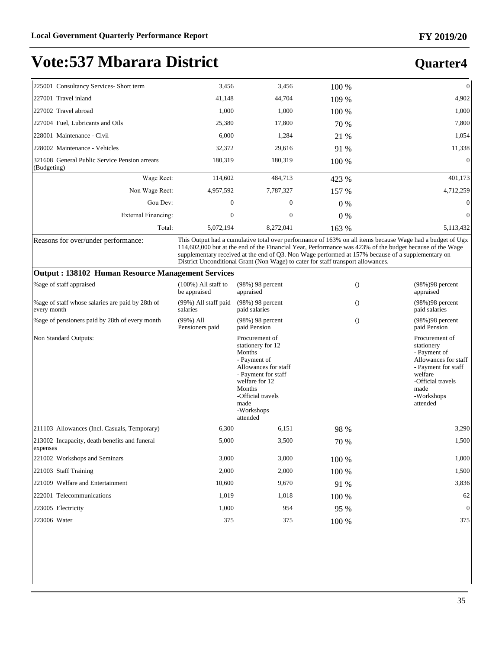## **Quarter4**

| 225001 Consultancy Services- Short term                      | 3,456        | 3,456     | 100 % | $\theta$  |
|--------------------------------------------------------------|--------------|-----------|-------|-----------|
| 227001 Travel inland                                         | 41,148       | 44,704    | 109 % | 4,902     |
| 227002 Travel abroad                                         | 1,000        | 1,000     | 100 % | 1,000     |
| 227004 Fuel, Lubricants and Oils                             | 25,380       | 17,800    | 70 %  | 7,800     |
| 228001 Maintenance - Civil                                   | 6,000        | 1,284     | 21 %  | 1,054     |
| 228002 Maintenance - Vehicles                                | 32,372       | 29,616    | 91 %  | 11,338    |
| 321608 General Public Service Pension arrears<br>(Budgeting) | 180,319      | 180,319   | 100 % | $\Omega$  |
| Wage Rect:                                                   | 114,602      | 484,713   | 423 % | 401,173   |
| Non Wage Rect:                                               | 4,957,592    | 7,787,327 | 157 % | 4,712,259 |
| Gou Dev:                                                     | $\Omega$     | $\theta$  | $0\%$ | $\Omega$  |
| External Financing:                                          | $\mathbf{0}$ | $\theta$  | $0\%$ | $\Omega$  |
| Total:                                                       | 5,072,194    | 8,272,041 | 163 % | 5,113,432 |

Reasons for over/under performance: This Output had a cumulative total over performance of 163% on all items because Wage had a budget of Ugx 114,602,000 but at the end of the Financial Year, Performance was 423% of the budget because of the Wage supplementary received at the end of Q3. Non Wage performed at 157% because of a supplementary on District Unconditional Grant (Non Wage) to cater for staff transport allowances.

#### **Output : 138102 Human Resource Management Services**

| % age of staff appraised                                         | $(100\%)$ All staff to<br>be appraised | $(98\%)$ 98 percent<br>appraised                                                                                                                                                                | $\Omega$ | (98%) 98 percent<br>appraised                                                                                                                                 |
|------------------------------------------------------------------|----------------------------------------|-------------------------------------------------------------------------------------------------------------------------------------------------------------------------------------------------|----------|---------------------------------------------------------------------------------------------------------------------------------------------------------------|
| % age of staff whose salaries are paid by 28th of<br>every month | (99%) All staff paid<br>salaries       | (98%) 98 percent<br>paid salaries                                                                                                                                                               | $\Omega$ | $(98%)98$ percent<br>paid salaries                                                                                                                            |
| % age of pensioners paid by 28th of every month                  | $(99\%)$ All<br>Pensioners paid        | $(98%)$ 98 percent<br>paid Pension                                                                                                                                                              | $\Omega$ | $(98%)98$ percent<br>paid Pension                                                                                                                             |
| Non Standard Outputs:                                            |                                        | Procurement of<br>stationery for 12<br>Months<br>- Payment of<br>Allowances for staff<br>- Payment for staff<br>welfare for 12<br>Months<br>-Official travels<br>made<br>-Workshops<br>attended |          | Procurement of<br>stationery<br>- Payment of<br>Allowances for staff<br>- Payment for staff<br>welfare<br>-Official travels<br>made<br>-Workshops<br>attended |
| [211103 Allowances (Incl. Casuals, Temporary)                    | 6,300                                  | 6,151                                                                                                                                                                                           | 98 %     | 3,290                                                                                                                                                         |
| 213002 Incapacity, death benefits and funeral<br>expenses        | 5,000                                  | 3,500                                                                                                                                                                                           | 70 %     | 1,500                                                                                                                                                         |
| 221002 Workshops and Seminars                                    | 3,000                                  | 3,000                                                                                                                                                                                           | 100 %    | 1,000                                                                                                                                                         |
| 221003 Staff Training                                            | 2,000                                  | 2,000                                                                                                                                                                                           | 100 %    | 1,500                                                                                                                                                         |
| 221009 Welfare and Entertainment                                 | 10,600                                 | 9,670                                                                                                                                                                                           | 91 %     | 3,836                                                                                                                                                         |
| 222001 Telecommunications                                        | 1,019                                  | 1,018                                                                                                                                                                                           | 100 %    | 62                                                                                                                                                            |
| 223005 Electricity                                               | 1,000                                  | 954                                                                                                                                                                                             | 95 %     | $\Omega$                                                                                                                                                      |
| 223006 Water                                                     | 375                                    | 375                                                                                                                                                                                             | 100 %    | 375                                                                                                                                                           |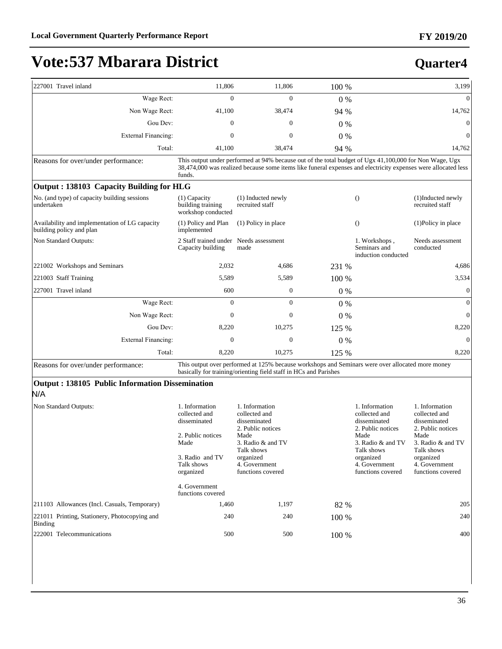## 227001 Travel inland 11,806 11,806 100 % 3,199 :DJH5HFW 0 0 0 % 0 Non Wage Rect: 41,100 38,474 94 % 14,762 Gou Dev:  $0 \t 0 \t 0 \t 0 \t 0$ External Financing:  $\begin{array}{ccc} 0 & 0 & 0 \end{array}$ Total: 41,100 38,474 94 % 14,762 **Quarter4**

Reasons for over/under performance: This output under performed at 94% because out of the total budget of Ugx 41,100,000 for Non Wage, Ugx 38,474,000 was realized because some items like funeral expenses and electricity expenses were allocated less funds.

|  | Output: 138103 Capacity Building for HLG |
|--|------------------------------------------|
|--|------------------------------------------|

| Output, 196109 Capacity Bunding for HDO                                    |                                                             |                                       |                        |                                                      |                                      |
|----------------------------------------------------------------------------|-------------------------------------------------------------|---------------------------------------|------------------------|------------------------------------------------------|--------------------------------------|
| No. (and type) of capacity building sessions<br>undertaken                 | $(1)$ Capacity<br>building training<br>workshop conducted   | (1) Inducted newly<br>recruited staff |                        | $\Omega$                                             | (1)Inducted newly<br>recruited staff |
| Availability and implementation of LG capacity<br>building policy and plan | (1) Policy and Plan<br>implemented                          | (1) Policy in place                   |                        | $\Omega$                                             | $(1)$ Policy in place                |
| Non Standard Outputs:                                                      | 2 Staff trained under Needs assessment<br>Capacity building | made                                  |                        | 1. Workshops,<br>Seminars and<br>induction conducted | Needs assessment<br>conducted        |
| 221002 Workshops and Seminars                                              | 2,032                                                       | 4,686                                 | 231 %                  |                                                      | 4,686                                |
| 221003 Staff Training                                                      | 5,589                                                       | 5,589                                 | 100 %                  |                                                      | 3,534                                |
| 227001 Travel inland                                                       | 600                                                         | $\theta$                              | $0\%$                  |                                                      | $\overline{0}$                       |
| Wage Rect:                                                                 | $\mathbf{0}$                                                | $\mathbf{0}$                          | $0\%$                  |                                                      | $\theta$                             |
| Non Wage Rect:                                                             | $\mathbf{0}$                                                | $\mathbf{0}$                          | $0\%$                  |                                                      | $\theta$                             |
| Gou Dev:                                                                   | 8,220                                                       | 10,275                                | 125 %                  |                                                      | 8,220                                |
| <b>External Financing:</b>                                                 | $\mathbf{0}$                                                | $\mathbf{0}$                          | $0\%$                  |                                                      | $\theta$                             |
| Total:                                                                     | 8,220                                                       | 10,275                                | 125 %                  |                                                      | 8,220                                |
| $\sim$<br>.                                                                | $-1$                                                        | 1.107011                              | $\sim$<br>$\mathbf{1}$ | 11.7.7.1                                             |                                      |

Reasons for over/under performance: This output over performed at 125% because workshops and Seminars were over allocated more money basically for training/orienting field staff in HCs and Parishes

#### **Output : 138105 Public Information Dissemination**  N/A

| Non Standard Outputs:                                    | 1. Information<br>collected and<br>disseminated<br>2. Public notices<br>Made<br>3. Radio and TV<br>Talk shows<br>organized<br>4. Government<br>functions covered | 1. Information<br>collected and<br>disseminated<br>2. Public notices<br>Made<br>3. Radio & and TV<br>Talk shows<br>organized<br>4. Government<br>functions covered |         | 1. Information<br>collected and<br>disseminated<br>2. Public notices<br>Made<br>3. Radio & and TV<br>Talk shows<br>organized<br>4. Government<br>functions covered | 1. Information<br>collected and<br>disseminated<br>2. Public notices<br>Made<br>3. Radio & and TV<br>Talk shows<br>organized<br>4. Government<br>functions covered |
|----------------------------------------------------------|------------------------------------------------------------------------------------------------------------------------------------------------------------------|--------------------------------------------------------------------------------------------------------------------------------------------------------------------|---------|--------------------------------------------------------------------------------------------------------------------------------------------------------------------|--------------------------------------------------------------------------------------------------------------------------------------------------------------------|
| [211103 Allowances (Incl. Casuals, Temporary)            | 1,460                                                                                                                                                            | 1,197                                                                                                                                                              | 82 %    |                                                                                                                                                                    | 205                                                                                                                                                                |
| 221011 Printing, Stationery, Photocopying and<br>Binding | 240                                                                                                                                                              | 240                                                                                                                                                                | $100\%$ |                                                                                                                                                                    | 240                                                                                                                                                                |
| 222001 Telecommunications                                | 500                                                                                                                                                              | 500                                                                                                                                                                | $100\%$ |                                                                                                                                                                    | 400                                                                                                                                                                |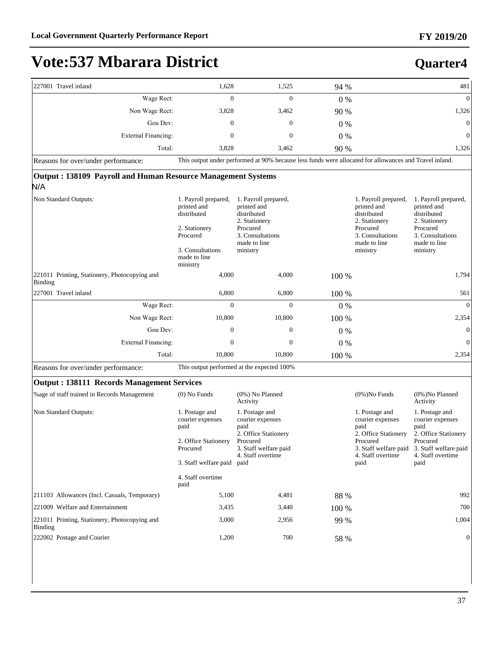| 227001 Travel inland                                                       | 1,628                                                                                                                                | 1,525                                                                                                                                | 94 %  |                                                                                                                                 | 481                                                                                                                                                        |
|----------------------------------------------------------------------------|--------------------------------------------------------------------------------------------------------------------------------------|--------------------------------------------------------------------------------------------------------------------------------------|-------|---------------------------------------------------------------------------------------------------------------------------------|------------------------------------------------------------------------------------------------------------------------------------------------------------|
| Wage Rect:                                                                 | $\Omega$                                                                                                                             | $\Omega$                                                                                                                             | $0\%$ |                                                                                                                                 | $\mathbf{0}$                                                                                                                                               |
| Non Wage Rect:                                                             | 3,828                                                                                                                                | 3,462                                                                                                                                | 90 %  |                                                                                                                                 | 1,326                                                                                                                                                      |
| Gou Dev:                                                                   | $\mathbf{0}$                                                                                                                         | $\mathbf{0}$                                                                                                                         | $0\%$ |                                                                                                                                 | $\boldsymbol{0}$                                                                                                                                           |
| <b>External Financing:</b>                                                 | $\mathbf{0}$                                                                                                                         | $\overline{0}$                                                                                                                       | $0\%$ |                                                                                                                                 | $\mathbf{0}$                                                                                                                                               |
| Total:                                                                     | 3,828                                                                                                                                | 3,462                                                                                                                                | 90 %  |                                                                                                                                 | 1,326                                                                                                                                                      |
| Reasons for over/under performance:                                        |                                                                                                                                      | This output under performed at 90% because less funds were allocated for allowances and Travel inland.                               |       |                                                                                                                                 |                                                                                                                                                            |
| <b>Output: 138109 Payroll and Human Resource Management Systems</b><br>N/A |                                                                                                                                      |                                                                                                                                      |       |                                                                                                                                 |                                                                                                                                                            |
| Non Standard Outputs:                                                      | 1. Payroll prepared,<br>printed and<br>distributed<br>2. Stationery<br>Procured<br>3. Consultations<br>made to line<br>ministry      | 1. Payroll prepared,<br>printed and<br>distributed<br>2. Stationery<br>Procured<br>3. Consultations<br>made to line<br>ministry      |       | 1. Payroll prepared,<br>printed and<br>distributed<br>2. Stationery<br>Procured<br>3. Consultations<br>made to line<br>ministry | 1. Payroll prepared,<br>printed and<br>distributed<br>2. Stationery<br>Procured<br>3. Consultations<br>made to line<br>ministry                            |
| 221011 Printing, Stationery, Photocopying and<br><b>Binding</b>            | 4,000                                                                                                                                | 4,000                                                                                                                                | 100 % |                                                                                                                                 | 1,794                                                                                                                                                      |
| 227001 Travel inland                                                       | 6,800                                                                                                                                | 6,800                                                                                                                                | 100 % |                                                                                                                                 | 561                                                                                                                                                        |
| Wage Rect:                                                                 | $\Omega$                                                                                                                             | $\Omega$                                                                                                                             | $0\%$ |                                                                                                                                 | $\mathbf{0}$                                                                                                                                               |
| Non Wage Rect:                                                             | 10,800                                                                                                                               | 10,800                                                                                                                               | 100 % |                                                                                                                                 | 2,354                                                                                                                                                      |
| Gou Dev:                                                                   | $\boldsymbol{0}$                                                                                                                     | $\boldsymbol{0}$                                                                                                                     | $0\%$ |                                                                                                                                 | $\boldsymbol{0}$                                                                                                                                           |
| <b>External Financing:</b>                                                 | $\mathbf{0}$                                                                                                                         | $\mathbf{0}$                                                                                                                         | $0\%$ |                                                                                                                                 | $\boldsymbol{0}$                                                                                                                                           |
| Total:                                                                     | 10,800                                                                                                                               | 10,800                                                                                                                               | 100 % |                                                                                                                                 | 2,354                                                                                                                                                      |
| Reasons for over/under performance:                                        |                                                                                                                                      | This output performed at the expected 100%                                                                                           |       |                                                                                                                                 |                                                                                                                                                            |
| <b>Output: 138111 Records Management Services</b>                          |                                                                                                                                      |                                                                                                                                      |       |                                                                                                                                 |                                                                                                                                                            |
| % age of staff trained in Records Management                               | $(0)$ No Funds                                                                                                                       | $(0\%)$ No Planned<br>Activity                                                                                                       |       | $(0\%)$ No Funds                                                                                                                | $(0\%)$ No Planned<br>Activity                                                                                                                             |
| Non Standard Outputs:                                                      | 1. Postage and<br>courier expenses<br>paid<br>2. Office Stationery<br>Procured<br>3. Staff welfare paid<br>4. Staff overtime<br>paid | 1. Postage and<br>courier expenses<br>paid<br>2. Office Stationery<br>Procured<br>3. Staff welfare paid<br>4. Staff overtime<br>paid |       | 1. Postage and<br>courier expenses<br>paid<br>2. Office Stationery<br>Procured<br>4. Staff overtime<br>paid                     | 1. Postage and<br>courier expenses<br>paid<br>2. Office Stationery<br>Procured<br>3. Staff welfare paid 3. Staff welfare paid<br>4. Staff overtime<br>paid |
| 211103 Allowances (Incl. Casuals, Temporary)                               | 5,100                                                                                                                                | 4,481                                                                                                                                | 88 %  |                                                                                                                                 | 992                                                                                                                                                        |
| 221009 Welfare and Entertainment                                           | 3,435                                                                                                                                | 3,440                                                                                                                                | 100 % |                                                                                                                                 | 700                                                                                                                                                        |
| 221011 Printing, Stationery, Photocopying and<br>Binding                   | 3,000                                                                                                                                | 2,956                                                                                                                                | 99 %  |                                                                                                                                 | 1,004                                                                                                                                                      |
| 222002 Postage and Courier                                                 | 1,200                                                                                                                                | 700                                                                                                                                  | 58 %  |                                                                                                                                 | 0                                                                                                                                                          |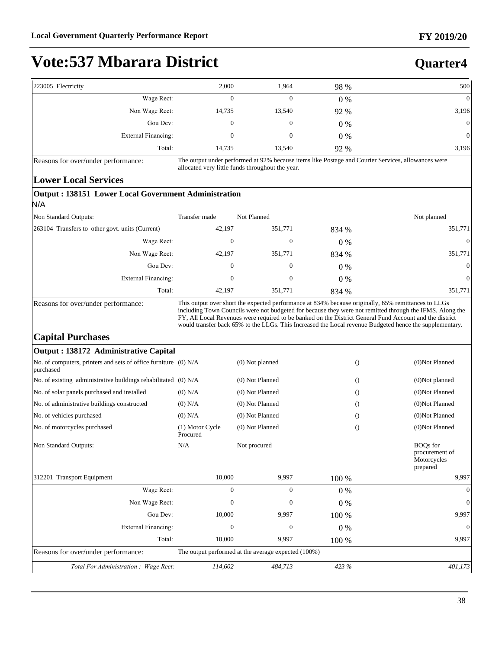**Quarter4**

# **Vote:537 Mbarara District**

| 500              | 98 %  | 1,964  | 2,000  | 223005 Electricity  |
|------------------|-------|--------|--------|---------------------|
| $\mathbf{0}$     | $0\%$ | 0      | 0      | Wage Rect:          |
| 3,196            | 92 %  | 13,540 | 14,735 | Non Wage Rect:      |
| $\boldsymbol{0}$ | $0\%$ | 0      | 0      | Gou Dev:            |
| $\overline{0}$   | $0\%$ | 0      | 0      | External Financing: |
| 3,196            | 92 %  | 13,540 | 14,735 | Total:              |

Reasons for over/under performance: The output under performed at 92% because items like Postage and Courier Services, allowances were allocated very little funds throughout the year.

#### **Lower Local Services**

| Output: 138151 Lower Local Government Administration<br>N/A |                  |                  |       |             |  |  |
|-------------------------------------------------------------|------------------|------------------|-------|-------------|--|--|
| Non Standard Outputs:                                       | Transfer made    | Not Planned      |       | Not planned |  |  |
| 263104 Transfers to other govt. units (Current)             | 42.197           | 351,771          | 834 % | 351,771     |  |  |
| Wage Rect:                                                  | 0                | $\theta$         | $0\%$ | $\theta$    |  |  |
| Non Wage Rect:                                              | 42,197           | 351,771          | 834 % | 351,771     |  |  |
| Gou Dev:                                                    | $\boldsymbol{0}$ | $\boldsymbol{0}$ | $0\%$ | $\theta$    |  |  |
| External Financing:                                         | 0                | $\boldsymbol{0}$ | $0\%$ | $\theta$    |  |  |
| Total:                                                      | 42,197           | 351,771          | 834 % | 351,771     |  |  |

Reasons for over/under performance: This output over short the expected performance at 834% because originally, 65% remittances to LLGs including Town Councils were not budgeted for because they were not remitted through the IFMS. Along the FY, All Local Revenues were required to be banked on the District General Fund Account and the district would transfer back 65% to the LLGs. This Increased the Local revenue Budgeted hence the supplementary.

### **Capital Purchases**

| Output : 138172 Administrative Capital                                                     |                             |                 |       |                                                              |  |
|--------------------------------------------------------------------------------------------|-----------------------------|-----------------|-------|--------------------------------------------------------------|--|
| No. of computers, printers and sets of office furniture (0) N/A<br>purchased               |                             | (0) Not planned |       | (0)Not Planned<br>$\theta$                                   |  |
| No. of existing administrative buildings rehabilitated (0) N/A                             |                             | (0) Not Planned |       | (0)Not planned<br>$\Omega$                                   |  |
| No. of solar panels purchased and installed                                                | $(0)$ N/A                   | (0) Not Planned |       | (0)Not Planned<br>$\Omega$                                   |  |
| No. of administrative buildings constructed                                                | $(0)$ N/A                   | (0) Not Planned |       | (0)Not Planned<br>$\Omega$                                   |  |
| No. of vehicles purchased                                                                  | $(0)$ N/A                   | (0) Not Planned |       | (0)Not Planned<br>$\Omega$                                   |  |
| No. of motorcycles purchased                                                               | (1) Motor Cycle<br>Procured | (0) Not Planned |       | (0)Not Planned<br>$\bigcirc$                                 |  |
| Non Standard Outputs:                                                                      | N/A                         | Not procured    |       | <b>BOQs</b> for<br>procurement of<br>Motorcycles<br>prepared |  |
| 312201 Transport Equipment                                                                 | 10,000                      | 9,997           | 100 % | 9,997                                                        |  |
| Wage Rect:                                                                                 | $\mathbf{0}$                | $\overline{0}$  | 0%    | $\Omega$                                                     |  |
| Non Wage Rect:                                                                             | $\Omega$                    | $\Omega$        | $0\%$ | $\Omega$                                                     |  |
| Gou Dev:                                                                                   | 10,000                      | 9,997           | 100 % | 9,997                                                        |  |
| External Financing:                                                                        | $\mathbf{0}$                | $\mathbf{0}$    | $0\%$ | $\Omega$                                                     |  |
| Total:                                                                                     | 10,000                      | 9,997           | 100 % | 9.997                                                        |  |
| The output performed at the average expected (100%)<br>Reasons for over/under performance: |                             |                 |       |                                                              |  |
| Total For Administration: Wage Rect:                                                       | 114,602                     | 484,713         | 423 % | 401,173                                                      |  |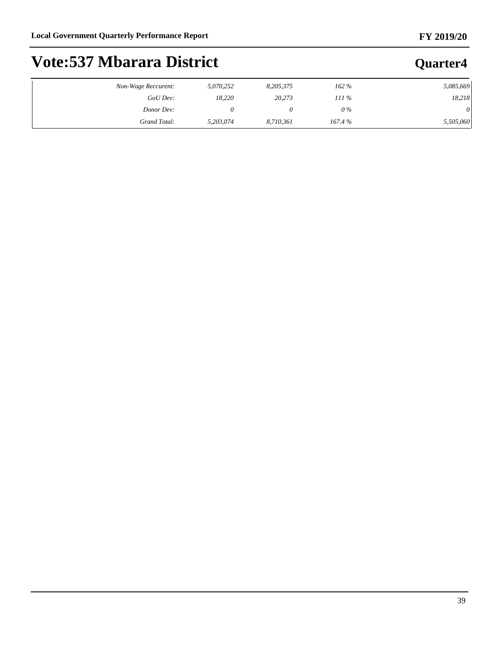### **FY 2019/20**

**Quarter4**

# **Vote:537 Mbarara District**

| Non-Wage Reccurent: | 5,070,252 | 8,205,375 | 162%    | 5,085,669 |
|---------------------|-----------|-----------|---------|-----------|
| GoU Dev:            | 18,220    | 20,273    | $111\%$ | 18,218    |
| Donor Dev:          |           |           | $0\%$   | 0         |
| Grand Total:        | 5.203.074 | 8,710,361 | 167.4%  | 5,505,060 |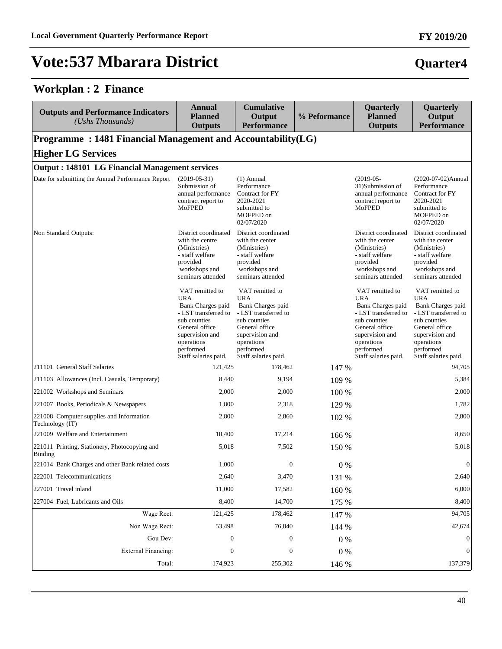### **Workplan : 2 Finance**

| <b>Outputs and Performance Indicators</b><br>(Ushs Thousands)   | <b>Annual</b><br><b>Planned</b><br><b>Outputs</b>                                                                                                                                  | <b>Cumulative</b><br>Output<br><b>Performance</b>                                                                                                                                  | % Peformance | Quarterly<br><b>Planned</b><br><b>Outputs</b>                                                                                                                                      | Quarterly<br>Output<br><b>Performance</b>                                                                                                                                                 |  |  |  |  |  |
|-----------------------------------------------------------------|------------------------------------------------------------------------------------------------------------------------------------------------------------------------------------|------------------------------------------------------------------------------------------------------------------------------------------------------------------------------------|--------------|------------------------------------------------------------------------------------------------------------------------------------------------------------------------------------|-------------------------------------------------------------------------------------------------------------------------------------------------------------------------------------------|--|--|--|--|--|
| Programme: 1481 Financial Management and Accountability(LG)     |                                                                                                                                                                                    |                                                                                                                                                                                    |              |                                                                                                                                                                                    |                                                                                                                                                                                           |  |  |  |  |  |
| <b>Higher LG Services</b>                                       |                                                                                                                                                                                    |                                                                                                                                                                                    |              |                                                                                                                                                                                    |                                                                                                                                                                                           |  |  |  |  |  |
|                                                                 | <b>Output: 148101 LG Financial Management services</b>                                                                                                                             |                                                                                                                                                                                    |              |                                                                                                                                                                                    |                                                                                                                                                                                           |  |  |  |  |  |
| Date for submitting the Annual Performance Report               | $(2019-05-31)$<br>Submission of<br>annual performance<br>contract report to<br>MoFPED                                                                                              | $(1)$ Annual<br>Performance<br>Contract for FY<br>2020-2021<br>submitted to<br>MOFPED on<br>02/07/2020                                                                             |              | $(2019-05-$<br>31)Submission of<br>annual performance<br>contract report to<br>MoFPED                                                                                              | (2020-07-02)Annual<br>Performance<br>Contract for FY<br>2020-2021<br>submitted to<br>MOFPED on<br>02/07/2020                                                                              |  |  |  |  |  |
| Non Standard Outputs:                                           | District coordinated<br>with the centre<br>(Ministries)<br>- staff welfare<br>provided<br>workshops and<br>seminars attended                                                       | District coordinated<br>with the center<br>(Ministries)<br>- staff welfare<br>provided<br>workshops and<br>seminars attended                                                       |              | District coordinated<br>with the center<br>(Ministries)<br>- staff welfare<br>provided<br>workshops and<br>seminars attended                                                       | District coordinated<br>with the center<br>(Ministries)<br>- staff welfare<br>provided<br>workshops and<br>seminars attended                                                              |  |  |  |  |  |
|                                                                 | VAT remitted to<br><b>URA</b><br>Bank Charges paid<br>- LST transferred to<br>sub counties<br>General office<br>supervision and<br>operations<br>performed<br>Staff salaries paid. | VAT remitted to<br><b>URA</b><br>Bank Charges paid<br>- LST transferred to<br>sub counties<br>General office<br>supervision and<br>operations<br>performed<br>Staff salaries paid. |              | VAT remitted to<br><b>URA</b><br>Bank Charges paid<br>- LST transferred to<br>sub counties<br>General office<br>supervision and<br>operations<br>performed<br>Staff salaries paid. | VAT remitted to<br><b>URA</b><br><b>Bank Charges paid</b><br>- LST transferred to<br>sub counties<br>General office<br>supervision and<br>operations<br>performed<br>Staff salaries paid. |  |  |  |  |  |
| 211101 General Staff Salaries                                   | 121,425                                                                                                                                                                            | 178,462                                                                                                                                                                            | 147 %        |                                                                                                                                                                                    | 94,705                                                                                                                                                                                    |  |  |  |  |  |
| 211103 Allowances (Incl. Casuals, Temporary)                    | 8,440                                                                                                                                                                              | 9,194                                                                                                                                                                              | 109 %        |                                                                                                                                                                                    | 5,384                                                                                                                                                                                     |  |  |  |  |  |
| 221002 Workshops and Seminars                                   | 2,000                                                                                                                                                                              | 2,000                                                                                                                                                                              | 100 %        |                                                                                                                                                                                    | 2,000                                                                                                                                                                                     |  |  |  |  |  |
| 221007 Books, Periodicals & Newspapers                          | 1,800                                                                                                                                                                              | 2,318                                                                                                                                                                              | 129 %        |                                                                                                                                                                                    | 1,782                                                                                                                                                                                     |  |  |  |  |  |
| 221008 Computer supplies and Information<br>Technology (IT)     | 2,800                                                                                                                                                                              | 2,860                                                                                                                                                                              | 102 %        |                                                                                                                                                                                    | 2,800                                                                                                                                                                                     |  |  |  |  |  |
| 221009 Welfare and Entertainment                                | 10,400                                                                                                                                                                             | 17,214                                                                                                                                                                             | 166 %        |                                                                                                                                                                                    | 8,650                                                                                                                                                                                     |  |  |  |  |  |
| 221011 Printing, Stationery, Photocopying and<br><b>Binding</b> | 5,018                                                                                                                                                                              | 7,502                                                                                                                                                                              | 150 %        |                                                                                                                                                                                    | 5,018                                                                                                                                                                                     |  |  |  |  |  |
| 221014 Bank Charges and other Bank related costs                | 1,000                                                                                                                                                                              | $\overline{0}$                                                                                                                                                                     | $0\%$        |                                                                                                                                                                                    | $\mathbf{0}$                                                                                                                                                                              |  |  |  |  |  |
| 222001 Telecommunications                                       | 2,640                                                                                                                                                                              | 3,470                                                                                                                                                                              | 131 %        |                                                                                                                                                                                    | 2,640                                                                                                                                                                                     |  |  |  |  |  |
| 227001 Travel inland                                            | 11,000                                                                                                                                                                             | 17,582                                                                                                                                                                             | 160 %        |                                                                                                                                                                                    | 6,000                                                                                                                                                                                     |  |  |  |  |  |
| 227004 Fuel, Lubricants and Oils                                | 8,400                                                                                                                                                                              | 14,700                                                                                                                                                                             | 175 %        |                                                                                                                                                                                    | 8,400                                                                                                                                                                                     |  |  |  |  |  |
| Wage Rect:                                                      | 121,425                                                                                                                                                                            | 178,462                                                                                                                                                                            | 147 %        |                                                                                                                                                                                    | 94,705                                                                                                                                                                                    |  |  |  |  |  |
| Non Wage Rect:                                                  | 53,498                                                                                                                                                                             | 76,840                                                                                                                                                                             | 144 %        |                                                                                                                                                                                    | 42,674                                                                                                                                                                                    |  |  |  |  |  |
| Gou Dev:                                                        | $\boldsymbol{0}$                                                                                                                                                                   | $\boldsymbol{0}$                                                                                                                                                                   | $0\%$        |                                                                                                                                                                                    | $\boldsymbol{0}$                                                                                                                                                                          |  |  |  |  |  |
| <b>External Financing:</b>                                      | $\boldsymbol{0}$                                                                                                                                                                   | $\boldsymbol{0}$                                                                                                                                                                   | $0\%$        |                                                                                                                                                                                    | 0                                                                                                                                                                                         |  |  |  |  |  |
| Total:                                                          | 174,923                                                                                                                                                                            | 255,302                                                                                                                                                                            | 146 %        |                                                                                                                                                                                    | 137,379                                                                                                                                                                                   |  |  |  |  |  |

40

### **FY 2019/20**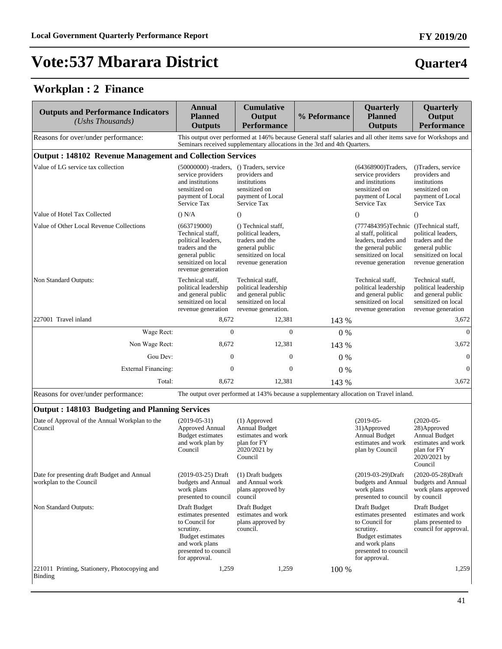# **Quarter4**

### **Workplan : 2 Finance**

| <b>Outputs and Performance Indicators</b><br>(Ushs Thousands)          | Annual<br><b>Planned</b><br><b>Outputs</b>                                                                                              | <b>Cumulative</b><br>Output<br><b>Performance</b>                                                                                                                                        | % Peformance | Quarterly<br><b>Planned</b><br><b>Outputs</b>                                                                                                           | Quarterly<br>Output<br><b>Performance</b>                                                                           |
|------------------------------------------------------------------------|-----------------------------------------------------------------------------------------------------------------------------------------|------------------------------------------------------------------------------------------------------------------------------------------------------------------------------------------|--------------|---------------------------------------------------------------------------------------------------------------------------------------------------------|---------------------------------------------------------------------------------------------------------------------|
| Reasons for over/under performance:                                    |                                                                                                                                         | This output over performed at 146% because General staff salaries and all other items save for Workshops and<br>Seminars received supplementary allocations in the 3rd and 4th Quarters. |              |                                                                                                                                                         |                                                                                                                     |
| <b>Output: 148102 Revenue Management and Collection Services</b>       |                                                                                                                                         |                                                                                                                                                                                          |              |                                                                                                                                                         |                                                                                                                     |
| Value of LG service tax collection                                     | $(50000000)$ -traders, () Traders, service<br>service providers<br>and institutions<br>sensitized on<br>payment of Local<br>Service Tax | providers and<br>institutions<br>sensitized on<br>payment of Local<br>Service Tax                                                                                                        |              | (64368900)Traders,<br>service providers<br>and institutions<br>sensitized on<br>payment of Local<br>Service Tax                                         | ()Traders, service<br>providers and<br>institutions<br>sensitized on<br>payment of Local<br>Service Tax             |
| Value of Hotel Tax Collected                                           | () N/A                                                                                                                                  | $\Omega$                                                                                                                                                                                 |              | $\Omega$                                                                                                                                                | $\Omega$                                                                                                            |
| Value of Other Local Revenue Collections                               | (663719000)<br>Technical staff,<br>political leaders,<br>traders and the<br>general public<br>sensitized on local<br>revenue generation | () Technical staff,<br>political leaders.<br>traders and the<br>general public<br>sensitized on local<br>revenue generation                                                              |              | (777484395)Technic ()Technical staff,<br>al staff, political<br>leaders, traders and<br>the general public<br>sensitized on local<br>revenue generation | political leaders.<br>traders and the<br>general public<br>sensitized on local<br>revenue generation                |
| <b>Non Standard Outputs:</b>                                           | Technical staff,<br>political leadership<br>and general public<br>sensitized on local<br>revenue generation                             | Technical staff,<br>political leadership<br>and general public<br>sensitized on local<br>revenue generation.                                                                             |              | Technical staff,<br>political leadership<br>and general public<br>sensitized on local<br>revenue generation                                             | Technical staff.<br>political leadership<br>and general public<br>sensitized on local<br>revenue generation         |
| 227001 Travel inland                                                   | 8,672                                                                                                                                   | 12,381                                                                                                                                                                                   | 143 %        |                                                                                                                                                         | 3,672                                                                                                               |
| Wage Rect:                                                             | $\overline{0}$                                                                                                                          | $\mathbf{0}$                                                                                                                                                                             | $0\%$        |                                                                                                                                                         | $\overline{0}$                                                                                                      |
| Non Wage Rect:                                                         | 8.672                                                                                                                                   | 12,381                                                                                                                                                                                   | 143 %        |                                                                                                                                                         | 3,672                                                                                                               |
| Gou Dev:                                                               | $\Omega$                                                                                                                                | $\theta$                                                                                                                                                                                 | $0\%$        |                                                                                                                                                         | $\boldsymbol{0}$                                                                                                    |
| <b>External Financing:</b>                                             | $\boldsymbol{0}$                                                                                                                        | $\overline{0}$                                                                                                                                                                           | $0\%$        |                                                                                                                                                         | $\boldsymbol{0}$                                                                                                    |
| Total:                                                                 | 8,672                                                                                                                                   | 12,381                                                                                                                                                                                   | 143 %        |                                                                                                                                                         | 3,672                                                                                                               |
| Reasons for over/under performance:                                    |                                                                                                                                         | The output over performed at 143% because a supplementary allocation on Travel inland.                                                                                                   |              |                                                                                                                                                         |                                                                                                                     |
| <b>Output: 148103 Budgeting and Planning Services</b>                  |                                                                                                                                         |                                                                                                                                                                                          |              |                                                                                                                                                         |                                                                                                                     |
| Date of Approval of the Annual Workplan to the<br>Council              | $(2019-05-31)$<br><b>Approved Annual</b><br><b>Budget estimates</b><br>and work plan by<br>Council                                      | $(1)$ Approved<br>Annual Budget<br>estimates and work<br>plan for FY<br>2020/2021 by<br>Council                                                                                          |              | $(2019-05-$<br>31)Approved<br><b>Annual Budget</b><br>estimates and work<br>plan by Council                                                             | $(2020-05-$<br>28) Approved<br><b>Annual Budget</b><br>estimates and work<br>plan for FY<br>2020/2021 by<br>Council |
| Date for presenting draft Budget and Annual<br>workplan to the Council | (2019-03-25) Draft<br>budgets and Annual<br>work plans                                                                                  | (1) Draft budgets<br>and Annual work<br>plans approved by                                                                                                                                |              | (2019-03-29)Draft<br>budgets and Annual<br>work plans                                                                                                   | (2020-05-28)Draft<br>budgets and Annual<br>work plans approved                                                      |

| 221011 Printing, Stationery, Photocopying and<br>Binding               | 1,259                                                                                                                                             | 1,259                                                                                         | 100 % |                                                                                                                                                          | 1,259                                                                                                        |
|------------------------------------------------------------------------|---------------------------------------------------------------------------------------------------------------------------------------------------|-----------------------------------------------------------------------------------------------|-------|----------------------------------------------------------------------------------------------------------------------------------------------------------|--------------------------------------------------------------------------------------------------------------|
| Non Standard Outputs:                                                  | Draft Budget<br>estimates presented<br>to Council for<br>scrutiny.<br>Budget estimates<br>and work plans<br>presented to council<br>for approval. | Draft Budget<br>estimates and work<br>plans approved by<br>council.                           |       | Draft Budget<br>estimates presented<br>to Council for<br>scrutiny.<br><b>Budget estimates</b><br>and work plans<br>presented to council<br>for approval. | Draft Budget<br>estimates and work<br>plans presented to<br>council for approval.                            |
| Date for presenting draft Budget and Annual<br>workplan to the Council | (2019-03-25) Draft<br>budgets and Annual<br>work plans<br>presented to council                                                                    | (1) Draft budgets<br>and Annual work<br>plans approved by<br>council                          |       | (2019-03-29)Draft<br>budgets and Annual<br>work plans<br>presented to council                                                                            | (2020-05-28)Draft<br>budgets and Annual<br>work plans approved<br>by council                                 |
| Date of Approval of the Annual Workplan to the<br>Council              | $(2019-05-31)$<br>Approved Annual<br>Budget estimates<br>and work plan by<br>Council                                                              | (1) Approved<br>Annual Budget<br>estimates and work<br>plan for FY<br>2020/2021 by<br>Council |       | $(2019-05-$<br>31)Approved<br>Annual Budget<br>estimates and work<br>plan by Council                                                                     | $(2020-05-$<br>28) Approved<br>Annual Budget<br>estimates and work<br>plan for FY<br>2020/2021 by<br>Council |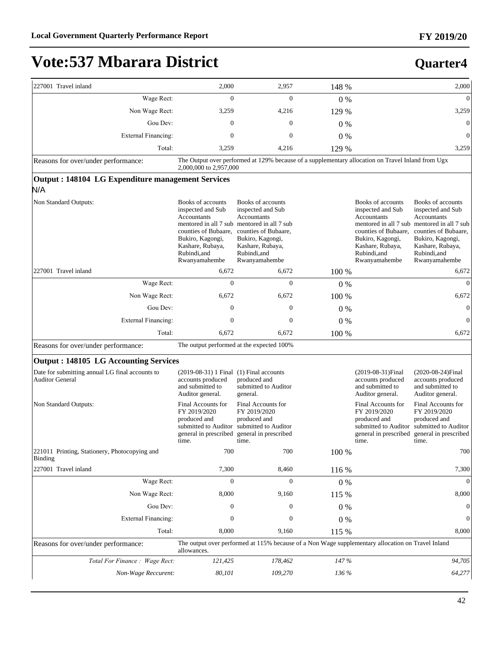| 227001 Travel inland                                                      | 2,000                                                                                                                                                  | 2,957                                                                                                                                                                                                 | 148 % |                                                                                                                                                        | 2,000                                                                                                                                                                                                 |
|---------------------------------------------------------------------------|--------------------------------------------------------------------------------------------------------------------------------------------------------|-------------------------------------------------------------------------------------------------------------------------------------------------------------------------------------------------------|-------|--------------------------------------------------------------------------------------------------------------------------------------------------------|-------------------------------------------------------------------------------------------------------------------------------------------------------------------------------------------------------|
| Wage Rect:                                                                | $\mathbf{0}$                                                                                                                                           | $\mathbf{0}$                                                                                                                                                                                          | $0\%$ |                                                                                                                                                        | $\mathbf{0}$                                                                                                                                                                                          |
| Non Wage Rect:                                                            | 3,259                                                                                                                                                  | 4,216                                                                                                                                                                                                 | 129 % |                                                                                                                                                        | 3,259                                                                                                                                                                                                 |
| Gou Dev:                                                                  | $\mathbf{0}$                                                                                                                                           | $\mathbf{0}$                                                                                                                                                                                          | $0\%$ |                                                                                                                                                        | $\mathbf{0}$                                                                                                                                                                                          |
| <b>External Financing:</b>                                                | 0                                                                                                                                                      | $\boldsymbol{0}$                                                                                                                                                                                      | $0\%$ |                                                                                                                                                        | $\boldsymbol{0}$                                                                                                                                                                                      |
| Total:                                                                    | 3,259                                                                                                                                                  | 4,216                                                                                                                                                                                                 | 129 % |                                                                                                                                                        | 3,259                                                                                                                                                                                                 |
| Reasons for over/under performance:                                       | 2,000,000 to 2,957,000                                                                                                                                 | The Output over performed at 129% because of a supplementary allocation on Travel Inland from Ugx                                                                                                     |       |                                                                                                                                                        |                                                                                                                                                                                                       |
| Output: 148104 LG Expenditure management Services<br>N/A                  |                                                                                                                                                        |                                                                                                                                                                                                       |       |                                                                                                                                                        |                                                                                                                                                                                                       |
| Non Standard Outputs:                                                     | Books of accounts<br>inspected and Sub<br>Accountants<br>counties of Bubaare,<br>Bukiro, Kagongi,<br>Kashare, Rubaya,<br>Rubindi, and<br>Rwanyamahembe | Books of accounts<br>inspected and Sub<br>Accountants<br>mentored in all 7 sub mentored in all 7 sub<br>counties of Bubaare,<br>Bukiro, Kagongi,<br>Kashare, Rubaya,<br>Rubindi, and<br>Rwanyamahembe |       | Books of accounts<br>inspected and Sub<br>Accountants<br>counties of Bubaare,<br>Bukiro, Kagongi,<br>Kashare, Rubaya,<br>Rubindi, and<br>Rwanyamahembe | Books of accounts<br>inspected and Sub<br>Accountants<br>mentored in all 7 sub mentored in all 7 sub<br>counties of Bubaare,<br>Bukiro, Kagongi,<br>Kashare, Rubaya,<br>Rubindi, and<br>Rwanyamahembe |
| 227001 Travel inland                                                      | 6,672                                                                                                                                                  | 6,672                                                                                                                                                                                                 | 100 % |                                                                                                                                                        | 6,672                                                                                                                                                                                                 |
| Wage Rect:                                                                | $\overline{0}$                                                                                                                                         | $\mathbf{0}$                                                                                                                                                                                          | $0\%$ |                                                                                                                                                        | $\mathbf{0}$                                                                                                                                                                                          |
| Non Wage Rect:                                                            | 6,672                                                                                                                                                  | 6,672                                                                                                                                                                                                 | 100 % |                                                                                                                                                        | 6,672                                                                                                                                                                                                 |
| Gou Dev:                                                                  | 0                                                                                                                                                      | $\mathbf{0}$                                                                                                                                                                                          | $0\%$ |                                                                                                                                                        | $\boldsymbol{0}$                                                                                                                                                                                      |
| <b>External Financing:</b>                                                | 0                                                                                                                                                      | $\mathbf{0}$                                                                                                                                                                                          | $0\%$ |                                                                                                                                                        | $\mathbf{0}$                                                                                                                                                                                          |
| Total:                                                                    | 6,672                                                                                                                                                  | 6,672                                                                                                                                                                                                 | 100 % |                                                                                                                                                        | 6,672                                                                                                                                                                                                 |
| Reasons for over/under performance:                                       |                                                                                                                                                        | The output performed at the expected 100%                                                                                                                                                             |       |                                                                                                                                                        |                                                                                                                                                                                                       |
| <b>Output: 148105 LG Accounting Services</b>                              |                                                                                                                                                        |                                                                                                                                                                                                       |       |                                                                                                                                                        |                                                                                                                                                                                                       |
| Date for submitting annual LG final accounts to<br><b>Auditor General</b> | $(2019-08-31)$ Final $(1)$ Final accounts<br>accounts produced<br>and submitted to<br>Auditor general.                                                 | produced and<br>submitted to Auditor<br>general.                                                                                                                                                      |       | (2019-08-31) Final<br>accounts produced<br>and submitted to<br>Auditor general.                                                                        | (2020-08-24) Final<br>accounts produced<br>and submitted to<br>Auditor general.                                                                                                                       |
| Non Standard Outputs:                                                     | Final Accounts for<br>FY 2019/2020<br>produced and<br>submitted to Auditor<br>general in prescribed<br>time.                                           | Final Accounts for<br>FY 2019/2020<br>produced and<br>submitted to Auditor<br>general in prescribed<br>time.                                                                                          |       | Final Accounts for<br>FY 2019/2020<br>produced and<br>submitted to Auditor<br>general in prescribed<br>time.                                           | Final Accounts for<br>FY 2019/2020<br>produced and<br>submitted to Auditor<br>general in prescribed<br>time.                                                                                          |
| 221011 Printing, Stationery, Photocopying and<br>Binding                  | 700                                                                                                                                                    | 700                                                                                                                                                                                                   | 100 % |                                                                                                                                                        | 700                                                                                                                                                                                                   |
| 227001 Travel inland                                                      | 7,300                                                                                                                                                  | 8,460                                                                                                                                                                                                 | 116 % |                                                                                                                                                        | 7,300                                                                                                                                                                                                 |
| Wage Rect:                                                                | $\mathbf{0}$                                                                                                                                           | $\mathbf{0}$                                                                                                                                                                                          | $0\%$ |                                                                                                                                                        | $\Omega$                                                                                                                                                                                              |
| Non Wage Rect:                                                            | 8,000                                                                                                                                                  | 9,160                                                                                                                                                                                                 | 115 % |                                                                                                                                                        | 8,000                                                                                                                                                                                                 |
| Gou Dev:                                                                  | $\boldsymbol{0}$                                                                                                                                       | 0                                                                                                                                                                                                     | $0\%$ |                                                                                                                                                        | $\mathbf{0}$                                                                                                                                                                                          |
| <b>External Financing:</b>                                                | $\boldsymbol{0}$                                                                                                                                       | $\boldsymbol{0}$                                                                                                                                                                                      | $0\%$ |                                                                                                                                                        | 0                                                                                                                                                                                                     |
| Total:                                                                    | 8,000                                                                                                                                                  | 9,160                                                                                                                                                                                                 | 115 % |                                                                                                                                                        | 8,000                                                                                                                                                                                                 |
| Reasons for over/under performance:                                       | allowances.                                                                                                                                            | The output over performed at 115% because of a Non Wage supplementary allocation on Travel Inland                                                                                                     |       |                                                                                                                                                        |                                                                                                                                                                                                       |
| Total For Finance : Wage Rect:                                            | 121,425                                                                                                                                                | 178,462                                                                                                                                                                                               | 147%  |                                                                                                                                                        | 94,705                                                                                                                                                                                                |
| Non-Wage Reccurent:                                                       | 80,101                                                                                                                                                 | 109,270                                                                                                                                                                                               | 136 % |                                                                                                                                                        | 64,277                                                                                                                                                                                                |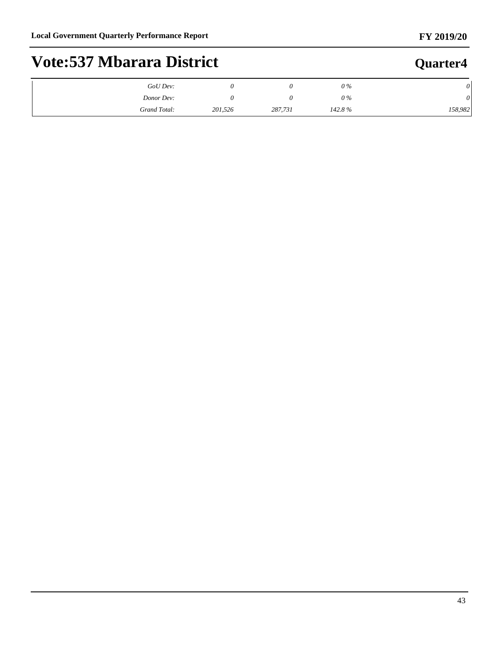### **FY 2019/20**

# **Vote:537 Mbarara District**

| $GoU$ Dev:   |         |         | $0\%$  |         |
|--------------|---------|---------|--------|---------|
| Donor Dev:   |         |         | $0\%$  | U       |
| Grand Total: | 201,526 | 287,731 | 142.8% | 158,982 |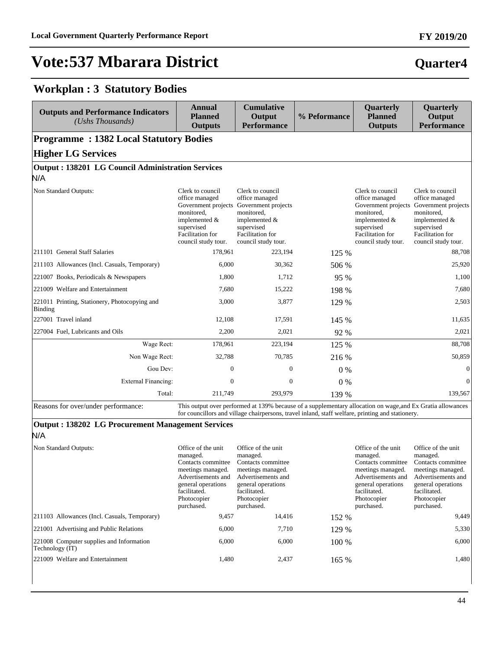**Workplan : 3 Statutory Bodies**

# **Vote:537 Mbarara District**

| Quarter4 |
|----------|
|          |

#### **Outputs and Performance Indicators** *(Ushs Thousands)*  **Annual Planned Outputs Cumulative Output Performance % Peformance Quarterly Planned Outputs Quarterly Output Performance Programme : 1382 Local Statutory Bodies Higher LG Services Output : 138201 LG Council Administration Services** N/A Non Standard Outputs: Clerk to council office managed Government projects Government projects monitored, implemented & supervised Facilitation for council study tour. Clerk to council office managed monitored, implemented & supervised Facilitation for council study tour. Clerk to council office managed Government projects monitored, implemented & supervised Facilitation for council study tour. Clerk to council office managed Government projects monitored, implemented & supervised Facilitation for council study tour. 211101 General Staff Salaries 178,961 223,194 125 % 88,708 211103 Allowances (Incl. Casuals, Temporary) 6,000 30,362 506 % 25,920 221007 Books, Periodicals & Newspapers 1,800 1,712 95 % 1,100 221009 Welfare and Entertainment 1.680 15,222 198 % 7,680 7,680 221011 Printing, Stationery, Photocopying and Binding 3,000 3,877 129 % 2,503 227001 Travel inland 12,108 17,591 145 % 11,635 227004 Fuel, Lubricants and Oils 2,200 2,021 92 % 2,021 92 % 2,021 Wage Rect: 178,961 223,194 125 % 88,708 Non Wage Rect: 32,788 70,785 216 % 50,859 50,859 Gou Dev:  $0 \t 0 \t 0 \t 0 \t 0$ ([WHUQDO)LQDQFLQJ 0 0 0 % 0 70tal: 211,749 293,979 139 % 139,567 Reasons for over/under performance: This output over performed at 139% because of a supplementary allocation on wage,and Ex Gratia allowances for councillors and village chairpersons, travel inland, staff welfare, printing and stationery.

#### **Output : 138202 LG Procurement Management Services** N/A

| Non Standard Outputs:                                       | Office of the unit<br>managed.<br>Contacts committee<br>meetings managed.<br>Advertisements and<br>general operations<br>facilitated.<br>Photocopier<br>purchased. | Office of the unit<br>managed.<br>Contacts committee<br>meetings managed.<br>Advertisements and<br>general operations<br>facilitated.<br>Photocopier<br>purchased. |         | Office of the unit<br>managed.<br>Contacts committee<br>meetings managed.<br>Advertisements and<br>general operations<br>facilitated.<br>Photocopier<br>purchased. | Office of the unit<br>managed.<br>Contacts committee<br>meetings managed.<br>Advertisements and<br>general operations<br>facilitated.<br>Photocopier<br>purchased. |
|-------------------------------------------------------------|--------------------------------------------------------------------------------------------------------------------------------------------------------------------|--------------------------------------------------------------------------------------------------------------------------------------------------------------------|---------|--------------------------------------------------------------------------------------------------------------------------------------------------------------------|--------------------------------------------------------------------------------------------------------------------------------------------------------------------|
| [211103 Allowances (Incl. Casuals, Temporary)               | 9,457                                                                                                                                                              | 14,416                                                                                                                                                             | 152 %   |                                                                                                                                                                    | 9,449                                                                                                                                                              |
| 221001 Advertising and Public Relations                     | 6,000                                                                                                                                                              | 7,710                                                                                                                                                              | 129 %   |                                                                                                                                                                    | 5,330                                                                                                                                                              |
| 221008 Computer supplies and Information<br>Technology (IT) | 6,000                                                                                                                                                              | 6,000                                                                                                                                                              | $100\%$ |                                                                                                                                                                    | 6,000                                                                                                                                                              |
| 221009 Welfare and Entertainment                            | 1,480                                                                                                                                                              | 2,437                                                                                                                                                              | 165 %   |                                                                                                                                                                    | 1,480                                                                                                                                                              |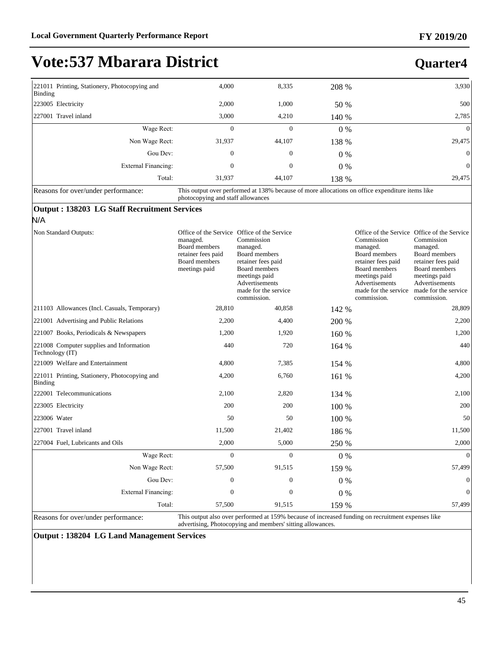**Quarter4**

# **Vote:537 Mbarara District**

| 221011 Printing, Stationery, Photocopying and<br>Binding | 4,000            | 8,335            | 208 %                                                                                           | 3,930          |
|----------------------------------------------------------|------------------|------------------|-------------------------------------------------------------------------------------------------|----------------|
| 223005 Electricity                                       | 2,000            | 1,000            | 50 %                                                                                            | 500            |
| 227001 Travel inland                                     | 3,000            | 4,210            | 140 %                                                                                           | 2,785          |
| Wage Rect:                                               | $\mathbf{0}$     | $\mathbf{0}$     | $0\%$                                                                                           | $\Omega$       |
| Non Wage Rect:                                           | 31,937           | 44,107           | 138 %                                                                                           | 29,475         |
| Gou Dev:                                                 | $\boldsymbol{0}$ | $\boldsymbol{0}$ | $0\%$                                                                                           | $\overline{0}$ |
| External Financing:                                      | $\mathbf{0}$     | $\boldsymbol{0}$ | $0\%$                                                                                           | $\mathbf{0}$   |
| Total:                                                   | 31.937           | 44,107           | 138 %                                                                                           | 29,475         |
| Reasons for over/under performance:                      |                  |                  | This output over performed at 138% because of more allocations on office expenditure items like |                |

Reasons for over/under performance: This output over performed at 138% because of more allocations on office expenditure items like photocopying and staff allowances

#### **Output : 138203 LG Staff Recruitment Services**

### N/A

| Non Standard Outputs:                                       | managed.<br>Board members<br>retainer fees paid<br>Board members<br>meetings paid | Office of the Service Office of the Service<br>Commission<br>managed.<br>Board members<br>retainer fees paid<br>Board members<br>meetings paid<br>Advertisements<br>made for the service<br>commission. |       | Commission<br>managed.<br>Board members<br>retainer fees paid<br>Board members<br>meetings paid<br>Advertisements<br>made for the service<br>commission. | Office of the Service Office of the Service<br>Commission<br>managed.<br>Board members<br>retainer fees paid<br>Board members<br>meetings paid<br>Advertisements<br>made for the service<br>commission. |
|-------------------------------------------------------------|-----------------------------------------------------------------------------------|---------------------------------------------------------------------------------------------------------------------------------------------------------------------------------------------------------|-------|----------------------------------------------------------------------------------------------------------------------------------------------------------|---------------------------------------------------------------------------------------------------------------------------------------------------------------------------------------------------------|
| 211103 Allowances (Incl. Casuals, Temporary)                | 28,810                                                                            | 40,858                                                                                                                                                                                                  | 142 % |                                                                                                                                                          | 28,809                                                                                                                                                                                                  |
| 221001 Advertising and Public Relations                     | 2,200                                                                             | 4,400                                                                                                                                                                                                   | 200 % |                                                                                                                                                          | 2,200                                                                                                                                                                                                   |
| 221007 Books, Periodicals & Newspapers                      | 1,200                                                                             | 1,920                                                                                                                                                                                                   | 160 % |                                                                                                                                                          | 1,200                                                                                                                                                                                                   |
| 221008 Computer supplies and Information<br>Technology (IT) | 440                                                                               | 720                                                                                                                                                                                                     | 164 % |                                                                                                                                                          | 440                                                                                                                                                                                                     |
| 221009 Welfare and Entertainment                            | 4,800                                                                             | 7,385                                                                                                                                                                                                   | 154 % |                                                                                                                                                          | 4,800                                                                                                                                                                                                   |
| 221011 Printing, Stationery, Photocopying and<br>Binding    | 4,200                                                                             | 6,760                                                                                                                                                                                                   | 161 % |                                                                                                                                                          | 4,200                                                                                                                                                                                                   |
| 222001 Telecommunications                                   | 2,100                                                                             | 2,820                                                                                                                                                                                                   | 134 % |                                                                                                                                                          | 2,100                                                                                                                                                                                                   |
| 223005 Electricity                                          | 200                                                                               | 200                                                                                                                                                                                                     | 100 % |                                                                                                                                                          | 200                                                                                                                                                                                                     |
| 223006 Water                                                | 50                                                                                | 50                                                                                                                                                                                                      | 100 % |                                                                                                                                                          | 50                                                                                                                                                                                                      |
| 227001 Travel inland                                        | 11,500                                                                            | 21,402                                                                                                                                                                                                  | 186 % |                                                                                                                                                          | 11,500                                                                                                                                                                                                  |
| 227004 Fuel, Lubricants and Oils                            | 2,000                                                                             | 5,000                                                                                                                                                                                                   | 250 % |                                                                                                                                                          | 2,000                                                                                                                                                                                                   |
| Wage Rect:                                                  | $\Omega$                                                                          | $\Omega$                                                                                                                                                                                                | $0\%$ |                                                                                                                                                          | $\Omega$                                                                                                                                                                                                |
| Non Wage Rect:                                              | 57,500                                                                            | 91,515                                                                                                                                                                                                  | 159 % |                                                                                                                                                          | 57,499                                                                                                                                                                                                  |
| Gou Dev:                                                    | $\mathbf{0}$                                                                      | $\mathbf{0}$                                                                                                                                                                                            | $0\%$ |                                                                                                                                                          | $\Omega$                                                                                                                                                                                                |
| <b>External Financing:</b>                                  | $\Omega$                                                                          | $\theta$                                                                                                                                                                                                | $0\%$ |                                                                                                                                                          | $\Omega$                                                                                                                                                                                                |
| Total:                                                      | 57,500                                                                            | 91,515                                                                                                                                                                                                  | 159 % |                                                                                                                                                          | 57,499                                                                                                                                                                                                  |

Reasons for over/under performance: This output also over performed at 159% because of increased funding on recruitment expenses like advertising, Photocopying and members' sitting allowances.

**Output : 138204 LG Land Management Services**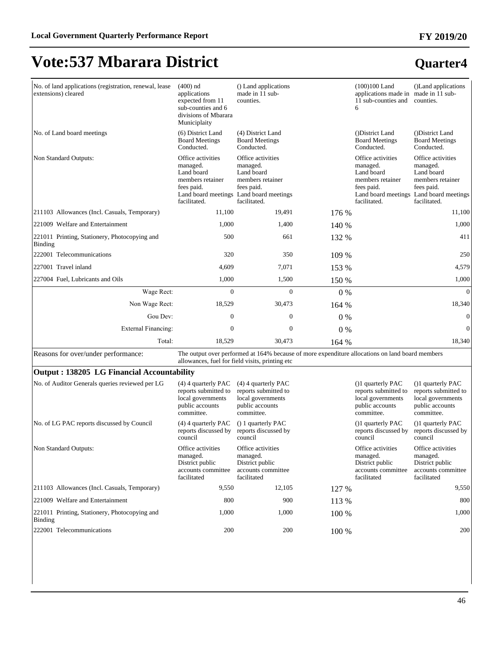### **Quarter4**

| No. of land applications (registration, renewal, lease<br>extensions) cleared | $(400)$ nd<br>applications<br>expected from 11<br>sub-counties and 6<br>divisions of Mbarara<br>Municiplaity | () Land applications<br>made in 11 sub-<br>counties.                                                                                                |       | $(100)100$ Land<br>applications made in made in 11 sub-<br>11 sub-counties and<br>6             | ()Land applications<br>counties.                                                                                                         |
|-------------------------------------------------------------------------------|--------------------------------------------------------------------------------------------------------------|-----------------------------------------------------------------------------------------------------------------------------------------------------|-------|-------------------------------------------------------------------------------------------------|------------------------------------------------------------------------------------------------------------------------------------------|
| No. of Land board meetings                                                    | (6) District Land<br><b>Board Meetings</b><br>Conducted.                                                     | (4) District Land<br><b>Board Meetings</b><br>Conducted.                                                                                            |       | (District Land)<br><b>Board Meetings</b><br>Conducted.                                          | (District Land)<br><b>Board Meetings</b><br>Conducted.                                                                                   |
| Non Standard Outputs:                                                         | Office activities<br>managed.<br>Land board<br>members retainer<br>fees paid.<br>facilitated.                | Office activities<br>managed.<br>Land board<br>members retainer<br>fees paid.<br>Land board meetings Land board meetings<br>facilitated.            |       | Office activities<br>managed.<br>Land board<br>members retainer<br>fees paid.<br>facilitated.   | Office activities<br>managed.<br>Land board<br>members retainer<br>fees paid.<br>Land board meetings Land board meetings<br>facilitated. |
| 211103 Allowances (Incl. Casuals, Temporary)                                  | 11,100                                                                                                       | 19,491                                                                                                                                              | 176 % |                                                                                                 | 11,100                                                                                                                                   |
| 221009 Welfare and Entertainment                                              | 1,000                                                                                                        | 1,400                                                                                                                                               | 140 % |                                                                                                 | 1,000                                                                                                                                    |
| 221011 Printing, Stationery, Photocopying and<br><b>Binding</b>               | 500                                                                                                          | 661                                                                                                                                                 | 132 % |                                                                                                 | 411                                                                                                                                      |
| 222001 Telecommunications                                                     | 320                                                                                                          | 350                                                                                                                                                 | 109 % |                                                                                                 | 250                                                                                                                                      |
| 227001 Travel inland                                                          | 4,609                                                                                                        | 7,071                                                                                                                                               | 153 % |                                                                                                 | 4,579                                                                                                                                    |
| 227004 Fuel, Lubricants and Oils                                              | 1,000                                                                                                        | 1,500                                                                                                                                               | 150 % |                                                                                                 | 1,000                                                                                                                                    |
| Wage Rect:                                                                    | $\Omega$                                                                                                     | $\Omega$                                                                                                                                            | $0\%$ |                                                                                                 | $\overline{0}$                                                                                                                           |
| Non Wage Rect:                                                                | 18,529                                                                                                       | 30,473                                                                                                                                              | 164 % |                                                                                                 | 18,340                                                                                                                                   |
| Gou Dev:                                                                      | $\overline{0}$                                                                                               | $\overline{0}$                                                                                                                                      | 0%    |                                                                                                 | $\boldsymbol{0}$                                                                                                                         |
| <b>External Financing:</b>                                                    | $\overline{0}$                                                                                               | $\overline{0}$                                                                                                                                      | 0%    |                                                                                                 | $\overline{0}$                                                                                                                           |
| Total:                                                                        | 18,529                                                                                                       | 30,473                                                                                                                                              | 164%  |                                                                                                 | 18,340                                                                                                                                   |
| Reasons for over/under performance:                                           |                                                                                                              | The output over performed at 164% because of more expenditure allocations on land board members<br>allowances, fuel for field visits, printing etc. |       |                                                                                                 |                                                                                                                                          |
| Output: 138205 LG Financial Accountability                                    |                                                                                                              |                                                                                                                                                     |       |                                                                                                 |                                                                                                                                          |
| No. of Auditor Generals queries reviewed per LG                               | $(4)$ 4 quarterly PAC<br>reports submitted to<br>local governments<br>public accounts<br>committee.          | $(4)$ 4 quarterly PAC<br>reports submitted to<br>local governments<br>public accounts<br>committee.                                                 |       | (1) quarterly PAC<br>reports submitted to<br>local governments<br>public accounts<br>committee. | (1) quarterly PAC<br>reports submitted to<br>local governments<br>public accounts<br>committee.                                          |
| No. of LG PAC reports discussed by Council                                    | $(4)$ 4 quarterly PAC<br>reports discussed by<br>council                                                     | () 1 quarterly PAC<br>reports discussed by<br>council                                                                                               |       | ()1 quarterly PAC<br>reports discussed by<br>council                                            | ()1 quarterly PAC<br>reports discussed by<br>council                                                                                     |
| Non Standard Outputs:                                                         | Office activities<br>managed.<br>District public                                                             | Office activities<br>managed.<br>District public                                                                                                    |       | Office activities<br>managed.<br>District public                                                | Office activities<br>managed.<br>District public                                                                                         |

accounts committee accounts committee

facilitated

211103 Allowances (Incl. Casuals, Temporary) 9,550 12,105 127 % 9,550 221009 Welfare and Entertainment 800 800 900 113 % 800

222001 Telecommunications 200 200 100 % 200

facilitated

221011 Printing, Stationery, Photocopying and

Binding

46

accounts committee facilitated

accounts committee facilitated

1,000 1,000 1 100 % 1,000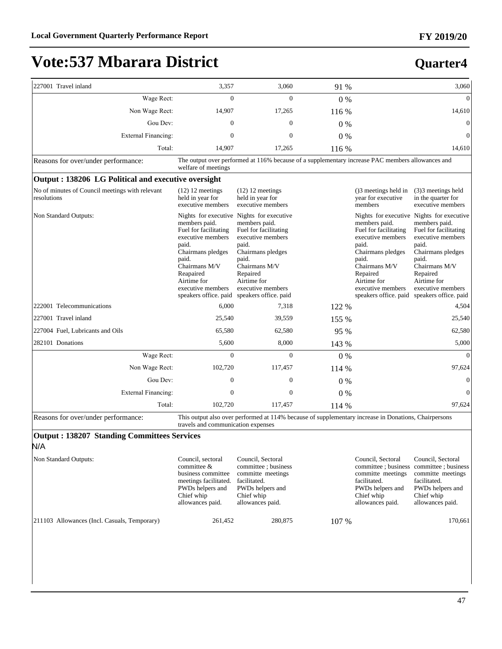| 227001 Travel inland                                           | 3,357                                                                                                                                                                                         | 3,060                                                                                                                                                                                                                                     | 91 %  |                                                                                                                                                                                              | 3,060                                                                                                                                                                                                                                     |
|----------------------------------------------------------------|-----------------------------------------------------------------------------------------------------------------------------------------------------------------------------------------------|-------------------------------------------------------------------------------------------------------------------------------------------------------------------------------------------------------------------------------------------|-------|----------------------------------------------------------------------------------------------------------------------------------------------------------------------------------------------|-------------------------------------------------------------------------------------------------------------------------------------------------------------------------------------------------------------------------------------------|
| Wage Rect:                                                     | $\overline{0}$                                                                                                                                                                                | $\theta$                                                                                                                                                                                                                                  | $0\%$ |                                                                                                                                                                                              | $\Omega$                                                                                                                                                                                                                                  |
| Non Wage Rect:                                                 | 14,907                                                                                                                                                                                        | 17,265                                                                                                                                                                                                                                    | 116 % |                                                                                                                                                                                              | 14,610                                                                                                                                                                                                                                    |
| Gou Dev:                                                       | $\Omega$                                                                                                                                                                                      | $\Omega$                                                                                                                                                                                                                                  | $0\%$ |                                                                                                                                                                                              | $\mathbf{0}$                                                                                                                                                                                                                              |
| External Financing:                                            | $\mathbf{0}$                                                                                                                                                                                  | $\theta$                                                                                                                                                                                                                                  | $0\%$ |                                                                                                                                                                                              | $\mathbf{0}$                                                                                                                                                                                                                              |
| Total:                                                         | 14,907                                                                                                                                                                                        | 17,265                                                                                                                                                                                                                                    | 116 % |                                                                                                                                                                                              | 14,610                                                                                                                                                                                                                                    |
| Reasons for over/under performance:                            | welfare of meetings                                                                                                                                                                           | The output over performed at 116% because of a supplementary increase PAC members allowances and                                                                                                                                          |       |                                                                                                                                                                                              |                                                                                                                                                                                                                                           |
| Output: 138206 LG Political and executive oversight            |                                                                                                                                                                                               |                                                                                                                                                                                                                                           |       |                                                                                                                                                                                              |                                                                                                                                                                                                                                           |
| No of minutes of Council meetings with relevant<br>resolutions | $(12)$ 12 meetings<br>held in year for<br>executive members                                                                                                                                   | $(12)$ 12 meetings<br>held in year for<br>executive members                                                                                                                                                                               |       | ()3 meetings held in<br>year for executive<br>members                                                                                                                                        | (3)3 meetings held<br>in the quarter for<br>executive members                                                                                                                                                                             |
| Non Standard Outputs:                                          | members paid.<br>Fuel for facilitating<br>executive members<br>paid.<br>Chairmans pledges<br>paid.<br>Chairmans M/V<br>Reapaired<br>Airtime for<br>executive members<br>speakers office. paid | Nights for executive Nights for executive<br>members paid.<br>Fuel for facilitating<br>executive members<br>paid.<br>Chairmans pledges<br>paid.<br>Chairmans M/V<br>Repaired<br>Airtime for<br>executive members<br>speakers office. paid |       | members paid.<br>Fuel for facilitating<br>executive members<br>paid.<br>Chairmans pledges<br>paid.<br>Chairmans M/V<br>Repaired<br>Airtime for<br>executive members<br>speakers office, paid | Nights for executive Nights for executive<br>members paid.<br>Fuel for facilitating<br>executive members<br>paid.<br>Chairmans pledges<br>paid.<br>Chairmans M/V<br>Repaired<br>Airtime for<br>executive members<br>speakers office. paid |
| 222001 Telecommunications                                      | 6,000                                                                                                                                                                                         | 7,318                                                                                                                                                                                                                                     | 122 % |                                                                                                                                                                                              | 4,504                                                                                                                                                                                                                                     |
| 227001 Travel inland                                           | 25,540                                                                                                                                                                                        | 39,559                                                                                                                                                                                                                                    | 155 % |                                                                                                                                                                                              | 25,540                                                                                                                                                                                                                                    |
| 227004 Fuel, Lubricants and Oils                               | 65,580                                                                                                                                                                                        | 62,580                                                                                                                                                                                                                                    | 95 %  |                                                                                                                                                                                              | 62,580                                                                                                                                                                                                                                    |
| 282101 Donations                                               | 5,600                                                                                                                                                                                         | 8,000                                                                                                                                                                                                                                     | 143 % |                                                                                                                                                                                              | 5,000                                                                                                                                                                                                                                     |
| Wage Rect:                                                     | $\overline{0}$                                                                                                                                                                                | $\Omega$                                                                                                                                                                                                                                  | $0\%$ |                                                                                                                                                                                              | $\Omega$                                                                                                                                                                                                                                  |
| Non Wage Rect:                                                 | 102,720                                                                                                                                                                                       | 117,457                                                                                                                                                                                                                                   | 114 % |                                                                                                                                                                                              | 97,624                                                                                                                                                                                                                                    |
| Gou Dev:                                                       | $\Omega$                                                                                                                                                                                      | $\Omega$                                                                                                                                                                                                                                  | $0\%$ |                                                                                                                                                                                              | $\mathbf{0}$                                                                                                                                                                                                                              |
| External Financing:                                            | $\mathbf{0}$                                                                                                                                                                                  | $\overline{0}$                                                                                                                                                                                                                            | $0\%$ |                                                                                                                                                                                              | $\mathbf{0}$                                                                                                                                                                                                                              |
| Total:                                                         | 102,720                                                                                                                                                                                       | 117,457                                                                                                                                                                                                                                   | 114 % |                                                                                                                                                                                              | 97,624                                                                                                                                                                                                                                    |
| Reasons for over/under performance:                            | travels and communication expenses                                                                                                                                                            | This output also over performed at 114% because of supplementary increase in Donations, Chairpersons                                                                                                                                      |       |                                                                                                                                                                                              |                                                                                                                                                                                                                                           |
| <b>Output: 138207 Standing Committees Services</b>             |                                                                                                                                                                                               |                                                                                                                                                                                                                                           |       |                                                                                                                                                                                              |                                                                                                                                                                                                                                           |
| N/A                                                            |                                                                                                                                                                                               |                                                                                                                                                                                                                                           |       |                                                                                                                                                                                              |                                                                                                                                                                                                                                           |
| Non Standard Outputs:                                          | Council, sectoral<br>committee &<br>business committee<br>meetings facilitated.<br>PWDs helpers and<br>Chief whip<br>allowances paid.                                                         | Council, Sectoral<br>committee : business<br>committe meetings<br>facilitated.<br>PWDs helpers and<br>Chief whip<br>allowances paid.                                                                                                      |       | Council, Sectoral<br>committee ; business<br>committe meetings<br>facilitated.<br>PWDs helpers and<br>Chief whip<br>allowances paid.                                                         | Council, Sectoral<br>committee; business<br>committe meetings<br>facilitated.<br>PWDs helpers and<br>Chief whip<br>allowances paid.                                                                                                       |
| 211103 Allowances (Incl. Casuals, Temporary)                   | 261,452                                                                                                                                                                                       | 280,875                                                                                                                                                                                                                                   | 107 % |                                                                                                                                                                                              | 170,661                                                                                                                                                                                                                                   |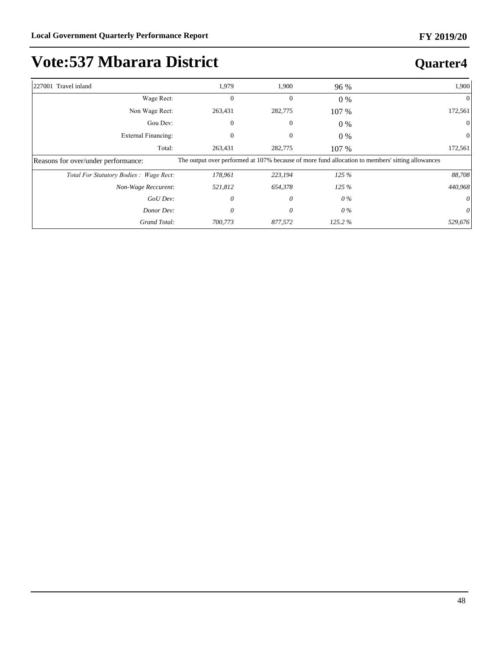| 227001 Travel inland                   | 1,979        | 1,900        | 96 %   | 1,900                                                                                            |
|----------------------------------------|--------------|--------------|--------|--------------------------------------------------------------------------------------------------|
| Wage Rect:                             | $\mathbf{0}$ | $\mathbf{0}$ | $0\%$  | $\Omega$                                                                                         |
| Non Wage Rect:                         | 263,431      | 282,775      | 107 %  | 172,561                                                                                          |
| Gou Dev:                               | $\Omega$     | $\mathbf{0}$ | 0 %    |                                                                                                  |
| External Financing:                    |              |              | $0\%$  |                                                                                                  |
| Total:                                 | 263,431      | 282,775      | 107 %  | 172,561                                                                                          |
| Reasons for over/under performance:    |              |              |        | The output over performed at 107% because of more fund allocation to members' sitting allowances |
| Total For Statutory Bodies: Wage Rect: | 178,961      | 223,194      | 125%   | 88,708                                                                                           |
| Non-Wage Reccurent:                    | 521,812      | 654,378      | 125%   | 440,968                                                                                          |
| GoU Dev:                               | 0            | 0            | 0 %    |                                                                                                  |
| Donor Dev:                             | $\theta$     | 0            | 0 %    | 0                                                                                                |
| Grand Total:                           | 700,773      | 877,572      | 125.2% | 529,676                                                                                          |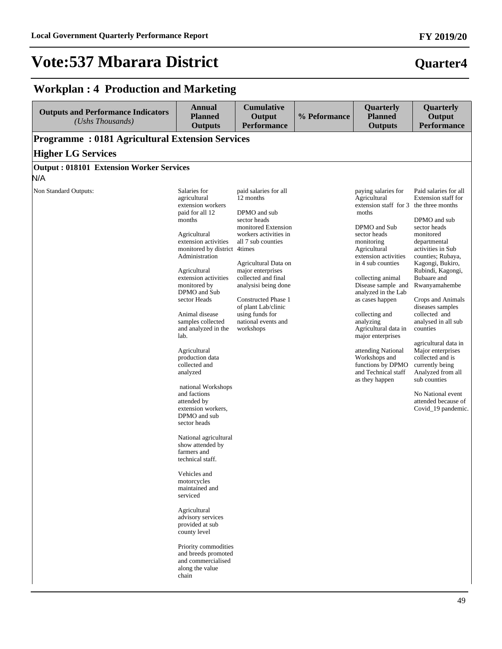**FY 2019/20**

### **Workplan : 4 Production and Marketing**

| <b>Outputs and Performance Indicators</b><br>(Ushs Thousands) | <b>Annual</b><br><b>Planned</b><br><b>Outputs</b>                                                                                                                                                                                                                                                                                                                                                                                                                                                                                                                                                                                                                                                                                                                                                                                       | <b>Cumulative</b><br>Output<br><b>Performance</b>                                                                                                                                                                                                                                                                                         | % Peformance | Quarterly<br><b>Planned</b><br><b>Outputs</b>                                                                                                                                                                                                                                                                                                                                                                                                                           | Quarterly<br>Output<br><b>Performance</b>                                                                                                                                                                                                                                                                                                                                                                                                                                                                            |
|---------------------------------------------------------------|-----------------------------------------------------------------------------------------------------------------------------------------------------------------------------------------------------------------------------------------------------------------------------------------------------------------------------------------------------------------------------------------------------------------------------------------------------------------------------------------------------------------------------------------------------------------------------------------------------------------------------------------------------------------------------------------------------------------------------------------------------------------------------------------------------------------------------------------|-------------------------------------------------------------------------------------------------------------------------------------------------------------------------------------------------------------------------------------------------------------------------------------------------------------------------------------------|--------------|-------------------------------------------------------------------------------------------------------------------------------------------------------------------------------------------------------------------------------------------------------------------------------------------------------------------------------------------------------------------------------------------------------------------------------------------------------------------------|----------------------------------------------------------------------------------------------------------------------------------------------------------------------------------------------------------------------------------------------------------------------------------------------------------------------------------------------------------------------------------------------------------------------------------------------------------------------------------------------------------------------|
| <b>Programme: 0181 Agricultural Extension Services</b>        |                                                                                                                                                                                                                                                                                                                                                                                                                                                                                                                                                                                                                                                                                                                                                                                                                                         |                                                                                                                                                                                                                                                                                                                                           |              |                                                                                                                                                                                                                                                                                                                                                                                                                                                                         |                                                                                                                                                                                                                                                                                                                                                                                                                                                                                                                      |
| <b>Higher LG Services</b>                                     |                                                                                                                                                                                                                                                                                                                                                                                                                                                                                                                                                                                                                                                                                                                                                                                                                                         |                                                                                                                                                                                                                                                                                                                                           |              |                                                                                                                                                                                                                                                                                                                                                                                                                                                                         |                                                                                                                                                                                                                                                                                                                                                                                                                                                                                                                      |
| <b>Output: 018101 Extension Worker Services</b>               |                                                                                                                                                                                                                                                                                                                                                                                                                                                                                                                                                                                                                                                                                                                                                                                                                                         |                                                                                                                                                                                                                                                                                                                                           |              |                                                                                                                                                                                                                                                                                                                                                                                                                                                                         |                                                                                                                                                                                                                                                                                                                                                                                                                                                                                                                      |
| N/A                                                           |                                                                                                                                                                                                                                                                                                                                                                                                                                                                                                                                                                                                                                                                                                                                                                                                                                         |                                                                                                                                                                                                                                                                                                                                           |              |                                                                                                                                                                                                                                                                                                                                                                                                                                                                         |                                                                                                                                                                                                                                                                                                                                                                                                                                                                                                                      |
| Non Standard Outputs:                                         | Salaries for<br>agricultural<br>extension workers<br>paid for all 12<br>months<br>Agricultural<br>extension activities<br>monitored by district 4times<br>Administration<br>Agricultural<br>extension activities<br>monitored by<br>DPMO and Sub<br>sector Heads<br>Animal disease<br>samples collected<br>and analyzed in the<br>lab.<br>Agricultural<br>production data<br>collected and<br>analyzed<br>national Workshops<br>and factions<br>attended by<br>extension workers,<br>DPMO and sub<br>sector heads<br>National agricultural<br>show attended by<br>farmers and<br>technical staff.<br>Vehicles and<br>motorcycles<br>maintained and<br>serviced<br>Agricultural<br>advisory services<br>provided at sub<br>county level<br>Priority commodities<br>and breeds promoted<br>and commercialised<br>along the value<br>chain | paid salaries for all<br>12 months<br>DPMO and sub<br>sector heads<br>monitored Extension<br>workers activities in<br>all 7 sub counties<br>Agricultural Data on<br>major enterprises<br>collected and final<br>analysisi being done<br>Constructed Phase 1<br>of plant Lab/clinic<br>using funds for<br>national events and<br>workshops |              | paying salaries for<br>Agricultural<br>extension staff for 3 the three months<br>moths<br>DPMO and Sub<br>sector heads<br>monitoring<br>Agricultural<br>extension activities<br>in 4 sub counties<br>collecting animal<br>Disease sample and<br>analyzed in the Lab<br>as cases happen<br>collecting and<br>analyzing<br>Agricultural data in<br>major enterprises<br>attending National<br>Workshops and<br>functions by DPMO<br>and Technical staff<br>as they happen | Paid salaries for all<br>Extension staff for<br>DPMO and sub<br>sector heads<br>monitored<br>departmental<br>activities in Sub<br>counties; Rubaya,<br>Kagongi, Bukiro,<br>Rubindi, Kagongi,<br>Bubaare and<br>Rwanyamahembe<br>Crops and Animals<br>diseases samples<br>collected and<br>analysed in all sub<br>counties<br>agricultural data in<br>Major enterprises<br>collected and is<br>currently being<br>Analyzed from all<br>sub counties<br>No National event<br>attended because of<br>Covid_19 pandemic. |
|                                                               |                                                                                                                                                                                                                                                                                                                                                                                                                                                                                                                                                                                                                                                                                                                                                                                                                                         |                                                                                                                                                                                                                                                                                                                                           |              |                                                                                                                                                                                                                                                                                                                                                                                                                                                                         |                                                                                                                                                                                                                                                                                                                                                                                                                                                                                                                      |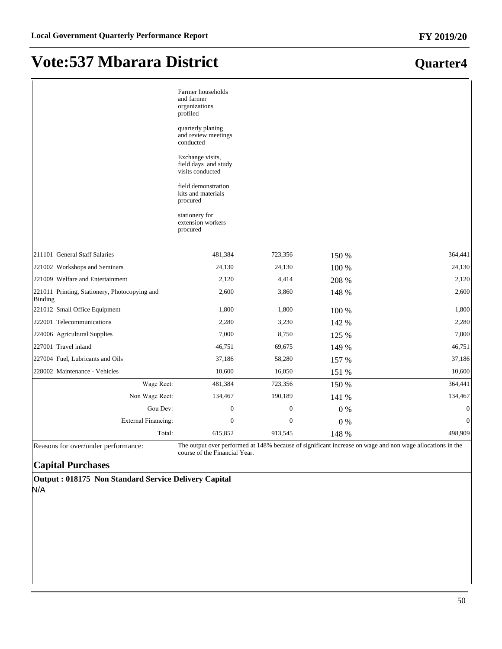|                                                          | Farmer households<br>and farmer<br>organizations<br>profiled<br>quarterly planing<br>and review meetings<br>conducted<br>Exchange visits,<br>field days and study<br>visits conducted<br>field demonstration<br>kits and materials<br>procured<br>stationery for<br>extension workers<br>procured |              |       |                  |
|----------------------------------------------------------|---------------------------------------------------------------------------------------------------------------------------------------------------------------------------------------------------------------------------------------------------------------------------------------------------|--------------|-------|------------------|
| 211101 General Staff Salaries                            | 481,384                                                                                                                                                                                                                                                                                           | 723,356      | 150 % | 364,441          |
| 221002 Workshops and Seminars                            | 24,130                                                                                                                                                                                                                                                                                            | 24,130       | 100 % | 24,130           |
| 221009 Welfare and Entertainment                         | 2,120                                                                                                                                                                                                                                                                                             | 4,414        | 208 % | 2,120            |
| 221011 Printing, Stationery, Photocopying and<br>Binding | 2,600                                                                                                                                                                                                                                                                                             | 3,860        | 148 % | 2,600            |
| 221012 Small Office Equipment                            | 1,800                                                                                                                                                                                                                                                                                             | 1,800        | 100 % | 1,800            |
| 222001 Telecommunications                                | 2,280                                                                                                                                                                                                                                                                                             | 3,230        | 142 % | 2,280            |
| 224006 Agricultural Supplies                             | 7,000                                                                                                                                                                                                                                                                                             | 8,750        | 125 % | 7,000            |
| 227001 Travel inland                                     | 46,751                                                                                                                                                                                                                                                                                            | 69,675       | 149 % | 46,751           |
| 227004 Fuel, Lubricants and Oils                         | 37,186                                                                                                                                                                                                                                                                                            | 58,280       | 157 % | 37,186           |
| 228002 Maintenance - Vehicles                            | 10,600                                                                                                                                                                                                                                                                                            | 16,050       | 151 % | 10,600           |
| Wage Rect:                                               | 481,384                                                                                                                                                                                                                                                                                           | 723,356      | 150 % | 364,441          |
| Non Wage Rect:                                           | 134,467                                                                                                                                                                                                                                                                                           | 190,189      | 141 % | 134,467          |
| Gou Dev:                                                 | $\boldsymbol{0}$                                                                                                                                                                                                                                                                                  | $\mathbf{0}$ | 0%    | $\boldsymbol{0}$ |
| <b>External Financing:</b>                               | $\boldsymbol{0}$                                                                                                                                                                                                                                                                                  | $\mathbf{0}$ | 0%    | $\mathbf{0}$     |
| Total:                                                   | 615,852                                                                                                                                                                                                                                                                                           | 913,545      | 148 % | 498,909          |

Reasons for over/under performance: The output over performed at 148% because of significant increase on wage and non wage allocations in the course of the Financial Year.

### **Capital Purchases**

**Output : 018175 Non Standard Service Delivery Capital** N/A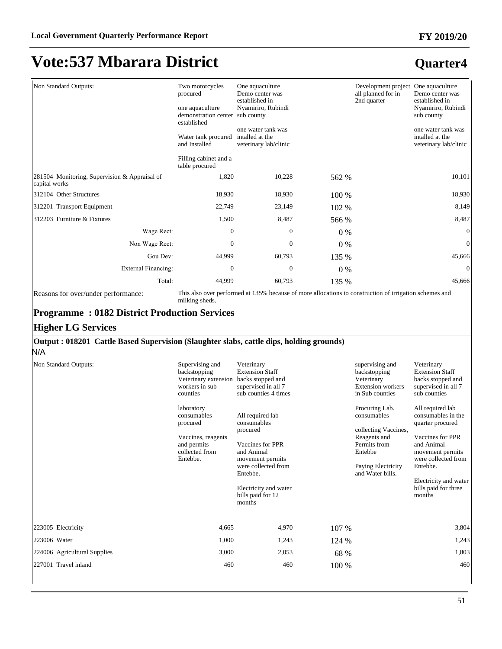### **Quarter4**

| Non Standard Outputs:                         | Two motorcycles<br>procured<br>one aquaculture<br>demonstration center sub county<br>established<br>Water tank procured<br>and Installed<br>Filling cabinet and a | One aquaculture<br>Demo center was<br>established in<br>Nyamiriro, Rubindi<br>one water tank was<br>intalled at the<br>veterinary lab/clinic |       | Development project<br>all planned for in<br>2nd quarter | One aquaculture<br>Demo center was<br>established in<br>Nyamiriro, Rubindi<br>sub county<br>one water tank was<br>intalled at the<br>veterinary lab/clinic |
|-----------------------------------------------|-------------------------------------------------------------------------------------------------------------------------------------------------------------------|----------------------------------------------------------------------------------------------------------------------------------------------|-------|----------------------------------------------------------|------------------------------------------------------------------------------------------------------------------------------------------------------------|
| 281504 Monitoring, Supervision & Appraisal of | table procured<br>1,820                                                                                                                                           | 10,228                                                                                                                                       | 562 % |                                                          | 10,101                                                                                                                                                     |
| capital works                                 |                                                                                                                                                                   |                                                                                                                                              |       |                                                          |                                                                                                                                                            |
| 312104 Other Structures                       | 18,930                                                                                                                                                            | 18,930                                                                                                                                       | 100 % |                                                          | 18,930                                                                                                                                                     |
| 312201 Transport Equipment                    | 22,749                                                                                                                                                            | 23,149                                                                                                                                       | 102 % |                                                          | 8,149                                                                                                                                                      |
| 312203 Furniture & Fixtures                   | 1,500                                                                                                                                                             | 8,487                                                                                                                                        | 566 % |                                                          | 8,487                                                                                                                                                      |
| Wage Rect:                                    | $\mathbf{0}$                                                                                                                                                      | $\mathbf{0}$                                                                                                                                 | $0\%$ |                                                          | $\overline{0}$                                                                                                                                             |
| Non Wage Rect:                                | $\mathbf{0}$                                                                                                                                                      | $\mathbf{0}$                                                                                                                                 | $0\%$ |                                                          | $\overline{0}$                                                                                                                                             |
| Gou Dev:                                      | 44,999                                                                                                                                                            | 60,793                                                                                                                                       | 135 % |                                                          | 45,666                                                                                                                                                     |
| External Financing:                           | $\boldsymbol{0}$                                                                                                                                                  | $\mathbf{0}$                                                                                                                                 | $0\%$ |                                                          | $\theta$                                                                                                                                                   |
| Total:                                        | 44,999                                                                                                                                                            | 60,793                                                                                                                                       | 135 % |                                                          | 45,666                                                                                                                                                     |

Reasons for over/under performance: This also over performed at 135% because of more allocations to construction of irrigation schemes and milking sheds.

### **Programme : 0182 District Production Services**

#### **Higher LG Services**

#### **Output : 018201 Cattle Based Supervision (Slaughter slabs, cattle dips, holding grounds)**

N/A

| Non Standard Outputs:        | Supervising and<br>backstopping<br>Veterinary extension<br>workers in sub<br>counties                    | Veterinary<br><b>Extension Staff</b><br>backs stopped and<br>supervised in all 7<br>sub counties 4 times                                                                                     |       | supervising and<br>backstopping<br>Veterinary<br><b>Extension</b> workers<br>in Sub counties                                               | Veterinary<br><b>Extension Staff</b><br>backs stopped and<br>supervised in all 7<br>sub counties                                                                                                               |
|------------------------------|----------------------------------------------------------------------------------------------------------|----------------------------------------------------------------------------------------------------------------------------------------------------------------------------------------------|-------|--------------------------------------------------------------------------------------------------------------------------------------------|----------------------------------------------------------------------------------------------------------------------------------------------------------------------------------------------------------------|
|                              | laboratory<br>consumables<br>procured<br>Vaccines, reagents<br>and permits<br>collected from<br>Entebbe. | All required lab<br>consumables<br>procured<br>Vaccines for PPR<br>and Animal<br>movement permits<br>were collected from<br>Entebbe.<br>Electricity and water<br>bills paid for 12<br>months |       | Procuring Lab.<br>consumables<br>collecting Vaccines,<br>Reagents and<br>Permits from<br>Entebbe<br>Paying Electricity<br>and Water bills. | All required lab<br>consumables in the<br>quarter procured<br>Vaccines for PPR<br>and Animal<br>movement permits<br>were collected from<br>Entebbe.<br>Electricity and water<br>bills paid for three<br>months |
| 223005 Electricity           | 4,665                                                                                                    | 4,970                                                                                                                                                                                        | 107 % |                                                                                                                                            | 3,804                                                                                                                                                                                                          |
| 223006 Water                 | 1,000                                                                                                    | 1,243                                                                                                                                                                                        | 124 % |                                                                                                                                            | 1,243                                                                                                                                                                                                          |
| 224006 Agricultural Supplies | 3,000                                                                                                    | 2,053                                                                                                                                                                                        | 68 %  |                                                                                                                                            | 1,803                                                                                                                                                                                                          |
| 227001 Travel inland         | 460                                                                                                      | 460                                                                                                                                                                                          | 100 % |                                                                                                                                            | 460                                                                                                                                                                                                            |
|                              |                                                                                                          |                                                                                                                                                                                              |       |                                                                                                                                            |                                                                                                                                                                                                                |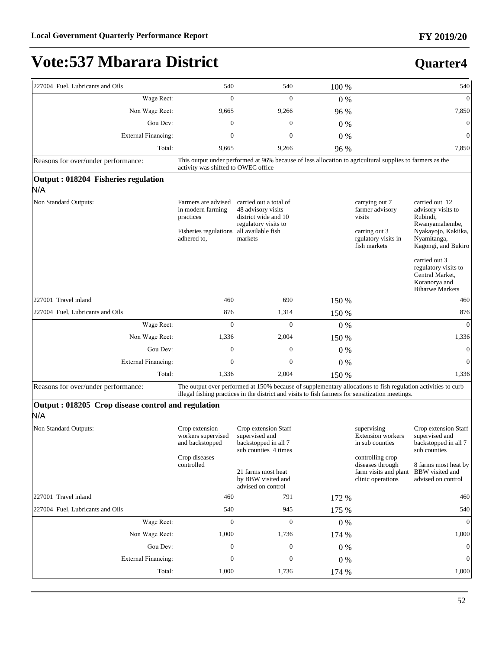| 227004 Fuel, Lubricants and Oils                          | 540                                                                                           | 540                                                                                                                                                                                                              | 100 % |                                                                                                     | 540                                                                                                                                                                      |
|-----------------------------------------------------------|-----------------------------------------------------------------------------------------------|------------------------------------------------------------------------------------------------------------------------------------------------------------------------------------------------------------------|-------|-----------------------------------------------------------------------------------------------------|--------------------------------------------------------------------------------------------------------------------------------------------------------------------------|
| Wage Rect:                                                | $\mathbf{0}$                                                                                  | $\mathbf{0}$                                                                                                                                                                                                     | 0%    |                                                                                                     | $\mathbf{0}$                                                                                                                                                             |
| Non Wage Rect:                                            | 9,665                                                                                         | 9,266                                                                                                                                                                                                            | 96 %  |                                                                                                     | 7,850                                                                                                                                                                    |
| Gou Dev:                                                  | $\boldsymbol{0}$                                                                              | $\boldsymbol{0}$                                                                                                                                                                                                 | $0\%$ |                                                                                                     | $\mathbf{0}$                                                                                                                                                             |
| <b>External Financing:</b>                                | 0                                                                                             | $\boldsymbol{0}$                                                                                                                                                                                                 | 0%    |                                                                                                     | $\mathbf{0}$                                                                                                                                                             |
| Total:                                                    | 9,665                                                                                         | 9,266                                                                                                                                                                                                            | 96 %  |                                                                                                     | 7,850                                                                                                                                                                    |
| Reasons for over/under performance:                       | activity was shifted to OWEC office                                                           | This output under performed at 96% because of less allocation to agricultural supplies to farmers as the                                                                                                         |       |                                                                                                     |                                                                                                                                                                          |
| Output: 018204 Fisheries regulation                       |                                                                                               |                                                                                                                                                                                                                  |       |                                                                                                     |                                                                                                                                                                          |
| N/A                                                       |                                                                                               |                                                                                                                                                                                                                  |       |                                                                                                     |                                                                                                                                                                          |
| Non Standard Outputs:                                     | Farmers are advised<br>in modern farming<br>practices<br>Fisheries regulations<br>adhered to, | carried out a total of<br>48 advisory visits<br>district wide and 10<br>regulatory visits to<br>all available fish<br>markets                                                                                    |       | carrying out 7<br>farmer advisory<br>visits<br>carring out 3<br>rgulatory visits in<br>fish markets | carried out 12<br>advisory visits to<br>Rubindi,<br>Rwanyamahembe,<br>Nyakayojo, Kakiika,<br>Nyamitanga,<br>Kagongi, and Bukiro<br>carried out 3<br>regulatory visits to |
|                                                           |                                                                                               |                                                                                                                                                                                                                  |       |                                                                                                     | Central Market,<br>Koranorya and<br><b>Biharwe Markets</b>                                                                                                               |
| 227001 Travel inland                                      | 460                                                                                           | 690                                                                                                                                                                                                              | 150 % |                                                                                                     | 460                                                                                                                                                                      |
| 227004 Fuel, Lubricants and Oils                          | 876                                                                                           | 1,314                                                                                                                                                                                                            | 150 % |                                                                                                     | 876                                                                                                                                                                      |
| Wage Rect:                                                | $\mathbf{0}$                                                                                  | $\mathbf{0}$                                                                                                                                                                                                     | $0\%$ |                                                                                                     | $\mathbf{0}$                                                                                                                                                             |
| Non Wage Rect:                                            | 1,336                                                                                         | 2,004                                                                                                                                                                                                            | 150 % |                                                                                                     | 1,336                                                                                                                                                                    |
| Gou Dev:                                                  | $\boldsymbol{0}$                                                                              | $\boldsymbol{0}$                                                                                                                                                                                                 | $0\%$ |                                                                                                     | $\mathbf{0}$                                                                                                                                                             |
| <b>External Financing:</b>                                | 0                                                                                             | $\boldsymbol{0}$                                                                                                                                                                                                 | 0%    |                                                                                                     | $\mathbf{0}$                                                                                                                                                             |
| Total:                                                    | 1,336                                                                                         | 2,004                                                                                                                                                                                                            | 150 % |                                                                                                     | 1,336                                                                                                                                                                    |
| Reasons for over/under performance:                       |                                                                                               | The output over performed at 150% because of supplementary allocations to fish regulation activities to curb<br>illegal fishing practices in the district and visits to fish farmers for sensitization meetings. |       |                                                                                                     |                                                                                                                                                                          |
| Output: 018205 Crop disease control and regulation<br>N/A |                                                                                               |                                                                                                                                                                                                                  |       |                                                                                                     |                                                                                                                                                                          |
| Non Standard Outputs:                                     | Crop extension<br>workers supervised<br>and backstopped<br>Crop diseases                      | Crop extension Staff<br>supervised and<br>backstopped in all 7<br>sub counties 4 times                                                                                                                           |       | supervising<br><b>Extension</b> workers<br>in sub counties<br>controlling crop                      | Crop extension Staff<br>supervised and<br>backstopped in all 7<br>sub counties                                                                                           |
|                                                           | controlled                                                                                    | 21 farms most heat<br>by BBW visited and<br>advised on control                                                                                                                                                   |       | diseases through<br>farm visits and plant<br>clinic operations                                      | 8 farms most heat by<br>BBW visited and<br>advised on control                                                                                                            |
| 227001 Travel inland                                      | 460                                                                                           | 791                                                                                                                                                                                                              | 172 % |                                                                                                     | 460                                                                                                                                                                      |
| 227004 Fuel. Lubricants and Oils                          | 540                                                                                           | 945                                                                                                                                                                                                              | 175 % |                                                                                                     | 540                                                                                                                                                                      |
| Wage Rect:                                                | $\mathbf{0}$                                                                                  | $\mathbf{0}$                                                                                                                                                                                                     | 0%    |                                                                                                     | $\overline{0}$                                                                                                                                                           |
| Non Wage Rect:                                            | 1,000                                                                                         | 1,736                                                                                                                                                                                                            | 174 % |                                                                                                     | 1,000                                                                                                                                                                    |
| Gou Dev:                                                  | $\boldsymbol{0}$                                                                              | 0                                                                                                                                                                                                                | 0%    |                                                                                                     | $\mathbf{0}$                                                                                                                                                             |
| <b>External Financing:</b>                                | $\boldsymbol{0}$                                                                              | $\boldsymbol{0}$                                                                                                                                                                                                 | 0%    |                                                                                                     | $\boldsymbol{0}$                                                                                                                                                         |
| Total:                                                    | 1,000                                                                                         | 1,736                                                                                                                                                                                                            | 174 % |                                                                                                     | 1,000                                                                                                                                                                    |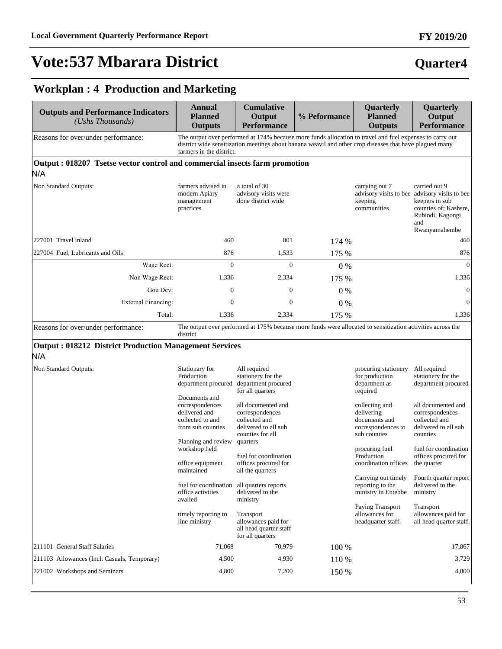### **FY 2019/20**

# **Vote:537 Mbarara District**

## **Quarter4**

### **Workplan : 4 Production and Marketing**

| <b>Outputs and Performance Indicators</b><br>$(Ushs$ Thousands)                    | Annual<br><b>Planned</b><br><b>Outputs</b>                                                                        | <b>Cumulative</b><br>Output<br><b>Performance</b>                                                                                                                                                                   | % Peformance | Quarterly<br><b>Planned</b><br><b>Outputs</b>                                       | Quarterly<br>Output<br><b>Performance</b>                                                                                                             |
|------------------------------------------------------------------------------------|-------------------------------------------------------------------------------------------------------------------|---------------------------------------------------------------------------------------------------------------------------------------------------------------------------------------------------------------------|--------------|-------------------------------------------------------------------------------------|-------------------------------------------------------------------------------------------------------------------------------------------------------|
| Reasons for over/under performance:                                                | farmers in the district.                                                                                          | The output over performed at 174% because more funds allocation to travel and fuel expenses to carry out<br>district wide sensitization meetings about banana weavil and other crop diseases that have plagued many |              |                                                                                     |                                                                                                                                                       |
| Output : 018207 Tsetse vector control and commercial insects farm promotion<br>N/A |                                                                                                                   |                                                                                                                                                                                                                     |              |                                                                                     |                                                                                                                                                       |
| Non Standard Outputs:                                                              | farmers advised in<br>modern Apiary<br>management<br>practices                                                    | a total of 30<br>advisory visits were<br>done district wide                                                                                                                                                         |              | carrying out 7<br>keeping<br>communities                                            | carried out 9<br>advisory visits to bee advisory visits to bee<br>keepers in sub<br>counties of; Kashsre,<br>Rubindi, Kagongi<br>and<br>Rwanyamahembe |
| 227001 Travel inland                                                               | 460                                                                                                               | 801                                                                                                                                                                                                                 | 174 %        |                                                                                     | 460                                                                                                                                                   |
| 227004 Fuel, Lubricants and Oils                                                   | 876                                                                                                               | 1,533                                                                                                                                                                                                               | 175 %        |                                                                                     | 876                                                                                                                                                   |
| Wage Rect:                                                                         | $\overline{0}$                                                                                                    | $\mathbf{0}$                                                                                                                                                                                                        | 0%           |                                                                                     | $\mathbf{0}$                                                                                                                                          |
| Non Wage Rect:                                                                     | 1,336                                                                                                             | 2,334                                                                                                                                                                                                               | 175 %        |                                                                                     | 1,336                                                                                                                                                 |
| Gou Dev:                                                                           | $\boldsymbol{0}$                                                                                                  | $\boldsymbol{0}$                                                                                                                                                                                                    | $0\%$        |                                                                                     | $\mathbf{0}$                                                                                                                                          |
| External Financing:                                                                | $\mathbf{0}$                                                                                                      | $\mathbf{0}$                                                                                                                                                                                                        | 0%           |                                                                                     | $\theta$                                                                                                                                              |
| Total:                                                                             | 1,336                                                                                                             | 2,334                                                                                                                                                                                                               | 175 %        |                                                                                     | 1,336                                                                                                                                                 |
| Reasons for over/under performance:                                                | district                                                                                                          | The output over performed at 175% because more funds were allocated to sensitization activities across the                                                                                                          |              |                                                                                     |                                                                                                                                                       |
| <b>Output: 018212 District Production Management Services</b><br>N/A               |                                                                                                                   |                                                                                                                                                                                                                     |              |                                                                                     |                                                                                                                                                       |
| Non Standard Outputs:                                                              | Stationary for<br>Production<br>department procured                                                               | All required<br>stationery for the<br>department procured<br>for all quarters                                                                                                                                       |              | procuring stationery<br>for production<br>department as<br>required                 | All required<br>stationery for the<br>department procured                                                                                             |
|                                                                                    | Documents and<br>correspondences<br>delivered and<br>collected to and<br>from sub counties<br>Planning and review | all documented and<br>correspondences<br>collected and<br>delivered to all sub<br>counties for all<br>quarters                                                                                                      |              | collecting and<br>delivering<br>documents and<br>correspondences to<br>sub counties | all documented and<br>correspondences<br>collected and<br>delivered to all sub<br>counties                                                            |
|                                                                                    | workshop held<br>office equipment<br>maintained                                                                   | fuel for coordination<br>offices procured for<br>all the quarters                                                                                                                                                   |              | procuring fuel<br>Production<br>coordination offices                                | fuel for coordination<br>offices procured for<br>the quarter                                                                                          |
|                                                                                    | fuel for coordination all quarters reports<br>office activities<br>availed                                        | delivered to the<br>ministry                                                                                                                                                                                        |              | Carrying out timely<br>reporting to the<br>ministry in Entebbe                      | Fourth quarter report<br>delivered to the<br>ministry                                                                                                 |
|                                                                                    | timely reporting to<br>line ministry                                                                              | Transport<br>allowances paid for<br>all head quarter staff<br>for all quarters                                                                                                                                      |              | Paying Transport<br>allowances for<br>headquarter staff.                            | Transport<br>allowances paid for<br>all head quarter staff.                                                                                           |
| 211101 General Staff Salaries                                                      | 71,068                                                                                                            | 70,979                                                                                                                                                                                                              | 100 %        |                                                                                     | 17,867                                                                                                                                                |
| 211103 Allowances (Incl. Casuals, Temporary)                                       | 4,500                                                                                                             | 4,930                                                                                                                                                                                                               | 110 %        |                                                                                     | 3,729                                                                                                                                                 |
| 221002 Workshops and Seminars                                                      | 4,800                                                                                                             | 7,200                                                                                                                                                                                                               | 150 %        |                                                                                     | 4,800                                                                                                                                                 |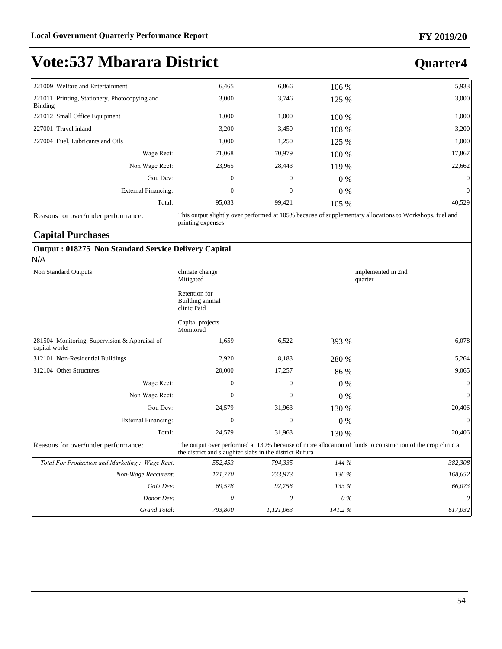### **Quarter4**

|                                               | 6,465        | 6,866            | 106 % | 5,933                   |
|-----------------------------------------------|--------------|------------------|-------|-------------------------|
| 221011 Printing, Stationery, Photocopying and | 3,000        | 3,746            |       | 3,000                   |
|                                               | 1,000        | 1,000            | 100 % | 1,000                   |
|                                               | 3,200        | 3,450            | 108 % | 3,200                   |
|                                               | 1,000        | 1,250            | 125 % | 1,000                   |
| Wage Rect:                                    | 71,068       | 70,979           | 100 % | 17,867                  |
| Non Wage Rect:                                | 23,965       | 28,443           | 119 % | 22,662                  |
| Gou Dev:                                      | $\mathbf{0}$ | $\boldsymbol{0}$ |       | $\mathbf{0}$            |
| External Financing:                           | $\mathbf{0}$ | $\boldsymbol{0}$ |       | $\mathbf{0}$            |
| Total:                                        | 95,033       | 99,421           | 105 % | 40,529                  |
|                                               |              |                  |       | 125 %<br>$0\%$<br>$0\%$ |

Reasons for over/under performance: This output slightly over performed at 105% because of supplementary allocations to Workshops, fuel and printing expenses

### **Capital Purchases**

#### **Output : 018275 Non Standard Service Delivery Capital** N/A

| Non Standard Outputs:                                          | climate change<br>implemented in 2nd<br>Mitigated<br>quarter |              |        |                                                                                                             |
|----------------------------------------------------------------|--------------------------------------------------------------|--------------|--------|-------------------------------------------------------------------------------------------------------------|
|                                                                | Retention for<br>Building animal<br>clinic Paid              |              |        |                                                                                                             |
|                                                                | Capital projects<br>Monitored                                |              |        |                                                                                                             |
| 281504 Monitoring, Supervision & Appraisal of<br>capital works | 1,659                                                        | 6,522        | 393 %  | 6,078                                                                                                       |
| 312101 Non-Residential Buildings                               | 2,920                                                        | 8,183        | 280 %  | 5,264                                                                                                       |
| 312104 Other Structures                                        | 20,000                                                       | 17,257       | 86 %   | 9,065                                                                                                       |
| Wage Rect:                                                     | $\mathbf{0}$                                                 | $\mathbf{0}$ | $0\%$  | $\mathbf{0}$                                                                                                |
| Non Wage Rect:                                                 | $\mathbf{0}$                                                 | $\mathbf{0}$ | $0\%$  | $\theta$                                                                                                    |
| Gou Dev:                                                       | 24,579                                                       | 31,963       | 130 %  | 20,406                                                                                                      |
| External Financing:                                            | $\mathbf{0}$                                                 | $\mathbf{0}$ | $0\%$  | $\mathbf{0}$                                                                                                |
| Total:                                                         | 24,579                                                       | 31,963       | 130 %  | 20,406                                                                                                      |
| Reasons for over/under performance:                            | the district and slaughter slabs in the district Rufura      |              |        | The output over performed at 130% because of more allocation of funds to construction of the crop clinic at |
| Total For Production and Marketing: Wage Rect:                 | 552,453                                                      | 794,335      | 144 %  | 382,308                                                                                                     |
| Non-Wage Reccurent:                                            | 171,770                                                      | 233,973      | 136 %  | 168,652                                                                                                     |
| GoU Dev:                                                       | 69,578                                                       | 92,756       | 133 %  | 66,073                                                                                                      |
| Donor Dev:                                                     | 0                                                            | 0            | $0\%$  | $\theta$                                                                                                    |
| Grand Total:                                                   | 793,800                                                      | 1,121,063    | 141.2% | 617,032                                                                                                     |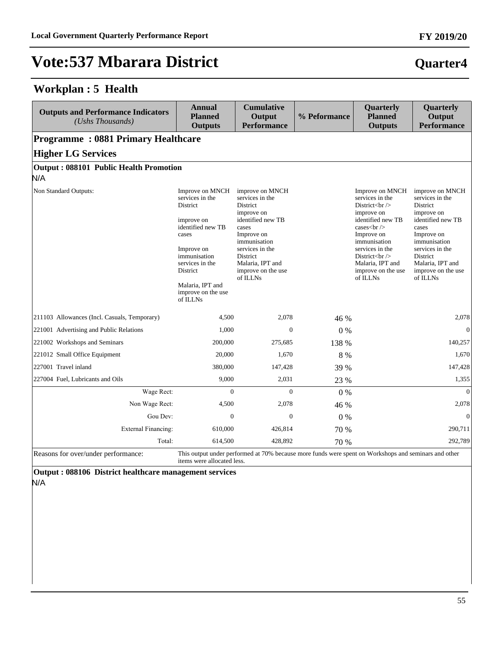### **Workplan : 5 Health**

| <b>Outputs and Performance Indicators</b><br>(Ushs Thousands) | <b>Annual</b><br><b>Planned</b><br><b>Outputs</b>                                                                                                                                                             | <b>Cumulative</b><br>Output<br><b>Performance</b>                                                                                                                                                             | % Peformance | Quarterly<br><b>Planned</b><br><b>Outputs</b>                                                                                                                                                                                                             | Quarterly<br>Output<br><b>Performance</b>                                                                                                                                                                     |
|---------------------------------------------------------------|---------------------------------------------------------------------------------------------------------------------------------------------------------------------------------------------------------------|---------------------------------------------------------------------------------------------------------------------------------------------------------------------------------------------------------------|--------------|-----------------------------------------------------------------------------------------------------------------------------------------------------------------------------------------------------------------------------------------------------------|---------------------------------------------------------------------------------------------------------------------------------------------------------------------------------------------------------------|
| <b>Programme: 0881 Primary Healthcare</b>                     |                                                                                                                                                                                                               |                                                                                                                                                                                                               |              |                                                                                                                                                                                                                                                           |                                                                                                                                                                                                               |
| <b>Higher LG Services</b>                                     |                                                                                                                                                                                                               |                                                                                                                                                                                                               |              |                                                                                                                                                                                                                                                           |                                                                                                                                                                                                               |
| Output: 088101 Public Health Promotion                        |                                                                                                                                                                                                               |                                                                                                                                                                                                               |              |                                                                                                                                                                                                                                                           |                                                                                                                                                                                                               |
| N/A                                                           |                                                                                                                                                                                                               |                                                                                                                                                                                                               |              |                                                                                                                                                                                                                                                           |                                                                                                                                                                                                               |
| Non Standard Outputs:                                         | Improve on MNCH<br>services in the<br>District<br>improve on<br>identified new TB<br>cases<br>Improve on<br>immunisation<br>services in the<br>District<br>Malaria, IPT and<br>improve on the use<br>of ILLNs | improve on MNCH<br>services in the<br>District<br>improve on<br>identified new TB<br>cases<br>Improve on<br>immunisation<br>services in the<br>District<br>Malaria, IPT and<br>improve on the use<br>of ILLNs |              | Improve on MNCH<br>services in the<br>District $\langle$ br $\rangle$<br>improve on<br>identified new TB<br>cases $\text{br}$ /><br>Improve on<br>immunisation<br>services in the<br>District $br>$<br>Malaria, IPT and<br>improve on the use<br>of ILLNs | improve on MNCH<br>services in the<br>District<br>improve on<br>identified new TB<br>cases<br>Improve on<br>immunisation<br>services in the<br>District<br>Malaria, IPT and<br>improve on the use<br>of ILLNs |
| 211103 Allowances (Incl. Casuals, Temporary)                  | 4,500                                                                                                                                                                                                         | 2,078                                                                                                                                                                                                         | 46 %         |                                                                                                                                                                                                                                                           | 2,078                                                                                                                                                                                                         |
| 221001 Advertising and Public Relations                       | 1,000                                                                                                                                                                                                         | $\Omega$                                                                                                                                                                                                      | 0%           |                                                                                                                                                                                                                                                           | $\Omega$                                                                                                                                                                                                      |
| 221002 Workshops and Seminars                                 | 200,000                                                                                                                                                                                                       | 275,685                                                                                                                                                                                                       | 138 %        |                                                                                                                                                                                                                                                           | 140,257                                                                                                                                                                                                       |
| 221012 Small Office Equipment                                 | 20,000                                                                                                                                                                                                        | 1,670                                                                                                                                                                                                         | 8 %          |                                                                                                                                                                                                                                                           | 1,670                                                                                                                                                                                                         |
| 227001 Travel inland                                          | 380,000                                                                                                                                                                                                       | 147,428                                                                                                                                                                                                       | 39 %         |                                                                                                                                                                                                                                                           | 147,428                                                                                                                                                                                                       |
| 227004 Fuel, Lubricants and Oils                              | 9,000                                                                                                                                                                                                         | 2,031                                                                                                                                                                                                         | 23 %         |                                                                                                                                                                                                                                                           | 1,355                                                                                                                                                                                                         |
| Wage Rect:                                                    | $\Omega$                                                                                                                                                                                                      | $\Omega$                                                                                                                                                                                                      | $0\%$        |                                                                                                                                                                                                                                                           | $\theta$                                                                                                                                                                                                      |
| Non Wage Rect:                                                | 4,500                                                                                                                                                                                                         | 2,078                                                                                                                                                                                                         | 46 %         |                                                                                                                                                                                                                                                           | 2,078                                                                                                                                                                                                         |
| Gou Dev:                                                      | $\Omega$                                                                                                                                                                                                      | $\Omega$                                                                                                                                                                                                      | $0\%$        |                                                                                                                                                                                                                                                           | $\Omega$                                                                                                                                                                                                      |
| <b>External Financing:</b>                                    | 610,000                                                                                                                                                                                                       | 426,814                                                                                                                                                                                                       | 70 %         |                                                                                                                                                                                                                                                           | 290,711                                                                                                                                                                                                       |
| Total:                                                        | 614,500                                                                                                                                                                                                       | 428,892                                                                                                                                                                                                       | 70 %         |                                                                                                                                                                                                                                                           | 292,789                                                                                                                                                                                                       |

Reasons for over/under performance: This output under performed at 70% because more funds were spent on Workshops and seminars and other items were allocated less.

**Output : 088106 District healthcare management services** N/A

**FY 2019/20**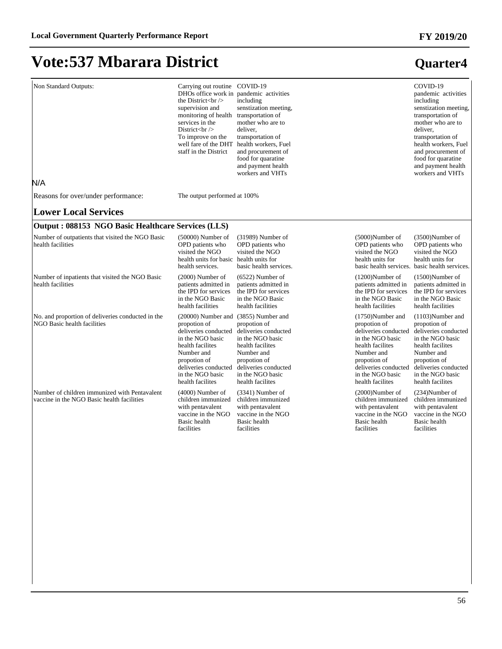### **FY 2019/20**

**Quarter4**

# **Vote:537 Mbarara District**

| Non Standard Outputs:<br>N/A                                                                | Carrying out routine COVID-19<br>DHOs office work in pandemic activities<br>the District $\langle$ br $\rangle$<br>supervision and<br>monitoring of health<br>services in the<br>District $\left\langle \text{br}\right\rangle$<br>To improve on the<br>well fare of the DHT<br>staff in the District | including<br>senstization meeting,<br>transportation of<br>mother who are to<br>deliver.<br>transportation of<br>health workers, Fuel<br>and procurement of<br>food for quaratine<br>and payment health<br>workers and VHTs |                                                                                                                                                                                                   | COVID-19<br>pandemic activities<br>including<br>senstization meeting,<br>transportation of<br>mother who are to<br>deliver,<br>transportation of<br>health workers, Fuel<br>and procurement of<br>food for quaratine<br>and payment health<br>workers and VHTs |
|---------------------------------------------------------------------------------------------|-------------------------------------------------------------------------------------------------------------------------------------------------------------------------------------------------------------------------------------------------------------------------------------------------------|-----------------------------------------------------------------------------------------------------------------------------------------------------------------------------------------------------------------------------|---------------------------------------------------------------------------------------------------------------------------------------------------------------------------------------------------|----------------------------------------------------------------------------------------------------------------------------------------------------------------------------------------------------------------------------------------------------------------|
| Reasons for over/under performance:                                                         | The output performed at 100%                                                                                                                                                                                                                                                                          |                                                                                                                                                                                                                             |                                                                                                                                                                                                   |                                                                                                                                                                                                                                                                |
| <b>Lower Local Services</b>                                                                 |                                                                                                                                                                                                                                                                                                       |                                                                                                                                                                                                                             |                                                                                                                                                                                                   |                                                                                                                                                                                                                                                                |
| Output: 088153 NGO Basic Healthcare Services (LLS)                                          |                                                                                                                                                                                                                                                                                                       |                                                                                                                                                                                                                             |                                                                                                                                                                                                   |                                                                                                                                                                                                                                                                |
| Number of outpatients that visited the NGO Basic<br>health facilities                       | $(50000)$ Number of<br>OPD patients who<br>visited the NGO<br>health units for basic health units for<br>health services.                                                                                                                                                                             | $(31989)$ Number of<br>OPD patients who<br>visited the NGO<br>basic health services.                                                                                                                                        | $(5000)$ Number of<br>OPD patients who<br>visited the NGO<br>health units for                                                                                                                     | $(3500)$ Number of<br>OPD patients who<br>visited the NGO<br>health units for<br>basic health services. basic health services.                                                                                                                                 |
| Number of inpatients that visited the NGO Basic<br>health facilities                        | $(2000)$ Number of<br>patients admitted in<br>the IPD for services<br>in the NGO Basic<br>health facilities                                                                                                                                                                                           | $(6522)$ Number of<br>patients admitted in<br>the IPD for services<br>in the NGO Basic<br>health facilities                                                                                                                 | $(1200)$ Number of<br>patients admitted in<br>the IPD for services<br>in the NGO Basic<br>health facilities                                                                                       | $(1500)$ Number of<br>patients admitted in<br>the IPD for services<br>in the NGO Basic<br>health facilities                                                                                                                                                    |
| No. and proportion of deliveries conducted in the<br>NGO Basic health facilities            | (20000) Number and (3855) Number and<br>propotion of<br>deliveries conducted<br>in the NGO basic<br>health facilites<br>Number and<br>propotion of<br>deliveries conducted<br>in the NGO basic<br>health facilites                                                                                    | propotion of<br>deliveries conducted<br>in the NGO basic<br>health facilites<br>Number and<br>propotion of<br>deliveries conducted<br>in the NGO basic<br>health facilites                                                  | $(1750)$ Number and<br>propotion of<br>deliveries conducted<br>in the NGO basic<br>health facilites<br>Number and<br>propotion of<br>deliveries conducted<br>in the NGO basic<br>health facilites | $(1103)$ Number and<br>propotion of<br>deliveries conducted<br>in the NGO basic<br>health facilites<br>Number and<br>propotion of<br>deliveries conducted<br>in the NGO basic<br>health facilites                                                              |
| Number of children immunized with Pentavalent<br>vaccine in the NGO Basic health facilities | $(4000)$ Number of<br>children immunized<br>with pentavalent<br>vaccine in the NGO<br>Basic health<br>facilities                                                                                                                                                                                      | $(3341)$ Number of<br>children immunized<br>with pentavalent<br>vaccine in the NGO<br>Basic health<br>facilities                                                                                                            | $(2000)$ Number of<br>children immunized<br>with pentavalent<br>vaccine in the NGO<br>Basic health<br>facilities                                                                                  | $(234)$ Number of<br>children immunized<br>with pentavalent<br>vaccine in the NGO<br>Basic health<br>facilities                                                                                                                                                |
|                                                                                             |                                                                                                                                                                                                                                                                                                       |                                                                                                                                                                                                                             |                                                                                                                                                                                                   |                                                                                                                                                                                                                                                                |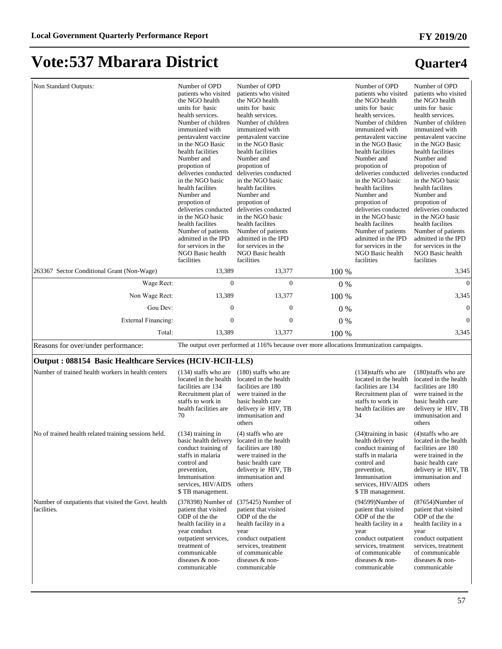#### Non Standard Outputs: Number of OPD patients who visited the NGO health units for basic health services. Number of children immunized with pentavalent vaccine in the NGO Basic health facilities Number and propotion of deliveries conducted in the NGO basic health facilites Number and propotion of deliveries conducted deliveries conducted in the NGO basic health facilites Number of patients admitted in the IPD for services in the NGO Basic health facilities Number of OPD patients who visited the NGO health units for basic health services. Number of children immunized with pentavalent vaccine in the NGO Basic health facilities Number and propotion of deliveries conducted in the NGO basic health facilites Number and propotion of in the NGO basic health facilites Number of patients admitted in the IPD for services in the NGO Basic health facilities Number of OPD patients who visited the NGO health units for basic health services. Number of children immunized with pentavalent vaccine in the NGO Basic health facilities Number and propotion of deliveries conducted in the NGO basic health facilites Number and propotion of deliveries conducted in the NGO basic health facilites Number of patients admitted in the IPD for services in the NGO Basic health facilities Number of OPD patients who visited the NGO health units for basic health services. Number of children immunized with pentavalent vaccine in the NGO Basic health facilities Number and propotion of deliveries conducted in the NGO basic health facilites Number and propotion of deliveries conducted in the NGO basic health facilites Number of patients admitted in the IPD for services in the NGO Basic health facilities 263367 Sector Conditional Grant (Non-Wage) 13,389 13,377 100 % 3,345 :DJH5HFW 0 0 0 % 0 Non Wage Rect: 13,389 13,377 100 % 3,345 \*RX'HY 0 0 0 % 0 ([WHUQDO)LQDQFLQJ 0 0 0 % 0 Total: 13,389 13,377 100 % 3,345 Reasons for over/under performance: The output over performed at 116% because over more allocations Immunization campaigns.

#### **Output : 088154 Basic Healthcare Services (HCIV-HCII-LLS)**

| Number of trained health workers in health centers                 | $(134)$ staffs who are<br>located in the health<br>facilities are 134<br>Recruitment plan of<br>staffs to work in<br>health facilities are<br>70                                                  | $(180)$ staffs who are<br>located in the health<br>facilities are 180<br>were trained in the<br>basic health care<br>delivery ie HIV, TB<br>immunisation and<br>others                            | $(134)$ staffs who are<br>located in the health<br>facilities are 134<br>Recruitment plan of<br>staffs to work in<br>health facilities are<br>34                                                 | $(180)$ staffs who are<br>located in the health<br>facilities are 180<br>were trained in the<br>basic health care<br>delivery ie HIV, TB<br>immunisation and<br>others                           |
|--------------------------------------------------------------------|---------------------------------------------------------------------------------------------------------------------------------------------------------------------------------------------------|---------------------------------------------------------------------------------------------------------------------------------------------------------------------------------------------------|--------------------------------------------------------------------------------------------------------------------------------------------------------------------------------------------------|--------------------------------------------------------------------------------------------------------------------------------------------------------------------------------------------------|
| No of trained health related training sessions held.               | $(134)$ training in<br>basic health delivery<br>conduct training of<br>staffs in malaria<br>control and<br>prevention,<br>Immunisation<br>services, HIV/AIDS<br>\$TB management.                  | $(4)$ staffs who are<br>located in the health<br>facilities are 180<br>were trained in the<br>basic health care<br>delivery ie HIV, TB<br>immunisation and<br>others                              | (34) training in basic<br>health delivery<br>conduct training of<br>staffs in malaria<br>control and<br>prevention,<br>Immunisation<br>services, HIV/AIDS<br>\$TB management.                    | $(4)$ staffs who are<br>located in the health<br>facilities are 180<br>were trained in the<br>basic health care<br>delivery ie HIV, TB<br>immunisation and<br>others                             |
| Number of outpatients that visited the Govt. health<br>facilities. | $(378398)$ Number of<br>patient that visited<br>ODP of the the<br>health facility in a<br>year conduct<br>outpatient services,<br>treatment of<br>communicable<br>diseases & non-<br>communicable | $(375425)$ Number of<br>patient that visited<br>ODP of the the<br>health facility in a<br>year<br>conduct outpatient<br>services, treatment<br>of communicable<br>diseases & non-<br>communicable | $(94599)$ Number of<br>patient that visited<br>ODP of the the<br>health facility in a<br>year<br>conduct outpatient<br>services, treatment<br>of communicable<br>diseases & non-<br>communicable | $(87654)$ Number of<br>patient that visited<br>ODP of the the<br>health facility in a<br>year<br>conduct outpatient<br>services, treatment<br>of communicable<br>diseases & non-<br>communicable |

57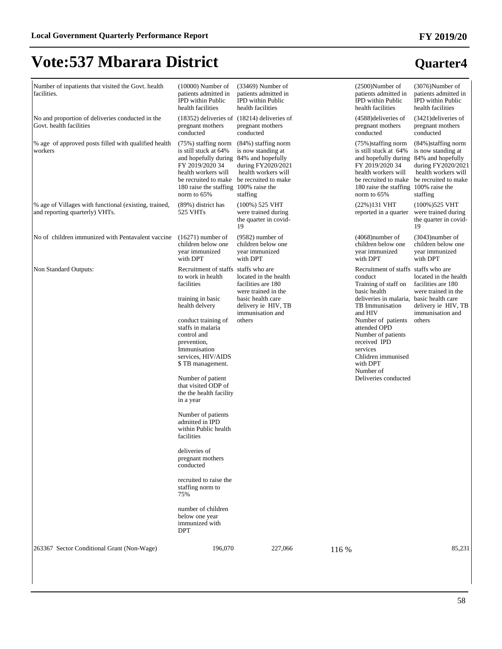| Number of inpatients that visited the Govt. health<br>facilities.                       | $(10000)$ Number of<br>patients admitted in<br><b>IPD</b> within Public<br>health facilities                                                                                                                                                                                                                                                                                                                                                                                                                                                        | $(33469)$ Number of<br>patients admitted in<br><b>IPD</b> within Public<br>health facilities                                                 |       | $(2500)$ Number of<br>patients admitted in<br><b>IPD</b> within Public<br>health facilities                                                                                                                                                                                                                                      | $(3076)$ Number of<br>patients admitted in<br><b>IPD</b> within Public<br>health facilities                             |
|-----------------------------------------------------------------------------------------|-----------------------------------------------------------------------------------------------------------------------------------------------------------------------------------------------------------------------------------------------------------------------------------------------------------------------------------------------------------------------------------------------------------------------------------------------------------------------------------------------------------------------------------------------------|----------------------------------------------------------------------------------------------------------------------------------------------|-------|----------------------------------------------------------------------------------------------------------------------------------------------------------------------------------------------------------------------------------------------------------------------------------------------------------------------------------|-------------------------------------------------------------------------------------------------------------------------|
| No and proportion of deliveries conducted in the<br>Govt. health facilities             | pregnant mothers<br>conducted                                                                                                                                                                                                                                                                                                                                                                                                                                                                                                                       | $(18352)$ deliveries of $(18214)$ deliveries of<br>pregnant mothers<br>conducted                                                             |       | (4588) deliveries of<br>pregnant mothers<br>conducted                                                                                                                                                                                                                                                                            | $(3421)$ deliveries of<br>pregnant mothers<br>conducted                                                                 |
| % age of approved posts filled with qualified health<br>workers                         | (75%) staffing norm<br>is still stuck at 64%<br>and hopefully during 84% and hopefully<br>FY 2019/2020 34<br>health workers will<br>be recruited to make<br>180 raise the staffing 100% raise the<br>norm to $65%$                                                                                                                                                                                                                                                                                                                                  | (84%) staffing norm<br>is now standing at<br>during FY2020/2021<br>health workers will<br>be recruited to make<br>staffing                   |       | (75%) staffing norm<br>is still stuck at 64%<br>and hopefully during 84% and hopefully<br>FY 2019/2020 34<br>health workers will<br>be recruited to make be recruited to make<br>180 raise the staffing 100% raise the<br>norm to 65%                                                                                            | (84%) staffing norm<br>is now standing at<br>during FY2020/2021<br>health workers will<br>staffing                      |
| % age of Villages with functional (existing, trained,<br>and reporting quarterly) VHTs. | (89%) district has<br>525 VHTs                                                                                                                                                                                                                                                                                                                                                                                                                                                                                                                      | $(100\%)$ 525 VHT<br>were trained during<br>the quarter in covid-<br>19                                                                      |       | $(22%)131 \text{ VHT}$<br>reported in a quarter                                                                                                                                                                                                                                                                                  | (100%)525 VHT<br>were trained during<br>the quarter in covid-<br>19                                                     |
| No of children immunized with Pentavalent vaccine                                       | $(16271)$ number of<br>children below one<br>vear immunized<br>with DPT                                                                                                                                                                                                                                                                                                                                                                                                                                                                             | $(9582)$ number of<br>children below one<br>vear immunized<br>with DPT                                                                       |       | $(4068)$ number of<br>children below one<br>year immunized<br>with DPT                                                                                                                                                                                                                                                           | $(3043)$ number of<br>children below one<br>vear immunized<br>with DPT                                                  |
| Non Standard Outputs:                                                                   | Recruitment of staffs staffs who are<br>to work in health<br>facilities<br>training in basic<br>health delvery<br>conduct training of<br>staffs in malaria<br>control and<br>prevention,<br>Immunisation<br>services, HIV/AIDS<br>\$ TB management.<br>Number of patient<br>that visited ODP of<br>the the health facility<br>in a year<br>Number of patients<br>admitted in IPD<br>within Public health<br>facilities<br>deliveries of<br>pregnant mothers<br>conducted<br>recruited to raise the<br>staffing norm to<br>75%<br>number of children | located in the health<br>facilities are 180<br>were trained in the<br>basic health care<br>delivery ie HIV, TB<br>immunisation and<br>others |       | Recruitment of staffs staffs who are<br>conduct<br>Training of staff on<br>basic health<br>deliveries in malaria, basic health care<br>TB Immunisation<br>and HIV<br>Number of patients<br>attended OPD<br>Number of patients<br>received IPD<br>services<br>Chlidren immunised<br>with DPT<br>Number of<br>Deliveries conducted | located in the health<br>facilities are 180<br>were trained in the<br>delivery ie HIV, TB<br>immunisation and<br>others |
|                                                                                         | below one year<br>immunized with<br><b>DPT</b>                                                                                                                                                                                                                                                                                                                                                                                                                                                                                                      |                                                                                                                                              |       |                                                                                                                                                                                                                                                                                                                                  |                                                                                                                         |
| 263367 Sector Conditional Grant (Non-Wage)                                              | 196,070                                                                                                                                                                                                                                                                                                                                                                                                                                                                                                                                             | 227,066                                                                                                                                      | 116 % |                                                                                                                                                                                                                                                                                                                                  | 85,231                                                                                                                  |

### 58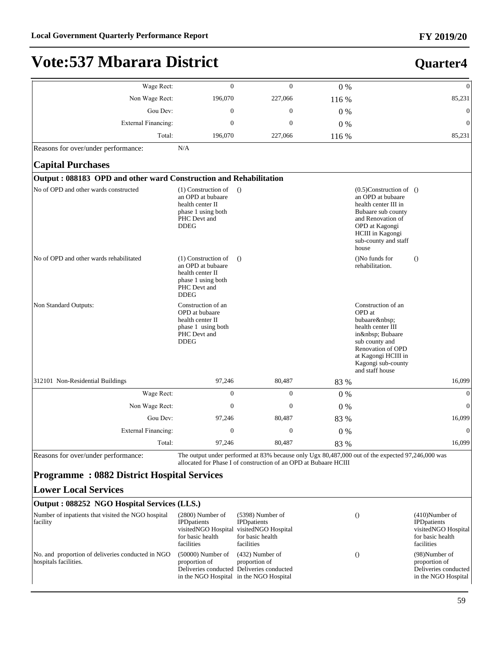**Quarter4**

# **Vote:537 Mbarara District**

| Wage Rect:                                                                 | $\overline{0}$                                                                                                      | $\mathbf{0}$                                                                                                                                                         | 0%    |                                                                                                                                                                                                    | $\overline{0}$                                                                                    |
|----------------------------------------------------------------------------|---------------------------------------------------------------------------------------------------------------------|----------------------------------------------------------------------------------------------------------------------------------------------------------------------|-------|----------------------------------------------------------------------------------------------------------------------------------------------------------------------------------------------------|---------------------------------------------------------------------------------------------------|
| Non Wage Rect:                                                             | 196,070                                                                                                             | 227,066                                                                                                                                                              | 116 % |                                                                                                                                                                                                    | 85,231                                                                                            |
| Gou Dev:                                                                   | $\boldsymbol{0}$                                                                                                    | $\boldsymbol{0}$                                                                                                                                                     | $0\%$ |                                                                                                                                                                                                    | $\boldsymbol{0}$                                                                                  |
| <b>External Financing:</b>                                                 | $\boldsymbol{0}$                                                                                                    | $\boldsymbol{0}$                                                                                                                                                     | 0%    |                                                                                                                                                                                                    | $\overline{0}$                                                                                    |
| Total:                                                                     | 196,070                                                                                                             | 227,066                                                                                                                                                              | 116 % |                                                                                                                                                                                                    | 85,231                                                                                            |
| Reasons for over/under performance:                                        | N/A                                                                                                                 |                                                                                                                                                                      |       |                                                                                                                                                                                                    |                                                                                                   |
| <b>Capital Purchases</b>                                                   |                                                                                                                     |                                                                                                                                                                      |       |                                                                                                                                                                                                    |                                                                                                   |
| Output: 088183 OPD and other ward Construction and Rehabilitation          |                                                                                                                     |                                                                                                                                                                      |       |                                                                                                                                                                                                    |                                                                                                   |
| No of OPD and other wards constructed                                      | $(1)$ Construction of<br>an OPD at bubaare<br>health center II<br>phase 1 using both<br>PHC Devt and<br><b>DDEG</b> | $\theta$                                                                                                                                                             |       | $(0.5)$ Construction of $()$<br>an OPD at bubaare<br>health center III in<br>Bubaare sub county<br>and Renovation of<br>OPD at Kagongi<br><b>HCIII</b> in Kagongi<br>sub-county and staff<br>house |                                                                                                   |
| No of OPD and other wards rehabilitated                                    | $(1)$ Construction of<br>an OPD at bubaare<br>health center II<br>phase 1 using both<br>PHC Devt and<br><b>DDEG</b> | $\Omega$                                                                                                                                                             |       | ()No funds for<br>rehabilitation.                                                                                                                                                                  | $\Omega$                                                                                          |
| Non Standard Outputs:                                                      | Construction of an<br>OPD at bubaare<br>health center II<br>phase 1 using both<br>PHC Devt and<br><b>DDEG</b>       |                                                                                                                                                                      |       | Construction of an<br>OPD at<br>bubaare<br>health center III<br>in  Bubaare<br>sub county and<br>Renovation of OPD<br>at Kagongi HCIII in<br>Kagongi sub-county<br>and staff house                 |                                                                                                   |
| 312101 Non-Residential Buildings                                           | 97,246                                                                                                              | 80,487                                                                                                                                                               | 83 %  |                                                                                                                                                                                                    | 16,099                                                                                            |
| Wage Rect:                                                                 | $\boldsymbol{0}$                                                                                                    | $\mathbf{0}$                                                                                                                                                         | 0%    |                                                                                                                                                                                                    | $\mathbf{0}$                                                                                      |
| Non Wage Rect:                                                             | $\boldsymbol{0}$                                                                                                    | $\boldsymbol{0}$                                                                                                                                                     | $0\%$ |                                                                                                                                                                                                    | $\overline{0}$                                                                                    |
| Gou Dev:                                                                   | 97,246                                                                                                              | 80,487                                                                                                                                                               | 83 %  |                                                                                                                                                                                                    | 16,099                                                                                            |
| External Financing:                                                        | $\boldsymbol{0}$                                                                                                    | $\boldsymbol{0}$                                                                                                                                                     | 0%    |                                                                                                                                                                                                    | $\overline{0}$                                                                                    |
| Total:                                                                     | 97,246                                                                                                              | 80,487                                                                                                                                                               | 83 %  |                                                                                                                                                                                                    | 16,099                                                                                            |
| Reasons for over/under performance:                                        |                                                                                                                     | The output under performed at 83% because only Ugx 80,487,000 out of the expected 97,246,000 was<br>allocated for Phase I of construction of an OPD at Bubaare HCIII |       |                                                                                                                                                                                                    |                                                                                                   |
| <b>Programme: 0882 District Hospital Services</b>                          |                                                                                                                     |                                                                                                                                                                      |       |                                                                                                                                                                                                    |                                                                                                   |
| <b>Lower Local Services</b>                                                |                                                                                                                     |                                                                                                                                                                      |       |                                                                                                                                                                                                    |                                                                                                   |
| Output: 088252 NGO Hospital Services (LLS.)                                |                                                                                                                     |                                                                                                                                                                      |       |                                                                                                                                                                                                    |                                                                                                   |
| Number of inpatients that visited the NGO hospital<br>facility             | $(2800)$ Number of<br><b>IPD</b> patients<br>for basic health<br>facilities                                         | $(5398)$ Number of<br><b>IPD</b> patients<br>visitedNGO Hospital visitedNGO Hospital<br>for basic health<br>facilities                                               |       | $\theta$                                                                                                                                                                                           | $(410)$ Number of<br><b>IPD</b> patients<br>visitedNGO Hospital<br>for basic health<br>facilities |
| No. and proportion of deliveries conducted in NGO<br>hospitals facilities. | $(50000)$ Number of<br>proportion of                                                                                | $(432)$ Number of<br>proportion of<br>Deliveries conducted Deliveries conducted<br>in the NGO Hospital in the NGO Hospital                                           |       | $\theta$                                                                                                                                                                                           | (98)Number of<br>proportion of<br>Deliveries conducted<br>in the NGO Hospital                     |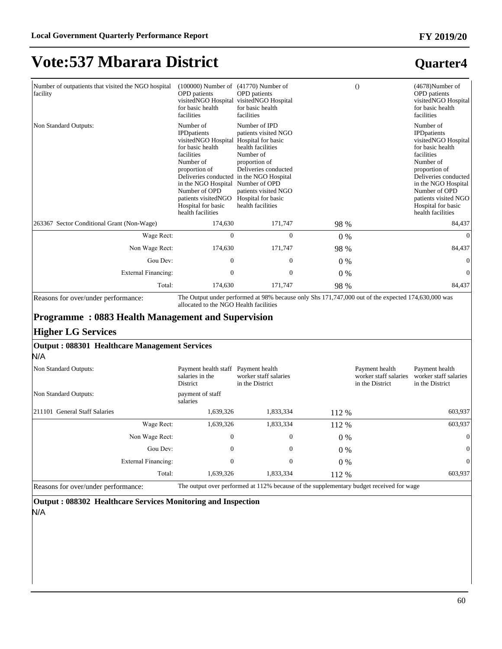### **Quarter4**

| Number of outpatients that visited the NGO hospital<br>facility | $(100000)$ Number of<br><b>OPD</b> patients<br>visitedNGO Hospital<br>for basic health<br>facilities                                                                                                                                                                                        | $(41770)$ Number of<br><b>OPD</b> patients<br>visitedNGO Hospital<br>for basic health<br>facilities                                                                                                       |       | $\Omega$ | $(4678)$ Number of<br><b>OPD</b> patients<br>visitedNGO Hospital<br>for basic health<br>facilities                                                                                                                                                         |
|-----------------------------------------------------------------|---------------------------------------------------------------------------------------------------------------------------------------------------------------------------------------------------------------------------------------------------------------------------------------------|-----------------------------------------------------------------------------------------------------------------------------------------------------------------------------------------------------------|-------|----------|------------------------------------------------------------------------------------------------------------------------------------------------------------------------------------------------------------------------------------------------------------|
| Non Standard Outputs:                                           | Number of<br><b>IPD</b> patients<br>visitedNGO Hospital<br>for basic health<br>facilities<br>Number of<br>proportion of<br>Deliveries conducted in the NGO Hospital<br>in the NGO Hospital Number of OPD<br>Number of OPD<br>patients visitedNGO<br>Hospital for basic<br>health facilities | Number of IPD<br>patients visited NGO<br>Hospital for basic<br>health facilities<br>Number of<br>proportion of<br>Deliveries conducted<br>patients visited NGO<br>Hospital for basic<br>health facilities |       |          | Number of<br><b>IPD</b> patients<br>visitedNGO Hospital<br>for basic health<br>facilities<br>Number of<br>proportion of<br>Deliveries conducted<br>in the NGO Hospital<br>Number of OPD<br>patients visited NGO<br>Hospital for basic<br>health facilities |
| 263367 Sector Conditional Grant (Non-Wage)                      | 174,630                                                                                                                                                                                                                                                                                     | 171,747                                                                                                                                                                                                   | 98 %  |          | 84,437                                                                                                                                                                                                                                                     |
| Wage Rect:                                                      | $\Omega$                                                                                                                                                                                                                                                                                    | $\Omega$                                                                                                                                                                                                  | $0\%$ |          | $\Omega$                                                                                                                                                                                                                                                   |
| Non Wage Rect:                                                  | 174,630                                                                                                                                                                                                                                                                                     | 171,747                                                                                                                                                                                                   | 98 %  |          | 84,437                                                                                                                                                                                                                                                     |
| Gou Dev:                                                        | $\mathbf{0}$                                                                                                                                                                                                                                                                                | 0                                                                                                                                                                                                         | $0\%$ |          | $\Omega$                                                                                                                                                                                                                                                   |
| External Financing:                                             | $\mathbf{0}$                                                                                                                                                                                                                                                                                | $\mathbf{0}$                                                                                                                                                                                              | $0\%$ |          | $\Omega$                                                                                                                                                                                                                                                   |
| Total:                                                          | 174,630                                                                                                                                                                                                                                                                                     | 171,747                                                                                                                                                                                                   | 98 %  |          | 84,437                                                                                                                                                                                                                                                     |

Reasons for over/under performance: The Output under performed at 98% because only Shs 171,747,000 out of the expected 174,630,000 was allocated to the NGO Health facilities

### **Programme : 0883 Health Management and Supervision**

#### **Higher LG Services**

#### **Output : 088301 Healthcare Management Services**

N/A

| Non Standard Outputs:               | Payment health staff Payment health<br>salaries in the<br>District                      | worker staff salaries<br>in the District |       | Payment health<br>worker staff salaries<br>in the District | Payment health<br>worker staff salaries<br>in the District |
|-------------------------------------|-----------------------------------------------------------------------------------------|------------------------------------------|-------|------------------------------------------------------------|------------------------------------------------------------|
| Non Standard Outputs:               | payment of staff<br>salaries                                                            |                                          |       |                                                            |                                                            |
| 211101 General Staff Salaries       | 1,639,326                                                                               | 1,833,334                                | 112 % |                                                            | 603,937                                                    |
| Wage Rect:                          | 1,639,326                                                                               | 1,833,334                                | 112 % |                                                            | 603,937                                                    |
| Non Wage Rect:                      | $\overline{0}$                                                                          | $\mathbf{0}$                             | $0\%$ |                                                            | $\overline{0}$                                             |
| Gou Dev:                            | $\mathbf{0}$                                                                            | $\mathbf{0}$                             | $0\%$ |                                                            | $\Omega$                                                   |
| External Financing:                 | $\mathbf{0}$                                                                            | $\mathbf{0}$                             | $0\%$ |                                                            | $\theta$                                                   |
| Total:                              | 1,639,326                                                                               | 1,833,334                                | 112 % |                                                            | 603,937                                                    |
| Reasons for over/under performance: | The output over performed at 112% because of the supplementary budget received for wage |                                          |       |                                                            |                                                            |

**Output : 088302 Healthcare Services Monitoring and Inspection** N/A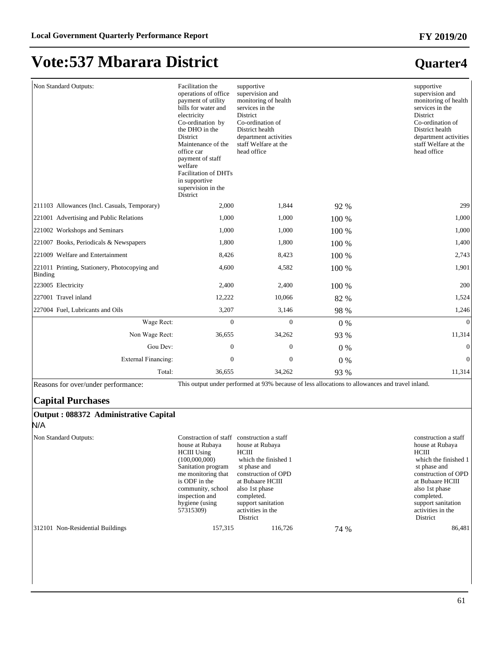| Non Standard Outputs:                                    | Facilitation the<br>operations of office<br>payment of utility<br>bills for water and<br>electricity<br>Co-ordination by<br>the DHO in the<br><b>District</b><br>Maintenance of the<br>office car<br>payment of staff<br>welfare<br><b>Facilitation of DHTs</b><br>in supportive<br>supervision in the<br>District | supportive<br>supervision and<br>monitoring of health<br>services in the<br>District<br>Co-ordination of<br>District health<br>department activities<br>staff Welfare at the<br>head office |         | supportive<br>supervision and<br>monitoring of health<br>services in the<br><b>District</b><br>Co-ordination of<br>District health<br>department activities<br>staff Welfare at the<br>head office |
|----------------------------------------------------------|--------------------------------------------------------------------------------------------------------------------------------------------------------------------------------------------------------------------------------------------------------------------------------------------------------------------|---------------------------------------------------------------------------------------------------------------------------------------------------------------------------------------------|---------|----------------------------------------------------------------------------------------------------------------------------------------------------------------------------------------------------|
| 211103 Allowances (Incl. Casuals, Temporary)             | 2,000                                                                                                                                                                                                                                                                                                              | 1.844                                                                                                                                                                                       | 92 %    | 299                                                                                                                                                                                                |
| 221001 Advertising and Public Relations                  | 1,000                                                                                                                                                                                                                                                                                                              | 1,000                                                                                                                                                                                       | 100 %   | 1,000                                                                                                                                                                                              |
| 221002 Workshops and Seminars                            | 1,000                                                                                                                                                                                                                                                                                                              | 1,000                                                                                                                                                                                       | 100 %   | 1,000                                                                                                                                                                                              |
| 221007 Books, Periodicals & Newspapers                   | 1,800                                                                                                                                                                                                                                                                                                              | 1,800                                                                                                                                                                                       | 100 %   | 1,400                                                                                                                                                                                              |
| 221009 Welfare and Entertainment                         | 8,426                                                                                                                                                                                                                                                                                                              | 8,423                                                                                                                                                                                       | 100 %   | 2,743                                                                                                                                                                                              |
| 221011 Printing, Stationery, Photocopying and<br>Binding | 4.600                                                                                                                                                                                                                                                                                                              | 4,582                                                                                                                                                                                       | 100 %   | 1,901                                                                                                                                                                                              |
| 223005 Electricity                                       | 2,400                                                                                                                                                                                                                                                                                                              | 2,400                                                                                                                                                                                       | $100\%$ | 200                                                                                                                                                                                                |
| 227001 Travel inland                                     | 12,222                                                                                                                                                                                                                                                                                                             | 10.066                                                                                                                                                                                      | 82 %    | 1,524                                                                                                                                                                                              |
| 227004 Fuel, Lubricants and Oils                         | 3,207                                                                                                                                                                                                                                                                                                              | 3,146                                                                                                                                                                                       | 98 %    | 1,246                                                                                                                                                                                              |
| Wage Rect:                                               | $\Omega$                                                                                                                                                                                                                                                                                                           | $\Omega$                                                                                                                                                                                    | $0\%$   | $\Omega$                                                                                                                                                                                           |
| Non Wage Rect:                                           | 36,655                                                                                                                                                                                                                                                                                                             | 34,262                                                                                                                                                                                      | 93 %    | 11,314                                                                                                                                                                                             |
| Gou Dev:                                                 | $\mathbf{0}$                                                                                                                                                                                                                                                                                                       | $\Omega$                                                                                                                                                                                    | $0\%$   | $\mathbf{0}$                                                                                                                                                                                       |
| <b>External Financing:</b>                               | $\mathbf{0}$                                                                                                                                                                                                                                                                                                       | $\overline{0}$                                                                                                                                                                              | 0%      | $\mathbf{0}$                                                                                                                                                                                       |
| Total:                                                   | 36,655                                                                                                                                                                                                                                                                                                             | 34,262                                                                                                                                                                                      | 93 %    | 11,314                                                                                                                                                                                             |

Reasons for over/under performance: This output under performed at 93% because of less allocations to allowances and travel inland.

### **Capital Purchases**

| Output : 088372 Administrative Capital<br>N/A |                                                                                                                                                                                                                    |                                                                                                                                                                                                                            |      |                                                                                                                                                                                                                            |
|-----------------------------------------------|--------------------------------------------------------------------------------------------------------------------------------------------------------------------------------------------------------------------|----------------------------------------------------------------------------------------------------------------------------------------------------------------------------------------------------------------------------|------|----------------------------------------------------------------------------------------------------------------------------------------------------------------------------------------------------------------------------|
| Non Standard Outputs:                         | Constraction of staff<br>house at Rubaya<br><b>HCIII</b> Using<br>(100,000,000)<br>Sanitation program<br>me monitoring that<br>is ODF in the<br>community, school<br>inspection and<br>hygiene (using<br>57315309) | construction a staff<br>house at Rubaya<br>HCIII<br>which the finished 1<br>st phase and<br>construction of OPD<br>at Bubaare HCIII<br>also 1st phase<br>completed.<br>support sanitation<br>activities in the<br>District |      | construction a staff<br>house at Rubaya<br>HCIII<br>which the finished 1<br>st phase and<br>construction of OPD<br>at Bubaare HCIII<br>also 1st phase<br>completed.<br>support sanitation<br>activities in the<br>District |
| 312101 Non-Residential Buildings              | 157,315                                                                                                                                                                                                            | 116,726                                                                                                                                                                                                                    | 74 % | 86,481                                                                                                                                                                                                                     |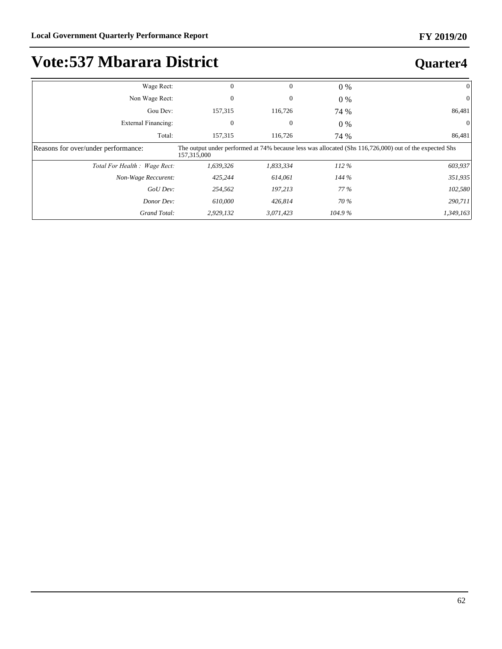| Wage Rect:                          | $\mathbf{0}$ | $\theta$  | $0\%$  | $\Omega$                                                                                               |
|-------------------------------------|--------------|-----------|--------|--------------------------------------------------------------------------------------------------------|
| Non Wage Rect:                      | 0            | 0         | $0\%$  | $\theta$                                                                                               |
| Gou Dev:                            | 157,315      | 116,726   | 74 %   | 86,481                                                                                                 |
| External Financing:                 | $\Omega$     | $\theta$  | $0\%$  |                                                                                                        |
| Total:                              | 157,315      | 116,726   | 74 %   | 86,481                                                                                                 |
| Reasons for over/under performance: | 157,315,000  |           |        | The output under performed at 74% because less was allocated (Shs 116,726,000) out of the expected Shs |
| Total For Health : Wage Rect:       | 1,639,326    | 1,833,334 | 112%   | 603,937                                                                                                |
| Non-Wage Reccurent:                 | 425,244      | 614,061   | 144%   | 351,935                                                                                                |
| GoU Dev:                            | 254,562      | 197,213   | 77 %   | 102,580                                                                                                |
| Donor Dev:                          | 610,000      | 426.814   | 70 %   | 290,711                                                                                                |
| Grand Total:                        | 2,929,132    | 3,071,423 | 104.9% | 1,349,163                                                                                              |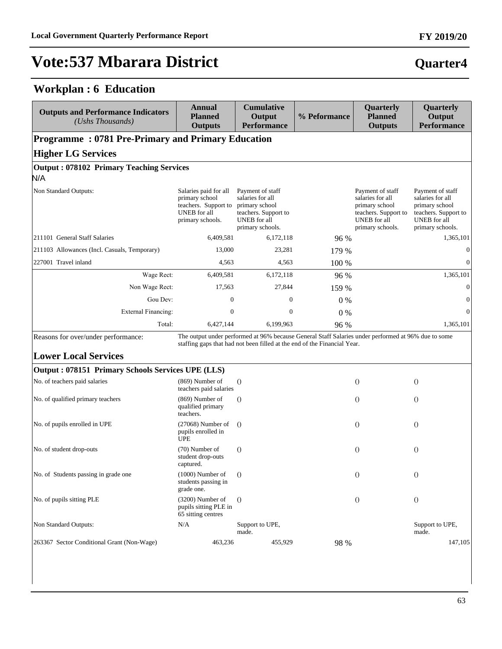### **Workplan : 6 Education**

| <b>Outputs and Performance Indicators</b><br>(Ushs Thousands)      | <b>Annual</b><br><b>Planned</b><br><b>Outputs</b>                                                          | <b>Cumulative</b><br>Output<br><b>Performance</b>                                                                                                                               | % Peformance | Quarterly<br><b>Planned</b><br><b>Outputs</b>                                                                             | Quarterly<br>Output<br><b>Performance</b>                                                                                 |
|--------------------------------------------------------------------|------------------------------------------------------------------------------------------------------------|---------------------------------------------------------------------------------------------------------------------------------------------------------------------------------|--------------|---------------------------------------------------------------------------------------------------------------------------|---------------------------------------------------------------------------------------------------------------------------|
| <b>Programme: 0781 Pre-Primary and Primary Education</b>           |                                                                                                            |                                                                                                                                                                                 |              |                                                                                                                           |                                                                                                                           |
| <b>Higher LG Services</b>                                          |                                                                                                            |                                                                                                                                                                                 |              |                                                                                                                           |                                                                                                                           |
| <b>Output: 078102 Primary Teaching Services</b><br>N/A             |                                                                                                            |                                                                                                                                                                                 |              |                                                                                                                           |                                                                                                                           |
| Non Standard Outputs:                                              | Salaries paid for all<br>primary school<br>teachers. Support to<br><b>UNEB</b> for all<br>primary schools. | Payment of staff<br>salaries for all<br>primary school<br>teachers. Support to<br><b>UNEB</b> for all<br>primary schools.                                                       |              | Payment of staff<br>salaries for all<br>primary school<br>teachers. Support to<br><b>UNEB</b> for all<br>primary schools. | Payment of staff<br>salaries for all<br>primary school<br>teachers. Support to<br><b>UNEB</b> for all<br>primary schools. |
| 211101 General Staff Salaries                                      | 6,409,581                                                                                                  | 6,172,118                                                                                                                                                                       | 96 %         |                                                                                                                           | 1,365,101                                                                                                                 |
| 211103 Allowances (Incl. Casuals, Temporary)                       | 13,000                                                                                                     | 23,281                                                                                                                                                                          | 179 %        |                                                                                                                           | $\mathbf{0}$                                                                                                              |
| 227001 Travel inland                                               | 4,563                                                                                                      | 4,563                                                                                                                                                                           | 100 %        |                                                                                                                           | $\Omega$                                                                                                                  |
| Wage Rect:                                                         | 6,409,581                                                                                                  | 6,172,118                                                                                                                                                                       | 96 %         |                                                                                                                           | 1,365,101                                                                                                                 |
| Non Wage Rect:                                                     | 17,563                                                                                                     | 27,844                                                                                                                                                                          | 159 %        |                                                                                                                           | $\boldsymbol{0}$                                                                                                          |
| Gou Dev:                                                           | $\mathbf{0}$                                                                                               | $\boldsymbol{0}$                                                                                                                                                                | $0\%$        |                                                                                                                           | $\mathbf{0}$                                                                                                              |
| <b>External Financing:</b>                                         | $\boldsymbol{0}$                                                                                           | $\boldsymbol{0}$                                                                                                                                                                | 0%           |                                                                                                                           | $\Omega$                                                                                                                  |
| Total:                                                             | 6,427,144                                                                                                  | 6,199,963                                                                                                                                                                       | 96 %         |                                                                                                                           | 1,365,101                                                                                                                 |
| Reasons for over/under performance:<br><b>Lower Local Services</b> |                                                                                                            | The output under performed at 96% because General Staff Salaries under performed at 96% due to some<br>staffing gaps that had not been filled at the end of the Financial Year. |              |                                                                                                                           |                                                                                                                           |
| Output: 078151 Primary Schools Services UPE (LLS)                  |                                                                                                            |                                                                                                                                                                                 |              |                                                                                                                           |                                                                                                                           |
| No. of teachers paid salaries                                      | $(869)$ Number of<br>teachers paid salaries                                                                | $\left( \right)$                                                                                                                                                                |              | $\Omega$                                                                                                                  | $\theta$                                                                                                                  |
| No. of qualified primary teachers                                  | $(869)$ Number of<br>qualified primary<br>teachers.                                                        | $\Omega$                                                                                                                                                                        |              | $\theta$                                                                                                                  | $\theta$                                                                                                                  |
| No. of pupils enrolled in UPE                                      | $(27068)$ Number of<br>pupils enrolled in<br><b>UPE</b>                                                    | $\left( \right)$                                                                                                                                                                |              | $\theta$                                                                                                                  | $\left( \right)$                                                                                                          |
| No. of student drop-outs                                           | (70) Number of<br>student drop-outs<br>captured.                                                           | $\Omega$                                                                                                                                                                        |              | $\Omega$                                                                                                                  | $\theta$                                                                                                                  |
| No. of Students passing in grade one                               | $(1000)$ Number of<br>students passing in<br>grade one.                                                    | $\Omega$                                                                                                                                                                        |              | $\theta$                                                                                                                  | $\theta$                                                                                                                  |
| No. of pupils sitting PLE                                          | (3200) Number of<br>pupils sitting PLE in<br>65 sitting centres                                            | $\Omega$                                                                                                                                                                        |              | $\theta$                                                                                                                  | $\bigcirc$                                                                                                                |
| Non Standard Outputs:                                              | N/A                                                                                                        | Support to UPE,<br>made.                                                                                                                                                        |              |                                                                                                                           | Support to UPE,<br>made.                                                                                                  |
| 263367 Sector Conditional Grant (Non-Wage)                         | 463,236                                                                                                    | 455,929                                                                                                                                                                         | 98 %         |                                                                                                                           | 147,105                                                                                                                   |

# **Quarter4**

**FY 2019/20**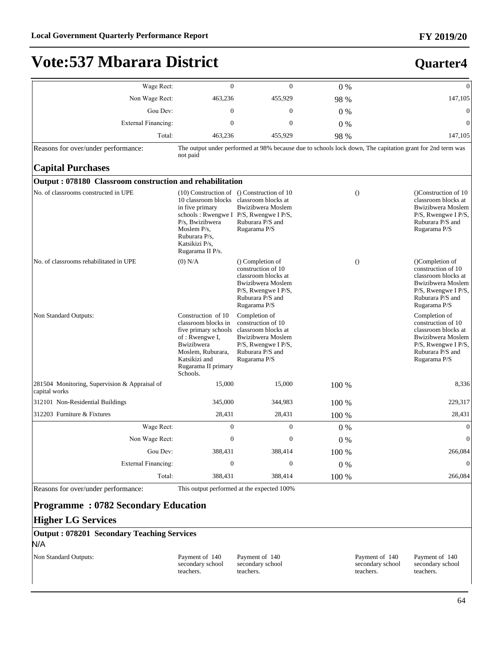#### **FY 2019/20**

**Quarter4**

# **Vote:537 Mbarara District**

| Wage Rect:                                                     | $\overline{0}$                                                                                                                                                                    | $\overline{0}$                                                                                                                                                                  | 0%    | $\theta$                                                                                                                                                       |
|----------------------------------------------------------------|-----------------------------------------------------------------------------------------------------------------------------------------------------------------------------------|---------------------------------------------------------------------------------------------------------------------------------------------------------------------------------|-------|----------------------------------------------------------------------------------------------------------------------------------------------------------------|
| Non Wage Rect:                                                 | 463,236                                                                                                                                                                           | 455,929                                                                                                                                                                         | 98 %  | 147,105                                                                                                                                                        |
| Gou Dev:                                                       | $\overline{0}$                                                                                                                                                                    | $\mathbf{0}$                                                                                                                                                                    | $0\%$ | $\theta$                                                                                                                                                       |
| External Financing:                                            | $\overline{0}$                                                                                                                                                                    | $\overline{0}$                                                                                                                                                                  | $0\%$ | 0                                                                                                                                                              |
| Total:                                                         | 463,236                                                                                                                                                                           | 455,929                                                                                                                                                                         | 98 %  | 147,105                                                                                                                                                        |
| Reasons for over/under performance:                            | not paid                                                                                                                                                                          |                                                                                                                                                                                 |       | The output under performed at 98% because due to schools lock down, The capitation grant for 2nd term was                                                      |
| <b>Capital Purchases</b>                                       |                                                                                                                                                                                   |                                                                                                                                                                                 |       |                                                                                                                                                                |
| Output: 078180 Classroom construction and rehabilitation       |                                                                                                                                                                                   |                                                                                                                                                                                 |       |                                                                                                                                                                |
| No. of classrooms constructed in UPE                           | 10 classroom blocks<br>in five primary<br>P/s, Bwizibwera<br>Moslem $P/s$ ,<br>Ruburara P/s,<br>Katsikizi P/s,<br>Rugarama II P/s.                                                | $(10)$ Construction of $()$ Construction of 10<br>classroom blocks at<br><b>Bwizibwera</b> Moslem<br>schools: Rwengwe I P/S, Rwengwe I P/S,<br>Ruburara P/S and<br>Rugarama P/S |       | $\Omega$<br>(Construction of 10)<br>classroom blocks at<br><b>Bwizibwera</b> Moslem<br>P/S, Rwengwe I P/S,<br>Ruburara P/S and<br>Rugarama P/S                 |
| No. of classrooms rehabilitated in UPE                         | $(0)$ N/A                                                                                                                                                                         | () Completion of<br>construction of 10<br>classroom blocks at<br><b>Bwizibwera</b> Moslem<br>$P/S$ , Rwengwe I $P/S$ ,<br>Ruburara P/S and<br>Rugarama P/S                      |       | $\Omega$<br>(Completion of<br>construction of 10<br>classroom blocks at<br><b>Bwizibwera</b> Moslem<br>P/S, Rwengwe I P/S,<br>Ruburara P/S and<br>Rugarama P/S |
| Non Standard Outputs:                                          | Construction of 10<br>classroom blocks in<br>five primary schools<br>of: Rwengwe I,<br><b>Bwizibwera</b><br>Moslem, Ruburara,<br>Katsikizi and<br>Rugarama II primary<br>Schools. | Completion of<br>construction of 10<br>classroom blocks at<br>Bwizibwera Moslem<br>$P/S$ , Rwengwe I $P/S$ ,<br>Ruburara P/S and<br>Rugarama P/S                                |       | Completion of<br>construction of 10<br>classroom blocks at<br><b>Bwizibwera</b> Moslem<br>$P/S$ , Rwengwe I $P/S$ ,<br>Ruburara P/S and<br>Rugarama P/S        |
| 281504 Monitoring, Supervision & Appraisal of<br>capital works | 15,000                                                                                                                                                                            | 15,000                                                                                                                                                                          | 100 % | 8,336                                                                                                                                                          |
| 312101 Non-Residential Buildings                               | 345,000                                                                                                                                                                           | 344,983                                                                                                                                                                         | 100 % | 229,317                                                                                                                                                        |
| 312203 Furniture & Fixtures                                    | 28,431                                                                                                                                                                            | 28,431                                                                                                                                                                          | 100 % | 28,431                                                                                                                                                         |
| Wage Rect:                                                     | $\overline{0}$                                                                                                                                                                    | $\overline{0}$                                                                                                                                                                  | $0\%$ | $\theta$                                                                                                                                                       |
| Non Wage Rect:                                                 | $\mathbf{0}$                                                                                                                                                                      | $\mathbf{0}$                                                                                                                                                                    | 0%    | $\Omega$                                                                                                                                                       |
| Gou Dev:                                                       | 388,431                                                                                                                                                                           | 388,414                                                                                                                                                                         | 100 % | 266,084                                                                                                                                                        |
| External Financing:                                            | $\boldsymbol{0}$                                                                                                                                                                  | $\boldsymbol{0}$                                                                                                                                                                | $0\%$ | $\theta$                                                                                                                                                       |
| Total:                                                         | 388,431                                                                                                                                                                           | 388,414                                                                                                                                                                         | 100 % | 266,084                                                                                                                                                        |

Reasons for over/under performance: This output performed at the expected 100%

### **Programme : 0782 Secondary Education**

#### **Higher LG Services**

**Output : 078201 Secondary Teaching Services** N/A

Non Standard Outputs: Payment of 140

secondary school teachers.

Payment of 140 secondary school teachers.

Payment of 140 secondary school teachers.

Payment of 140 secondary school teachers.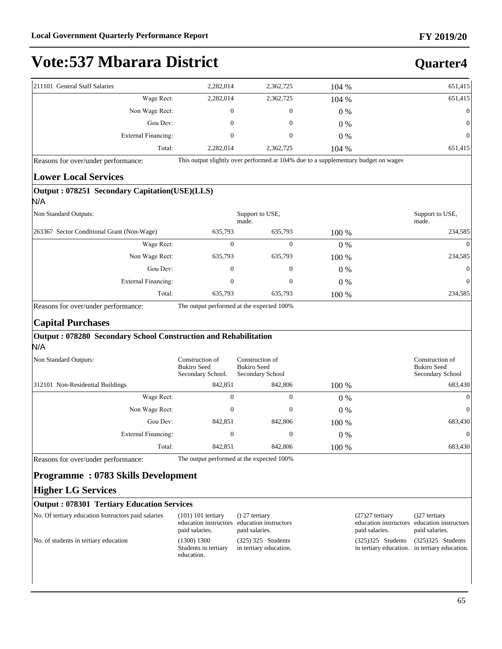**Quarter4**

# **Vote:537 Mbarara District**

| 211101 General Staff Salaries |                     | 2,282,014 | 2,362,725      | 104 % | 651,415        |
|-------------------------------|---------------------|-----------|----------------|-------|----------------|
|                               | Wage Rect:          | 2,282,014 | 2,362,725      | 104 % | 651,415        |
|                               | Non Wage Rect:      | 0         | $\overline{0}$ | $0\%$ | $\overline{0}$ |
|                               | Gou Dev:            | 0         | $\mathbf{0}$   | $0\%$ | $\overline{0}$ |
|                               | External Financing: |           | 0              | $0\%$ | $\overline{0}$ |
|                               | Total:              | 2,282,014 | 2,362,725      | 104 % | 651,415        |

Reasons for over/under performance: This output slightly over performed at 104% due to a supplementary budget on wages

#### **Lower Local Services**

#### **Output : 078251 Secondary Capitation(USE)(LLS)**

| N/A                                        |              |                  |       |                          |  |
|--------------------------------------------|--------------|------------------|-------|--------------------------|--|
| Non Standard Outputs:                      | made.        | Support to USE,  |       | Support to USE,<br>made. |  |
| 263367 Sector Conditional Grant (Non-Wage) | 635,793      | 635,793          | 100 % | 234,585                  |  |
| Wage Rect:                                 | 0            | 0                | $0\%$ | $\theta$                 |  |
| Non Wage Rect:                             | 635,793      | 635,793          | 100 % | 234,585                  |  |
| Gou Dev:                                   | $\mathbf{0}$ | $\boldsymbol{0}$ | $0\%$ | $\theta$                 |  |
| External Financing:                        | 0            | 0                | $0\%$ | $\theta$                 |  |
| Total:                                     | 635,793      | 635,793          | 100 % | 234,585                  |  |

Reasons for over/under performance: The output performed at the expected 100%

#### **Capital Purchases**

#### **Output : 078280 Secondary School Construction and Rehabilitation** N/A

| Non Standard Outputs:            | Construction of<br><b>Bukiro Seed</b><br>Secondary School. | Construction of<br><b>Bukiro Seed</b><br>Secondary School |       | Construction of<br><b>Bukiro Seed</b><br>Secondary School |
|----------------------------------|------------------------------------------------------------|-----------------------------------------------------------|-------|-----------------------------------------------------------|
| 312101 Non-Residential Buildings | 842,851                                                    | 842,806                                                   | 100 % | 683,430                                                   |
| Wage Rect:                       | 0                                                          | $\mathbf{0}$                                              | $0\%$ | $\Omega$                                                  |
| Non Wage Rect:                   | 0                                                          | $\mathbf{0}$                                              | 0 %   | $\Omega$                                                  |
| Gou Dev:                         | 842,851                                                    | 842,806                                                   | 100 % | 683,430                                                   |
| External Financing:              | $\boldsymbol{0}$                                           | $\boldsymbol{0}$                                          | $0\%$ | $\Omega$                                                  |
| Total:                           | 842,851                                                    | 842,806                                                   | 100 % | 683,430                                                   |

Reasons for over/under performance: The output performed at the expected 100%

### **Programme : 0783 Skills Development**

#### **Higher LG Services**

#### **Output : 078301 Tertiary Education Services**

| No. Of tertiary education Instructors paid salaries | $(101)$ 101 tertiary<br>paid salaries.            | $( ) 27$ tertiary<br>education instructors education instructors<br>paid salaries. | $(27)27$ tertiary<br>paid salaries.                                  | $(27$ tertiary<br>education instructors education instructors<br>paid salaries. |
|-----------------------------------------------------|---------------------------------------------------|------------------------------------------------------------------------------------|----------------------------------------------------------------------|---------------------------------------------------------------------------------|
| No. of students in tertiary education               | (1300) 1300<br>Students in tertiary<br>education. | $(325)$ 325 Students<br>in tertiary education.                                     | $(325)325$ Students<br>in tertiary education. in tertiary education. | $(325)325$ Students                                                             |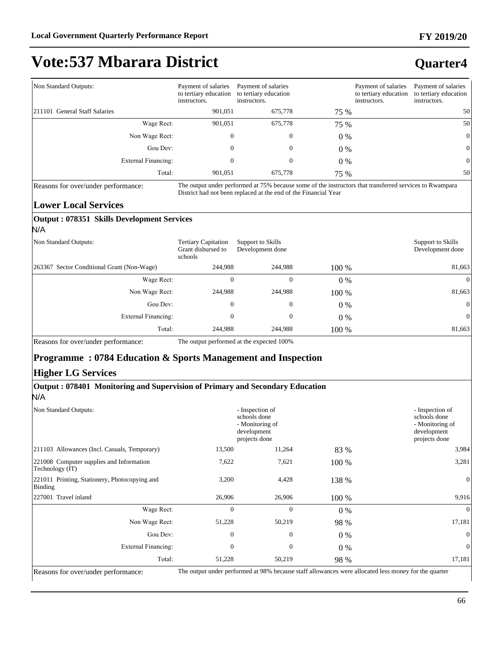#### Non Standard Outputs: Payment of salaries to tertiary education instructors. Payment of salaries to tertiary education instructors. Payment of salaries to tertiary education instructors. Payment of salaries to tertiary education instructors. 211101 General Staff Salaries 601,051 675,778 75 % 50 Wage Rect: 901,051 675,778 75 % 50 Non Wage Rect:  $0$  0 0 0  $0\%$  0 Gou Dev:  $0 \t 0 \t 0 \t 0 \t 0$ ([WHUQDO)LQDQFLQJ 0 0 0 % 0 Total: 901,051 675,778 75 % 50

**Output : 078351 Skills Development Services**

Reasons for over/under performance: The output under performed at 75% because some of the instructors that transferred services to Rwampara District had not been replaced at the end of the Financial Year

#### **Lower Local Services**

| N/A                                         |                                                             |                                       |       |                                       |
|---------------------------------------------|-------------------------------------------------------------|---------------------------------------|-------|---------------------------------------|
| Non Standard Outputs:                       | <b>Tertiary Capitation</b><br>Grant disbursed to<br>schools | Support to Skills<br>Development done |       | Support to Skills<br>Development done |
| [263367 Sector Conditional Grant (Non-Wage) | 244.988                                                     | 244,988                               | 100 % | 81,663                                |
| Wage Rect:                                  | 0                                                           | $\theta$                              | $0\%$ | 0                                     |
| Non Wage Rect:                              | 244,988                                                     | 244,988                               | 100 % | 81,663                                |
| Gou Dev:                                    | $\mathbf{0}$                                                | $\theta$                              | $0\%$ | $\theta$                              |
| <b>External Financing:</b>                  | $\mathbf{0}$                                                | $\mathbf{0}$                          | $0\%$ | $\theta$                              |
| Total:                                      | 244.988                                                     | 244.988                               | 100 % | 81,663                                |
|                                             |                                                             |                                       |       |                                       |

Reasons for over/under performance: The output performed at the expected 100%

### **Programme : 0784 Education & Sports Management and Inspection**

### **Higher LG Services**

#### **Output : 078401 Monitoring and Supervision of Primary and Secondary Education** N/A

| Non Standard Outputs:                                       |                | - Inspection of<br>schools done<br>- Monitoring of<br>development<br>projects done |       | - Inspection of<br>schools done<br>- Monitoring of<br>development<br>projects done |
|-------------------------------------------------------------|----------------|------------------------------------------------------------------------------------|-------|------------------------------------------------------------------------------------|
| [211103 Allowances (Incl. Casuals, Temporary)               | 13,500         | 11,264                                                                             | 83 %  | 3,984                                                                              |
| 221008 Computer supplies and Information<br>Technology (IT) | 7,622          | 7,621                                                                              | 100 % | 3,281                                                                              |
| 221011 Printing, Stationery, Photocopying and<br>Binding    | 3,200          | 4,428                                                                              | 138 % | $\mathbf{0}$                                                                       |
| 227001 Travel inland                                        | 26,906         | 26,906                                                                             | 100 % | 9,916                                                                              |
| Wage Rect:                                                  | $\mathbf{0}$   | $\mathbf{0}$                                                                       | $0\%$ | $\overline{0}$                                                                     |
| Non Wage Rect:                                              | 51,228         | 50,219                                                                             | 98 %  | 17,181                                                                             |
| Gou Dev:                                                    | $\overline{0}$ | $\mathbf{0}$                                                                       | $0\%$ | $\theta$                                                                           |
| <b>External Financing:</b>                                  | $\theta$       | $\Omega$                                                                           | $0\%$ | $\overline{0}$                                                                     |
| Total:                                                      | 51,228         | 50,219                                                                             | 98 %  | 17,181<br>$\sim$ $\sim$<br>$\sim$ $\sim$                                           |

Reasons for over/under performance: The output under performed at 98% because staff allowances were allocated less money for the quarter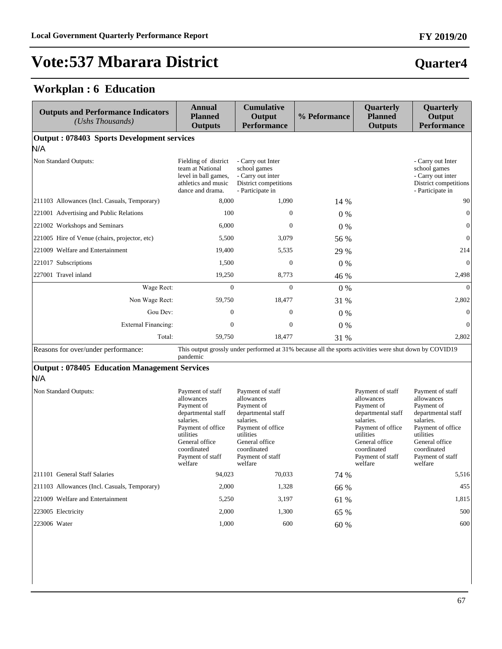**Quarter4**

# **Vote:537 Mbarara District**

### **Workplan : 6 Education**

| <b>Outputs and Performance Indicators</b><br>(Ushs Thousands) | <b>Annual</b><br><b>Planned</b><br><b>Outputs</b>                                                                                                                                 | <b>Cumulative</b><br>Output<br><b>Performance</b>                                                                                                                                 | % Peformance | Quarterly<br><b>Planned</b><br><b>Outputs</b>                                                                                                                                     | Quarterly<br>Output<br><b>Performance</b>                                                                                                                                         |
|---------------------------------------------------------------|-----------------------------------------------------------------------------------------------------------------------------------------------------------------------------------|-----------------------------------------------------------------------------------------------------------------------------------------------------------------------------------|--------------|-----------------------------------------------------------------------------------------------------------------------------------------------------------------------------------|-----------------------------------------------------------------------------------------------------------------------------------------------------------------------------------|
| Output: 078403 Sports Development services                    |                                                                                                                                                                                   |                                                                                                                                                                                   |              |                                                                                                                                                                                   |                                                                                                                                                                                   |
| N/A                                                           |                                                                                                                                                                                   |                                                                                                                                                                                   |              |                                                                                                                                                                                   |                                                                                                                                                                                   |
| Non Standard Outputs:                                         | Fielding of district<br>team at National<br>level in ball games,<br>athletics and music<br>dance and drama.                                                                       | - Carry out Inter<br>school games<br>- Carry out inter<br>District competitions<br>- Participate in                                                                               |              |                                                                                                                                                                                   | - Carry out Inter<br>school games<br>- Carry out inter<br>District competitions<br>- Participate in                                                                               |
| 211103 Allowances (Incl. Casuals, Temporary)                  | 8,000                                                                                                                                                                             | 1,090                                                                                                                                                                             | 14 %         |                                                                                                                                                                                   | 90                                                                                                                                                                                |
| 221001 Advertising and Public Relations                       | 100                                                                                                                                                                               | $\mathbf{0}$                                                                                                                                                                      | $0\%$        |                                                                                                                                                                                   | $\boldsymbol{0}$                                                                                                                                                                  |
| 221002 Workshops and Seminars                                 | 6,000                                                                                                                                                                             | $\Omega$                                                                                                                                                                          | $0\%$        |                                                                                                                                                                                   | $\boldsymbol{0}$                                                                                                                                                                  |
| 221005 Hire of Venue (chairs, projector, etc)                 | 5,500                                                                                                                                                                             | 3,079                                                                                                                                                                             | 56 %         |                                                                                                                                                                                   | $\overline{0}$                                                                                                                                                                    |
| 221009 Welfare and Entertainment                              | 19,400                                                                                                                                                                            | 5,535                                                                                                                                                                             | 29 %         |                                                                                                                                                                                   | 214                                                                                                                                                                               |
| 221017 Subscriptions                                          | 1,500                                                                                                                                                                             | $\mathbf{0}$                                                                                                                                                                      | $0\%$        |                                                                                                                                                                                   | $\mathbf{0}$                                                                                                                                                                      |
| 227001 Travel inland                                          | 19,250                                                                                                                                                                            | 8,773                                                                                                                                                                             | 46 %         |                                                                                                                                                                                   | 2,498                                                                                                                                                                             |
| Wage Rect:                                                    | $\Omega$                                                                                                                                                                          | $\Omega$                                                                                                                                                                          | $0\%$        |                                                                                                                                                                                   | $\Omega$                                                                                                                                                                          |
| Non Wage Rect:                                                | 59,750                                                                                                                                                                            | 18,477                                                                                                                                                                            | 31 %         |                                                                                                                                                                                   | 2,802                                                                                                                                                                             |
| Gou Dev:                                                      | $\boldsymbol{0}$                                                                                                                                                                  | $\boldsymbol{0}$                                                                                                                                                                  | $0\%$        |                                                                                                                                                                                   | $\boldsymbol{0}$                                                                                                                                                                  |
| <b>External Financing:</b>                                    | $\overline{0}$                                                                                                                                                                    | $\overline{0}$                                                                                                                                                                    | $0\%$        |                                                                                                                                                                                   | $\boldsymbol{0}$                                                                                                                                                                  |
| Total:                                                        | 59,750                                                                                                                                                                            | 18,477                                                                                                                                                                            | 31 %         |                                                                                                                                                                                   | 2,802                                                                                                                                                                             |
| Reasons for over/under performance:                           | pandemic                                                                                                                                                                          | This output grossly under performed at 31% because all the sports activities were shut down by COVID19                                                                            |              |                                                                                                                                                                                   |                                                                                                                                                                                   |
| <b>Output: 078405 Education Management Services</b>           |                                                                                                                                                                                   |                                                                                                                                                                                   |              |                                                                                                                                                                                   |                                                                                                                                                                                   |
| N/A                                                           |                                                                                                                                                                                   |                                                                                                                                                                                   |              |                                                                                                                                                                                   |                                                                                                                                                                                   |
| Non Standard Outputs:                                         | Payment of staff<br>allowances<br>Payment of<br>departmental staff<br>salaries.<br>Payment of office<br>utilities<br>General office<br>coordinated<br>Payment of staff<br>welfare | Payment of staff<br>allowances<br>Payment of<br>departmental staff<br>salaries.<br>Payment of office<br>utilities<br>General office<br>coordinated<br>Payment of staff<br>welfare |              | Payment of staff<br>allowances<br>Payment of<br>departmental staff<br>salaries.<br>Payment of office<br>utilities<br>General office<br>coordinated<br>Payment of staff<br>welfare | Payment of staff<br>allowances<br>Payment of<br>departmental staff<br>salaries.<br>Payment of office<br>utilities<br>General office<br>coordinated<br>Payment of staff<br>welfare |
| 211101 General Staff Salaries                                 | 94.023                                                                                                                                                                            | 70.033                                                                                                                                                                            | 74 %         |                                                                                                                                                                                   | 5.516                                                                                                                                                                             |

 $211103$  Allowances (Incl. Casuals, Temporary) 2,000 1,328 66 % 66 % 221009 Welfare and Entertainment 5,250 3,197 61 % 1,815 223005 Electricity **2000** 1,300 65 % 500 223006 Water **1,000** 600 600 600 600 600 600 600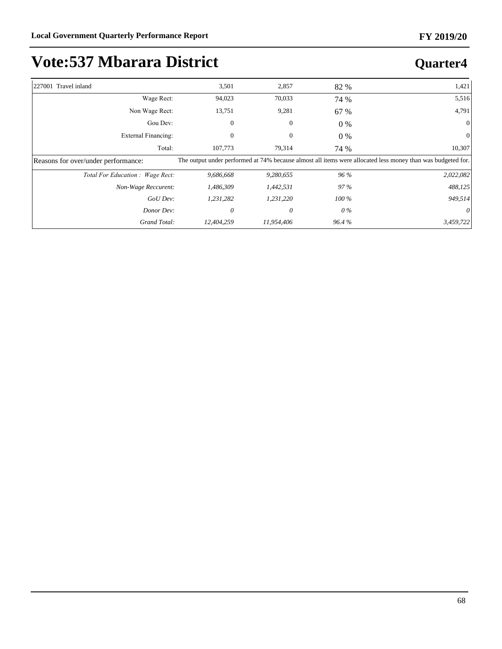| 227001 Travel inland                | 3,501      | 2,857        | 82 %    | 1,421                                                                                                       |
|-------------------------------------|------------|--------------|---------|-------------------------------------------------------------------------------------------------------------|
| Wage Rect:                          | 94,023     | 70,033       | 74 %    | 5,516                                                                                                       |
| Non Wage Rect:                      | 13,751     | 9,281        | 67 %    | 4,791                                                                                                       |
| Gou Dev:                            | 0          | $\mathbf{0}$ | $0\%$   | $\Omega$                                                                                                    |
| External Financing:                 | $\Omega$   | $\mathbf{0}$ | $0\%$   | $\Omega$                                                                                                    |
| Total:                              | 107,773    | 79,314       | 74 %    | 10,307                                                                                                      |
| Reasons for over/under performance: |            |              |         | The output under performed at 74% because almost all items were allocated less money than was budgeted for. |
| Total For Education: Wage Rect:     | 9,686,668  | 9,280,655    | 96 %    | 2,022,082                                                                                                   |
| Non-Wage Reccurent:                 | 1,486,309  | 1,442,531    | 97 %    | 488,125                                                                                                     |
| GoU Dev:                            | 1,231,282  | 1,231,220    | $100\%$ | 949,514                                                                                                     |
| Donor Dev:                          | 0          | 0            | 0 %     |                                                                                                             |
| Grand Total:                        | 12,404,259 | 11,954,406   | 96.4%   | 3,459,722                                                                                                   |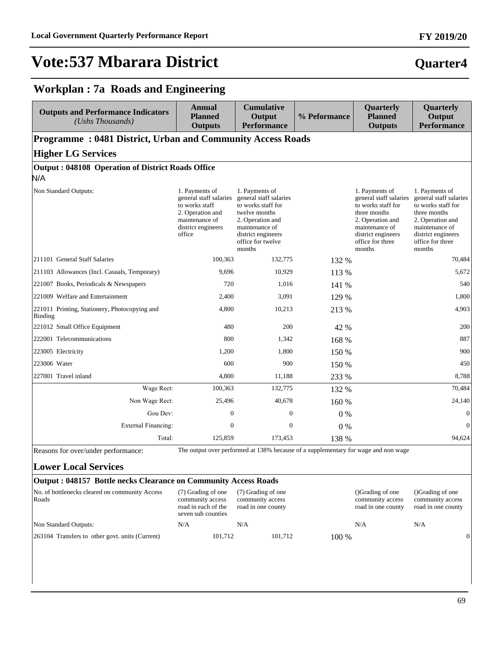#### **FY 2019/20**

## **Quarter4**

### **Workplan : 7a Roads and Engineering**

| <b>Outputs and Performance Indicators</b><br>$(Ushs$ Thousands)   | <b>Annual</b><br><b>Planned</b><br><b>Outputs</b>                                                                                | <b>Cumulative</b><br>Output<br><b>Performance</b>                                                                                                                          | % Peformance | Quarterly<br><b>Planned</b><br><b>Outputs</b>                                                                                                                            | Quarterly<br>Output<br><b>Performance</b>                                                                                                                                |  |  |  |  |
|-------------------------------------------------------------------|----------------------------------------------------------------------------------------------------------------------------------|----------------------------------------------------------------------------------------------------------------------------------------------------------------------------|--------------|--------------------------------------------------------------------------------------------------------------------------------------------------------------------------|--------------------------------------------------------------------------------------------------------------------------------------------------------------------------|--|--|--|--|
| <b>Programme: 0481 District, Urban and Community Access Roads</b> |                                                                                                                                  |                                                                                                                                                                            |              |                                                                                                                                                                          |                                                                                                                                                                          |  |  |  |  |
| <b>Higher LG Services</b>                                         |                                                                                                                                  |                                                                                                                                                                            |              |                                                                                                                                                                          |                                                                                                                                                                          |  |  |  |  |
| Output: 048108 Operation of District Roads Office                 |                                                                                                                                  |                                                                                                                                                                            |              |                                                                                                                                                                          |                                                                                                                                                                          |  |  |  |  |
| N/A                                                               |                                                                                                                                  |                                                                                                                                                                            |              |                                                                                                                                                                          |                                                                                                                                                                          |  |  |  |  |
| Non Standard Outputs:                                             | 1. Payments of<br>general staff salaries<br>to works staff<br>2. Operation and<br>maintenance of<br>district engineers<br>office | 1. Payments of<br>general staff salaries<br>to works staff for<br>twelve months<br>2. Operation and<br>maintenance of<br>district engineers<br>office for twelve<br>months |              | 1. Payments of<br>general staff salaries<br>to works staff for<br>three months<br>2. Operation and<br>maintenance of<br>district engineers<br>office for three<br>months | 1. Payments of<br>general staff salaries<br>to works staff for<br>three months<br>2. Operation and<br>maintenance of<br>district engineers<br>office for three<br>months |  |  |  |  |
| 211101 General Staff Salaries                                     | 100,363                                                                                                                          | 132,775                                                                                                                                                                    | 132 %        |                                                                                                                                                                          | 70.484                                                                                                                                                                   |  |  |  |  |
| 211103 Allowances (Incl. Casuals, Temporary)                      | 9,696                                                                                                                            | 10,929                                                                                                                                                                     | 113 %        |                                                                                                                                                                          | 5,672                                                                                                                                                                    |  |  |  |  |
| 221007 Books, Periodicals & Newspapers                            | 720                                                                                                                              | 1.016                                                                                                                                                                      | 141 %        |                                                                                                                                                                          | 540                                                                                                                                                                      |  |  |  |  |
| 221009 Welfare and Entertainment                                  | 2,400                                                                                                                            | 3,091                                                                                                                                                                      | 129 %        |                                                                                                                                                                          | 1,800                                                                                                                                                                    |  |  |  |  |
| 221011 Printing, Stationery, Photocopying and<br>Binding          | 4.800                                                                                                                            | 10,213                                                                                                                                                                     | 213 %        |                                                                                                                                                                          | 4.903                                                                                                                                                                    |  |  |  |  |
| 221012 Small Office Equipment                                     | 480                                                                                                                              | 200                                                                                                                                                                        | 42 %         |                                                                                                                                                                          | 200                                                                                                                                                                      |  |  |  |  |
| 222001 Telecommunications                                         | 800                                                                                                                              | 1,342                                                                                                                                                                      | 168 %        |                                                                                                                                                                          | 887                                                                                                                                                                      |  |  |  |  |
| 223005 Electricity                                                | 1,200                                                                                                                            | 1,800                                                                                                                                                                      | 150 %        |                                                                                                                                                                          | 900                                                                                                                                                                      |  |  |  |  |
| 223006 Water                                                      | 600                                                                                                                              | 900                                                                                                                                                                        | 150 %        |                                                                                                                                                                          | 450                                                                                                                                                                      |  |  |  |  |
| 227001 Travel inland                                              | 4,800                                                                                                                            | 11,188                                                                                                                                                                     | 233 %        |                                                                                                                                                                          | 8,788                                                                                                                                                                    |  |  |  |  |
| Wage Rect:                                                        | 100,363                                                                                                                          | 132,775                                                                                                                                                                    | 132 %        |                                                                                                                                                                          | 70.484                                                                                                                                                                   |  |  |  |  |
| Non Wage Rect:                                                    | 25,496                                                                                                                           | 40.678                                                                                                                                                                     | 160 %        |                                                                                                                                                                          | 24,140                                                                                                                                                                   |  |  |  |  |
| Gou Dev:                                                          | $\overline{0}$                                                                                                                   | $\mathbf{0}$                                                                                                                                                               | 0%           |                                                                                                                                                                          | $\mathbf{0}$                                                                                                                                                             |  |  |  |  |
| External Financing:                                               | $\overline{0}$                                                                                                                   | $\Omega$                                                                                                                                                                   | 0%           |                                                                                                                                                                          | $\Omega$                                                                                                                                                                 |  |  |  |  |
| Total:                                                            | 125,859                                                                                                                          | 173,453                                                                                                                                                                    | 138 %        |                                                                                                                                                                          | 94,624                                                                                                                                                                   |  |  |  |  |

### **Lower Local Services**

| <b>Output: 048157 Bottle necks Clearance on Community Access Roads</b> |                                                                                     |                                                              |                                                            |                                                            |
|------------------------------------------------------------------------|-------------------------------------------------------------------------------------|--------------------------------------------------------------|------------------------------------------------------------|------------------------------------------------------------|
| No. of bottlenecks cleared on community Access<br>Roads                | (7) Grading of one<br>community access<br>road in each of the<br>seven sub counties | (7) Grading of one<br>community access<br>road in one county | ()Grading of one<br>community access<br>road in one county | (Crading of one)<br>community access<br>road in one county |
| Non Standard Outputs:                                                  | N/A                                                                                 | N/A                                                          | N/A                                                        | N/A                                                        |
| 263104 Transfers to other govt. units (Current)                        | 101.712                                                                             | 101.712                                                      | $100\%$                                                    | $\Omega$                                                   |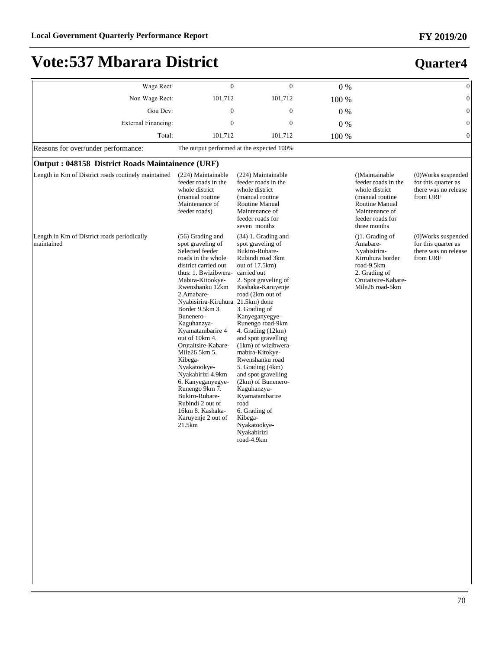| Wage Rect:                                                | $\mathbf{0}$                                                                                                                                                                                                                                                                                                                                                                                                                                                                                                                           | $\mathbf{0}$                                                                                                                                                                                                                                                                                                                                                                                                                                                                                                                          | 0%    |                                                                                                                                                     | $\boldsymbol{0}$                                                                 |
|-----------------------------------------------------------|----------------------------------------------------------------------------------------------------------------------------------------------------------------------------------------------------------------------------------------------------------------------------------------------------------------------------------------------------------------------------------------------------------------------------------------------------------------------------------------------------------------------------------------|---------------------------------------------------------------------------------------------------------------------------------------------------------------------------------------------------------------------------------------------------------------------------------------------------------------------------------------------------------------------------------------------------------------------------------------------------------------------------------------------------------------------------------------|-------|-----------------------------------------------------------------------------------------------------------------------------------------------------|----------------------------------------------------------------------------------|
| Non Wage Rect:                                            | 101,712                                                                                                                                                                                                                                                                                                                                                                                                                                                                                                                                | 101,712                                                                                                                                                                                                                                                                                                                                                                                                                                                                                                                               | 100 % |                                                                                                                                                     | $\mathbf{0}$                                                                     |
| Gou Dev:                                                  | $\overline{0}$                                                                                                                                                                                                                                                                                                                                                                                                                                                                                                                         | $\mathbf{0}$                                                                                                                                                                                                                                                                                                                                                                                                                                                                                                                          | $0\%$ |                                                                                                                                                     | $\mathbf{0}$                                                                     |
| <b>External Financing:</b>                                | $\Omega$                                                                                                                                                                                                                                                                                                                                                                                                                                                                                                                               | $\mathbf{0}$                                                                                                                                                                                                                                                                                                                                                                                                                                                                                                                          | 0%    |                                                                                                                                                     | $\overline{0}$                                                                   |
| Total:                                                    | 101,712                                                                                                                                                                                                                                                                                                                                                                                                                                                                                                                                | 101,712                                                                                                                                                                                                                                                                                                                                                                                                                                                                                                                               | 100 % |                                                                                                                                                     | $\overline{0}$                                                                   |
| Reasons for over/under performance:                       |                                                                                                                                                                                                                                                                                                                                                                                                                                                                                                                                        | The output performed at the expected 100%                                                                                                                                                                                                                                                                                                                                                                                                                                                                                             |       |                                                                                                                                                     |                                                                                  |
| Output: 048158 District Roads Maintainence (URF)          |                                                                                                                                                                                                                                                                                                                                                                                                                                                                                                                                        |                                                                                                                                                                                                                                                                                                                                                                                                                                                                                                                                       |       |                                                                                                                                                     |                                                                                  |
| Length in Km of District roads routinely maintained       | (224) Maintainable<br>feeder roads in the<br>whole district<br>(manual routine<br>Maintenance of<br>feeder roads)                                                                                                                                                                                                                                                                                                                                                                                                                      | (224) Maintainable<br>feeder roads in the<br>whole district<br>(manual routine<br>Routine Manual<br>Maintenance of<br>feeder roads for<br>seven months                                                                                                                                                                                                                                                                                                                                                                                |       | ()Maintainable<br>feeder roads in the<br>whole district<br>(manual routine)<br>Routine Manual<br>Maintenance of<br>feeder roads for<br>three months | (0) Works suspended<br>for this quarter as<br>there was no release<br>from URF   |
| Length in Km of District roads periodically<br>maintained | (56) Grading and<br>spot graveling of<br>Selected feeder<br>roads in the whole<br>district carried out<br>thus: 1. Bwizibwera-<br>Mabira-Kitookye-<br>Rwenshanku 12km<br>2.Amabare-<br>Nyabisirira-Kiruhura 21.5km) done<br>Border 9.5km 3.<br>Bunenero-<br>Kaguhanzya-<br>Kyamatambarire 4<br>out of 10km 4.<br>Orutaitsire-Kabare-<br>Mile26 5km 5.<br>Kibega-<br>Nyakatookye-<br>Nyakabirizi 4.9km<br>6. Kanyeganyegye-<br>Runengo 9km 7.<br>Bukiro-Rubare-<br>Rubindi 2 out of<br>16km 8. Kashaka-<br>Karuyenje 2 out of<br>21.5km | $(34)$ 1. Grading and<br>spot graveling of<br>Bukiro-Rubare-<br>Rubindi road 3km<br>out of 17.5km)<br>carried out<br>2. Spot graveling of<br>Kashaka-Karuyenje<br>road (2km out of<br>3. Grading of<br>Kanyeganyegye-<br>Runengo road-9km<br>4. Grading (12km)<br>and spot gravelling<br>(1km) of wizibwera-<br>mabira-Kitokye-<br>Rwenshanku road<br>5. Grading (4km)<br>and spot gravelling<br>(2km) of Bunenero-<br>Kaguhanzya-<br>Kyamatambarire<br>road<br>6. Grading of<br>Kibega-<br>Nyakatookye-<br>Nyakabirizi<br>road-4.9km |       | $( )1$ . Grading of<br>Amabare-<br>Nyabisirira-<br>Kirruhura border<br>road-9.5km<br>2. Grading of<br>Orutaitsire-Kabare-<br>Mile26 road-5km        | $(0)$ Works suspended<br>for this quarter as<br>there was no release<br>from URF |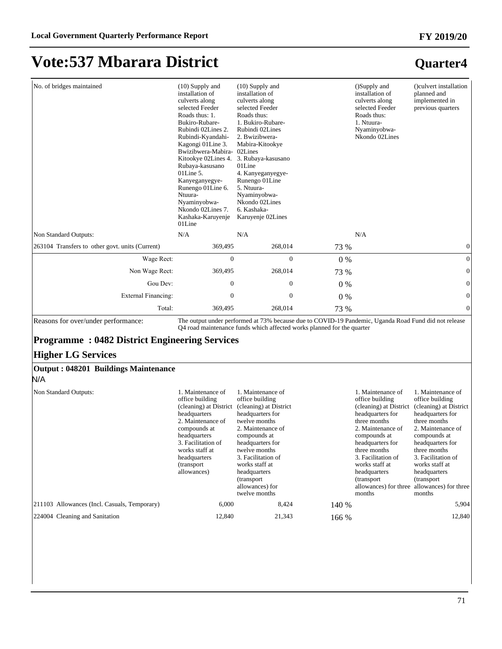| No. of bridges maintained                                                                                                                                                                                                                                                     | $(10)$ Supply and<br>installation of<br>culverts along<br>selected Feeder<br>Roads thus: 1.<br>Bukiro-Rubare-<br>Rubindi 02Lines 2.<br>Rubindi-Kyandahi-<br>Kagongi 01 Line 3.<br>Bwizibwera-Mabira- 02Lines<br>Kitookye 02Lines 4.<br>Rubaya-kasusano<br>$01$ Line 5.<br>Kanyeganyegye-<br>Runengo 01 Line 6.<br>Ntuura-<br>Nyaminyobwa-<br>Nkondo 02Lines 7.<br>Kashaka-Karuyenje<br>01Line | $(10)$ Supply and<br>installation of<br>culverts along<br>selected Feeder<br>Roads thus:<br>1. Bukiro-Rubare-<br>Rubindi 02Lines<br>2. Bwizibwera-<br>Mabira-Kitookye<br>3. Rubaya-kasusano<br>01Line<br>4. Kanyeganyegye-<br>Runengo 01Line<br>5. Ntuura-<br>Nyaminyobwa-<br>Nkondo 02Lines<br>6. Kashaka-<br>Karuyenje 02Lines |       | ()Supply and<br>installation of<br>culverts along<br>selected Feeder<br>Roads thus:<br>1. Ntuura-<br>Nyaminyobwa-<br>Nkondo 02Lines                                                                                               | ()culvert installation<br>planned and<br>implemented in<br>previous quarters                                                                                                                                                                                                                                                      |  |  |  |  |
|-------------------------------------------------------------------------------------------------------------------------------------------------------------------------------------------------------------------------------------------------------------------------------|-----------------------------------------------------------------------------------------------------------------------------------------------------------------------------------------------------------------------------------------------------------------------------------------------------------------------------------------------------------------------------------------------|----------------------------------------------------------------------------------------------------------------------------------------------------------------------------------------------------------------------------------------------------------------------------------------------------------------------------------|-------|-----------------------------------------------------------------------------------------------------------------------------------------------------------------------------------------------------------------------------------|-----------------------------------------------------------------------------------------------------------------------------------------------------------------------------------------------------------------------------------------------------------------------------------------------------------------------------------|--|--|--|--|
| Non Standard Outputs:                                                                                                                                                                                                                                                         | N/A                                                                                                                                                                                                                                                                                                                                                                                           | N/A                                                                                                                                                                                                                                                                                                                              |       | N/A                                                                                                                                                                                                                               |                                                                                                                                                                                                                                                                                                                                   |  |  |  |  |
| 263104 Transfers to other govt. units (Current)                                                                                                                                                                                                                               | 369,495                                                                                                                                                                                                                                                                                                                                                                                       | 268,014                                                                                                                                                                                                                                                                                                                          | 73 %  |                                                                                                                                                                                                                                   | $\boldsymbol{0}$                                                                                                                                                                                                                                                                                                                  |  |  |  |  |
| Wage Rect:                                                                                                                                                                                                                                                                    | $\boldsymbol{0}$                                                                                                                                                                                                                                                                                                                                                                              | $\boldsymbol{0}$                                                                                                                                                                                                                                                                                                                 | $0\%$ |                                                                                                                                                                                                                                   | $\boldsymbol{0}$                                                                                                                                                                                                                                                                                                                  |  |  |  |  |
| Non Wage Rect:                                                                                                                                                                                                                                                                | 369,495                                                                                                                                                                                                                                                                                                                                                                                       | 268,014                                                                                                                                                                                                                                                                                                                          | 73 %  |                                                                                                                                                                                                                                   | $\mathbf{0}$                                                                                                                                                                                                                                                                                                                      |  |  |  |  |
| Gou Dev:                                                                                                                                                                                                                                                                      | $\boldsymbol{0}$                                                                                                                                                                                                                                                                                                                                                                              | $\boldsymbol{0}$                                                                                                                                                                                                                                                                                                                 | 0%    |                                                                                                                                                                                                                                   | $\boldsymbol{0}$                                                                                                                                                                                                                                                                                                                  |  |  |  |  |
| <b>External Financing:</b>                                                                                                                                                                                                                                                    | $\boldsymbol{0}$                                                                                                                                                                                                                                                                                                                                                                              | $\boldsymbol{0}$                                                                                                                                                                                                                                                                                                                 | 0%    |                                                                                                                                                                                                                                   | $\boldsymbol{0}$                                                                                                                                                                                                                                                                                                                  |  |  |  |  |
| Total:                                                                                                                                                                                                                                                                        | 369,495                                                                                                                                                                                                                                                                                                                                                                                       | 268,014                                                                                                                                                                                                                                                                                                                          | 73 %  |                                                                                                                                                                                                                                   | $\mathbf{0}$                                                                                                                                                                                                                                                                                                                      |  |  |  |  |
| The output under performed at 73% because due to COVID-19 Pandemic, Uganda Road Fund did not release<br>Reasons for over/under performance:<br>Q4 road maintenance funds which affected works planned for the quarter<br><b>Programme: 0482 District Engineering Services</b> |                                                                                                                                                                                                                                                                                                                                                                                               |                                                                                                                                                                                                                                                                                                                                  |       |                                                                                                                                                                                                                                   |                                                                                                                                                                                                                                                                                                                                   |  |  |  |  |
| <b>Higher LG Services</b><br><b>Output: 048201 Buildings Maintenance</b><br>N/A                                                                                                                                                                                               |                                                                                                                                                                                                                                                                                                                                                                                               |                                                                                                                                                                                                                                                                                                                                  |       |                                                                                                                                                                                                                                   |                                                                                                                                                                                                                                                                                                                                   |  |  |  |  |
| Non Standard Outputs:                                                                                                                                                                                                                                                         | 1. Maintenance of<br>office building<br>headquarters<br>2. Maintenance of<br>compounds at<br>headquarters<br>3. Facilitation of<br>works staff at<br>headquarters<br>(transport<br>allowances)                                                                                                                                                                                                | 1. Maintenance of<br>office building<br>(cleaning) at District (cleaning) at District<br>headquarters for<br>twelve months<br>2. Maintenance of<br>compounds at<br>headquarters for<br>twelve months<br>3. Facilitation of<br>works staff at<br>headquarters<br>(transport<br>allowances) for<br>twelve months                   |       | 1. Maintenance of<br>office building<br>headquarters for<br>three months<br>2. Maintenance of<br>compounds at<br>headquarters for<br>three months<br>3. Facilitation of<br>works staff at<br>headquarters<br>(transport<br>months | 1. Maintenance of<br>office building<br>(cleaning) at District (cleaning) at District<br>headquarters for<br>three months<br>2. Maintenance of<br>compounds at<br>headquarters for<br>three months<br>3. Facilitation of<br>works staff at<br>headquarters<br>(transport<br>allowances) for three allowances) for three<br>months |  |  |  |  |
| 211103 Allowances (Incl. Casuals, Temporary)                                                                                                                                                                                                                                  | 6,000                                                                                                                                                                                                                                                                                                                                                                                         | 8,424                                                                                                                                                                                                                                                                                                                            | 140 % |                                                                                                                                                                                                                                   | 5,904                                                                                                                                                                                                                                                                                                                             |  |  |  |  |
| 224004 Cleaning and Sanitation                                                                                                                                                                                                                                                | 12,840                                                                                                                                                                                                                                                                                                                                                                                        | 21,343                                                                                                                                                                                                                                                                                                                           | 166 % |                                                                                                                                                                                                                                   | 12,840                                                                                                                                                                                                                                                                                                                            |  |  |  |  |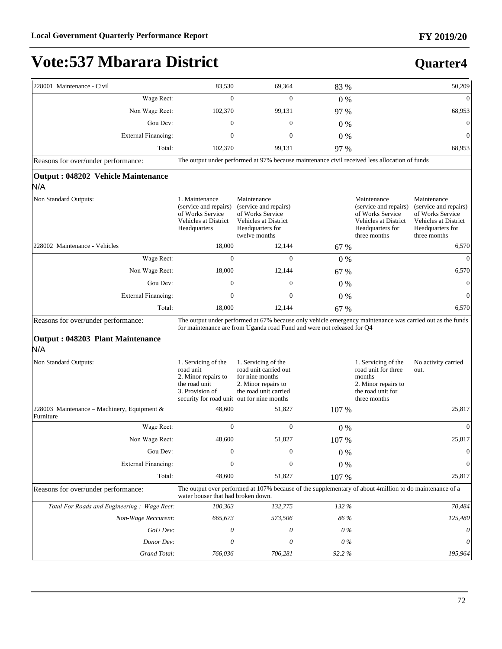| 228001 Maintenance - Civil                               | 83,530                                                                                                                                                                              | 69,364                                                                                                                | 83 %    |                                                                                                                      | 50,209                                                                                                               |  |  |  |
|----------------------------------------------------------|-------------------------------------------------------------------------------------------------------------------------------------------------------------------------------------|-----------------------------------------------------------------------------------------------------------------------|---------|----------------------------------------------------------------------------------------------------------------------|----------------------------------------------------------------------------------------------------------------------|--|--|--|
| Wage Rect:                                               | $\mathbf{0}$                                                                                                                                                                        | 0                                                                                                                     | $0\%$   |                                                                                                                      | $\mathbf{0}$                                                                                                         |  |  |  |
| Non Wage Rect:                                           | 102,370                                                                                                                                                                             | 99,131                                                                                                                | 97 %    |                                                                                                                      | 68,953                                                                                                               |  |  |  |
| Gou Dev:                                                 | $\mathbf{0}$                                                                                                                                                                        | $\mathbf{0}$                                                                                                          | $0\%$   |                                                                                                                      | $\boldsymbol{0}$                                                                                                     |  |  |  |
| External Financing:                                      | $\mathbf{0}$                                                                                                                                                                        | $\mathbf{0}$                                                                                                          | $0\%$   |                                                                                                                      | $\overline{0}$                                                                                                       |  |  |  |
| Total:                                                   | 102,370                                                                                                                                                                             | 99,131                                                                                                                | 97 %    |                                                                                                                      | 68,953                                                                                                               |  |  |  |
| Reasons for over/under performance:                      |                                                                                                                                                                                     | The output under performed at 97% because maintenance civil received less allocation of funds                         |         |                                                                                                                      |                                                                                                                      |  |  |  |
| Output: 048202 Vehicle Maintenance<br>N/A                |                                                                                                                                                                                     |                                                                                                                       |         |                                                                                                                      |                                                                                                                      |  |  |  |
| Non Standard Outputs:                                    | 1. Maintenance<br>(service and repairs)<br>of Works Service<br>Vehicles at District<br>Headquarters                                                                                 | Maintenance<br>(service and repairs)<br>of Works Service<br>Vehicles at District<br>Headquarters for<br>twelve months |         | Maintenance<br>(service and repairs)<br>of Works Service<br>Vehicles at District<br>Headquarters for<br>three months | Maintenance<br>(service and repairs)<br>of Works Service<br>Vehicles at District<br>Headquarters for<br>three months |  |  |  |
| 228002 Maintenance - Vehicles                            | 18,000                                                                                                                                                                              | 12,144                                                                                                                | 67 %    |                                                                                                                      | 6,570                                                                                                                |  |  |  |
| Wage Rect:                                               | $\mathbf{0}$                                                                                                                                                                        | $\mathbf{0}$                                                                                                          | 0%      |                                                                                                                      | $\mathbf{0}$                                                                                                         |  |  |  |
| Non Wage Rect:                                           | 18,000                                                                                                                                                                              | 12,144                                                                                                                | 67 %    |                                                                                                                      | 6,570                                                                                                                |  |  |  |
| Gou Dev:                                                 | $\mathbf{0}$                                                                                                                                                                        | 0                                                                                                                     | $0\%$   |                                                                                                                      | $\mathbf{0}$                                                                                                         |  |  |  |
| <b>External Financing:</b>                               | $\mathbf{0}$                                                                                                                                                                        | $\overline{0}$                                                                                                        | $0\%$   |                                                                                                                      | $\mathbf{0}$                                                                                                         |  |  |  |
| Total:                                                   | 18,000                                                                                                                                                                              | 12,144                                                                                                                | 67 %    |                                                                                                                      | 6,570                                                                                                                |  |  |  |
| Reasons for over/under performance:                      | The output under performed at 67% because only vehicle emergency maintenance was carried out as the funds<br>for maintenance are from Uganda road Fund and were not released for Q4 |                                                                                                                       |         |                                                                                                                      |                                                                                                                      |  |  |  |
| Output: 048203 Plant Maintenance                         |                                                                                                                                                                                     |                                                                                                                       |         |                                                                                                                      |                                                                                                                      |  |  |  |
| N/A                                                      |                                                                                                                                                                                     |                                                                                                                       |         |                                                                                                                      |                                                                                                                      |  |  |  |
| Non Standard Outputs:                                    | 1. Servicing of the<br>road unit<br>2. Minor repairs to<br>the road unit<br>3. Provision of<br>security for road unit out for nine months                                           | 1. Servicing of the<br>road unit carried out<br>for nine months<br>2. Minor repairs to<br>the road unit carried       |         | 1. Servicing of the<br>road unit for three<br>months<br>2. Minor repairs to<br>the road unit for<br>three months     | No activity carried<br>out.                                                                                          |  |  |  |
| 228003 Maintenance – Machinery, Equipment &<br>Furniture | 48,600                                                                                                                                                                              | 51,827                                                                                                                | 107 %   |                                                                                                                      | 25,817                                                                                                               |  |  |  |
| Wage Rect:                                               | $\mathbf{0}$                                                                                                                                                                        | $\mathbf{0}$                                                                                                          | $0\%$   |                                                                                                                      | $\mathbf{0}$                                                                                                         |  |  |  |
| Non Wage Rect:                                           | 48.600                                                                                                                                                                              | 51,827                                                                                                                | 107 %   |                                                                                                                      | 25,817                                                                                                               |  |  |  |
| Gou Dev:                                                 | $\boldsymbol{0}$                                                                                                                                                                    | $\boldsymbol{0}$                                                                                                      | 0%      |                                                                                                                      | $\mathbf{0}$                                                                                                         |  |  |  |
| <b>External Financing:</b>                               | $\mathbf{0}$                                                                                                                                                                        | $\boldsymbol{0}$                                                                                                      | $0\ \%$ |                                                                                                                      | $\boldsymbol{0}$                                                                                                     |  |  |  |
| Total:                                                   | 48,600                                                                                                                                                                              | 51,827                                                                                                                | 107 %   |                                                                                                                      | 25,817                                                                                                               |  |  |  |
| Reasons for over/under performance:                      | The output over performed at 107% because of the supplementary of about 4million to do maintenance of a<br>water bouser that had broken down.                                       |                                                                                                                       |         |                                                                                                                      |                                                                                                                      |  |  |  |
| Total For Roads and Engineering: Wage Rect:              | 100,363                                                                                                                                                                             | 132,775                                                                                                               | 132 %   |                                                                                                                      | 70,484                                                                                                               |  |  |  |
| Non-Wage Reccurent:                                      | 665,673                                                                                                                                                                             | 573,506                                                                                                               | 86 %    |                                                                                                                      | 125,480                                                                                                              |  |  |  |
| GoU Dev:                                                 | 0                                                                                                                                                                                   | 0                                                                                                                     | $0\%$   |                                                                                                                      | 0                                                                                                                    |  |  |  |
| Donor Dev:                                               | 0                                                                                                                                                                                   | 0                                                                                                                     | 0%      |                                                                                                                      |                                                                                                                      |  |  |  |
| Grand Total:                                             | 766,036                                                                                                                                                                             | 706,281                                                                                                               | 92.2%   |                                                                                                                      | 195,964                                                                                                              |  |  |  |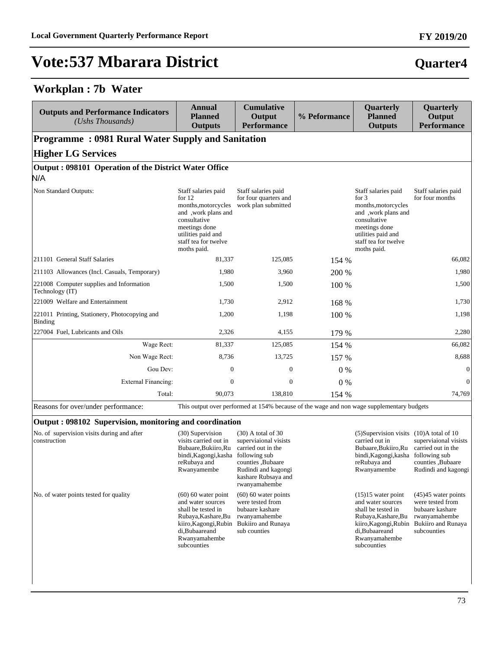### **Workplan : 7b Water**

| <b>Outputs and Performance Indicators</b><br>(Ushs Thousands)                                  | Annual<br><b>Planned</b><br><b>Outputs</b>                                                                                                                                  | <b>Cumulative</b><br>Output<br><b>Performance</b>                                         | % Peformance | <b>Quarterly</b><br><b>Planned</b><br><b>Outputs</b>                                                                                                                        | <b>Quarterly</b><br>Output<br><b>Performance</b> |  |  |
|------------------------------------------------------------------------------------------------|-----------------------------------------------------------------------------------------------------------------------------------------------------------------------------|-------------------------------------------------------------------------------------------|--------------|-----------------------------------------------------------------------------------------------------------------------------------------------------------------------------|--------------------------------------------------|--|--|
| <b>Programme: 0981 Rural Water Supply and Sanitation</b>                                       |                                                                                                                                                                             |                                                                                           |              |                                                                                                                                                                             |                                                  |  |  |
| <b>Higher LG Services</b>                                                                      |                                                                                                                                                                             |                                                                                           |              |                                                                                                                                                                             |                                                  |  |  |
| Output: 098101 Operation of the District Water Office                                          |                                                                                                                                                                             |                                                                                           |              |                                                                                                                                                                             |                                                  |  |  |
| N/A                                                                                            |                                                                                                                                                                             |                                                                                           |              |                                                                                                                                                                             |                                                  |  |  |
| Non Standard Outputs:                                                                          | Staff salaries paid<br>for $12$<br>months, motorcycles<br>and ,work plans and<br>consultative<br>meetings done<br>utilities paid and<br>staff tea for twelve<br>moths paid. | Staff salaries paid<br>for four quarters and<br>work plan submitted                       |              | Staff salaries paid<br>for $3$<br>months, motorcycles<br>and , work plans and<br>consultative<br>meetings done<br>utilities paid and<br>staff tea for twelve<br>moths paid. | Staff salaries paid<br>for four months           |  |  |
| 211101 General Staff Salaries                                                                  | 81,337                                                                                                                                                                      | 125,085                                                                                   | 154 %        |                                                                                                                                                                             | 66.082                                           |  |  |
| [211103 Allowances (Incl. Casuals, Temporary)                                                  | 1,980                                                                                                                                                                       | 3,960                                                                                     | 200 %        |                                                                                                                                                                             | 1,980                                            |  |  |
| 221008 Computer supplies and Information<br>Technology (IT)                                    | 1,500                                                                                                                                                                       | 1,500                                                                                     | 100 %        |                                                                                                                                                                             | 1,500                                            |  |  |
| 221009 Welfare and Entertainment                                                               | 1,730                                                                                                                                                                       | 2,912                                                                                     | 168 %        |                                                                                                                                                                             | 1,730                                            |  |  |
| 221011 Printing, Stationery, Photocopying and<br>Binding                                       | 1,200                                                                                                                                                                       | 1,198                                                                                     | 100 %        |                                                                                                                                                                             | 1,198                                            |  |  |
| 227004 Fuel, Lubricants and Oils                                                               | 2,326                                                                                                                                                                       | 4,155                                                                                     | 179 %        |                                                                                                                                                                             | 2,280                                            |  |  |
| Wage Rect:                                                                                     | 81,337                                                                                                                                                                      | 125,085                                                                                   | 154 %        |                                                                                                                                                                             | 66,082                                           |  |  |
| Non Wage Rect:                                                                                 | 8,736                                                                                                                                                                       | 13,725                                                                                    | 157 %        |                                                                                                                                                                             | 8,688                                            |  |  |
| Gou Dev:                                                                                       | $\Omega$                                                                                                                                                                    | $\Omega$                                                                                  | 0%           |                                                                                                                                                                             | $\Omega$                                         |  |  |
| External Financing:                                                                            | $\Omega$                                                                                                                                                                    | $\Omega$                                                                                  | 0%           |                                                                                                                                                                             | $\Omega$                                         |  |  |
| Total:                                                                                         | 90,073                                                                                                                                                                      | 138,810                                                                                   | 154 %        |                                                                                                                                                                             | 74,769                                           |  |  |
| Reasons for over/under performance:<br>Output: 098102 Supervision, monitoring and coordination |                                                                                                                                                                             | This output over performed at 154% because of the wage and non wage supplementary budgets |              |                                                                                                                                                                             |                                                  |  |  |

#### **Output : 098102 Supervision, monitoring and coordination**

| No. of supervision visits during and after<br>construction | (30) Supervision<br>visits carried out in<br>Bubaare, Bukiiro, Ru<br>bindi, Kagongi, kasha<br>reRubaya and<br>Rwanyamembe                                          | $(30)$ A total of 30<br>superviaional visists<br>carried out in the<br>following sub<br>counties .Bubaare<br>Rudindi and kagongi<br>kashare Rubsaya and<br>rwanyamahembe | (5) Supervision visits<br>carried out in<br>Bubaare, Bukiiro, Ru<br>bindi, Kagongi, kasha<br>reRubaya and<br>Rwanyamembe                                          | $(10)$ A total of 10<br>superviaional visists<br>carried out in the<br>following sub<br>counties , Bubaare<br>Rudindi and kagongi |
|------------------------------------------------------------|--------------------------------------------------------------------------------------------------------------------------------------------------------------------|--------------------------------------------------------------------------------------------------------------------------------------------------------------------------|-------------------------------------------------------------------------------------------------------------------------------------------------------------------|-----------------------------------------------------------------------------------------------------------------------------------|
| No. of water points tested for quality                     | $(60)$ 60 water point<br>and water sources<br>shall be tested in<br>Rubaya, Kashare, Bu<br>kiiro, Kagongi, Rubin<br>di, Bubaareand<br>Rwanyamahembe<br>subcounties | $(60)$ 60 water points<br>were tested from<br>bubaare kashare<br>rwanyamahembe<br>Bukiiro and Runaya<br>sub counties                                                     | $(15)15$ water point<br>and water sources<br>shall be tested in<br>Rubaya, Kashare, Bu<br>kiiro, Kagongi, Rubin<br>di, Bubaareand<br>Rwanyamahembe<br>subcounties | $(45)45$ water points<br>were tested from<br>bubaare kashare<br>rwanyamahembe<br>Bukiiro and Runaya<br>subcounties                |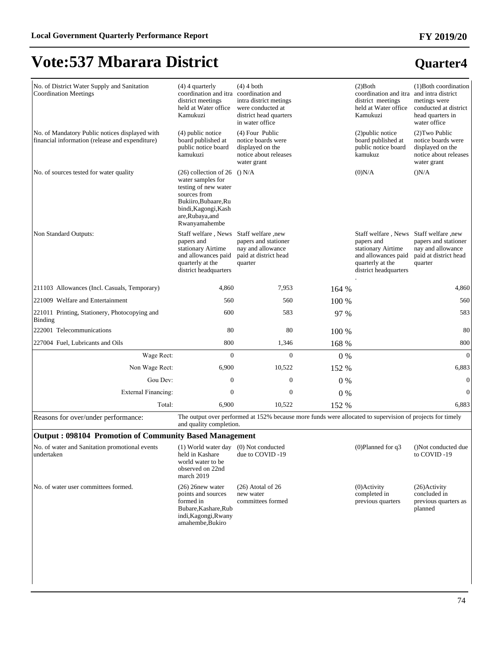# **Quarter4**

**FY 2019/20**

# **Vote:537 Mbarara District**

| No. of District Water Supply and Sanitation<br><b>Coordination Meetings</b>                       | $(4)$ 4 quarterly<br>coordination and itra coordination and<br>district meetings<br>held at Water office<br>Kamukuzi                                                             | $(4)$ 4 both<br>intra district metings<br>were conducted at<br>district head quarters<br>in water office  |       | $(2)$ Both<br>coordination and itra<br>district meetings<br>held at Water office<br>Kamukuzi                                | (1) Both coordination<br>and intra district<br>metings were<br>conducted at district<br>head quarters in<br>water office |
|---------------------------------------------------------------------------------------------------|----------------------------------------------------------------------------------------------------------------------------------------------------------------------------------|-----------------------------------------------------------------------------------------------------------|-------|-----------------------------------------------------------------------------------------------------------------------------|--------------------------------------------------------------------------------------------------------------------------|
| No. of Mandatory Public notices displayed with<br>financial information (release and expenditure) | $(4)$ public notice<br>board published at<br>public notice board<br>kamukuzi                                                                                                     | (4) Four Public<br>notice boards were<br>displayed on the<br>notice about releases<br>water grant         |       | (2) public notice<br>board published at<br>public notice board<br>kamukuz                                                   | (2) Two Public<br>notice boards were<br>displayed on the<br>notice about releases<br>water grant                         |
| No. of sources tested for water quality                                                           | $(26)$ collection of 26 () N/A<br>water samples for<br>testing of new water<br>sources from<br>Bukiiro, Bubaare, Ru<br>bindi, Kagongi, Kash<br>are, Rubaya, and<br>Rwanyamahembe |                                                                                                           |       | (0)N/A                                                                                                                      | (N/A)                                                                                                                    |
| Non Standard Outputs:                                                                             | Staff welfare, News<br>papers and<br>stationary Airtime<br>and allowances paid<br>quarterly at the<br>district headquarters                                                      | Staff welfare, new<br>papers and stationer<br>nay and allowance<br>paid at district head<br>quarter       |       | Staff welfare, News<br>papers and<br>stationary Airtime<br>and allowances paid<br>quarterly at the<br>district headquarters | Staff welfare, new<br>papers and stationer<br>nay and allowance<br>paid at district head<br>quarter                      |
| 211103 Allowances (Incl. Casuals, Temporary)                                                      | 4,860                                                                                                                                                                            | 7,953                                                                                                     | 164 % |                                                                                                                             | 4,860                                                                                                                    |
| 221009 Welfare and Entertainment                                                                  | 560                                                                                                                                                                              | 560                                                                                                       | 100 % |                                                                                                                             | 560                                                                                                                      |
| 221011 Printing, Stationery, Photocopying and<br><b>Binding</b>                                   | 600                                                                                                                                                                              | 583                                                                                                       | 97 %  |                                                                                                                             | 583                                                                                                                      |
| 222001 Telecommunications                                                                         | 80                                                                                                                                                                               | 80                                                                                                        | 100 % |                                                                                                                             | 80                                                                                                                       |
| 227004 Fuel, Lubricants and Oils                                                                  | 800                                                                                                                                                                              | 1,346                                                                                                     | 168 % |                                                                                                                             | 800                                                                                                                      |
| Wage Rect:                                                                                        | $\mathbf{0}$                                                                                                                                                                     | $\Omega$                                                                                                  | $0\%$ |                                                                                                                             | $\theta$                                                                                                                 |
| Non Wage Rect:                                                                                    | 6,900                                                                                                                                                                            | 10,522                                                                                                    | 152 % |                                                                                                                             | 6,883                                                                                                                    |
| Gou Dev:                                                                                          | $\boldsymbol{0}$                                                                                                                                                                 | $\boldsymbol{0}$                                                                                          | $0\%$ |                                                                                                                             | $\mathbf{0}$                                                                                                             |
| <b>External Financing:</b>                                                                        | $\mathbf{0}$                                                                                                                                                                     | $\mathbf{0}$                                                                                              | $0\%$ |                                                                                                                             | $\boldsymbol{0}$                                                                                                         |
| Total:                                                                                            | 6,900                                                                                                                                                                            | 10,522                                                                                                    | 152 % |                                                                                                                             | 6,883                                                                                                                    |
| Reasons for over/under performance:                                                               | and quality completion.                                                                                                                                                          | The output over performed at 152% because more funds were allocated to supervision of projects for timely |       |                                                                                                                             |                                                                                                                          |
| <b>Output: 098104 Promotion of Community Based Management</b>                                     |                                                                                                                                                                                  |                                                                                                           |       |                                                                                                                             |                                                                                                                          |
| No. of water and Sanitation promotional events<br>undertaken                                      | (1) World water day<br>held in Kashare<br>world water to be<br>observed on 22nd<br>march 2019                                                                                    | (0) Not conducted<br>due to COVID-19                                                                      |       | $(0)$ Planned for q3                                                                                                        | ()Not conducted due<br>to COVID-19                                                                                       |
| No. of water user committees formed.                                                              | $(26)$ 26 new water<br>points and sources<br>formed in<br>Bubare, Kashare, Rub<br>indi, Kagongi, Rwany<br>amahembe, Bukiro                                                       | $(26)$ Atotal of 26<br>new water<br>committees formed                                                     |       | $(0)$ Activity<br>completed in<br>previous quarters                                                                         | (26) Activity<br>concluded in<br>previous quarters as<br>planned                                                         |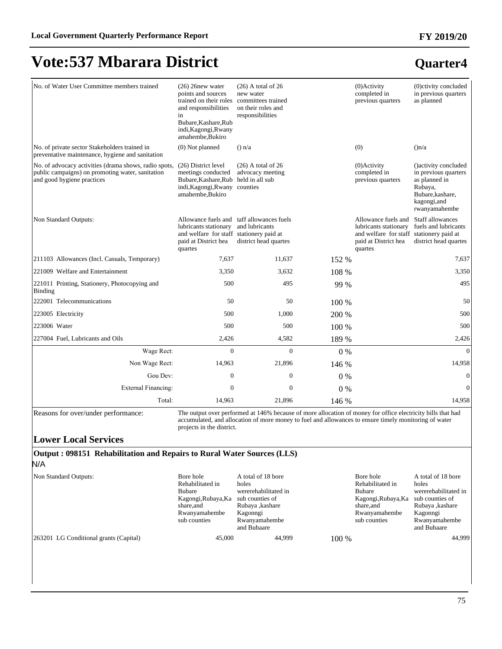### **Quarter4**

| No. of Water User Committee members trained                                                                                             | $(26)$ 26new water<br>points and sources<br>trained on their roles committees trained<br>and responsibilities<br>in<br>Bubare, Kashare, Rub<br>indi, Kagongi, Rwany<br>amahembe, Bukiro | $(26)$ A total of 26<br>new water<br>on their roles and<br>responsibilities          |       | $(0)$ Activity<br>completed in<br>previous quarters                                                                         | (0)ctivity concluded<br>in previous quarters<br>as planned                                                                     |
|-----------------------------------------------------------------------------------------------------------------------------------------|-----------------------------------------------------------------------------------------------------------------------------------------------------------------------------------------|--------------------------------------------------------------------------------------|-------|-----------------------------------------------------------------------------------------------------------------------------|--------------------------------------------------------------------------------------------------------------------------------|
| No. of private sector Stakeholders trained in<br>preventative maintenance, hygiene and sanitation                                       | $(0)$ Not planned                                                                                                                                                                       | $()$ n/a                                                                             |       | (0)                                                                                                                         | (n/a)                                                                                                                          |
| No. of advocacy activities (drama shows, radio spots.<br>public campaigns) on promoting water, sanitation<br>and good hygiene practices | (26) District level<br>meetings conducted<br>Bubare, Kashare, Rub held in all sub<br>indi, Kagongi, Rwany counties<br>amahembe, Bukiro                                                  | $(26)$ A total of 26<br>advocacy meeting                                             |       | $(0)$ Activity<br>completed in<br>previous quarters                                                                         | () activity concluded<br>in previous quarters<br>as planned in<br>Rubaya,<br>Bubare, kashare,<br>kagongi, and<br>rwanyamahembe |
| Non Standard Outputs:                                                                                                                   | lubricants stationary<br>and welfare for staff stationery paid at<br>paid at District hea<br>quartes                                                                                    | Allowance fuels and taff allowances fuels<br>and lubricants<br>district head quartes |       | Allowance fuels and<br>lubricants stationary<br>and welfare for staff stationery paid at<br>paid at District hea<br>quartes | Staff allowances<br>fuels and lubricants<br>district head quartes                                                              |
| 211103 Allowances (Incl. Casuals, Temporary)                                                                                            | 7,637                                                                                                                                                                                   | 11,637                                                                               | 152 % |                                                                                                                             | 7,637                                                                                                                          |
| 221009 Welfare and Entertainment                                                                                                        | 3,350                                                                                                                                                                                   | 3,632                                                                                | 108 % |                                                                                                                             | 3,350                                                                                                                          |
| 221011 Printing, Stationery, Photocopying and<br>Binding                                                                                | 500                                                                                                                                                                                     | 495                                                                                  | 99 %  |                                                                                                                             | 495                                                                                                                            |
| 222001 Telecommunications                                                                                                               | 50                                                                                                                                                                                      | 50                                                                                   | 100 % |                                                                                                                             | 50                                                                                                                             |
| 223005 Electricity                                                                                                                      | 500                                                                                                                                                                                     | 1,000                                                                                | 200 % |                                                                                                                             | 500                                                                                                                            |
| 223006 Water                                                                                                                            | 500                                                                                                                                                                                     | 500                                                                                  | 100 % |                                                                                                                             | 500                                                                                                                            |
| 227004 Fuel, Lubricants and Oils                                                                                                        | 2,426                                                                                                                                                                                   | 4,582                                                                                | 189 % |                                                                                                                             | 2,426                                                                                                                          |
| Wage Rect:                                                                                                                              | $\mathbf{0}$                                                                                                                                                                            | $\overline{0}$                                                                       | 0%    |                                                                                                                             | $\mathbf{0}$                                                                                                                   |
| Non Wage Rect:                                                                                                                          | 14,963                                                                                                                                                                                  | 21,896                                                                               | 146 % |                                                                                                                             | 14,958                                                                                                                         |
| Gou Dev:                                                                                                                                | $\mathbf{0}$                                                                                                                                                                            | $\boldsymbol{0}$                                                                     | $0\%$ |                                                                                                                             | $\mathbf{0}$                                                                                                                   |
| <b>External Financing:</b>                                                                                                              | $\mathbf{0}$                                                                                                                                                                            | $\mathbf{0}$                                                                         | $0\%$ |                                                                                                                             | $\theta$                                                                                                                       |
| Total:                                                                                                                                  | 14,963                                                                                                                                                                                  | 21,896                                                                               | 146 % |                                                                                                                             | 14,958                                                                                                                         |

Reasons for over/under performance: The output over performed at 146% because of more allocation of money for office electricity bills that had accumulated, and allocation of more money to fuel and allowances to ensure timely monitoring of water projects in the district.

#### **Lower Local Services**

#### **Output : 098151 Rehabilitation and Repairs to Rural Water Sources (LLS)** N/A

| Non Standard Outputs:                  | Bore hole<br>Rehabilitated in<br><b>Bubare</b><br>Kagongi, Rubaya, Ka<br>share.and<br>Rwanyamahembe<br>sub counties | A total of 18 bore<br>holes<br>wererehabilitated in<br>sub counties of<br>Rubaya , kashare<br>Kagonngi<br>Rwanyamahembe<br>and Bubaare |         | Bore hole<br>Rehabilitated in<br><b>Bubare</b><br>Kagongi, Rubaya, Ka<br>share, and<br>Rwanyamahembe<br>sub counties | A total of 18 bore<br>holes<br>wererehabilitated in<br>sub counties of<br>Rubaya , kashare<br>Kagonngi<br>Rwanyamahembe<br>and Bubaare |
|----------------------------------------|---------------------------------------------------------------------------------------------------------------------|----------------------------------------------------------------------------------------------------------------------------------------|---------|----------------------------------------------------------------------------------------------------------------------|----------------------------------------------------------------------------------------------------------------------------------------|
| 263201 LG Conditional grants (Capital) | 45,000                                                                                                              | 44,999                                                                                                                                 | $100\%$ |                                                                                                                      | 44.999                                                                                                                                 |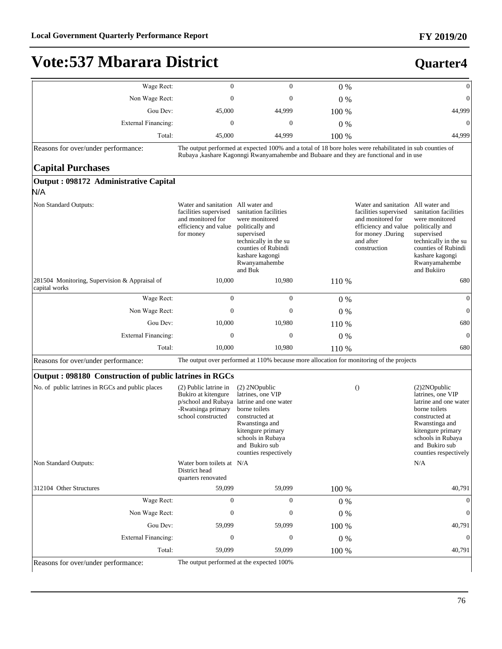### **Quarter4**

| Wage Rect:                                                     | $\mathbf{0}$                                                                                                          | $\Omega$                                                                                                                                                                                              | $0\%$ |                                                                                                                                                            | $\mathbf{0}$                                                                                                                                                                                         |
|----------------------------------------------------------------|-----------------------------------------------------------------------------------------------------------------------|-------------------------------------------------------------------------------------------------------------------------------------------------------------------------------------------------------|-------|------------------------------------------------------------------------------------------------------------------------------------------------------------|------------------------------------------------------------------------------------------------------------------------------------------------------------------------------------------------------|
| Non Wage Rect:                                                 | 0                                                                                                                     | 0                                                                                                                                                                                                     | $0\%$ |                                                                                                                                                            | $\mathbf{0}$                                                                                                                                                                                         |
| Gou Dev:                                                       | 45,000                                                                                                                | 44,999                                                                                                                                                                                                | 100 % |                                                                                                                                                            | 44,999                                                                                                                                                                                               |
| <b>External Financing:</b>                                     | $\mathbf{0}$                                                                                                          | $\mathbf{0}$                                                                                                                                                                                          | $0\%$ |                                                                                                                                                            | $\boldsymbol{0}$                                                                                                                                                                                     |
| Total:                                                         | 45,000                                                                                                                | 44,999                                                                                                                                                                                                | 100 % |                                                                                                                                                            | 44,999                                                                                                                                                                                               |
| Reasons for over/under performance:                            |                                                                                                                       | The output performed at expected 100% and a total of 18 bore holes were rehabilitated in sub counties of<br>Rubaya , kashare Kagonngi Rwanyamahembe and Bubaare and they are functional and in use    |       |                                                                                                                                                            |                                                                                                                                                                                                      |
| <b>Capital Purchases</b>                                       |                                                                                                                       |                                                                                                                                                                                                       |       |                                                                                                                                                            |                                                                                                                                                                                                      |
| Output: 098172 Administrative Capital                          |                                                                                                                       |                                                                                                                                                                                                       |       |                                                                                                                                                            |                                                                                                                                                                                                      |
| N/A                                                            |                                                                                                                       |                                                                                                                                                                                                       |       |                                                                                                                                                            |                                                                                                                                                                                                      |
| Non Standard Outputs:                                          | Water and sanitation All water and<br>facilities supervised<br>and monitored for<br>efficiency and value<br>for money | sanitation facilities<br>were monitored<br>politically and<br>supervised<br>technically in the su<br>counties of Rubindi<br>kashare kagongi<br>Rwanyamahembe<br>and Buk                               |       | Water and sanitation All water and<br>facilities supervised<br>and monitored for<br>efficiency and value<br>for money .During<br>and after<br>construction | sanitation facilities<br>were monitored<br>politically and<br>supervised<br>technically in the su<br>counties of Rubindi<br>kashare kagongi<br>Rwanyamahembe<br>and Bukiiro                          |
| 281504 Monitoring, Supervision & Appraisal of<br>capital works | 10,000                                                                                                                | 10,980                                                                                                                                                                                                | 110 % |                                                                                                                                                            | 680                                                                                                                                                                                                  |
| Wage Rect:                                                     | $\mathbf{0}$                                                                                                          | $\mathbf{0}$                                                                                                                                                                                          | $0\%$ |                                                                                                                                                            | $\boldsymbol{0}$                                                                                                                                                                                     |
| Non Wage Rect:                                                 | $\mathbf{0}$                                                                                                          | 0                                                                                                                                                                                                     | $0\%$ |                                                                                                                                                            | $\boldsymbol{0}$                                                                                                                                                                                     |
| Gou Dev:                                                       | 10,000                                                                                                                | 10,980                                                                                                                                                                                                | 110 % |                                                                                                                                                            | 680                                                                                                                                                                                                  |
| <b>External Financing:</b>                                     | $\mathbf{0}$                                                                                                          | 0                                                                                                                                                                                                     | 0%    |                                                                                                                                                            | $\mathbf{0}$                                                                                                                                                                                         |
| Total:                                                         | 10,000                                                                                                                | 10,980                                                                                                                                                                                                | 110 % |                                                                                                                                                            | 680                                                                                                                                                                                                  |
| Reasons for over/under performance:                            |                                                                                                                       | The output over performed at 110% because more allocation for monitoring of the projects                                                                                                              |       |                                                                                                                                                            |                                                                                                                                                                                                      |
| Output: 098180 Construction of public latrines in RGCs         |                                                                                                                       |                                                                                                                                                                                                       |       |                                                                                                                                                            |                                                                                                                                                                                                      |
| No. of public latrines in RGCs and public places               | (2) Public latrine in<br>Bukiro at kitengure<br>p/school and Rubaya<br>-Rwatsinga primary<br>school constructed       | (2) 2NOpublic<br>latrines, one VIP<br>latrine and one water<br>borne toilets<br>constructed at<br>Rwanstinga and<br>kitengure primary<br>schools in Rubaya<br>and Bukiro sub<br>counties respectively |       | $\theta$                                                                                                                                                   | (2)2NOpublic<br>latrines, one VIP<br>latrine and one water<br>borne toilets<br>constructed at<br>Rwanstinga and<br>kitengure primary<br>schools in Rubaya<br>and Bukiro sub<br>counties respectively |
| Non Standard Outputs:                                          | Water born toilets at N/A<br>District head<br>quarters renovated                                                      |                                                                                                                                                                                                       |       |                                                                                                                                                            | N/A                                                                                                                                                                                                  |
| 312104 Other Structures                                        | 59,099                                                                                                                | 59,099                                                                                                                                                                                                | 100 % |                                                                                                                                                            | 40,791                                                                                                                                                                                               |
| Wage Rect:                                                     | $\mathbf{0}$                                                                                                          | $\boldsymbol{0}$                                                                                                                                                                                      | $0\%$ |                                                                                                                                                            | $\theta$                                                                                                                                                                                             |
| Non Wage Rect:                                                 | $\boldsymbol{0}$                                                                                                      | $\boldsymbol{0}$                                                                                                                                                                                      | $0\%$ |                                                                                                                                                            | $\boldsymbol{0}$                                                                                                                                                                                     |
| Gou Dev:                                                       | 59,099                                                                                                                | 59,099                                                                                                                                                                                                | 100 % |                                                                                                                                                            | 40,791                                                                                                                                                                                               |
| <b>External Financing:</b>                                     | $\boldsymbol{0}$                                                                                                      | $\boldsymbol{0}$                                                                                                                                                                                      | 0%    |                                                                                                                                                            | $\mathbf{0}$                                                                                                                                                                                         |
| Total:                                                         | 59,099                                                                                                                | 59,099                                                                                                                                                                                                | 100 % |                                                                                                                                                            | 40,791                                                                                                                                                                                               |
| Reasons for over/under performance:                            |                                                                                                                       | The output performed at the expected 100%                                                                                                                                                             |       |                                                                                                                                                            |                                                                                                                                                                                                      |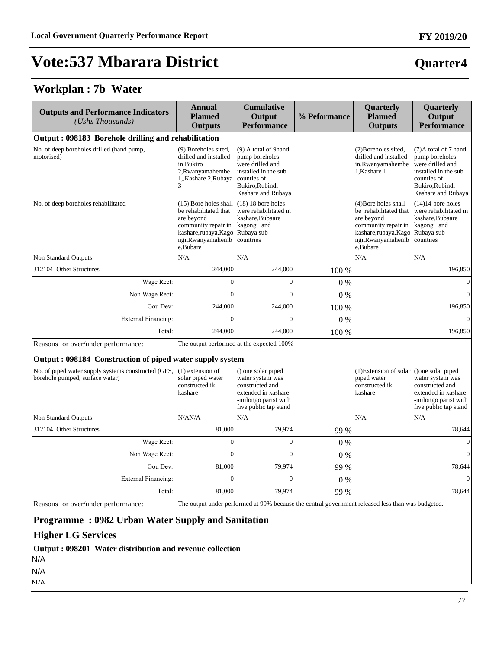### **Quarter4**

#### **Workplan : 7b Water**

| <b>Outputs and Performance Indicators</b><br>(Ushs Thousands)                                           | <b>Annual</b><br><b>Planned</b><br><b>Outputs</b>                                                                                                                                               | <b>Cumulative</b><br>Output<br><b>Performance</b>                                                                                 | % Peformance | Quarterly<br><b>Planned</b><br><b>Outputs</b>                                                                                                                               | Quarterly<br>Output<br><b>Performance</b>                                                                                                   |
|---------------------------------------------------------------------------------------------------------|-------------------------------------------------------------------------------------------------------------------------------------------------------------------------------------------------|-----------------------------------------------------------------------------------------------------------------------------------|--------------|-----------------------------------------------------------------------------------------------------------------------------------------------------------------------------|---------------------------------------------------------------------------------------------------------------------------------------------|
| Output: 098183 Borehole drilling and rehabilitation                                                     |                                                                                                                                                                                                 |                                                                                                                                   |              |                                                                                                                                                                             |                                                                                                                                             |
| No. of deep boreholes drilled (hand pump,<br>motorised)                                                 | (9) Boreholes sited,<br>drilled and installed<br>in Bukiro<br>2, Rwanyamahembe<br>1, Kashare 2, Rubaya counties of<br>3                                                                         | (9) A total of 9hand<br>pump boreholes<br>were drilled and<br>installed in the sub<br>Bukiro, Rubindi<br>Kashare and Rubaya       |              | (2) Boreholes sited,<br>drilled and installed<br>in, Rwanyamahembe<br>1, Kashare 1                                                                                          | (7) A total of 7 hand<br>pump boreholes<br>were drilled and<br>installed in the sub<br>counties of<br>Bukiro, Rubindi<br>Kashare and Rubaya |
| No. of deep boreholes rehabilitated                                                                     | (15) Bore holes shall (18) 18 bore holes<br>be rehabilitated that<br>are beyond<br>community repair in kagongi and<br>kashare,rubaya,Kago Rubaya sub<br>ngi, Rwanyamahemb countries<br>e.Bubare | were rehabilitated in<br>kashare.Bubaare                                                                                          |              | (4) Bore holes shall<br>be rehabilitated that<br>are beyond<br>community repair in kagongi and<br>kashare,rubaya,Kago Rubaya sub<br>ngi, Rwanyamahemb countiies<br>e,Bubare | $(14)14$ bore holes<br>were rehabilitated in<br>kashare, Bubaare                                                                            |
| Non Standard Outputs:                                                                                   | N/A                                                                                                                                                                                             | N/A                                                                                                                               |              | N/A                                                                                                                                                                         | N/A                                                                                                                                         |
| 312104 Other Structures                                                                                 | 244,000                                                                                                                                                                                         | 244,000                                                                                                                           | 100 %        |                                                                                                                                                                             | 196,850                                                                                                                                     |
| Wage Rect:                                                                                              | $\Omega$                                                                                                                                                                                        | $\Omega$                                                                                                                          | $0\%$        |                                                                                                                                                                             | $\overline{0}$                                                                                                                              |
| Non Wage Rect:                                                                                          | $\mathbf{0}$                                                                                                                                                                                    | $\overline{0}$                                                                                                                    | $0\%$        |                                                                                                                                                                             | $\overline{0}$                                                                                                                              |
| Gou Dev:                                                                                                | 244,000                                                                                                                                                                                         | 244,000                                                                                                                           | 100 %        |                                                                                                                                                                             | 196,850                                                                                                                                     |
| <b>External Financing:</b>                                                                              | $\boldsymbol{0}$                                                                                                                                                                                | $\boldsymbol{0}$                                                                                                                  | $0\%$        |                                                                                                                                                                             | $\boldsymbol{0}$                                                                                                                            |
| Total:                                                                                                  | 244,000                                                                                                                                                                                         | 244,000                                                                                                                           | 100 %        |                                                                                                                                                                             | 196,850                                                                                                                                     |
| Reasons for over/under performance:                                                                     |                                                                                                                                                                                                 | The output performed at the expected 100%                                                                                         |              |                                                                                                                                                                             |                                                                                                                                             |
| Output: 098184 Construction of piped water supply system                                                |                                                                                                                                                                                                 |                                                                                                                                   |              |                                                                                                                                                                             |                                                                                                                                             |
| No. of piped water supply systems constructed (GFS, (1) extension of<br>borehole pumped, surface water) | solar piped water<br>constructed ik<br>kashare                                                                                                                                                  | () one solar piped<br>water system was<br>constructed and<br>extended in kashare<br>-milongo parist with<br>five public tap stand |              | (1) Extension of solar () one solar piped<br>piped water<br>constructed ik<br>kashare                                                                                       | water system was<br>constructed and<br>extended in kashare<br>-milongo parist with<br>five public tap stand                                 |
| Non Standard Outputs:                                                                                   | N/AN/A                                                                                                                                                                                          | N/A                                                                                                                               |              | N/A                                                                                                                                                                         | N/A                                                                                                                                         |
| 312104 Other Structures                                                                                 | 81,000                                                                                                                                                                                          | 79,974                                                                                                                            | 99 %         |                                                                                                                                                                             | 78,644                                                                                                                                      |
| Wage Rect:                                                                                              | $\overline{0}$                                                                                                                                                                                  | $\overline{0}$                                                                                                                    | $0\%$        |                                                                                                                                                                             | $\mathbf{0}$                                                                                                                                |
| Non Wage Rect:                                                                                          | $\mathbf{0}$                                                                                                                                                                                    | $\overline{0}$                                                                                                                    | 0%           |                                                                                                                                                                             | $\overline{0}$                                                                                                                              |
| Gou Dev:                                                                                                | 81,000                                                                                                                                                                                          | 79,974                                                                                                                            | 99 %         |                                                                                                                                                                             | 78,644                                                                                                                                      |
| <b>External Financing:</b>                                                                              | $\boldsymbol{0}$                                                                                                                                                                                | $\boldsymbol{0}$                                                                                                                  | 0%           |                                                                                                                                                                             | $\boldsymbol{0}$                                                                                                                            |

Total: 81,000 79,974 99 % 78,644 Reasons for over/under performance: The output under performed at 99% because the central government released less than was budgeted.

#### **Programme : 0982 Urban Water Supply and Sanitation**

#### **Higher LG Services**

|      | Output: 098201 Water distribution and revenue collection |
|------|----------------------------------------------------------|
| N/A  |                                                          |
| N/A  |                                                          |
| NI/A |                                                          |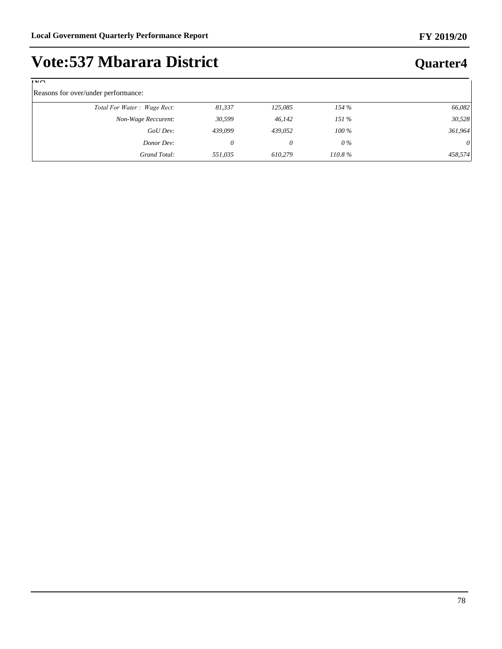| <b>Vote:537 Mbarara District</b> |  |
|----------------------------------|--|
|----------------------------------|--|

| $\mathbb{I}$ $\mathbb{V}/\mathbb{I}$ |         |         |           |          |
|--------------------------------------|---------|---------|-----------|----------|
| Reasons for over/under performance:  |         |         |           |          |
| Total For Water: Wage Rect:          | 81,337  | 125,085 | 154%      | 66,082   |
| Non-Wage Reccurent:                  | 30,599  | 46,142  | 151%      | 30,528   |
| GoUDev:                              | 439,099 | 439,052 | $100\,\%$ | 361,964  |
| Donor Dev:                           | 0       | 0       | $0\%$     | $\theta$ |
| Grand Total:                         | 551,035 | 610.279 | $110.8\%$ | 458,574  |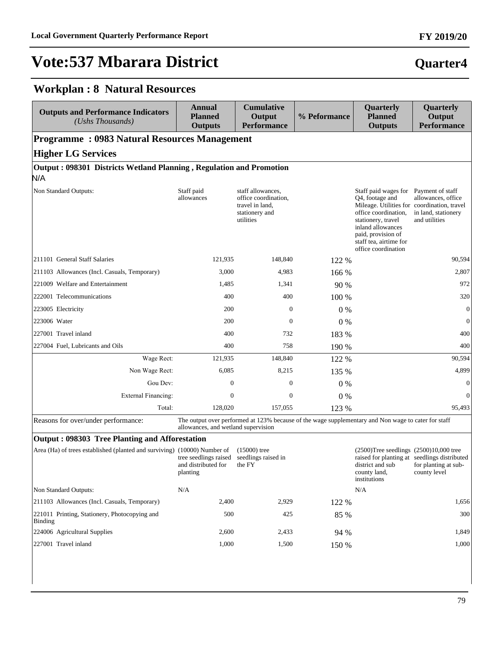# **Quarter4**

### **Workplan : 8 Natural Resources**

| <b>Outputs and Performance Indicators</b><br>(Ushs Thousands)            | <b>Annual</b><br><b>Planned</b><br><b>Outputs</b>        | <b>Cumulative</b><br>Output<br><b>Performance</b>                                           | % Peformance | Quarterly<br><b>Planned</b><br><b>Outputs</b>                                                                                                                                                                                                                  | Quarterly<br>Output<br><b>Performance</b>                                            |
|--------------------------------------------------------------------------|----------------------------------------------------------|---------------------------------------------------------------------------------------------|--------------|----------------------------------------------------------------------------------------------------------------------------------------------------------------------------------------------------------------------------------------------------------------|--------------------------------------------------------------------------------------|
| <b>Programme: 0983 Natural Resources Management</b>                      |                                                          |                                                                                             |              |                                                                                                                                                                                                                                                                |                                                                                      |
| <b>Higher LG Services</b>                                                |                                                          |                                                                                             |              |                                                                                                                                                                                                                                                                |                                                                                      |
| Output: 098301 Districts Wetland Planning, Regulation and Promotion      |                                                          |                                                                                             |              |                                                                                                                                                                                                                                                                |                                                                                      |
| N/A                                                                      |                                                          |                                                                                             |              |                                                                                                                                                                                                                                                                |                                                                                      |
| Non Standard Outputs:                                                    | Staff paid<br>allowances                                 | staff allowances,<br>office coordination,<br>travel in land,<br>stationery and<br>utilities |              | Staff paid wages for Payment of staff<br>O <sub>4</sub> , footage and<br>Mileage. Utilities for coordination, travel<br>office coordination,<br>stationery, travel<br>inland allowances<br>paid, provision of<br>staff tea, airtime for<br>office coordination | allowances, office<br>in land, stationery<br>and utilities                           |
| 211101 General Staff Salaries                                            | 121,935                                                  | 148,840                                                                                     | 122 %        |                                                                                                                                                                                                                                                                | 90,594                                                                               |
| 211103 Allowances (Incl. Casuals, Temporary)                             | 3,000                                                    | 4,983                                                                                       | 166 %        |                                                                                                                                                                                                                                                                | 2,807                                                                                |
| 221009 Welfare and Entertainment                                         | 1,485                                                    | 1,341                                                                                       | 90 %         |                                                                                                                                                                                                                                                                | 972                                                                                  |
| 222001 Telecommunications                                                | 400                                                      | 400                                                                                         | 100 %        |                                                                                                                                                                                                                                                                | 320                                                                                  |
| 223005 Electricity                                                       | 200                                                      | $\boldsymbol{0}$                                                                            | $0\%$        |                                                                                                                                                                                                                                                                | $\mathbf{0}$                                                                         |
| 223006 Water                                                             | 200                                                      | $\mathbf{0}$                                                                                | $0\%$        |                                                                                                                                                                                                                                                                | $\mathbf{0}$                                                                         |
| 227001 Travel inland                                                     | 400                                                      | 732                                                                                         | 183 %        |                                                                                                                                                                                                                                                                | 400                                                                                  |
| 227004 Fuel, Lubricants and Oils                                         | 400                                                      | 758                                                                                         | 190 %        |                                                                                                                                                                                                                                                                | 400                                                                                  |
| Wage Rect:                                                               | 121,935                                                  | 148,840                                                                                     | 122 %        |                                                                                                                                                                                                                                                                | 90,594                                                                               |
| Non Wage Rect:                                                           | 6,085                                                    | 8,215                                                                                       | 135 %        |                                                                                                                                                                                                                                                                | 4,899                                                                                |
| Gou Dev:                                                                 | $\mathbf{0}$                                             | $\mathbf{0}$                                                                                | $0\%$        |                                                                                                                                                                                                                                                                | $\mathbf{0}$                                                                         |
| <b>External Financing:</b>                                               | $\boldsymbol{0}$                                         | $\boldsymbol{0}$                                                                            | $0\%$        |                                                                                                                                                                                                                                                                | $\mathbf{0}$                                                                         |
| Total:                                                                   | 128,020                                                  | 157,055                                                                                     | 123 %        |                                                                                                                                                                                                                                                                | 95,493                                                                               |
| Reasons for over/under performance:                                      | allowances, and wetland supervision                      |                                                                                             |              | The output over performed at 123% because of the wage supplementary and Non wage to cater for staff                                                                                                                                                            |                                                                                      |
| <b>Output: 098303 Tree Planting and Afforestation</b>                    |                                                          |                                                                                             |              |                                                                                                                                                                                                                                                                |                                                                                      |
| Area (Ha) of trees established (planted and surviving) (10000) Number of | tree seedlings raised<br>and distributed for<br>planting | $(15000)$ tree<br>seedlings raised in<br>the FY                                             |              | $(2500)$ Tree seedlings $(2500)10,000$ tree<br>district and sub<br>county land,<br>institutions                                                                                                                                                                | raised for planting at seedlings distributed<br>for planting at sub-<br>county level |
| Non Standard Outputs:                                                    | N/A                                                      |                                                                                             |              | N/A                                                                                                                                                                                                                                                            |                                                                                      |
| 211103 Allowances (Incl. Casuals, Temporary)                             | 2,400                                                    | 2,929                                                                                       | 122 %        |                                                                                                                                                                                                                                                                | 1,656                                                                                |
| 221011 Printing, Stationery, Photocopying and<br><b>Binding</b>          | 500                                                      | 425                                                                                         | 85 %         |                                                                                                                                                                                                                                                                | 300                                                                                  |
| 224006 Agricultural Supplies                                             | 2,600                                                    | 2,433                                                                                       | 94 %         |                                                                                                                                                                                                                                                                | 1,849                                                                                |
| 227001 Travel inland                                                     | 1,000                                                    | 1,500                                                                                       | 150 %        |                                                                                                                                                                                                                                                                | 1,000                                                                                |

# **FY 2019/20**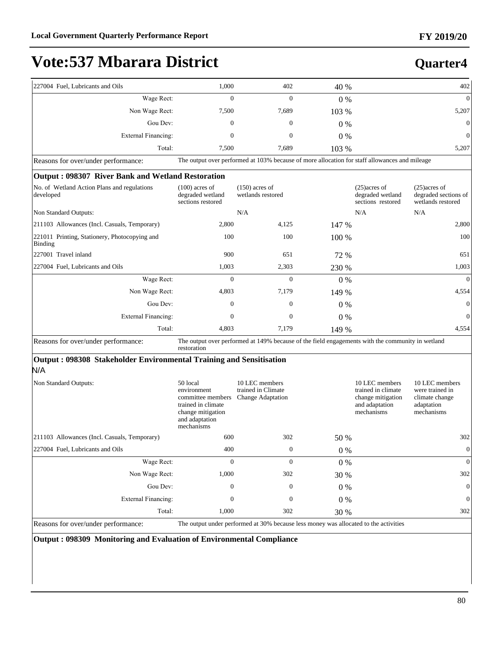### **Quarter4**

| 227004 Fuel, Lubricants and Oils                                    | 1,000                                                                                                                   | 402                                                                                              | 40 %    |                                                                                           | 402                                                                             |
|---------------------------------------------------------------------|-------------------------------------------------------------------------------------------------------------------------|--------------------------------------------------------------------------------------------------|---------|-------------------------------------------------------------------------------------------|---------------------------------------------------------------------------------|
| Wage Rect:                                                          | $\Omega$                                                                                                                | $\Omega$                                                                                         | 0%      |                                                                                           | $\mathbf{0}$                                                                    |
| Non Wage Rect:                                                      | 7,500                                                                                                                   | 7,689                                                                                            | 103 %   |                                                                                           | 5,207                                                                           |
| Gou Dev:                                                            | $\mathbf{0}$                                                                                                            | $\mathbf{0}$                                                                                     | $0\%$   |                                                                                           | $\boldsymbol{0}$                                                                |
| <b>External Financing:</b>                                          | $\mathbf{0}$                                                                                                            | $\mathbf{0}$                                                                                     | 0%      |                                                                                           | $\mathbf{0}$                                                                    |
| Total:                                                              | 7,500                                                                                                                   | 7,689                                                                                            | 103 %   |                                                                                           | 5,207                                                                           |
| Reasons for over/under performance:                                 |                                                                                                                         | The output over performed at 103% because of more allocation for staff allowances and mileage    |         |                                                                                           |                                                                                 |
| Output: 098307 River Bank and Wetland Restoration                   |                                                                                                                         |                                                                                                  |         |                                                                                           |                                                                                 |
| No. of Wetland Action Plans and regulations<br>developed            | $(100)$ acres of<br>degraded wetland<br>sections restored                                                               | $(150)$ acres of<br>wetlands restored                                                            |         | $(25)$ acres of<br>degraded wetland<br>sections restored                                  | $(25)$ acres of<br>degraded sections of<br>wetlands restored                    |
| Non Standard Outputs:                                               |                                                                                                                         | N/A                                                                                              |         | N/A                                                                                       | N/A                                                                             |
| 211103 Allowances (Incl. Casuals, Temporary)                        | 2,800                                                                                                                   | 4,125                                                                                            | 147 %   |                                                                                           | 2,800                                                                           |
| 221011 Printing, Stationery, Photocopying and<br>Binding            | 100                                                                                                                     | 100                                                                                              | 100 %   |                                                                                           | 100                                                                             |
| 227001 Travel inland                                                | 900                                                                                                                     | 651                                                                                              | 72 %    |                                                                                           | 651                                                                             |
| 227004 Fuel, Lubricants and Oils                                    | 1,003                                                                                                                   | 2,303                                                                                            | 230 %   |                                                                                           | 1,003                                                                           |
| Wage Rect:                                                          | $\mathbf{0}$                                                                                                            | $\mathbf{0}$                                                                                     | 0%      |                                                                                           | $\mathbf{0}$                                                                    |
| Non Wage Rect:                                                      | 4,803                                                                                                                   | 7,179                                                                                            | 149 %   |                                                                                           | 4,554                                                                           |
| Gou Dev:                                                            | $\mathbf{0}$                                                                                                            | $\mathbf{0}$                                                                                     | $0\%$   |                                                                                           | $\mathbf{0}$                                                                    |
| <b>External Financing:</b>                                          | $\mathbf{0}$                                                                                                            | $\mathbf{0}$                                                                                     | $0\%$   |                                                                                           | $\mathbf{0}$                                                                    |
| Total:                                                              | 4,803                                                                                                                   | 7,179                                                                                            | 149 %   |                                                                                           | 4,554                                                                           |
| Reasons for over/under performance:                                 | restoration                                                                                                             | The output over performed at 149% because of the field engagements with the community in wetland |         |                                                                                           |                                                                                 |
| Output: 098308 Stakeholder Environmental Training and Sensitisation |                                                                                                                         |                                                                                                  |         |                                                                                           |                                                                                 |
| N/A                                                                 |                                                                                                                         |                                                                                                  |         |                                                                                           |                                                                                 |
| Non Standard Outputs:                                               | 50 local<br>environment<br>committee members<br>trained in climate<br>change mitigation<br>and adaptation<br>mechanisms | 10 LEC members<br>trained in Climate<br><b>Change Adaptation</b>                                 |         | 10 LEC members<br>trained in climate<br>change mitigation<br>and adaptation<br>mechanisms | 10 LEC members<br>were trained in<br>climate change<br>adaptation<br>mechanisms |
| 211103 Allowances (Incl. Casuals, Temporary)                        | 600                                                                                                                     | 302                                                                                              | 50 %    |                                                                                           | 302                                                                             |
| 227004 Fuel, Lubricants and Oils                                    | 400                                                                                                                     | $\boldsymbol{0}$                                                                                 | $0\ \%$ |                                                                                           | $\boldsymbol{0}$                                                                |
| Wage Rect:                                                          | $\mathbf{0}$                                                                                                            | $\mathbf{0}$                                                                                     | 0%      |                                                                                           | $\boldsymbol{0}$                                                                |
| Non Wage Rect:                                                      | 1,000                                                                                                                   | 302                                                                                              | 30 %    |                                                                                           | 302                                                                             |
| Gou Dev:                                                            | 0                                                                                                                       | $\boldsymbol{0}$                                                                                 | 0%      |                                                                                           | $\boldsymbol{0}$                                                                |
| <b>External Financing:</b>                                          | $\boldsymbol{0}$                                                                                                        | $\boldsymbol{0}$                                                                                 | $0\%$   |                                                                                           | 0                                                                               |
| Total:                                                              | 1,000                                                                                                                   | 302                                                                                              | 30 %    |                                                                                           | 302                                                                             |
| Reasons for over/under performance:                                 |                                                                                                                         | The output under performed at 30% because less money was allocated to the activities             |         |                                                                                           |                                                                                 |

**Output : 098309 Monitoring and Evaluation of Environmental Compliance**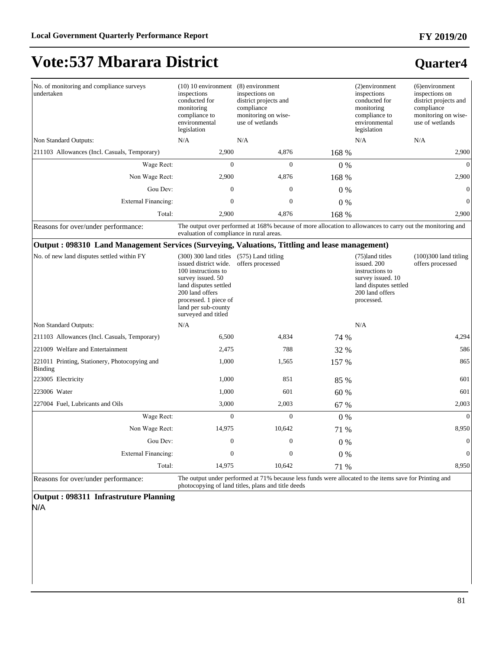#### **FY 2019/20**

# **Vote:537 Mbarara District**

### **Quarter4**

| No. of monitoring and compliance surveys<br>undertaken                                         | $(10)$ 10 environment $(8)$ environment<br>inspections<br>conducted for<br>monitoring<br>compliance to<br>environmental<br>legislation                                                                          | inspections on<br>district projects and<br>compliance<br>monitoring on wise-<br>use of wetlands                                                              |       | (2)environment<br>inspections<br>conducted for<br>monitoring<br>compliance to<br>environmental<br>legislation                    | (6)environment<br>inspections on<br>district projects and<br>compliance<br>monitoring on wise-<br>use of wetlands |
|------------------------------------------------------------------------------------------------|-----------------------------------------------------------------------------------------------------------------------------------------------------------------------------------------------------------------|--------------------------------------------------------------------------------------------------------------------------------------------------------------|-------|----------------------------------------------------------------------------------------------------------------------------------|-------------------------------------------------------------------------------------------------------------------|
| Non Standard Outputs:                                                                          | N/A                                                                                                                                                                                                             | N/A                                                                                                                                                          |       | N/A                                                                                                                              | N/A                                                                                                               |
| 211103 Allowances (Incl. Casuals, Temporary)                                                   | 2,900                                                                                                                                                                                                           | 4,876                                                                                                                                                        | 168 % |                                                                                                                                  | 2,900                                                                                                             |
| Wage Rect:                                                                                     | $\Omega$                                                                                                                                                                                                        | $\overline{0}$                                                                                                                                               | $0\%$ |                                                                                                                                  | $\overline{0}$                                                                                                    |
| Non Wage Rect:                                                                                 | 2,900                                                                                                                                                                                                           | 4,876                                                                                                                                                        | 168 % |                                                                                                                                  | 2,900                                                                                                             |
| Gou Dev:                                                                                       | $\mathbf{0}$                                                                                                                                                                                                    | $\mathbf{0}$                                                                                                                                                 | $0\%$ |                                                                                                                                  | $\boldsymbol{0}$                                                                                                  |
| <b>External Financing:</b>                                                                     | $\Omega$                                                                                                                                                                                                        | $\Omega$                                                                                                                                                     | $0\%$ |                                                                                                                                  | $\boldsymbol{0}$                                                                                                  |
| Total:                                                                                         | 2,900                                                                                                                                                                                                           | 4,876                                                                                                                                                        | 168 % |                                                                                                                                  | 2,900                                                                                                             |
| Reasons for over/under performance:                                                            | evaluation of compliance in rural areas.                                                                                                                                                                        | The output over performed at 168% because of more allocation to allowances to carry out the monitoring and                                                   |       |                                                                                                                                  |                                                                                                                   |
| Output: 098310 Land Management Services (Surveying, Valuations, Tittling and lease management) |                                                                                                                                                                                                                 |                                                                                                                                                              |       |                                                                                                                                  |                                                                                                                   |
| No. of new land disputes settled within FY                                                     | $(300)$ 300 land titles<br>issued district wide.<br>100 instructions to<br>survey issued. 50<br>land disputes settled<br>200 land offers<br>processed. 1 piece of<br>land per sub-county<br>surveyed and titled | $(575)$ Land titling<br>offers processed                                                                                                                     |       | (75)land titles<br>issued. 200<br>instructions to<br>survey issued. 10<br>land disputes settled<br>200 land offers<br>processed. | $(100)300$ land titling<br>offers processed                                                                       |
| Non Standard Outputs:                                                                          | N/A                                                                                                                                                                                                             |                                                                                                                                                              |       | N/A                                                                                                                              |                                                                                                                   |
| 211103 Allowances (Incl. Casuals, Temporary)                                                   | 6,500                                                                                                                                                                                                           | 4,834                                                                                                                                                        | 74 %  |                                                                                                                                  | 4,294                                                                                                             |
| 221009 Welfare and Entertainment                                                               | 2,475                                                                                                                                                                                                           | 788                                                                                                                                                          | 32 %  |                                                                                                                                  | 586                                                                                                               |
| 221011 Printing, Stationery, Photocopying and<br><b>Binding</b>                                | 1,000                                                                                                                                                                                                           | 1,565                                                                                                                                                        | 157 % |                                                                                                                                  | 865                                                                                                               |
| 223005 Electricity                                                                             | 1,000                                                                                                                                                                                                           | 851                                                                                                                                                          | 85 %  |                                                                                                                                  | 601                                                                                                               |
| 223006 Water                                                                                   | 1,000                                                                                                                                                                                                           | 601                                                                                                                                                          | 60 %  |                                                                                                                                  | 601                                                                                                               |
| 227004 Fuel, Lubricants and Oils                                                               | 3,000                                                                                                                                                                                                           | 2,003                                                                                                                                                        | 67 %  |                                                                                                                                  | 2,003                                                                                                             |
| Wage Rect:                                                                                     | $\Omega$                                                                                                                                                                                                        | $\Omega$                                                                                                                                                     | $0\%$ |                                                                                                                                  | $\boldsymbol{0}$                                                                                                  |
| Non Wage Rect:                                                                                 | 14,975                                                                                                                                                                                                          | 10,642                                                                                                                                                       | 71 %  |                                                                                                                                  | 8,950                                                                                                             |
| Gou Dev:                                                                                       | $\boldsymbol{0}$                                                                                                                                                                                                | $\boldsymbol{0}$                                                                                                                                             | $0\%$ |                                                                                                                                  | $\boldsymbol{0}$                                                                                                  |
| <b>External Financing:</b>                                                                     | $\overline{0}$                                                                                                                                                                                                  | $\theta$                                                                                                                                                     | 0%    |                                                                                                                                  | $\overline{0}$                                                                                                    |
| Total:                                                                                         | 14,975                                                                                                                                                                                                          | 10.642                                                                                                                                                       | 71 %  |                                                                                                                                  | 8.950                                                                                                             |
| Reasons for over/under performance:                                                            |                                                                                                                                                                                                                 | The output under performed at 71% because less funds were allocated to the items save for Printing and<br>photocopying of land titles, plans and title deeds |       |                                                                                                                                  |                                                                                                                   |

**Output : 098311 Infrastruture Planning** 

N/A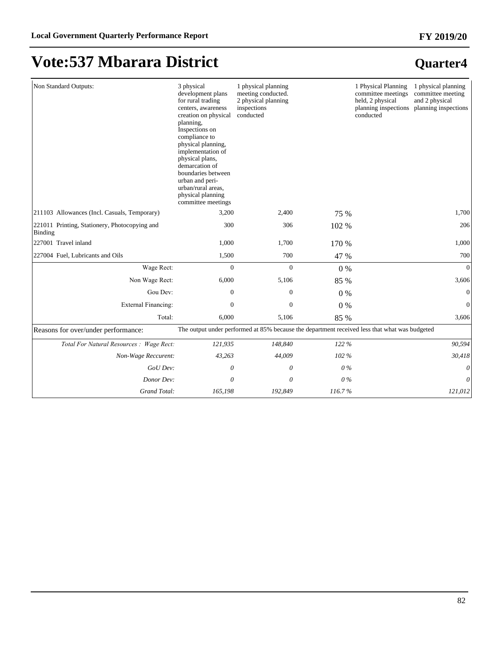| Non Standard Outputs:                                    | 3 physical<br>development plans<br>for rural trading<br>centers, awareness<br>creation on physical<br>planning,<br>Inspections on<br>compliance to<br>physical planning,<br>implementation of<br>physical plans,<br>demarcation of<br>boundaries between<br>urban and peri-<br>urban/rural areas,<br>physical planning<br>committee meetings | 1 physical planning<br>meeting conducted.<br>2 physical planning<br>inspections<br>conducted  |         | 1 Physical Planning<br>committee meetings<br>held, 2 physical<br>planning inspections<br>conducted | 1 physical planning<br>committee meeting<br>and 2 physical<br>planning inspections |
|----------------------------------------------------------|----------------------------------------------------------------------------------------------------------------------------------------------------------------------------------------------------------------------------------------------------------------------------------------------------------------------------------------------|-----------------------------------------------------------------------------------------------|---------|----------------------------------------------------------------------------------------------------|------------------------------------------------------------------------------------|
| 211103 Allowances (Incl. Casuals, Temporary)             | 3,200                                                                                                                                                                                                                                                                                                                                        | 2,400                                                                                         | 75 %    |                                                                                                    | 1,700                                                                              |
| 221011 Printing, Stationery, Photocopying and<br>Binding | 300                                                                                                                                                                                                                                                                                                                                          | 306                                                                                           | 102 %   |                                                                                                    | 206                                                                                |
| 227001 Travel inland                                     | 1,000                                                                                                                                                                                                                                                                                                                                        | 1,700                                                                                         | 170 %   |                                                                                                    | 1,000                                                                              |
| 227004 Fuel, Lubricants and Oils                         | 1,500                                                                                                                                                                                                                                                                                                                                        | 700                                                                                           | 47 %    |                                                                                                    | 700                                                                                |
| Wage Rect:                                               | $\mathbf{0}$                                                                                                                                                                                                                                                                                                                                 | $\mathbf{0}$                                                                                  | $0\%$   |                                                                                                    | $\Omega$                                                                           |
| Non Wage Rect:                                           | 6,000                                                                                                                                                                                                                                                                                                                                        | 5,106                                                                                         | 85 %    |                                                                                                    | 3,606                                                                              |
| Gou Dev:                                                 | $\overline{0}$                                                                                                                                                                                                                                                                                                                               | $\boldsymbol{0}$                                                                              | $0\%$   |                                                                                                    | $\mathbf{0}$                                                                       |
| <b>External Financing:</b>                               | $\theta$                                                                                                                                                                                                                                                                                                                                     | $\mathbf{0}$                                                                                  | $0\%$   |                                                                                                    | $\mathbf{0}$                                                                       |
| Total:                                                   | 6,000                                                                                                                                                                                                                                                                                                                                        | 5,106                                                                                         | 85 %    |                                                                                                    | 3,606                                                                              |
| Reasons for over/under performance:                      |                                                                                                                                                                                                                                                                                                                                              | The output under performed at 85% because the department received less that what was budgeted |         |                                                                                                    |                                                                                    |
| Total For Natural Resources : Wage Rect:                 | 121,935                                                                                                                                                                                                                                                                                                                                      | 148,840                                                                                       | 122 %   |                                                                                                    | 90,594                                                                             |
| Non-Wage Reccurent:                                      | 43,263                                                                                                                                                                                                                                                                                                                                       | 44,009                                                                                        | 102 %   |                                                                                                    | 30,418                                                                             |
| GoU Dev:                                                 | 0                                                                                                                                                                                                                                                                                                                                            | 0                                                                                             | 0%      |                                                                                                    | 0                                                                                  |
| Donor Dev:                                               | 0                                                                                                                                                                                                                                                                                                                                            | 0                                                                                             | $0\,\%$ |                                                                                                    | 0                                                                                  |
| Grand Total:                                             | 165,198                                                                                                                                                                                                                                                                                                                                      | 192,849                                                                                       | 116.7%  |                                                                                                    | 121,012                                                                            |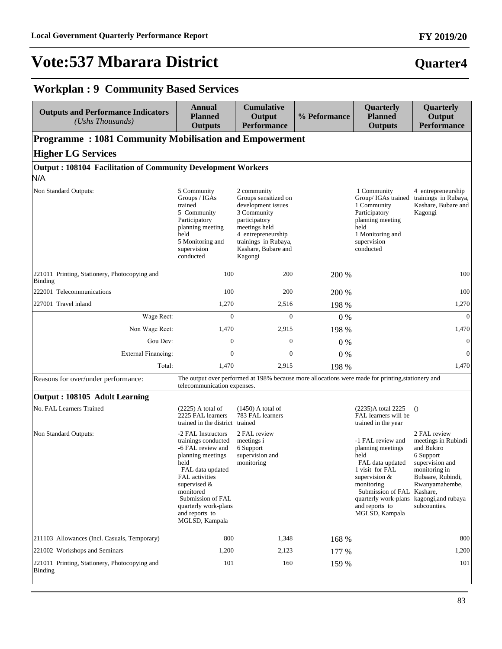#### **FY 2019/20**

### **Quarter4**

### **Workplan : 9 Community Based Services**

| <b>Outputs and Performance Indicators</b><br>$(Ushs$ Thousands)            | <b>Annual</b><br><b>Planned</b><br><b>Outputs</b>                                                                                                                                                                                               | <b>Cumulative</b><br>Output<br><b>Performance</b>                                                                                                                                          | % Peformance | Quarterly<br><b>Planned</b><br><b>Outputs</b>                                                                                                                                                                    | Quarterly<br>Output<br><b>Performance</b>                                                                                                                                        |  |  |  |  |
|----------------------------------------------------------------------------|-------------------------------------------------------------------------------------------------------------------------------------------------------------------------------------------------------------------------------------------------|--------------------------------------------------------------------------------------------------------------------------------------------------------------------------------------------|--------------|------------------------------------------------------------------------------------------------------------------------------------------------------------------------------------------------------------------|----------------------------------------------------------------------------------------------------------------------------------------------------------------------------------|--|--|--|--|
| <b>Programme: 1081 Community Mobilisation and Empowerment</b>              |                                                                                                                                                                                                                                                 |                                                                                                                                                                                            |              |                                                                                                                                                                                                                  |                                                                                                                                                                                  |  |  |  |  |
| <b>Higher LG Services</b>                                                  |                                                                                                                                                                                                                                                 |                                                                                                                                                                                            |              |                                                                                                                                                                                                                  |                                                                                                                                                                                  |  |  |  |  |
| <b>Output: 108104 Facilitation of Community Development Workers</b><br>N/A |                                                                                                                                                                                                                                                 |                                                                                                                                                                                            |              |                                                                                                                                                                                                                  |                                                                                                                                                                                  |  |  |  |  |
| Non Standard Outputs:                                                      | 5 Community<br>Groups / IGAs<br>trained<br>5 Community<br>Participatory<br>planning meeting<br>held<br>5 Monitoring and<br>supervision<br>conducted                                                                                             | 2 community<br>Groups sensitized on<br>development issues<br>3 Community<br>participatory<br>meetings held<br>4 entrepreneurship<br>trainings in Rubaya,<br>Kashare, Bubare and<br>Kagongi |              | 1 Community<br>Group/ IGAs trained<br>1 Community<br>Participatory<br>planning meeting<br>held<br>1 Monitoring and<br>supervision<br>conducted                                                                   | 4 entrepreneurship<br>trainings in Rubaya,<br>Kashare, Bubare and<br>Kagongi                                                                                                     |  |  |  |  |
| 221011 Printing, Stationery, Photocopying and<br><b>Binding</b>            | 100                                                                                                                                                                                                                                             | 200                                                                                                                                                                                        | 200 %        |                                                                                                                                                                                                                  | 100                                                                                                                                                                              |  |  |  |  |
| 222001 Telecommunications                                                  | 100                                                                                                                                                                                                                                             | 200                                                                                                                                                                                        | 200 %        |                                                                                                                                                                                                                  | 100                                                                                                                                                                              |  |  |  |  |
| 227001 Travel inland                                                       | 1,270                                                                                                                                                                                                                                           | 2,516                                                                                                                                                                                      | 198 %        |                                                                                                                                                                                                                  | 1,270                                                                                                                                                                            |  |  |  |  |
| Wage Rect:                                                                 | $\boldsymbol{0}$                                                                                                                                                                                                                                | $\overline{0}$                                                                                                                                                                             | $0\%$        |                                                                                                                                                                                                                  | $\mathbf{0}$                                                                                                                                                                     |  |  |  |  |
| Non Wage Rect:                                                             | 1,470                                                                                                                                                                                                                                           | 2,915                                                                                                                                                                                      | 198 %        |                                                                                                                                                                                                                  | 1,470                                                                                                                                                                            |  |  |  |  |
| Gou Dev:                                                                   | $\mathbf{0}$                                                                                                                                                                                                                                    | $\mathbf{0}$                                                                                                                                                                               | $0\%$        |                                                                                                                                                                                                                  | $\mathbf{0}$                                                                                                                                                                     |  |  |  |  |
| <b>External Financing:</b>                                                 | $\mathbf{0}$                                                                                                                                                                                                                                    | $\mathbf{0}$                                                                                                                                                                               | $0\%$        |                                                                                                                                                                                                                  | $\boldsymbol{0}$                                                                                                                                                                 |  |  |  |  |
| Total:                                                                     | 1,470                                                                                                                                                                                                                                           | 2,915                                                                                                                                                                                      | 198 %        |                                                                                                                                                                                                                  | 1,470                                                                                                                                                                            |  |  |  |  |
| Reasons for over/under performance:                                        | telecommunication expenses.                                                                                                                                                                                                                     | The output over performed at 198% because more allocations were made for printing, stationery and                                                                                          |              |                                                                                                                                                                                                                  |                                                                                                                                                                                  |  |  |  |  |
| Output: 108105 Adult Learning                                              |                                                                                                                                                                                                                                                 |                                                                                                                                                                                            |              |                                                                                                                                                                                                                  |                                                                                                                                                                                  |  |  |  |  |
| No. FAL Learners Trained                                                   | $(2225)$ A total of<br>2225 FAL learners<br>trained in the district trained                                                                                                                                                                     | $(1450)$ A total of<br>783 FAL learners                                                                                                                                                    |              | (2235)A total 2225<br>FAL learners will be<br>trained in the year                                                                                                                                                | $\Omega$                                                                                                                                                                         |  |  |  |  |
| Non Standard Outputs:                                                      | -2 FAL Instructors<br>trainings conducted<br>-6 FAL review and<br>planning meetings<br>held<br>FAL data updated<br>FAL activities<br>supervised &<br>monitored<br>Submission of FAL<br>quarterly work-plans<br>and reports to<br>MGLSD, Kampala | 2 FAL review<br>meetings i<br>6 Support<br>supervision and<br>monitoring                                                                                                                   |              | -1 FAL review and<br>planning meetings<br>held<br>FAL data updated<br>1 visit for FAL<br>supervision $&$<br>monitoring<br>Submission of FAL Kashare,<br>quarterly work-plans<br>and reports to<br>MGLSD, Kampala | 2 FAL review<br>meetings in Rubindi<br>and Bukiro<br>6 Support<br>supervision and<br>monitoring in<br>Bubaare, Rubindi,<br>Rwanyamahembe,<br>kagongi, and rubaya<br>subcounties. |  |  |  |  |
| 211103 Allowances (Incl. Casuals, Temporary)                               | 800                                                                                                                                                                                                                                             | 1,348                                                                                                                                                                                      | 168 %        |                                                                                                                                                                                                                  | 800                                                                                                                                                                              |  |  |  |  |
| 221002 Workshops and Seminars                                              | 1,200                                                                                                                                                                                                                                           | 2,123                                                                                                                                                                                      | 177 %        |                                                                                                                                                                                                                  | 1,200                                                                                                                                                                            |  |  |  |  |
| 221011 Printing, Stationery, Photocopying and<br><b>Binding</b>            | 101                                                                                                                                                                                                                                             | 160                                                                                                                                                                                        | 159 %        |                                                                                                                                                                                                                  | 101                                                                                                                                                                              |  |  |  |  |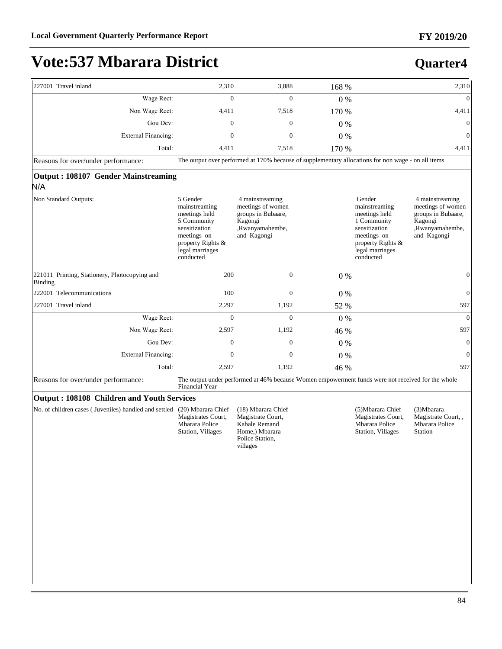| 227001 Travel inland                                     | 2,310                                                                                                                                          | 3,888                                                                                                     | 168 %   |                                                                                                                                              | 2,310                                                                                                   |
|----------------------------------------------------------|------------------------------------------------------------------------------------------------------------------------------------------------|-----------------------------------------------------------------------------------------------------------|---------|----------------------------------------------------------------------------------------------------------------------------------------------|---------------------------------------------------------------------------------------------------------|
| Wage Rect:                                               | $\Omega$                                                                                                                                       | $\Omega$                                                                                                  | $0\ \%$ |                                                                                                                                              | $\theta$                                                                                                |
| Non Wage Rect:                                           | 4,411                                                                                                                                          | 7,518                                                                                                     | 170 %   |                                                                                                                                              | 4,411                                                                                                   |
| Gou Dev:                                                 | $\boldsymbol{0}$                                                                                                                               | $\mathbf{0}$                                                                                              | $0\%$   |                                                                                                                                              | $\boldsymbol{0}$                                                                                        |
| <b>External Financing:</b>                               | $\overline{0}$                                                                                                                                 | $\overline{0}$                                                                                            | 0%      |                                                                                                                                              | $\overline{0}$                                                                                          |
| Total:                                                   | 4,411                                                                                                                                          | 7,518                                                                                                     | 170 %   |                                                                                                                                              | 4,411                                                                                                   |
| Reasons for over/under performance:                      |                                                                                                                                                | The output over performed at 170% because of supplementary allocations for non wage - on all items        |         |                                                                                                                                              |                                                                                                         |
| <b>Output: 108107 Gender Mainstreaming</b><br>N/A        |                                                                                                                                                |                                                                                                           |         |                                                                                                                                              |                                                                                                         |
| Non Standard Outputs:                                    | 5 Gender<br>mainstreaming<br>meetings held<br>5 Community<br>sensitization<br>meetings on<br>property Rights &<br>legal marriages<br>conducted | 4 mainstreaming<br>meetings of women<br>groups in Bubaare,<br>Kagongi<br>,Rwanyamahembe,<br>and Kagongi   |         | Gender<br>mainstreaming<br>meetings held<br>1 Community<br>sensitization<br>meetings on<br>property Rights &<br>legal marriages<br>conducted | 4 mainstreaming<br>meetings of women<br>groups in Bubaare,<br>Kagongi<br>,Rwanyamahembe,<br>and Kagongi |
| 221011 Printing, Stationery, Photocopying and<br>Binding | 200                                                                                                                                            | $\mathbf{0}$                                                                                              | $0\%$   |                                                                                                                                              | $\boldsymbol{0}$                                                                                        |
| 222001 Telecommunications                                | 100                                                                                                                                            | $\mathbf{0}$                                                                                              | $0\%$   |                                                                                                                                              | $\overline{0}$                                                                                          |
| 227001 Travel inland                                     | 2,297                                                                                                                                          | 1,192                                                                                                     | 52 %    |                                                                                                                                              | 597                                                                                                     |
| Wage Rect:                                               | $\overline{0}$                                                                                                                                 | $\overline{0}$                                                                                            | $0\%$   |                                                                                                                                              | $\overline{0}$                                                                                          |
| Non Wage Rect:                                           | 2,597                                                                                                                                          | 1,192                                                                                                     | 46 %    |                                                                                                                                              | 597                                                                                                     |
| Gou Dev:                                                 | $\mathbf{0}$                                                                                                                                   | $\overline{0}$                                                                                            | $0\%$   |                                                                                                                                              | $\overline{0}$                                                                                          |
| <b>External Financing:</b>                               | $\mathbf{0}$                                                                                                                                   | $\mathbf{0}$                                                                                              | $0\%$   |                                                                                                                                              | $\overline{0}$                                                                                          |
| Total:                                                   | 2,597                                                                                                                                          | 1,192                                                                                                     | 46 %    |                                                                                                                                              | 597                                                                                                     |
| Reasons for over/under performance:                      | Financial Year                                                                                                                                 | The output under performed at 46% because Women empowerment funds were not received for the whole         |         |                                                                                                                                              |                                                                                                         |
| Output: 108108 Children and Youth Services               |                                                                                                                                                |                                                                                                           |         |                                                                                                                                              |                                                                                                         |
| No. of children cases (Juveniles) handled and settled    | (20) Mbarara Chief<br>Magistrates Court,<br>Mbarara Police<br>Station, Villages                                                                | (18) Mbarara Chief<br>Magistrate Court,<br>Kabale Remand<br>Home,) Mbarara<br>Police Station,<br>villages |         | (5) Mbarara Chief<br>Magistrates Court,<br>Mbarara Police<br>Station, Villages                                                               | (3) Mbarara<br>Magistrate Court,,<br>Mbarara Police<br><b>Station</b>                                   |
|                                                          |                                                                                                                                                |                                                                                                           |         |                                                                                                                                              |                                                                                                         |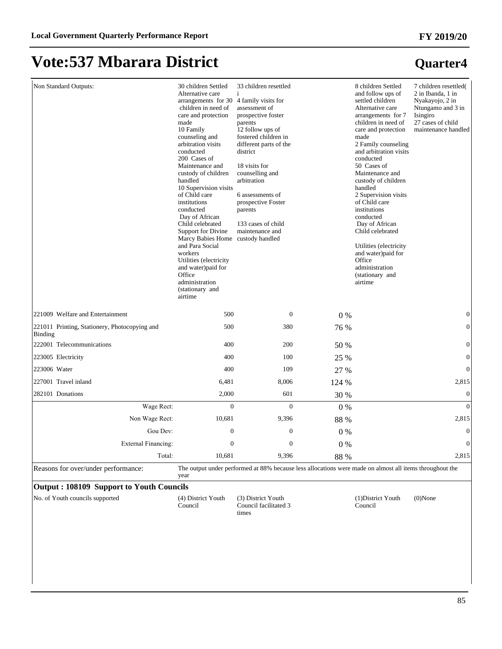| Non Standard Outputs:                                    | 30 children Settled<br>Alternative care<br>arrangements for 30<br>children in need of<br>care and protection<br>made<br>10 Family<br>counseling and<br>arbitration visits<br>conducted<br>200 Cases of<br>Maintenance and<br>custody of children<br>handled<br>10 Supervision visits<br>of Child care<br>institutions<br>conducted<br>Day of African<br>Child celebrated<br>Support for Divine<br>Marcy Babies Home<br>and Para Social<br>workers<br>Utilities (electricity<br>and water)paid for<br>Office<br>administration<br>(stationary and<br>airtime | 33 children resettled<br>4 family visits for<br>assessment of<br>prospective foster<br>parents<br>12 follow ups of<br>fostered children in<br>different parts of the<br>district<br>18 visits for<br>counselling and<br>arbitration<br>6 assessments of<br>prospective Foster<br>parents<br>133 cases of child<br>maintenance and<br>custody handled |       | 8 children Settled<br>and follow ups of<br>settled children<br>Alternative care<br>arrangements for 7<br>children in need of<br>care and protection<br>made<br>2 Family counseling<br>and arbitration visits<br>conducted<br>50 Cases of<br>Maintenance and<br>custody of children<br>handled<br>2 Supervision visits<br>of Child care<br>institutions<br>conducted<br>Day of African<br>Child celebrated<br>Utilities (electricity<br>and water)paid for<br>Office<br>administration<br>(stationary and<br>airtime | 7 children resettled(<br>2 in Ibanda, 1 in<br>Nyakayojo, 2 in<br>Ntungamo and 3 in<br>Isingiro<br>27 cases of child<br>maintenance handled |
|----------------------------------------------------------|-------------------------------------------------------------------------------------------------------------------------------------------------------------------------------------------------------------------------------------------------------------------------------------------------------------------------------------------------------------------------------------------------------------------------------------------------------------------------------------------------------------------------------------------------------------|------------------------------------------------------------------------------------------------------------------------------------------------------------------------------------------------------------------------------------------------------------------------------------------------------------------------------------------------------|-------|---------------------------------------------------------------------------------------------------------------------------------------------------------------------------------------------------------------------------------------------------------------------------------------------------------------------------------------------------------------------------------------------------------------------------------------------------------------------------------------------------------------------|--------------------------------------------------------------------------------------------------------------------------------------------|
| 221009 Welfare and Entertainment                         | 500                                                                                                                                                                                                                                                                                                                                                                                                                                                                                                                                                         | $\mathbf{0}$                                                                                                                                                                                                                                                                                                                                         | 0%    |                                                                                                                                                                                                                                                                                                                                                                                                                                                                                                                     | $\boldsymbol{0}$                                                                                                                           |
| 221011 Printing, Stationery, Photocopying and<br>Binding | 500                                                                                                                                                                                                                                                                                                                                                                                                                                                                                                                                                         | 380                                                                                                                                                                                                                                                                                                                                                  | 76 %  |                                                                                                                                                                                                                                                                                                                                                                                                                                                                                                                     | $\boldsymbol{0}$                                                                                                                           |
| 222001 Telecommunications                                | 400                                                                                                                                                                                                                                                                                                                                                                                                                                                                                                                                                         | 200                                                                                                                                                                                                                                                                                                                                                  | 50 %  |                                                                                                                                                                                                                                                                                                                                                                                                                                                                                                                     | $\boldsymbol{0}$                                                                                                                           |
| 223005 Electricity                                       | 400                                                                                                                                                                                                                                                                                                                                                                                                                                                                                                                                                         | 100                                                                                                                                                                                                                                                                                                                                                  | 25 %  |                                                                                                                                                                                                                                                                                                                                                                                                                                                                                                                     | $\boldsymbol{0}$                                                                                                                           |
| 223006 Water                                             | 400                                                                                                                                                                                                                                                                                                                                                                                                                                                                                                                                                         | 109                                                                                                                                                                                                                                                                                                                                                  | 27 %  |                                                                                                                                                                                                                                                                                                                                                                                                                                                                                                                     | $\boldsymbol{0}$                                                                                                                           |
| 227001 Travel inland                                     | 6,481                                                                                                                                                                                                                                                                                                                                                                                                                                                                                                                                                       | 8,006                                                                                                                                                                                                                                                                                                                                                | 124 % |                                                                                                                                                                                                                                                                                                                                                                                                                                                                                                                     | 2,815                                                                                                                                      |
| 282101 Donations                                         | 2,000                                                                                                                                                                                                                                                                                                                                                                                                                                                                                                                                                       | 601                                                                                                                                                                                                                                                                                                                                                  | 30 %  |                                                                                                                                                                                                                                                                                                                                                                                                                                                                                                                     | $\boldsymbol{0}$                                                                                                                           |
| Wage Rect:                                               | $\mathbf{0}$                                                                                                                                                                                                                                                                                                                                                                                                                                                                                                                                                | $\mathbf{0}$                                                                                                                                                                                                                                                                                                                                         | $0\%$ |                                                                                                                                                                                                                                                                                                                                                                                                                                                                                                                     | $\mathbf{0}$                                                                                                                               |
| Non Wage Rect:                                           | 10,681                                                                                                                                                                                                                                                                                                                                                                                                                                                                                                                                                      | 9,396                                                                                                                                                                                                                                                                                                                                                | 88 %  |                                                                                                                                                                                                                                                                                                                                                                                                                                                                                                                     | 2,815                                                                                                                                      |
| Gou Dev:                                                 | 0                                                                                                                                                                                                                                                                                                                                                                                                                                                                                                                                                           | $\boldsymbol{0}$                                                                                                                                                                                                                                                                                                                                     | $0\%$ |                                                                                                                                                                                                                                                                                                                                                                                                                                                                                                                     | $\mathbf{0}$                                                                                                                               |
| External Financing:                                      | 0                                                                                                                                                                                                                                                                                                                                                                                                                                                                                                                                                           | $\mathbf{0}$                                                                                                                                                                                                                                                                                                                                         | $0\%$ |                                                                                                                                                                                                                                                                                                                                                                                                                                                                                                                     | $\mathbf{0}$                                                                                                                               |
| Total:                                                   | 10,681                                                                                                                                                                                                                                                                                                                                                                                                                                                                                                                                                      | 9,396                                                                                                                                                                                                                                                                                                                                                | 88 %  |                                                                                                                                                                                                                                                                                                                                                                                                                                                                                                                     | 2,815                                                                                                                                      |
| Reasons for over/under performance:                      | year                                                                                                                                                                                                                                                                                                                                                                                                                                                                                                                                                        | The output under performed at 88% because less allocations were made on almost all items throughout the                                                                                                                                                                                                                                              |       |                                                                                                                                                                                                                                                                                                                                                                                                                                                                                                                     |                                                                                                                                            |
| <b>Output: 108109 Support to Youth Councils</b>          |                                                                                                                                                                                                                                                                                                                                                                                                                                                                                                                                                             |                                                                                                                                                                                                                                                                                                                                                      |       |                                                                                                                                                                                                                                                                                                                                                                                                                                                                                                                     |                                                                                                                                            |
| No. of Youth councils supported                          | (4) District Youth<br>Council                                                                                                                                                                                                                                                                                                                                                                                                                                                                                                                               | (3) District Youth<br>Council facilitated 3<br>times                                                                                                                                                                                                                                                                                                 |       | (1) District Youth<br>Council                                                                                                                                                                                                                                                                                                                                                                                                                                                                                       | $(0)$ None                                                                                                                                 |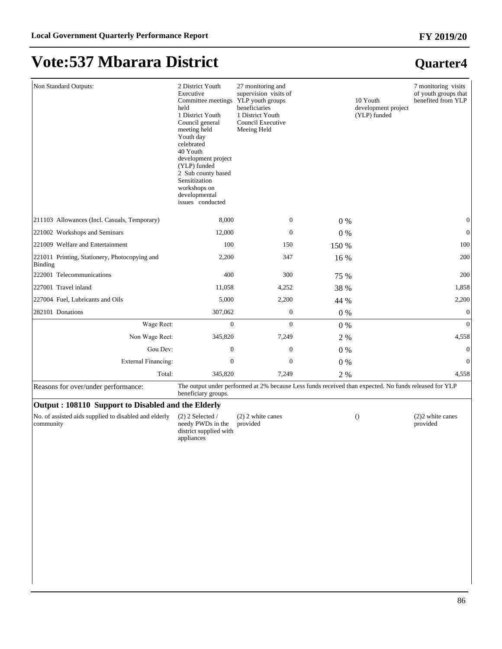**Quarter4**

# **Vote:537 Mbarara District**

| Non Standard Outputs:                                              | 2 District Youth<br>Executive<br>Committee meetings YLP youth groups<br>held<br>1 District Youth<br>Council general<br>meeting held<br>Youth day<br>celebrated<br>40 Youth<br>development project<br>(YLP) funded<br>2 Sub county based<br>Sensitization<br>workshops on<br>developmental<br>issues conducted | 27 monitoring and<br>supervision visits of<br>beneficiaries<br>1 District Youth<br>Council Executive<br>Meeing Held |       | 10 Youth<br>development project<br>(YLP) funded | 7 monitoring visits<br>of youth groups that<br>benefited from YLP |
|--------------------------------------------------------------------|---------------------------------------------------------------------------------------------------------------------------------------------------------------------------------------------------------------------------------------------------------------------------------------------------------------|---------------------------------------------------------------------------------------------------------------------|-------|-------------------------------------------------|-------------------------------------------------------------------|
| [211103 Allowances (Incl. Casuals, Temporary)                      | 8,000                                                                                                                                                                                                                                                                                                         | $\mathbf{0}$                                                                                                        | 0%    |                                                 | $\boldsymbol{0}$                                                  |
| 221002 Workshops and Seminars                                      | 12,000                                                                                                                                                                                                                                                                                                        | $\mathbf{0}$                                                                                                        | 0%    |                                                 | $\mathbf{0}$                                                      |
| 221009 Welfare and Entertainment                                   | 100                                                                                                                                                                                                                                                                                                           | 150                                                                                                                 | 150 % |                                                 | 100                                                               |
| 221011 Printing, Stationery, Photocopying and<br>Binding           | 2,200                                                                                                                                                                                                                                                                                                         | 347                                                                                                                 | 16 %  |                                                 | 200                                                               |
| 222001 Telecommunications                                          | 400                                                                                                                                                                                                                                                                                                           | 300                                                                                                                 | 75 %  |                                                 | 200                                                               |
| 227001 Travel inland                                               | 11,058                                                                                                                                                                                                                                                                                                        | 4,252                                                                                                               | 38 %  |                                                 | 1,858                                                             |
| 227004 Fuel, Lubricants and Oils                                   | 5,000                                                                                                                                                                                                                                                                                                         | 2,200                                                                                                               | 44 %  |                                                 | 2,200                                                             |
| 282101 Donations                                                   | 307,062                                                                                                                                                                                                                                                                                                       | $\boldsymbol{0}$                                                                                                    | 0%    |                                                 | $\boldsymbol{0}$                                                  |
| Wage Rect:                                                         | $\boldsymbol{0}$                                                                                                                                                                                                                                                                                              | $\overline{0}$                                                                                                      | 0%    |                                                 | $\boldsymbol{0}$                                                  |
| Non Wage Rect:                                                     | 345,820                                                                                                                                                                                                                                                                                                       | 7,249                                                                                                               | 2 %   |                                                 | 4,558                                                             |
| Gou Dev:                                                           | $\boldsymbol{0}$                                                                                                                                                                                                                                                                                              | $\mathbf{0}$                                                                                                        | 0%    |                                                 | $\boldsymbol{0}$                                                  |
| External Financing:                                                | $\boldsymbol{0}$                                                                                                                                                                                                                                                                                              | $\mathbf{0}$                                                                                                        | 0%    |                                                 | $\boldsymbol{0}$                                                  |
| Total:                                                             | 345,820                                                                                                                                                                                                                                                                                                       | 7,249                                                                                                               | 2 %   |                                                 | 4,558                                                             |
| Reasons for over/under performance:                                | beneficiary groups.                                                                                                                                                                                                                                                                                           | The output under performed at 2% because Less funds received than expected. No funds released for YLP               |       |                                                 |                                                                   |
| Output: 108110 Support to Disabled and the Elderly                 |                                                                                                                                                                                                                                                                                                               |                                                                                                                     |       |                                                 |                                                                   |
| No. of assisted aids supplied to disabled and elderly<br>community | $(2)$ 2 Selected /<br>needy PWDs in the<br>district supplied with<br>appliances                                                                                                                                                                                                                               | $(2)$ 2 white canes<br>provided                                                                                     |       | $\left( \right)$                                | $(2)$ 2 white canes<br>provided                                   |
|                                                                    |                                                                                                                                                                                                                                                                                                               |                                                                                                                     |       |                                                 |                                                                   |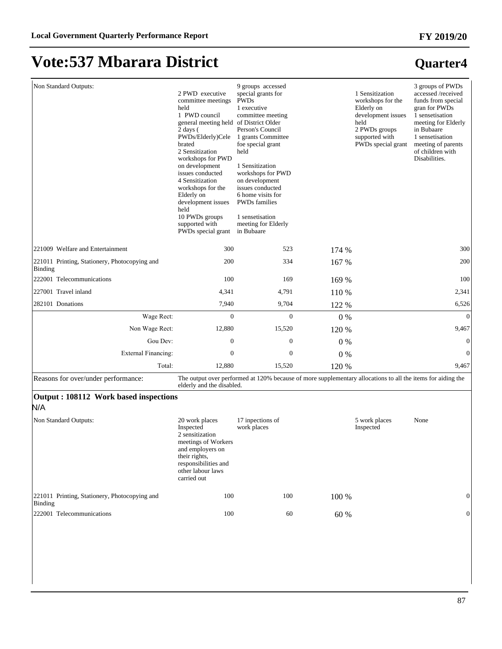| Non Standard Outputs:                                           | 2 PWD executive<br>committee meetings<br>held<br>1 PWD council<br>general meeting held of District Older<br>$2$ days $($<br>PWDs/Elderly)Cele<br>brated<br>2 Sensitization<br>workshops for PWD<br>on development<br>issues conducted<br>4 Sensitization<br>workshops for the<br>Elderly on<br>development issues<br>held<br>10 PWDs groups<br>supported with<br>PWDs special grant | 9 groups accessed<br>special grants for<br><b>PWDs</b><br>1 executive<br>committee meeting<br>Person's Council<br>1 grants Committee<br>foe special grant<br>held<br>1 Sensitization<br>workshops for PWD<br>on development<br>issues conducted<br>6 home visits for<br><b>PWDs</b> families<br>1 sensetisation<br>meeting for Elderly<br>in Bubaare |         | 1 Sensitization<br>workshops for the<br>Elderly on<br>development issues<br>held<br>2 PWDs groups<br>supported with<br>PWDs special grant | 3 groups of PWDs<br>accessed /received<br>funds from special<br>gran for PWDs<br>1 sensetisation<br>meeting for Elderly<br>in Bubaare<br>1 sensetisation<br>meeting of parents<br>of children with<br>Disabilities. |
|-----------------------------------------------------------------|-------------------------------------------------------------------------------------------------------------------------------------------------------------------------------------------------------------------------------------------------------------------------------------------------------------------------------------------------------------------------------------|------------------------------------------------------------------------------------------------------------------------------------------------------------------------------------------------------------------------------------------------------------------------------------------------------------------------------------------------------|---------|-------------------------------------------------------------------------------------------------------------------------------------------|---------------------------------------------------------------------------------------------------------------------------------------------------------------------------------------------------------------------|
| 221009 Welfare and Entertainment                                | 300                                                                                                                                                                                                                                                                                                                                                                                 | 523                                                                                                                                                                                                                                                                                                                                                  | 174 %   |                                                                                                                                           | 300                                                                                                                                                                                                                 |
| 221011 Printing, Stationery, Photocopying and<br><b>Binding</b> | 200                                                                                                                                                                                                                                                                                                                                                                                 | 334                                                                                                                                                                                                                                                                                                                                                  | 167 %   |                                                                                                                                           | 200                                                                                                                                                                                                                 |
| 222001 Telecommunications                                       | 100                                                                                                                                                                                                                                                                                                                                                                                 | 169                                                                                                                                                                                                                                                                                                                                                  | 169 %   |                                                                                                                                           | 100                                                                                                                                                                                                                 |
| 227001 Travel inland                                            | 4,341                                                                                                                                                                                                                                                                                                                                                                               | 4,791                                                                                                                                                                                                                                                                                                                                                | 110 %   |                                                                                                                                           | 2,341                                                                                                                                                                                                               |
| 282101 Donations                                                | 7,940                                                                                                                                                                                                                                                                                                                                                                               | 9,704                                                                                                                                                                                                                                                                                                                                                | 122 %   |                                                                                                                                           | 6,526                                                                                                                                                                                                               |
| Wage Rect:                                                      | $\Omega$                                                                                                                                                                                                                                                                                                                                                                            | $\Omega$                                                                                                                                                                                                                                                                                                                                             | $0\ \%$ |                                                                                                                                           | $\Omega$                                                                                                                                                                                                            |
| Non Wage Rect:                                                  | 12,880                                                                                                                                                                                                                                                                                                                                                                              | 15,520                                                                                                                                                                                                                                                                                                                                               | 120 %   |                                                                                                                                           | 9,467                                                                                                                                                                                                               |
| Gou Dev:                                                        | $\mathbf{0}$                                                                                                                                                                                                                                                                                                                                                                        | $\mathbf{0}$                                                                                                                                                                                                                                                                                                                                         | $0\%$   |                                                                                                                                           | $\boldsymbol{0}$                                                                                                                                                                                                    |
| <b>External Financing:</b>                                      | $\mathbf{0}$                                                                                                                                                                                                                                                                                                                                                                        | $\boldsymbol{0}$                                                                                                                                                                                                                                                                                                                                     | 0%      |                                                                                                                                           | $\boldsymbol{0}$                                                                                                                                                                                                    |
| Total:                                                          | 12,880                                                                                                                                                                                                                                                                                                                                                                              | 15,520                                                                                                                                                                                                                                                                                                                                               | 120 %   |                                                                                                                                           | 9,467                                                                                                                                                                                                               |
| Reasons for over/under performance:                             | elderly and the disabled.                                                                                                                                                                                                                                                                                                                                                           | The output over performed at 120% because of more supplementary allocations to all the items for aiding the                                                                                                                                                                                                                                          |         |                                                                                                                                           |                                                                                                                                                                                                                     |
| Output : 108112 Work based inspections<br>N/A                   |                                                                                                                                                                                                                                                                                                                                                                                     |                                                                                                                                                                                                                                                                                                                                                      |         |                                                                                                                                           |                                                                                                                                                                                                                     |
| Non Standard Outputs:                                           | 20 work places<br>Inspected<br>2 sensitization<br>meetings of Workers<br>and employers on<br>their rights,                                                                                                                                                                                                                                                                          | 17 inpections of<br>work places                                                                                                                                                                                                                                                                                                                      |         | 5 work places<br>Inspected                                                                                                                | None                                                                                                                                                                                                                |

|                                                          | carried out |     |       |  |
|----------------------------------------------------------|-------------|-----|-------|--|
| 221011 Printing, Stationery, Photocopying and<br>Binding | 100         | 100 | 100 % |  |
| 222001 Telecommunications                                | 100         | 60  | 60 %  |  |

responsibilities and other labour laws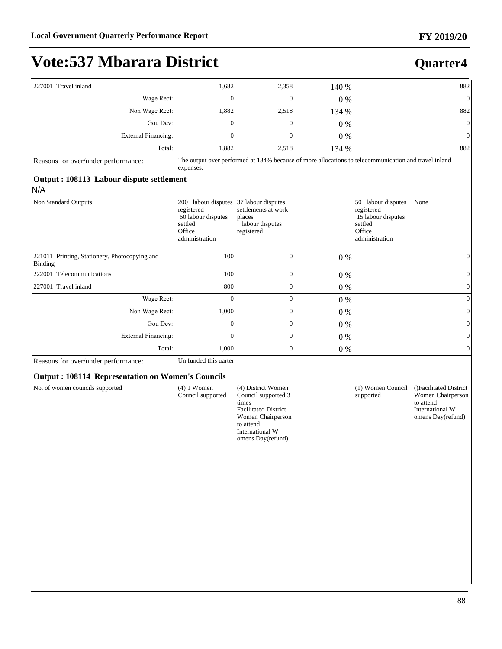### **Quarter4**

| 227001 Travel inland                                     | 1,682                                                                                                             | 2,358                                                          | 140 % | 882                                                                                                   |
|----------------------------------------------------------|-------------------------------------------------------------------------------------------------------------------|----------------------------------------------------------------|-------|-------------------------------------------------------------------------------------------------------|
| Wage Rect:                                               | $\overline{0}$                                                                                                    | $\overline{0}$                                                 | $0\%$ | $\overline{0}$                                                                                        |
| Non Wage Rect:                                           | 1,882                                                                                                             | 2,518                                                          | 134 % | 882                                                                                                   |
| Gou Dev:                                                 | $\mathbf{0}$                                                                                                      | $\mathbf{0}$                                                   | 0%    | $\theta$                                                                                              |
| External Financing:                                      | $\Omega$                                                                                                          | $\theta$                                                       | 0%    | $\theta$                                                                                              |
| Total:                                                   | 1,882                                                                                                             | 2,518                                                          | 134 % | 882                                                                                                   |
| Reasons for over/under performance:                      | expenses.                                                                                                         |                                                                |       | The output over performed at 134% because of more allocations to telecommunication and travel inland  |
| Output: 108113 Labour dispute settlement                 |                                                                                                                   |                                                                |       |                                                                                                       |
| N/A                                                      |                                                                                                                   |                                                                |       |                                                                                                       |
| Non Standard Outputs:                                    | 200 labour disputes 37 labour disputes<br>registered<br>60 labour disputes<br>settled<br>Office<br>administration | settlements at work<br>places<br>labour disputes<br>registered |       | 50 labour disputes<br>None<br>registered<br>15 labour disputes<br>settled<br>Office<br>administration |
| 221011 Printing, Stationery, Photocopying and<br>Binding | 100                                                                                                               | $\theta$                                                       | $0\%$ | $\mathbf{0}$                                                                                          |
| 222001 Telecommunications                                | 100                                                                                                               | $\mathbf{0}$                                                   | $0\%$ | $\mathbf{0}$                                                                                          |
| 227001 Travel inland                                     | 800                                                                                                               | $\mathbf{0}$                                                   | $0\%$ | $\overline{0}$                                                                                        |
| Wage Rect:                                               | $\mathbf{0}$                                                                                                      | $\mathbf{0}$                                                   | $0\%$ | $\overline{0}$                                                                                        |
| Non Wage Rect:                                           | 1,000                                                                                                             | $\mathbf{0}$                                                   | 0%    | $\overline{0}$                                                                                        |
| Gou Dev:                                                 | $\Omega$                                                                                                          | $\mathbf{0}$                                                   | 0%    | $\Omega$                                                                                              |
| <b>External Financing:</b>                               | $\Omega$                                                                                                          | $\Omega$                                                       | 0%    | $\Omega$                                                                                              |
| Total:                                                   | 1,000                                                                                                             | $\mathbf{0}$                                                   | 0%    | $\Omega$                                                                                              |
| Reasons for over/under performance:                      | Un funded this uarter                                                                                             |                                                                |       |                                                                                                       |
| <b>Output: 108114 Representation on Women's Councils</b> |                                                                                                                   |                                                                |       |                                                                                                       |

#### **Output : 108114 Representation on Women's Councils**

| No. of women councils supported | $(4)$ 1 Women     | (4) District Women          | (1) Women Council | ()Facilitated District |
|---------------------------------|-------------------|-----------------------------|-------------------|------------------------|
|                                 | Council supported | Council supported 3         | supported         | Women Chairperson      |
|                                 |                   | times                       |                   | to attend              |
|                                 |                   | <b>Facilitated District</b> |                   | International W        |
|                                 |                   | Women Chairperson           |                   | omens Day(refund)      |
|                                 |                   | to attend                   |                   |                        |
|                                 |                   | International W             |                   |                        |
|                                 |                   | omens Day(refund)           |                   |                        |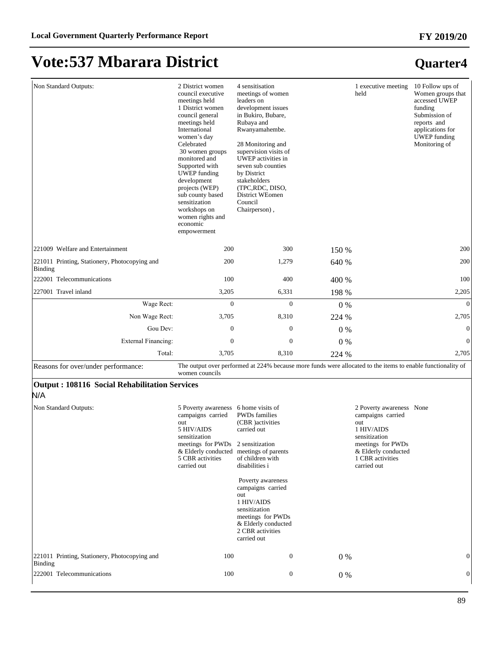#### **FY 2019/20**

# **Vote:537 Mbarara District**

### **Quarter4**

| Non Standard Outputs:                                                                                | 2 District women<br>council executive<br>meetings held<br>1 District women<br>council general<br>meetings held<br>International<br>women's day<br>Celebrated<br>30 women groups<br>monitored and<br>Supported with<br><b>UWEP</b> funding<br>development<br>projects (WEP)<br>sub county based<br>sensitization<br>workshops on<br>women rights and<br>economic<br>empowerment | 4 sensitisation<br>meetings of women<br>leaders on<br>development issues<br>in Bukiro, Bubare,<br>Rubaya and<br>Rwanyamahembe.<br>28 Monitoring and<br>supervision visits of<br>UWEP activities in<br>seven sub counties<br>by District<br>stakeholders<br>(TPC,RDC, DISO,<br>District WEomen<br>Council<br>Chairperson), |       | 1 executive meeting<br>held | 10 Follow ups of<br>Women groups that<br>accessed UWEP<br>funding<br>Submission of<br>reports and<br>applications for<br><b>UWEP</b> funding<br>Monitoring of |
|------------------------------------------------------------------------------------------------------|--------------------------------------------------------------------------------------------------------------------------------------------------------------------------------------------------------------------------------------------------------------------------------------------------------------------------------------------------------------------------------|---------------------------------------------------------------------------------------------------------------------------------------------------------------------------------------------------------------------------------------------------------------------------------------------------------------------------|-------|-----------------------------|---------------------------------------------------------------------------------------------------------------------------------------------------------------|
| 221009 Welfare and Entertainment                                                                     | 200                                                                                                                                                                                                                                                                                                                                                                            | 300                                                                                                                                                                                                                                                                                                                       | 150 % |                             | 200                                                                                                                                                           |
| 221011 Printing, Stationery, Photocopying and<br>Binding                                             | 200                                                                                                                                                                                                                                                                                                                                                                            | 1,279                                                                                                                                                                                                                                                                                                                     | 640 % |                             | 200                                                                                                                                                           |
| 222001 Telecommunications                                                                            | 100                                                                                                                                                                                                                                                                                                                                                                            | 400                                                                                                                                                                                                                                                                                                                       | 400 % |                             | 100                                                                                                                                                           |
| 227001 Travel inland                                                                                 | 3,205                                                                                                                                                                                                                                                                                                                                                                          | 6,331                                                                                                                                                                                                                                                                                                                     | 198 % |                             | 2,205                                                                                                                                                         |
| Wage Rect:                                                                                           | $\mathbf{0}$                                                                                                                                                                                                                                                                                                                                                                   | $\overline{0}$                                                                                                                                                                                                                                                                                                            | $0\%$ |                             | $\Omega$                                                                                                                                                      |
| Non Wage Rect:                                                                                       | 3,705                                                                                                                                                                                                                                                                                                                                                                          | 8,310                                                                                                                                                                                                                                                                                                                     | 224 % |                             | 2,705                                                                                                                                                         |
| Gou Dev:                                                                                             | $\mathbf{0}$                                                                                                                                                                                                                                                                                                                                                                   | $\mathbf{0}$                                                                                                                                                                                                                                                                                                              | $0\%$ |                             | $\theta$                                                                                                                                                      |
| <b>External Financing:</b>                                                                           | $\boldsymbol{0}$                                                                                                                                                                                                                                                                                                                                                               | $\boldsymbol{0}$                                                                                                                                                                                                                                                                                                          | $0\%$ |                             | $\theta$                                                                                                                                                      |
| Total:                                                                                               | 3,705                                                                                                                                                                                                                                                                                                                                                                          | 8,310                                                                                                                                                                                                                                                                                                                     | 224 % |                             | 2,705                                                                                                                                                         |
| $\mathbf{D}$ - - - - - $\mathbf{f}$ - - - - - - $\mathbf{f}$ - - $\mathbf{J}$ - - - - $\mathbf{f}$ - |                                                                                                                                                                                                                                                                                                                                                                                | The output over performed at 2240/ because more funds were allocated to the items to enable functionality of                                                                                                                                                                                                              |       |                             |                                                                                                                                                               |

Reasons for over/under performance: The output over performed at 224% because more funds were allocated to the items to enable functionality of women councils

#### **Output : 108116 Social Rehabilitation Services**

#### N/A

| Non Standard Outputs:                                           | 5 Poverty awareness 6 home visits of<br>campaigns carried<br>out<br>5 HIV/AIDS<br>sensitization<br>meetings for PWDs 2 sensitization<br>& Elderly conducted<br>5 CBR activities<br>carried out | <b>PWDs</b> families<br>(CBR) activities<br>carried out<br>meetings of parents<br>of children with<br>disabilities i<br>Poverty awareness<br>campaigns carried<br>out<br>1 HIV/AIDS<br>sensitization<br>meetings for PWDs<br>& Elderly conducted<br>2 CBR activities<br>carried out |     | 2 Poverty awareness None<br>campaigns carried<br>out<br>1 HIV/AIDS<br>sensitization<br>meetings for PWDs<br>& Elderly conducted<br>1 CBR activities<br>carried out |   |
|-----------------------------------------------------------------|------------------------------------------------------------------------------------------------------------------------------------------------------------------------------------------------|-------------------------------------------------------------------------------------------------------------------------------------------------------------------------------------------------------------------------------------------------------------------------------------|-----|--------------------------------------------------------------------------------------------------------------------------------------------------------------------|---|
| 221011 Printing, Stationery, Photocopying and<br><b>Binding</b> | 100                                                                                                                                                                                            | $\mathbf{0}$                                                                                                                                                                                                                                                                        | 0 % |                                                                                                                                                                    | 0 |
| 222001 Telecommunications                                       | 100                                                                                                                                                                                            | $\mathbf{0}$                                                                                                                                                                                                                                                                        | 0 % |                                                                                                                                                                    | 0 |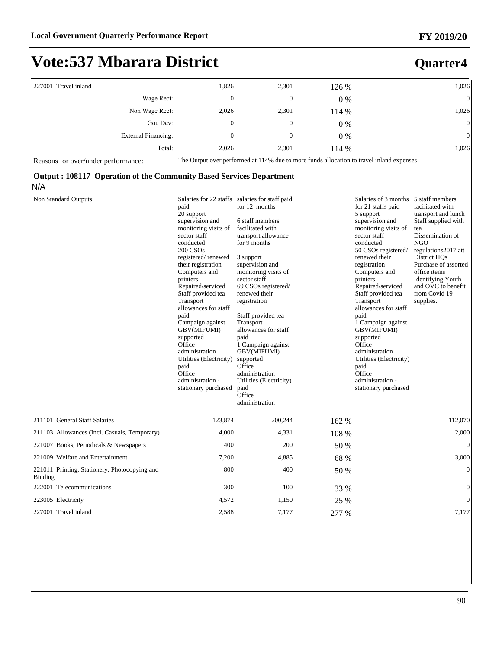**Quarter4**

# **Vote:537 Mbarara District**

| 227001 Travel inland | 1,826 | 2,301        | 126 % | 1,026                                                                                     |
|----------------------|-------|--------------|-------|-------------------------------------------------------------------------------------------|
| Wage Rect:           | 0     | $\mathbf{0}$ | $0\%$ | $\overline{0}$                                                                            |
| Non Wage Rect:       | 2,026 | 2,301        | 114 % | 1,026                                                                                     |
| Gou Dev:             | 0     | 0            | $0\%$ | $\mathbf{0}$                                                                              |
| External Financing:  | 0     | 0            | $0\%$ | $\overline{0}$                                                                            |
| Total:               | 2.026 | 2,301        | 114 % | 1,026                                                                                     |
| $D_{22}$             |       |              |       | The Output over performed at 1140/ due to more funds ellocation to travel inland expanses |

Reasons for over/under performance: The Output over performed at 114% due to more funds allocation to travel inland expenses

#### **Output : 108117 Operation of the Community Based Services Department**  N/A

| Non Standard Outputs:                                    | paid<br>20 support<br>supervision and<br>monitoring visits of<br>sector staff<br>conducted<br>200 CSOs<br>registered/renewed<br>their registration<br>Computers and<br>printers<br>Repaired/serviced<br>Staff provided tea<br>Transport<br>allowances for staff<br>paid<br>Campaign against<br>GBV(MIFUMI)<br>supported<br>Office<br>administration<br>Utilities (Electricity)<br>paid<br>Office<br>administration -<br>stationary purchased | Salaries for 22 staffs salaries for staff paid<br>for 12 months<br>6 staff members<br>facilitated with<br>transport allowance<br>for 9 months<br>3 support<br>supervision and<br>monitoring visits of<br>sector staff<br>69 CSOs registered/<br>renewed their<br>registration<br>Staff provided tea<br>Transport<br>allowances for staff<br>paid<br>1 Campaign against<br>GBV(MIFUMI)<br>supported<br>Office<br>administration<br>Utilities (Electricity)<br>paid<br>Office<br>administration |       | Salaries of 3 months 5 staff members<br>for 21 staffs paid<br>5 support<br>supervision and<br>monitoring visits of<br>sector staff<br>conducted<br>50 CSOs registered/<br>renewed their<br>registration<br>Computers and<br>printers<br>Repaired/serviced<br>Staff provided tea<br>Transport<br>allowances for staff<br>paid<br>1 Campaign against<br>GBV(MIFUMI)<br>supported<br>Office<br>administration<br>Utilities (Electricity)<br>paid<br>Office<br>administration -<br>stationary purchased | facilitated with<br>transport and lunch<br>Staff supplied with<br>tea<br>Dissemination of<br>NGO<br>regulations 2017 att<br>District HOs<br>Purchase of assorted<br>office items<br><b>Identifying Youth</b><br>and OVC to benefit<br>from Covid 19<br>supplies. |
|----------------------------------------------------------|----------------------------------------------------------------------------------------------------------------------------------------------------------------------------------------------------------------------------------------------------------------------------------------------------------------------------------------------------------------------------------------------------------------------------------------------|-----------------------------------------------------------------------------------------------------------------------------------------------------------------------------------------------------------------------------------------------------------------------------------------------------------------------------------------------------------------------------------------------------------------------------------------------------------------------------------------------|-------|-----------------------------------------------------------------------------------------------------------------------------------------------------------------------------------------------------------------------------------------------------------------------------------------------------------------------------------------------------------------------------------------------------------------------------------------------------------------------------------------------------|------------------------------------------------------------------------------------------------------------------------------------------------------------------------------------------------------------------------------------------------------------------|
| 211101 General Staff Salaries                            | 123,874                                                                                                                                                                                                                                                                                                                                                                                                                                      | 200,244                                                                                                                                                                                                                                                                                                                                                                                                                                                                                       | 162 % |                                                                                                                                                                                                                                                                                                                                                                                                                                                                                                     | 112,070                                                                                                                                                                                                                                                          |
| 211103 Allowances (Incl. Casuals, Temporary)             | 4,000                                                                                                                                                                                                                                                                                                                                                                                                                                        | 4,331                                                                                                                                                                                                                                                                                                                                                                                                                                                                                         | 108 % |                                                                                                                                                                                                                                                                                                                                                                                                                                                                                                     | 2,000                                                                                                                                                                                                                                                            |
| 221007 Books, Periodicals & Newspapers                   | 400                                                                                                                                                                                                                                                                                                                                                                                                                                          | 200                                                                                                                                                                                                                                                                                                                                                                                                                                                                                           | 50 %  |                                                                                                                                                                                                                                                                                                                                                                                                                                                                                                     | $\mathbf{0}$                                                                                                                                                                                                                                                     |
| 221009 Welfare and Entertainment                         | 7,200                                                                                                                                                                                                                                                                                                                                                                                                                                        | 4,885                                                                                                                                                                                                                                                                                                                                                                                                                                                                                         | 68 %  |                                                                                                                                                                                                                                                                                                                                                                                                                                                                                                     | 3,000                                                                                                                                                                                                                                                            |
| 221011 Printing, Stationery, Photocopying and<br>Binding | 800                                                                                                                                                                                                                                                                                                                                                                                                                                          | 400                                                                                                                                                                                                                                                                                                                                                                                                                                                                                           | 50 %  |                                                                                                                                                                                                                                                                                                                                                                                                                                                                                                     | $\mathbf{0}$                                                                                                                                                                                                                                                     |
| 222001 Telecommunications                                | 300                                                                                                                                                                                                                                                                                                                                                                                                                                          | 100                                                                                                                                                                                                                                                                                                                                                                                                                                                                                           | 33 %  |                                                                                                                                                                                                                                                                                                                                                                                                                                                                                                     | $\boldsymbol{0}$                                                                                                                                                                                                                                                 |
| 223005 Electricity                                       | 4,572                                                                                                                                                                                                                                                                                                                                                                                                                                        | 1,150                                                                                                                                                                                                                                                                                                                                                                                                                                                                                         | 25 %  |                                                                                                                                                                                                                                                                                                                                                                                                                                                                                                     | $\overline{0}$                                                                                                                                                                                                                                                   |
| 227001 Travel inland                                     | 2,588                                                                                                                                                                                                                                                                                                                                                                                                                                        | 7,177                                                                                                                                                                                                                                                                                                                                                                                                                                                                                         | 277 % |                                                                                                                                                                                                                                                                                                                                                                                                                                                                                                     | 7,177                                                                                                                                                                                                                                                            |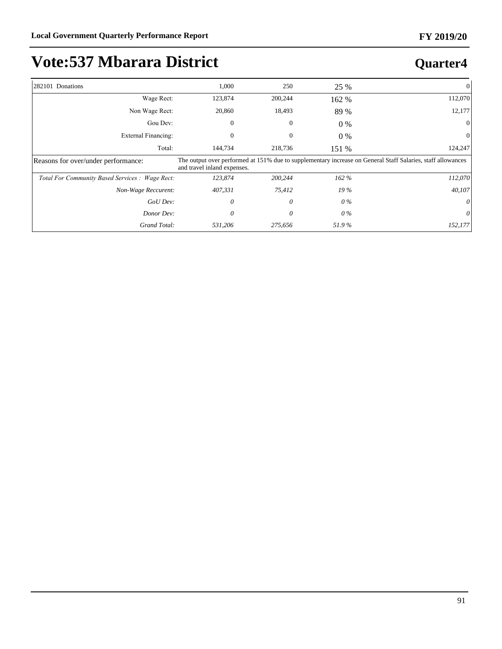**Quarter4**

# **Vote:537 Mbarara District**

| 282101 Donations                                | 1,000                       | 250          | 25 %  | $\overline{0}$                                                                                              |
|-------------------------------------------------|-----------------------------|--------------|-------|-------------------------------------------------------------------------------------------------------------|
| Wage Rect:                                      | 123,874                     | 200,244      | 162 % | 112,070                                                                                                     |
| Non Wage Rect:                                  | 20,860                      | 18,493       | 89 %  | 12,177                                                                                                      |
| Gou Dev:                                        | $\theta$                    | $\mathbf{0}$ | $0\%$ | $\overline{0}$                                                                                              |
| External Financing:                             | 0                           | 0            | $0\%$ | $\overline{0}$                                                                                              |
| Total:                                          | 144,734                     | 218,736      | 151 % | 124,247                                                                                                     |
| Reasons for over/under performance:             | and travel inland expenses. |              |       | The output over performed at 151% due to supplementary increase on General Staff Salaries, staff allowances |
| Total For Community Based Services : Wage Rect: | 123,874                     | 200,244      | 162%  | 112,070                                                                                                     |
| Non-Wage Reccurent:                             | 407,331                     | 75,412       | 19%   | 40,107                                                                                                      |
| GoU Dev:                                        | 0                           | 0            | 0 %   | $\theta$                                                                                                    |
| Donor Dev:                                      | 0                           | 0            | 0 %   | $\theta$                                                                                                    |
| Grand Total:                                    | 531,206                     | 275,656      | 51.9% | 152,177                                                                                                     |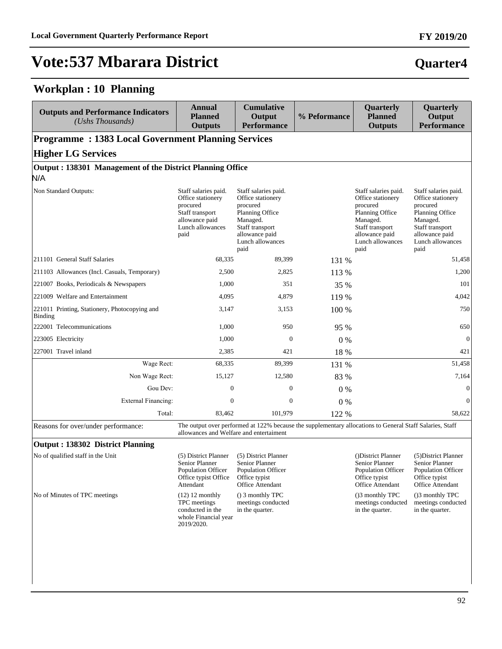#### **Workplan : 10 Planning**

| <b>Outputs and Performance Indicators</b><br>(Ushs Thousands)                                                                                                                              | Annual<br><b>Planned</b><br><b>Outputs</b>                                                                             | <b>Cumulative</b><br>Output<br><b>Performance</b>                                                                                                            | % Peformance | Quarterly<br><b>Planned</b><br><b>Outputs</b>                                                                                                                | Quarterly<br>Output<br><b>Performance</b>                                                                                                             |  |  |  |  |
|--------------------------------------------------------------------------------------------------------------------------------------------------------------------------------------------|------------------------------------------------------------------------------------------------------------------------|--------------------------------------------------------------------------------------------------------------------------------------------------------------|--------------|--------------------------------------------------------------------------------------------------------------------------------------------------------------|-------------------------------------------------------------------------------------------------------------------------------------------------------|--|--|--|--|
|                                                                                                                                                                                            | <b>Programme: 1383 Local Government Planning Services</b>                                                              |                                                                                                                                                              |              |                                                                                                                                                              |                                                                                                                                                       |  |  |  |  |
| <b>Higher LG Services</b>                                                                                                                                                                  |                                                                                                                        |                                                                                                                                                              |              |                                                                                                                                                              |                                                                                                                                                       |  |  |  |  |
| Output: 138301 Management of the District Planning Office<br>N/A                                                                                                                           |                                                                                                                        |                                                                                                                                                              |              |                                                                                                                                                              |                                                                                                                                                       |  |  |  |  |
| Non Standard Outputs:                                                                                                                                                                      | Staff salaries paid.<br>Office stationery<br>procured<br>Staff transport<br>allowance paid<br>Lunch allowances<br>paid | Staff salaries paid.<br>Office stationery<br>procured<br><b>Planning Office</b><br>Managed.<br>Staff transport<br>allowance paid<br>Lunch allowances<br>paid |              | Staff salaries paid.<br>Office stationery<br>procured<br><b>Planning Office</b><br>Managed.<br>Staff transport<br>allowance paid<br>Lunch allowances<br>paid | Staff salaries paid.<br>Office stationery<br>procured<br>Planning Office<br>Managed.<br>Staff transport<br>allowance paid<br>Lunch allowances<br>paid |  |  |  |  |
| 211101 General Staff Salaries                                                                                                                                                              | 68,335                                                                                                                 | 89,399                                                                                                                                                       | 131 %        |                                                                                                                                                              | 51,458                                                                                                                                                |  |  |  |  |
| [211103 Allowances (Incl. Casuals, Temporary)                                                                                                                                              | 2,500                                                                                                                  | 2,825                                                                                                                                                        | 113 %        |                                                                                                                                                              | 1,200                                                                                                                                                 |  |  |  |  |
| 221007 Books, Periodicals & Newspapers                                                                                                                                                     | 1,000                                                                                                                  | 351                                                                                                                                                          | 35 %         |                                                                                                                                                              | 101                                                                                                                                                   |  |  |  |  |
| 221009 Welfare and Entertainment                                                                                                                                                           | 4,095                                                                                                                  | 4,879                                                                                                                                                        | 119 %        |                                                                                                                                                              | 4,042                                                                                                                                                 |  |  |  |  |
| 221011 Printing, Stationery, Photocopying and<br>Binding                                                                                                                                   | 3,147                                                                                                                  | 3,153                                                                                                                                                        | 100 %        |                                                                                                                                                              | 750                                                                                                                                                   |  |  |  |  |
| 222001 Telecommunications                                                                                                                                                                  | 1.000                                                                                                                  | 950                                                                                                                                                          | 95 %         |                                                                                                                                                              | 650                                                                                                                                                   |  |  |  |  |
| 223005 Electricity                                                                                                                                                                         | 1,000                                                                                                                  | $\theta$                                                                                                                                                     | 0%           |                                                                                                                                                              | $\mathbf{0}$                                                                                                                                          |  |  |  |  |
| 227001 Travel inland                                                                                                                                                                       | 2,385                                                                                                                  | 421                                                                                                                                                          | 18 %         |                                                                                                                                                              | 421                                                                                                                                                   |  |  |  |  |
| Wage Rect:                                                                                                                                                                                 | 68,335                                                                                                                 | 89,399                                                                                                                                                       | 131 %        |                                                                                                                                                              | 51,458                                                                                                                                                |  |  |  |  |
| Non Wage Rect:                                                                                                                                                                             | 15,127                                                                                                                 | 12,580                                                                                                                                                       | 83 %         |                                                                                                                                                              | 7,164                                                                                                                                                 |  |  |  |  |
| Gou Dev:                                                                                                                                                                                   | $\mathbf{0}$                                                                                                           | $\mathbf{0}$                                                                                                                                                 | $0\%$        |                                                                                                                                                              | $\mathbf{0}$                                                                                                                                          |  |  |  |  |
| <b>External Financing:</b>                                                                                                                                                                 | $\mathbf{0}$                                                                                                           | $\Omega$                                                                                                                                                     | 0%           |                                                                                                                                                              | $\Omega$                                                                                                                                              |  |  |  |  |
| Total:                                                                                                                                                                                     | 83,462                                                                                                                 | 101,979                                                                                                                                                      | 122 %        |                                                                                                                                                              | 58,622                                                                                                                                                |  |  |  |  |
| The output over performed at 122% because the supplementary allocations to General Staff Salaries, Staff<br>Reasons for over/under performance:<br>allowances and Welfare and entertaiment |                                                                                                                        |                                                                                                                                                              |              |                                                                                                                                                              |                                                                                                                                                       |  |  |  |  |

#### **Output : 138302 District Planning**

No of qualified staff in the Unit (5) District Planner Senior Planner Population Officer Office typist Office Attendant (5) District Planner Senior Planner Population Officer Office typist Office Attendant ()District Planner Senior Planner Population Officer Office typist Office Attendant (5)District Planner Senior Planner Population Officer Office typist Office Attendant No of Minutes of TPC meetings (12) 12 monthly TPC meetings conducted in the whole Financial year 2019/2020. () 3 monthly TPC meetings conducted in the quarter. ()3 monthly TPC meetings conducted in the quarter. ()3 monthly TPC meetings conducted in the quarter.

## **Quarter4**

**FY 2019/20**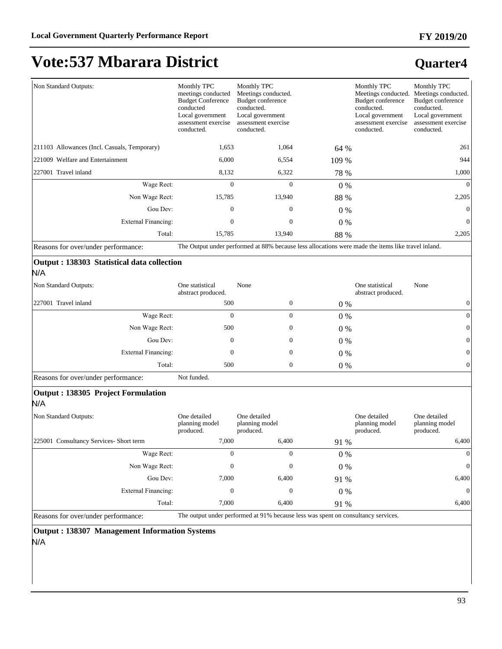#### **FY 2019/20**

# **Vote:537 Mbarara District**

### **Quarter4**

| Non Standard Outputs:                         | Monthly TPC<br>meetings conducted<br><b>Budget Conference</b><br>conducted<br>Local government<br>assessment exercise<br>conducted. | Monthly TPC<br>Meetings conducted.<br>Budget conference<br>conducted.<br>Local government<br>assessment exercise<br>conducted. |       | Monthly TPC<br>Meetings conducted.<br>Budget conference<br>conducted.<br>Local government<br>assessment exercise<br>conducted. | Monthly TPC<br>Meetings conducted.<br>Budget conference<br>conducted.<br>Local government<br>assessment exercise<br>conducted. |
|-----------------------------------------------|-------------------------------------------------------------------------------------------------------------------------------------|--------------------------------------------------------------------------------------------------------------------------------|-------|--------------------------------------------------------------------------------------------------------------------------------|--------------------------------------------------------------------------------------------------------------------------------|
| [211103 Allowances (Incl. Casuals, Temporary) | 1,653                                                                                                                               | 1,064                                                                                                                          | 64 %  |                                                                                                                                | 261                                                                                                                            |
| 221009 Welfare and Entertainment              | 6,000                                                                                                                               | 6,554                                                                                                                          | 109 % |                                                                                                                                | 944                                                                                                                            |
| 227001 Travel inland                          | 8,132                                                                                                                               | 6,322                                                                                                                          | 78 %  |                                                                                                                                | 1,000                                                                                                                          |
| Wage Rect:                                    | $\mathbf{0}$                                                                                                                        | $\mathbf{0}$                                                                                                                   | $0\%$ |                                                                                                                                | $\theta$                                                                                                                       |
| Non Wage Rect:                                | 15,785                                                                                                                              | 13,940                                                                                                                         | 88 %  |                                                                                                                                | 2,205                                                                                                                          |
| Gou Dev:                                      | $\mathbf{0}$                                                                                                                        | $\overline{0}$                                                                                                                 | $0\%$ |                                                                                                                                | $\theta$                                                                                                                       |
| <b>External Financing:</b>                    | $\mathbf{0}$                                                                                                                        | $\boldsymbol{0}$                                                                                                               | 0 %   |                                                                                                                                | $\mathbf{0}$                                                                                                                   |
| Total:                                        | 15,785                                                                                                                              | 13,940                                                                                                                         | 88 %  |                                                                                                                                | 2,205                                                                                                                          |

Reasons for over/under performance: The Output under performed at 88% because less allocations were made the items like travel inland.

#### **Output : 138303 Statistical data collection**  N/A

| Non Standard Outputs: | One statistical<br>abstract produced. | None         |       | One statistical<br>None<br>abstract produced. |
|-----------------------|---------------------------------------|--------------|-------|-----------------------------------------------|
| 227001 Travel inland  | 500                                   | $\mathbf{0}$ | $0\%$ |                                               |
| Wage Rect:            | 0                                     | 0            | $0\%$ |                                               |
| Non Wage Rect:        | 500                                   | 0            | $0\%$ | $\Omega$                                      |
| Gou Dev:              | 0                                     | 0            | $0\%$ | $\Omega$                                      |
| External Financing:   | 0                                     | 0            | $0\%$ | $\mathbf{0}$                                  |
| Total:                | 500                                   | 0            | $0\%$ | $\Omega$                                      |

Reasons for over/under performance: Not funded.

#### **Output : 138305 Project Formulation**

N/A

| Non Standard Outputs:                  | One detailed<br>planning model<br>produced. | One detailed<br>planning model<br>produced. |       | One detailed<br>One detailed<br>planning model<br>planning model<br>produced.<br>produced. |
|----------------------------------------|---------------------------------------------|---------------------------------------------|-------|--------------------------------------------------------------------------------------------|
| 225001 Consultancy Services-Short term | 7,000                                       | 6,400                                       | 91 %  | 6,400                                                                                      |
| Wage Rect:                             | 0                                           | 0                                           | $0\%$ | $\Omega$                                                                                   |
| Non Wage Rect:                         | 0                                           | 0                                           | $0\%$ | $\Omega$                                                                                   |
| Gou Dev:                               | 7,000                                       | 6,400                                       | 91 %  | 6,400                                                                                      |
| External Financing:                    | 0                                           | 0                                           | $0\%$ | $\Omega$                                                                                   |
| Total:                                 | 7,000                                       | 6,400                                       | 91 %  | 6,400                                                                                      |

Reasons for over/under performance: The output under performed at 91% because less was spent on consultancy services.

**Output : 138307 Management Information Systems** N/A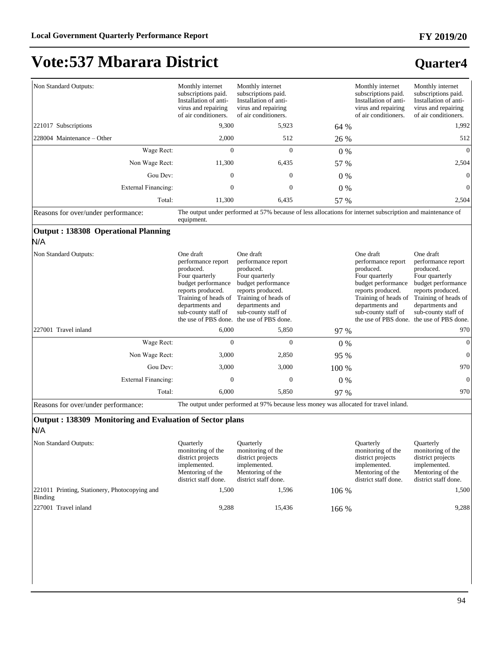### **Quarter4**

| Non Standard Outputs:                                    | Monthly internet<br>subscriptions paid.<br>Installation of anti-<br>virus and repairing<br>of air conditioners.                                                             | Monthly internet<br>subscriptions paid.<br>Installation of anti-<br>virus and repairing<br>of air conditioners.                                                                                                          |       | Monthly internet<br>subscriptions paid.<br>Installation of anti-<br>virus and repairing<br>of air conditioners.                                                             | Monthly internet<br>subscriptions paid.<br>Installation of anti-<br>virus and repairing<br>of air conditioners.                                                                                                          |
|----------------------------------------------------------|-----------------------------------------------------------------------------------------------------------------------------------------------------------------------------|--------------------------------------------------------------------------------------------------------------------------------------------------------------------------------------------------------------------------|-------|-----------------------------------------------------------------------------------------------------------------------------------------------------------------------------|--------------------------------------------------------------------------------------------------------------------------------------------------------------------------------------------------------------------------|
| 221017 Subscriptions                                     | 9,300                                                                                                                                                                       | 5,923                                                                                                                                                                                                                    | 64 %  |                                                                                                                                                                             | 1,992                                                                                                                                                                                                                    |
| 228004 Maintenance – Other                               | 2,000                                                                                                                                                                       | 512                                                                                                                                                                                                                      | 26 %  |                                                                                                                                                                             | 512                                                                                                                                                                                                                      |
| Wage Rect:                                               | $\Omega$                                                                                                                                                                    | $\Omega$                                                                                                                                                                                                                 | $0\%$ |                                                                                                                                                                             | $\Omega$                                                                                                                                                                                                                 |
| Non Wage Rect:                                           | 11,300                                                                                                                                                                      | 6,435                                                                                                                                                                                                                    | 57 %  |                                                                                                                                                                             | 2,504                                                                                                                                                                                                                    |
| Gou Dev:                                                 | $\Omega$                                                                                                                                                                    | $\mathbf{0}$                                                                                                                                                                                                             | 0%    |                                                                                                                                                                             | $\boldsymbol{0}$                                                                                                                                                                                                         |
| <b>External Financing:</b>                               | $\overline{0}$                                                                                                                                                              | $\overline{0}$                                                                                                                                                                                                           | 0%    |                                                                                                                                                                             | $\Omega$                                                                                                                                                                                                                 |
| Total:                                                   | 11,300                                                                                                                                                                      | 6,435                                                                                                                                                                                                                    | 57 %  |                                                                                                                                                                             | 2,504                                                                                                                                                                                                                    |
| Reasons for over/under performance:                      | equipment.                                                                                                                                                                  | The output under performed at 57% because of less allocations for internet subscription and maintenance of                                                                                                               |       |                                                                                                                                                                             |                                                                                                                                                                                                                          |
| Output: 138308 Operational Planning<br>N/A               |                                                                                                                                                                             |                                                                                                                                                                                                                          |       |                                                                                                                                                                             |                                                                                                                                                                                                                          |
| Non Standard Outputs:                                    | One draft<br>performance report<br>produced.<br>Four quarterly<br>budget performance<br>reports produced.<br>Training of heads of<br>departments and<br>sub-county staff of | One draft<br>performance report<br>produced.<br>Four quarterly<br>budget performance<br>reports produced.<br>Training of heads of<br>departments and<br>sub-county staff of<br>the use of PBS done. the use of PBS done. |       | One draft<br>performance report<br>produced.<br>Four quarterly<br>budget performance<br>reports produced.<br>Training of heads of<br>departments and<br>sub-county staff of | One draft<br>performance report<br>produced.<br>Four quarterly<br>budget performance<br>reports produced.<br>Training of heads of<br>departments and<br>sub-county staff of<br>the use of PBS done. the use of PBS done. |
| 227001 Travel inland                                     | 6,000                                                                                                                                                                       | 5,850                                                                                                                                                                                                                    | 97 %  |                                                                                                                                                                             | 970                                                                                                                                                                                                                      |
| Wage Rect:                                               | $\theta$                                                                                                                                                                    | $\overline{0}$                                                                                                                                                                                                           | $0\%$ |                                                                                                                                                                             | $\overline{0}$                                                                                                                                                                                                           |
| Non Wage Rect:                                           | 3,000                                                                                                                                                                       | 2,850                                                                                                                                                                                                                    | 95 %  |                                                                                                                                                                             | $\overline{0}$                                                                                                                                                                                                           |
| Gou Dev:                                                 | 3,000                                                                                                                                                                       | 3,000                                                                                                                                                                                                                    | 100 % |                                                                                                                                                                             | 970                                                                                                                                                                                                                      |
| <b>External Financing:</b>                               | $\Omega$                                                                                                                                                                    | $\overline{0}$                                                                                                                                                                                                           | 0%    |                                                                                                                                                                             | $\overline{0}$                                                                                                                                                                                                           |
| Total:                                                   | 6,000                                                                                                                                                                       | 5,850                                                                                                                                                                                                                    | 97 %  |                                                                                                                                                                             | 970                                                                                                                                                                                                                      |
| Reasons for over/under performance:                      |                                                                                                                                                                             | The output under performed at 97% because less money was allocated for travel inland.                                                                                                                                    |       |                                                                                                                                                                             |                                                                                                                                                                                                                          |
| Output: 138309 Monitoring and Evaluation of Sector plans |                                                                                                                                                                             |                                                                                                                                                                                                                          |       |                                                                                                                                                                             |                                                                                                                                                                                                                          |

N/A

| Non Standard Outputs:                                    | Ouarterly<br>monitoring of the<br>district projects<br>implemented.<br>Mentoring of the<br>district staff done. | <b>Ouarterly</b><br>monitoring of the<br>district projects<br>implemented.<br>Mentoring of the<br>district staff done. |         | <b>Ouarterly</b><br>monitoring of the<br>district projects<br>implemented.<br>Mentoring of the<br>district staff done. | <b>Ouarterly</b><br>monitoring of the<br>district projects<br>implemented.<br>Mentoring of the<br>district staff done. |
|----------------------------------------------------------|-----------------------------------------------------------------------------------------------------------------|------------------------------------------------------------------------------------------------------------------------|---------|------------------------------------------------------------------------------------------------------------------------|------------------------------------------------------------------------------------------------------------------------|
| 221011 Printing, Stationery, Photocopying and<br>Binding | 1.500                                                                                                           | 1.596                                                                                                                  | $106\%$ |                                                                                                                        | 1.500                                                                                                                  |
| 227001 Travel inland                                     | 9,288                                                                                                           | 15.436                                                                                                                 | 166 %   |                                                                                                                        | 9,288                                                                                                                  |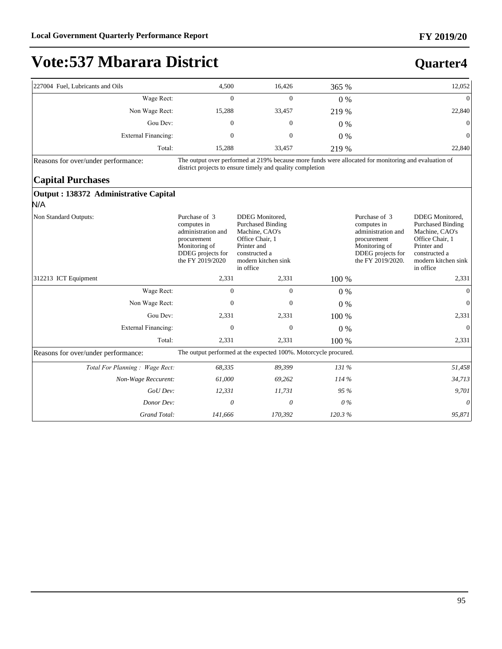**Quarter4**

# **Vote:537 Mbarara District**

| 227004 Fuel, Lubricants and Oils                                          | 4,500                                                                                                                       | 16,426                                                                                                                                                            | 365 %  |                                                                                                                              | 12,052                                                                                                                                               |
|---------------------------------------------------------------------------|-----------------------------------------------------------------------------------------------------------------------------|-------------------------------------------------------------------------------------------------------------------------------------------------------------------|--------|------------------------------------------------------------------------------------------------------------------------------|------------------------------------------------------------------------------------------------------------------------------------------------------|
| Wage Rect:                                                                | $\Omega$                                                                                                                    | $\overline{0}$                                                                                                                                                    | 0%     |                                                                                                                              | $\theta$                                                                                                                                             |
| Non Wage Rect:                                                            | 15,288                                                                                                                      | 33,457                                                                                                                                                            | 219 %  |                                                                                                                              | 22,840                                                                                                                                               |
| Gou Dev:                                                                  | $\boldsymbol{0}$                                                                                                            | $\boldsymbol{0}$                                                                                                                                                  | $0\%$  |                                                                                                                              | $\overline{0}$                                                                                                                                       |
| <b>External Financing:</b>                                                | $\mathbf{0}$                                                                                                                | $\mathbf{0}$                                                                                                                                                      | $0\%$  |                                                                                                                              | $\overline{0}$                                                                                                                                       |
| Total:                                                                    | 15,288                                                                                                                      | 33,457                                                                                                                                                            | 219 %  |                                                                                                                              | 22,840                                                                                                                                               |
| Reasons for over/under performance:                                       |                                                                                                                             | The output over performed at 219% because more funds were allocated for monitoring and evaluation of<br>district projects to ensure timely and quality completion |        |                                                                                                                              |                                                                                                                                                      |
| <b>Capital Purchases</b><br>Output : 138372 Administrative Capital<br>N/A |                                                                                                                             |                                                                                                                                                                   |        |                                                                                                                              |                                                                                                                                                      |
| Non Standard Outputs:                                                     | Purchase of 3<br>computes in<br>administration and<br>procurement<br>Monitoring of<br>DDEG projects for<br>the FY 2019/2020 | DDEG Monitored,<br><b>Purchased Binding</b><br>Machine, CAO's<br>Office Chair, 1<br>Printer and<br>constructed a<br>modern kitchen sink<br>in office              |        | Purchase of 3<br>computes in<br>administration and<br>procurement<br>Monitoring of<br>DDEG projects for<br>the FY 2019/2020. | DDEG Monitored,<br><b>Purchased Binding</b><br>Machine, CAO's<br>Office Chair, 1<br>Printer and<br>constructed a<br>modern kitchen sink<br>in office |
| 312213 ICT Equipment                                                      | 2,331                                                                                                                       | 2,331                                                                                                                                                             | 100 %  |                                                                                                                              | 2,331                                                                                                                                                |
| Wage Rect:                                                                | $\overline{0}$                                                                                                              | $\overline{0}$                                                                                                                                                    | 0%     |                                                                                                                              | $\theta$                                                                                                                                             |
| Non Wage Rect:                                                            | $\mathbf{0}$                                                                                                                | $\mathbf{0}$                                                                                                                                                      | $0\%$  |                                                                                                                              | $\theta$                                                                                                                                             |
| Gou Dev:                                                                  | 2,331                                                                                                                       | 2,331                                                                                                                                                             | 100 %  |                                                                                                                              | 2,331                                                                                                                                                |
| <b>External Financing:</b>                                                | $\mathbf{0}$                                                                                                                | $\overline{0}$                                                                                                                                                    | 0%     |                                                                                                                              | $\Omega$                                                                                                                                             |
| Total:                                                                    | 2,331                                                                                                                       | 2,331                                                                                                                                                             | 100 %  |                                                                                                                              | 2,331                                                                                                                                                |
| Reasons for over/under performance:                                       |                                                                                                                             | The output performed at the expected 100%. Motorcycle procured.                                                                                                   |        |                                                                                                                              |                                                                                                                                                      |
| Total For Planning: Wage Rect:                                            | 68,335                                                                                                                      | 89,399                                                                                                                                                            | 131 %  |                                                                                                                              | 51,458                                                                                                                                               |
| Non-Wage Reccurent:                                                       | 61,000                                                                                                                      | 69,262                                                                                                                                                            | 114 %  |                                                                                                                              | 34,713                                                                                                                                               |
| GoU Dev:                                                                  | 12,331                                                                                                                      | 11,731                                                                                                                                                            | 95 %   |                                                                                                                              | 9,701                                                                                                                                                |
| Donor Dev:                                                                | 0                                                                                                                           | 0                                                                                                                                                                 | $0\%$  |                                                                                                                              | $\theta$                                                                                                                                             |
| Grand Total:                                                              | 141,666                                                                                                                     | 170,392                                                                                                                                                           | 120.3% |                                                                                                                              | 95,871                                                                                                                                               |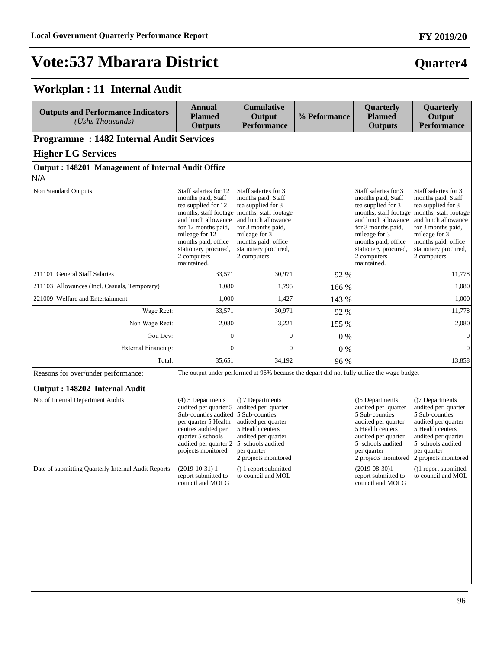### **Quarter4**

### **Workplan : 11 Internal Audit**

| <b>Outputs and Performance Indicators</b><br>(Ushs Thousands)                            | <b>Annual</b><br><b>Planned</b><br><b>Outputs</b>                                                                                                                                                                                                                    | <b>Cumulative</b><br>Output<br><b>Performance</b>                                                                                                                                                                                           | % Peformance | <b>Quarterly</b><br><b>Planned</b><br><b>Outputs</b>                                                                                                                                                                                                 | Quarterly<br>Output<br><b>Performance</b>                                                                                                                                                                                                   |  |  |  |
|------------------------------------------------------------------------------------------|----------------------------------------------------------------------------------------------------------------------------------------------------------------------------------------------------------------------------------------------------------------------|---------------------------------------------------------------------------------------------------------------------------------------------------------------------------------------------------------------------------------------------|--------------|------------------------------------------------------------------------------------------------------------------------------------------------------------------------------------------------------------------------------------------------------|---------------------------------------------------------------------------------------------------------------------------------------------------------------------------------------------------------------------------------------------|--|--|--|
| <b>Programme: 1482 Internal Audit Services</b>                                           |                                                                                                                                                                                                                                                                      |                                                                                                                                                                                                                                             |              |                                                                                                                                                                                                                                                      |                                                                                                                                                                                                                                             |  |  |  |
| <b>Higher LG Services</b>                                                                |                                                                                                                                                                                                                                                                      |                                                                                                                                                                                                                                             |              |                                                                                                                                                                                                                                                      |                                                                                                                                                                                                                                             |  |  |  |
|                                                                                          | Output: 148201 Management of Internal Audit Office                                                                                                                                                                                                                   |                                                                                                                                                                                                                                             |              |                                                                                                                                                                                                                                                      |                                                                                                                                                                                                                                             |  |  |  |
| N/A                                                                                      |                                                                                                                                                                                                                                                                      |                                                                                                                                                                                                                                             |              |                                                                                                                                                                                                                                                      |                                                                                                                                                                                                                                             |  |  |  |
| Non Standard Outputs:                                                                    | Staff salaries for 12<br>months paid, Staff<br>tea supplied for 12<br>and lunch allowance<br>for 12 months paid,<br>mileage for 12<br>months paid, office<br>stationery procured,<br>2 computers<br>maintained.                                                      | Staff salaries for 3<br>months paid, Staff<br>tea supplied for 3<br>months, staff footage months, staff footage<br>and lunch allowance<br>for 3 months paid,<br>mileage for 3<br>months paid, office<br>stationery procured,<br>2 computers |              | Staff salaries for 3<br>months paid, Staff<br>tea supplied for 3<br>and lunch allowance<br>for 3 months paid,<br>mileage for 3<br>months paid, office<br>stationery procured,<br>2 computers<br>maintained.                                          | Staff salaries for 3<br>months paid, Staff<br>tea supplied for 3<br>months, staff footage months, staff footage<br>and lunch allowance<br>for 3 months paid,<br>mileage for 3<br>months paid, office<br>stationery procured,<br>2 computers |  |  |  |
| 211101 General Staff Salaries                                                            | 33,571                                                                                                                                                                                                                                                               | 30,971                                                                                                                                                                                                                                      | 92 %         |                                                                                                                                                                                                                                                      | 11,778                                                                                                                                                                                                                                      |  |  |  |
| 211103 Allowances (Incl. Casuals, Temporary)                                             | 1,080                                                                                                                                                                                                                                                                | 1,795                                                                                                                                                                                                                                       | 166 %        |                                                                                                                                                                                                                                                      | 1,080                                                                                                                                                                                                                                       |  |  |  |
| 221009 Welfare and Entertainment                                                         | 1,000                                                                                                                                                                                                                                                                | 1,427                                                                                                                                                                                                                                       | 143 %        |                                                                                                                                                                                                                                                      | 1,000                                                                                                                                                                                                                                       |  |  |  |
| Wage Rect:                                                                               | 33,571                                                                                                                                                                                                                                                               | 30,971                                                                                                                                                                                                                                      | 92 %         |                                                                                                                                                                                                                                                      | 11,778                                                                                                                                                                                                                                      |  |  |  |
| Non Wage Rect:                                                                           | 2,080                                                                                                                                                                                                                                                                | 3,221                                                                                                                                                                                                                                       | 155 %        |                                                                                                                                                                                                                                                      | 2,080                                                                                                                                                                                                                                       |  |  |  |
| Gou Dev:                                                                                 | $\overline{0}$                                                                                                                                                                                                                                                       | $\mathbf{0}$                                                                                                                                                                                                                                | 0%           |                                                                                                                                                                                                                                                      | $\boldsymbol{0}$                                                                                                                                                                                                                            |  |  |  |
| External Financing:                                                                      | $\mathbf{0}$                                                                                                                                                                                                                                                         | $\mathbf{0}$                                                                                                                                                                                                                                | 0%           |                                                                                                                                                                                                                                                      | $\mathbf{0}$                                                                                                                                                                                                                                |  |  |  |
| Total:                                                                                   | 35,651                                                                                                                                                                                                                                                               | 34,192                                                                                                                                                                                                                                      | 96 %         |                                                                                                                                                                                                                                                      | 13,858                                                                                                                                                                                                                                      |  |  |  |
| Reasons for over/under performance:                                                      |                                                                                                                                                                                                                                                                      | The output under performed at 96% because the depart did not fully utilize the wage budget                                                                                                                                                  |              |                                                                                                                                                                                                                                                      |                                                                                                                                                                                                                                             |  |  |  |
| Output: 148202 Internal Audit                                                            |                                                                                                                                                                                                                                                                      |                                                                                                                                                                                                                                             |              |                                                                                                                                                                                                                                                      |                                                                                                                                                                                                                                             |  |  |  |
| No. of Internal Department Audits<br>Date of submitting Quarterly Internal Audit Reports | $(4)$ 5 Departments<br>audited per quarter 5<br>Sub-counties audited 5 Sub-counties<br>per quarter 5 Health<br>centres audited per<br>quarter 5 schools<br>audited per quarter 2<br>projects monitored<br>$(2019-10-31)1$<br>report submitted to<br>council and MOLG | () 7 Departments<br>audited per quarter<br>audited per quarter<br>5 Health centers<br>audited per quarter<br>5 schools audited<br>per quarter<br>2 projects monitored<br>() 1 report submitted<br>to council and MOL                        |              | ()5 Departments<br>audited per quarter<br>5 Sub-counties<br>audited per quarter<br>5 Health centers<br>audited per quarter<br>5 schools audited<br>per quarter<br>2 projects monitored<br>$(2019-08-30)1$<br>report submitted to<br>council and MOLG | ()7 Departments<br>audited per quarter<br>5 Sub-counties<br>audited per quarter<br>5 Health centers<br>audited per quarter<br>5 schools audited<br>per quarter<br>2 projects monitored<br>()1 report submitted<br>to council and MOL        |  |  |  |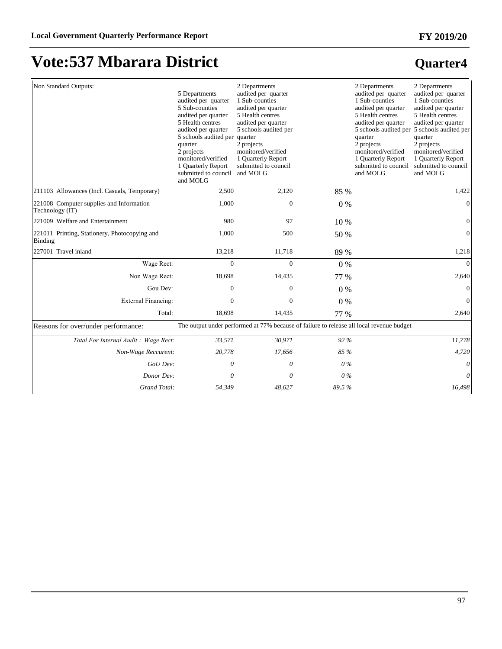### **FY 2019/20**

# **Vote:537 Mbarara District**

| Non Standard Outputs:                                       | 5 Departments<br>audited per quarter<br>5 Sub-counties<br>audited per quarter<br>5 Health centres<br>audited per quarter<br>5 schools audited per quarter<br>quarter<br>2 projects<br>monitored/verified<br>1 Quarterly Report<br>submitted to council<br>and MOLG | 2 Departments<br>audited per quarter<br>1 Sub-counties<br>audited per quarter<br>5 Health centres<br>audited per quarter<br>5 schools audited per<br>2 projects<br>monitored/verified<br>1 Ouarterly Report<br>submitted to council<br>and MOLG |       | 2 Departments<br>audited per quarter<br>1 Sub-counties<br>audited per quarter<br>5 Health centres<br>audited per quarter<br>quarter<br>2 projects<br>monitored/verified<br>1 Ouarterly Report<br>submitted to council<br>and MOLG | 2 Departments<br>audited per quarter<br>1 Sub-counties<br>audited per quarter<br>5 Health centres<br>audited per quarter<br>5 schools audited per 5 schools audited per<br>quarter<br>2 projects<br>monitored/verified<br>1 Ouarterly Report<br>submitted to council<br>and MOLG |
|-------------------------------------------------------------|--------------------------------------------------------------------------------------------------------------------------------------------------------------------------------------------------------------------------------------------------------------------|-------------------------------------------------------------------------------------------------------------------------------------------------------------------------------------------------------------------------------------------------|-------|-----------------------------------------------------------------------------------------------------------------------------------------------------------------------------------------------------------------------------------|----------------------------------------------------------------------------------------------------------------------------------------------------------------------------------------------------------------------------------------------------------------------------------|
| 211103 Allowances (Incl. Casuals, Temporary)                | 2,500                                                                                                                                                                                                                                                              | 2,120                                                                                                                                                                                                                                           | 85 %  |                                                                                                                                                                                                                                   | 1,422                                                                                                                                                                                                                                                                            |
| 221008 Computer supplies and Information<br>Technology (IT) | 1,000                                                                                                                                                                                                                                                              | $\mathbf{0}$                                                                                                                                                                                                                                    | $0\%$ |                                                                                                                                                                                                                                   | $\mathbf{0}$                                                                                                                                                                                                                                                                     |
| 221009 Welfare and Entertainment                            | 980                                                                                                                                                                                                                                                                | 97                                                                                                                                                                                                                                              | 10 %  |                                                                                                                                                                                                                                   | $\boldsymbol{0}$                                                                                                                                                                                                                                                                 |
| 221011 Printing, Stationery, Photocopying and<br>Binding    | 1,000                                                                                                                                                                                                                                                              | 500                                                                                                                                                                                                                                             | 50 %  |                                                                                                                                                                                                                                   | $\overline{0}$                                                                                                                                                                                                                                                                   |
| 227001 Travel inland                                        | 13,218                                                                                                                                                                                                                                                             | 11,718                                                                                                                                                                                                                                          | 89 %  |                                                                                                                                                                                                                                   | 1,218                                                                                                                                                                                                                                                                            |
| Wage Rect:                                                  | $\mathbf{0}$                                                                                                                                                                                                                                                       | $\overline{0}$                                                                                                                                                                                                                                  | $0\%$ |                                                                                                                                                                                                                                   | $\Omega$                                                                                                                                                                                                                                                                         |
| Non Wage Rect:                                              | 18,698                                                                                                                                                                                                                                                             | 14,435                                                                                                                                                                                                                                          | 77 %  |                                                                                                                                                                                                                                   | 2,640                                                                                                                                                                                                                                                                            |
| Gou Dev:                                                    | $\mathbf{0}$                                                                                                                                                                                                                                                       | 0                                                                                                                                                                                                                                               | $0\%$ |                                                                                                                                                                                                                                   | $\mathbf{0}$                                                                                                                                                                                                                                                                     |
| External Financing:                                         | $\Omega$                                                                                                                                                                                                                                                           | $\mathbf{0}$                                                                                                                                                                                                                                    | 0%    |                                                                                                                                                                                                                                   | $\mathbf{0}$                                                                                                                                                                                                                                                                     |
| Total:                                                      | 18,698                                                                                                                                                                                                                                                             | 14,435                                                                                                                                                                                                                                          | 77 %  |                                                                                                                                                                                                                                   | 2,640                                                                                                                                                                                                                                                                            |
| Reasons for over/under performance:                         |                                                                                                                                                                                                                                                                    | The output under performed at 77% because of failure to release all local revenue budget                                                                                                                                                        |       |                                                                                                                                                                                                                                   |                                                                                                                                                                                                                                                                                  |
| Total For Internal Audit: Wage Rect:                        | 33,571                                                                                                                                                                                                                                                             | 30,971                                                                                                                                                                                                                                          | 92 %  |                                                                                                                                                                                                                                   | 11,778                                                                                                                                                                                                                                                                           |
| Non-Wage Reccurent:                                         | 20,778                                                                                                                                                                                                                                                             | 17,656                                                                                                                                                                                                                                          | 85 %  |                                                                                                                                                                                                                                   | 4,720                                                                                                                                                                                                                                                                            |
| GoU Dev:                                                    | $\theta$                                                                                                                                                                                                                                                           | 0                                                                                                                                                                                                                                               | $0\%$ |                                                                                                                                                                                                                                   |                                                                                                                                                                                                                                                                                  |
| Donor Dev:                                                  | 0                                                                                                                                                                                                                                                                  | 0                                                                                                                                                                                                                                               | $0\%$ |                                                                                                                                                                                                                                   | $\theta$                                                                                                                                                                                                                                                                         |
| Grand Total:                                                | 54,349                                                                                                                                                                                                                                                             | 48,627                                                                                                                                                                                                                                          | 89.5% |                                                                                                                                                                                                                                   | 16,498                                                                                                                                                                                                                                                                           |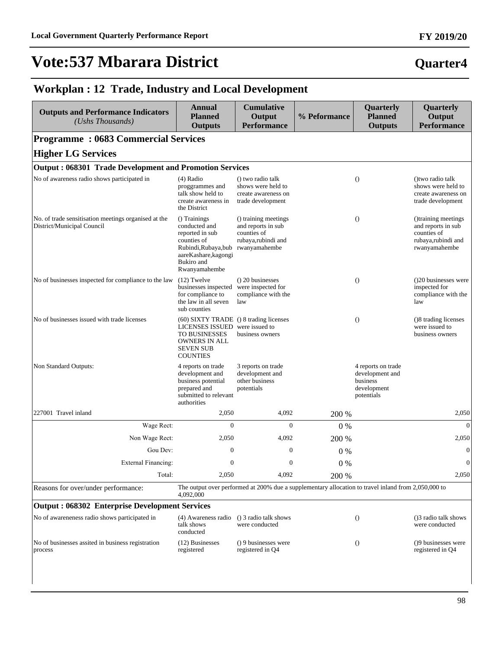### **Quarter4**

### **Workplan : 12 Trade, Industry and Local Development**

| <b>Outputs and Performance Indicators</b><br>(Ushs Thousands)                      | <b>Annual</b><br><b>Planned</b><br><b>Outputs</b>                                                                                                                                                                                                  | <b>Cumulative</b><br>Output<br><b>Performance</b>                                                   | % Peformance | Quarterly<br><b>Planned</b><br><b>Outputs</b>                                  | Quarterly<br>Output<br><b>Performance</b>                                                       |
|------------------------------------------------------------------------------------|----------------------------------------------------------------------------------------------------------------------------------------------------------------------------------------------------------------------------------------------------|-----------------------------------------------------------------------------------------------------|--------------|--------------------------------------------------------------------------------|-------------------------------------------------------------------------------------------------|
| <b>Programme: 0683 Commercial Services</b>                                         |                                                                                                                                                                                                                                                    |                                                                                                     |              |                                                                                |                                                                                                 |
| <b>Higher LG Services</b>                                                          |                                                                                                                                                                                                                                                    |                                                                                                     |              |                                                                                |                                                                                                 |
| <b>Output: 068301 Trade Development and Promotion Services</b>                     |                                                                                                                                                                                                                                                    |                                                                                                     |              |                                                                                |                                                                                                 |
| No of awareness radio shows participated in                                        | $(4)$ Radio<br>proggrammes and<br>talk show held to<br>create awareness in<br>the District                                                                                                                                                         | () two radio talk<br>shows were held to<br>create awareness on<br>trade development                 |              | $\theta$                                                                       | () two radio talk<br>shows were held to<br>create awareness on<br>trade development             |
| No. of trade sensitisation meetings organised at the<br>District/Municipal Council | () Trainings<br>() training meetings<br>conducted and<br>and reports in sub<br>reported in sub<br>counties of<br>rubaya,rubindi and<br>counties of<br>Rubindi, Rubaya, bub<br>rwanyamahembe<br>aareKashare, kagongi<br>Bukiro and<br>Rwanyamahembe |                                                                                                     |              | $\theta$                                                                       | ()training meetings<br>and reports in sub<br>counties of<br>rubaya,rubindi and<br>rwanyamahembe |
| No of businesses inspected for compliance to the law                               | $(12)$ Twelve<br>businesses inspected were inspected for<br>for compliance to<br>the law in all seven<br>sub counties                                                                                                                              | () 20 businesses<br>compliance with the<br>law                                                      |              | $\theta$                                                                       | (20 businesses were<br>inspected for<br>compliance with the<br>law                              |
| No of businesses issued with trade licenses                                        | (60) SIXTY TRADE () 8 trading licenses<br>LICENSES ISSUED were issued to<br><b>TO BUSINESSES</b><br><b>OWNERS IN ALL</b><br><b>SEVEN SUB</b><br><b>COUNTIES</b>                                                                                    | business owners                                                                                     |              | $\theta$                                                                       | ()8 trading licenses<br>were issued to<br>business owners                                       |
| Non Standard Outputs:                                                              | 4 reports on trade<br>development and<br>business potential<br>prepared and<br>submitted to relevant<br>authorities                                                                                                                                | 3 reports on trade<br>development and<br>other business<br>potentials                               |              | 4 reports on trade<br>development and<br>business<br>development<br>potentials |                                                                                                 |
| 227001 Travel inland                                                               | 2,050                                                                                                                                                                                                                                              | 4,092                                                                                               | 200 %        |                                                                                | 2,050                                                                                           |
| Wage Rect:                                                                         | $\mathbf{0}$                                                                                                                                                                                                                                       | $\mathbf{0}$                                                                                        | $0\%$        |                                                                                | $\mathbf{0}$                                                                                    |
| Non Wage Rect:                                                                     | 2,050                                                                                                                                                                                                                                              | 4,092                                                                                               | 200 %        |                                                                                | 2,050                                                                                           |
| Gou Dev:                                                                           | $\boldsymbol{0}$                                                                                                                                                                                                                                   | $\boldsymbol{0}$                                                                                    | 0%           |                                                                                | $\mathbf{0}$                                                                                    |
| External Financing:                                                                | $\mathbf{0}$                                                                                                                                                                                                                                       | $\mathbf{0}$                                                                                        | $0\%$        |                                                                                | $\overline{0}$                                                                                  |
| Total:                                                                             | 2,050                                                                                                                                                                                                                                              | 4,092                                                                                               | 200 %        |                                                                                | 2,050                                                                                           |
| Reasons for over/under performance:                                                | 4,092,000                                                                                                                                                                                                                                          | The output over performed at 200% due a supplementary allocation to travel inland from 2,050,000 to |              |                                                                                |                                                                                                 |
| <b>Output: 068302 Enterprise Development Services</b>                              |                                                                                                                                                                                                                                                    |                                                                                                     |              |                                                                                |                                                                                                 |
| No of awareneness radio shows participated in                                      | (4) Awareness radio<br>talk shows<br>conducted                                                                                                                                                                                                     | () 3 radio talk shows<br>were conducted                                                             |              | $\bigcirc$                                                                     | ()3 radio talk shows<br>were conducted                                                          |
| No of businesses assited in business registration<br>process                       | $(12)$ Businesses<br>registered                                                                                                                                                                                                                    | () 9 businesses were<br>registered in Q4                                                            |              | $\theta$                                                                       | ()9 businesses were<br>registered in Q4                                                         |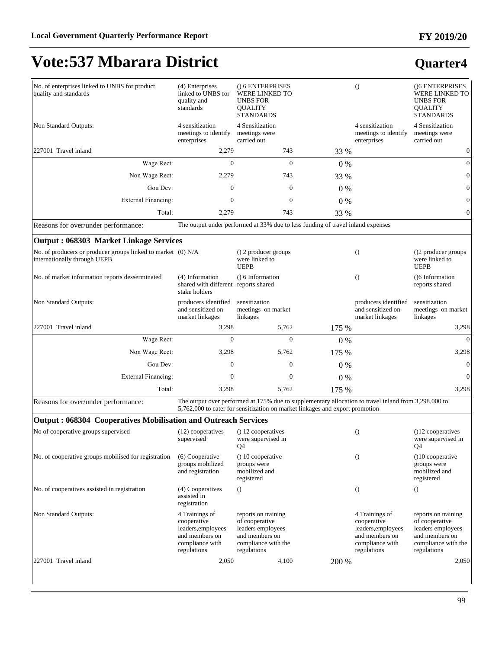#### **FY 2019/20**

# **Vote:537 Mbarara District**

| No. of enterprises linked to UNBS for product<br>quality and standards                       | (4) Enterprises<br>linked to UNBS for<br>quality and<br>standards                                       | () 6 ENTERPRISES<br>WERE LINKED TO<br><b>UNBS FOR</b><br><b>QUALITY</b><br><b>STANDARDS</b>                                                                                          |       | $\overline{O}$                                                                                          | ()6 ENTERPRISES<br>WERE LINKED TO<br><b>UNBS FOR</b><br><b>QUALITY</b><br><b>STANDARDS</b>                         |
|----------------------------------------------------------------------------------------------|---------------------------------------------------------------------------------------------------------|--------------------------------------------------------------------------------------------------------------------------------------------------------------------------------------|-------|---------------------------------------------------------------------------------------------------------|--------------------------------------------------------------------------------------------------------------------|
| Non Standard Outputs:                                                                        | 4 sensitization<br>meetings to identify<br>enterprises                                                  | 4 Sensitization<br>meetings were<br>carried out                                                                                                                                      |       | 4 sensitization<br>meetings to identify<br>enterprises                                                  | 4 Sensitization<br>meetings were<br>carried out                                                                    |
| 227001 Travel inland                                                                         | 2,279                                                                                                   | 743                                                                                                                                                                                  | 33 %  |                                                                                                         | $\boldsymbol{0}$                                                                                                   |
| Wage Rect:                                                                                   | $\Omega$                                                                                                | $\Omega$                                                                                                                                                                             | 0%    |                                                                                                         | $\theta$                                                                                                           |
| Non Wage Rect:                                                                               | 2,279                                                                                                   | 743                                                                                                                                                                                  | 33 %  |                                                                                                         | $\mathbf{0}$                                                                                                       |
| Gou Dev:                                                                                     | $\Omega$                                                                                                | $\mathbf{0}$                                                                                                                                                                         | $0\%$ |                                                                                                         | $\mathbf{0}$                                                                                                       |
| External Financing:                                                                          | $\mathbf{0}$                                                                                            | $\mathbf{0}$                                                                                                                                                                         | 0%    |                                                                                                         | $\overline{0}$                                                                                                     |
| Total:                                                                                       | 2,279                                                                                                   | 743                                                                                                                                                                                  | 33 %  |                                                                                                         | $\mathbf{0}$                                                                                                       |
| Reasons for over/under performance:                                                          |                                                                                                         | The output under performed at 33% due to less funding of travel inland expenses                                                                                                      |       |                                                                                                         |                                                                                                                    |
| <b>Output: 068303 Market Linkage Services</b>                                                |                                                                                                         |                                                                                                                                                                                      |       |                                                                                                         |                                                                                                                    |
| No. of producers or producer groups linked to market (0) N/A<br>internationally through UEPB |                                                                                                         | () 2 producer groups<br>were linked to<br><b>UEPB</b>                                                                                                                                |       | $\left( \right)$                                                                                        | ()2 producer groups<br>were linked to<br><b>UEPB</b>                                                               |
| No. of market information reports desserminated                                              | (4) Information<br>shared with different reports shared<br>stake holders                                | $() 6$ Information                                                                                                                                                                   |       | $\theta$                                                                                                | ()6 Information<br>reports shared                                                                                  |
| Non Standard Outputs:                                                                        | producers identified<br>and sensitized on<br>market linkages                                            | sensitization<br>meetings on market<br>linkages                                                                                                                                      |       | producers identified<br>and sensitized on<br>market linkages                                            | sensitization<br>meetings on market<br>linkages                                                                    |
| 227001 Travel inland                                                                         | 3,298                                                                                                   | 5,762                                                                                                                                                                                | 175 % |                                                                                                         | 3,298                                                                                                              |
| Wage Rect:                                                                                   | $\Omega$                                                                                                | $\Omega$                                                                                                                                                                             | 0%    |                                                                                                         | $\Omega$                                                                                                           |
| Non Wage Rect:                                                                               | 3,298                                                                                                   | 5,762                                                                                                                                                                                | 175 % |                                                                                                         | 3,298                                                                                                              |
| Gou Dev:                                                                                     | $\mathbf{0}$                                                                                            | $\mathbf{0}$                                                                                                                                                                         | $0\%$ |                                                                                                         | $\mathbf{0}$                                                                                                       |
| <b>External Financing:</b>                                                                   | $\mathbf{0}$                                                                                            | $\mathbf{0}$                                                                                                                                                                         | 0%    |                                                                                                         | $\theta$                                                                                                           |
| Total:                                                                                       | 3,298                                                                                                   | 5,762                                                                                                                                                                                | 175 % |                                                                                                         | 3,298                                                                                                              |
| Reasons for over/under performance:                                                          |                                                                                                         | The output over performed at 175% due to supplementary allocation to travel inland from 3,298,000 to<br>5,762,000 to cater for sensitization on market linkages and export promotion |       |                                                                                                         |                                                                                                                    |
| <b>Output: 068304 Cooperatives Mobilisation and Outreach Services</b>                        |                                                                                                         |                                                                                                                                                                                      |       |                                                                                                         |                                                                                                                    |
| No of cooperative groups supervised                                                          | (12) cooperatives<br>supervised                                                                         | () 12 cooperatives<br>were supervised in<br>Q4                                                                                                                                       |       | $\theta$                                                                                                | $(12$ cooperatives<br>were supervised in<br>Q4                                                                     |
| No. of cooperative groups mobilised for registration                                         | (6) Cooperative<br>groups mobilized<br>and registration                                                 | $() 10$ cooperative<br>groups were<br>mobilized and<br>registered                                                                                                                    |       | $\theta$                                                                                                | $(10$ cooperative<br>groups were<br>mobilized and<br>registered                                                    |
| No. of cooperatives assisted in registration                                                 | (4) Cooperatives<br>assisted in<br>registration                                                         | $\theta$                                                                                                                                                                             |       | $\theta$                                                                                                | $\theta$                                                                                                           |
| Non Standard Outputs:                                                                        | 4 Trainings of<br>cooperative<br>leaders, employees<br>and members on<br>compliance with<br>regulations | reports on training<br>of cooperative<br>leaders employees<br>and members on<br>compliance with the<br>regulations                                                                   |       | 4 Trainings of<br>cooperative<br>leaders, employees<br>and members on<br>compliance with<br>regulations | reports on training<br>of cooperative<br>leaders employees<br>and members on<br>compliance with the<br>regulations |
| 227001 Travel inland                                                                         | 2,050                                                                                                   | 4,100                                                                                                                                                                                | 200 % |                                                                                                         | 2,050                                                                                                              |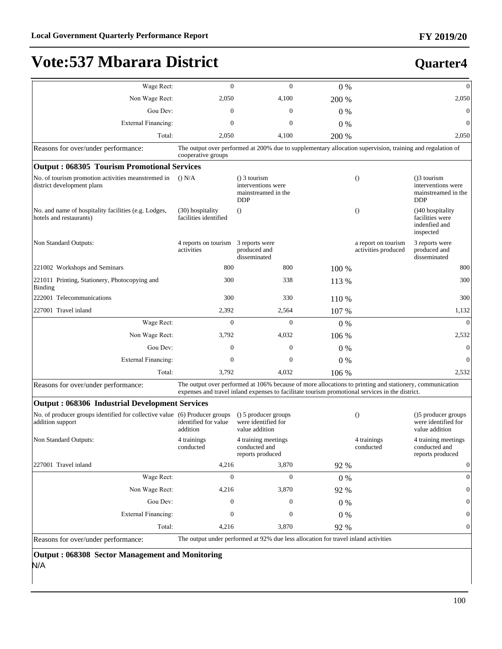| Wage Rect:                                                                                     | $\mathbf{0}$                              | $\Omega$                                                                                                                                                                                                   | $0\%$ |                                            | $\Omega$                                                                   |
|------------------------------------------------------------------------------------------------|-------------------------------------------|------------------------------------------------------------------------------------------------------------------------------------------------------------------------------------------------------------|-------|--------------------------------------------|----------------------------------------------------------------------------|
| Non Wage Rect:                                                                                 | 2,050                                     | 4,100                                                                                                                                                                                                      | 200 % |                                            | 2,050                                                                      |
| Gou Dev:                                                                                       | $\Omega$                                  | 0                                                                                                                                                                                                          | $0\%$ |                                            | $\Omega$                                                                   |
| <b>External Financing:</b>                                                                     | $\mathbf{0}$                              | 0                                                                                                                                                                                                          | $0\%$ |                                            | $\mathbf{0}$                                                               |
| Total:                                                                                         | 2,050                                     | 4,100                                                                                                                                                                                                      | 200 % |                                            | 2,050                                                                      |
| Reasons for over/under performance:                                                            |                                           | The output over performed at 200% due to supplementary allocation supervision, training and regulation of                                                                                                  |       |                                            |                                                                            |
|                                                                                                | cooperative groups                        |                                                                                                                                                                                                            |       |                                            |                                                                            |
| <b>Output: 068305 Tourism Promotional Services</b>                                             |                                           |                                                                                                                                                                                                            |       |                                            |                                                                            |
| No. of tourism promotion activities meanstremed in<br>district development plans               | $()$ N/A                                  | $()$ 3 tourism<br>interventions were<br>mainstreamed in the<br><b>DDP</b>                                                                                                                                  |       | $\Omega$                                   | $( )$ 3 tourism<br>interventions were<br>mainstreamed in the<br><b>DDP</b> |
| No. and name of hospitality facilities (e.g. Lodges,<br>hotels and restaurants)                | (30) hospitality<br>facilities identified | $\Omega$                                                                                                                                                                                                   |       | $\Omega$                                   | ()40 hospitality<br>facilities were<br>indenfied and<br>inspected          |
| Non Standard Outputs:                                                                          | 4 reports on tourism<br>activities        | 3 reports were<br>produced and<br>disseminated                                                                                                                                                             |       | a report on tourism<br>activities produced | 3 reports were<br>produced and<br>disseminated                             |
| 221002 Workshops and Seminars                                                                  | 800                                       | 800                                                                                                                                                                                                        | 100 % |                                            | 800                                                                        |
| 221011 Printing, Stationery, Photocopying and<br><b>Binding</b>                                | 300                                       | 338                                                                                                                                                                                                        | 113 % |                                            | 300                                                                        |
| 222001 Telecommunications                                                                      | 300                                       | 330                                                                                                                                                                                                        | 110 % |                                            | 300                                                                        |
| 227001 Travel inland                                                                           | 2,392                                     | 2,564                                                                                                                                                                                                      | 107 % |                                            | 1,132                                                                      |
| Wage Rect:                                                                                     | $\mathbf{0}$                              | $\mathbf{0}$                                                                                                                                                                                               | $0\%$ |                                            | $\Omega$                                                                   |
| Non Wage Rect:                                                                                 | 3,792                                     | 4,032                                                                                                                                                                                                      | 106 % |                                            | 2,532                                                                      |
| Gou Dev:                                                                                       | $\Omega$                                  | $\mathbf{0}$                                                                                                                                                                                               | $0\%$ |                                            | $\theta$                                                                   |
| External Financing:                                                                            | $\mathbf{0}$                              | $\mathbf{0}$                                                                                                                                                                                               | 0%    |                                            | $\mathbf{0}$                                                               |
| Total:                                                                                         | 3,792                                     | 4,032                                                                                                                                                                                                      | 106 % |                                            | 2,532                                                                      |
| Reasons for over/under performance:                                                            |                                           | The output over performed at 106% because of more allocations to printing and stationery, communication<br>expenses and travel inland expenses to facilitate tourism promotional services in the district. |       |                                            |                                                                            |
| <b>Output: 068306 Industrial Development Services</b>                                          |                                           |                                                                                                                                                                                                            |       |                                            |                                                                            |
| No. of producer groups identified for collective value (6) Producer groups<br>addition support | identified for value<br>addition          | () 5 producer groups<br>were identified for<br>value addition                                                                                                                                              |       | $\theta$                                   | ()5 producer groups<br>were identified for<br>value addition               |
| Non Standard Outputs:                                                                          | 4 trainings<br>conducted                  | 4 training meetings<br>conducted and<br>reports produced                                                                                                                                                   |       | 4 trainings<br>conducted                   | 4 training meetings<br>conducted and<br>reports produced                   |
| 227001 Travel inland                                                                           | 4,216                                     | 3,870                                                                                                                                                                                                      | 92 %  |                                            | $\mathbf{0}$                                                               |
| Wage Rect:                                                                                     | $\boldsymbol{0}$                          | $\mathbf{0}$                                                                                                                                                                                               | $0\%$ |                                            | $\mathbf{0}$                                                               |
| Non Wage Rect:                                                                                 | 4,216                                     | 3,870                                                                                                                                                                                                      | 92 %  |                                            | $\Omega$                                                                   |
| Gou Dev:                                                                                       | 0                                         | $\mathbf{0}$                                                                                                                                                                                               | $0\%$ |                                            | $\mathbf{0}$                                                               |
| <b>External Financing:</b>                                                                     | $\Omega$                                  | $\boldsymbol{0}$                                                                                                                                                                                           | $0\%$ |                                            | 0                                                                          |
| Total:                                                                                         | 4,216                                     | 3,870                                                                                                                                                                                                      | 92 %  |                                            | $\mathbf{0}$                                                               |
| Reasons for over/under performance:                                                            |                                           | The output under performed at 92% due less allocation for travel inland activities                                                                                                                         |       |                                            |                                                                            |
| Output: 068308 Sector Management and Monitoring<br>N/A                                         |                                           |                                                                                                                                                                                                            |       |                                            |                                                                            |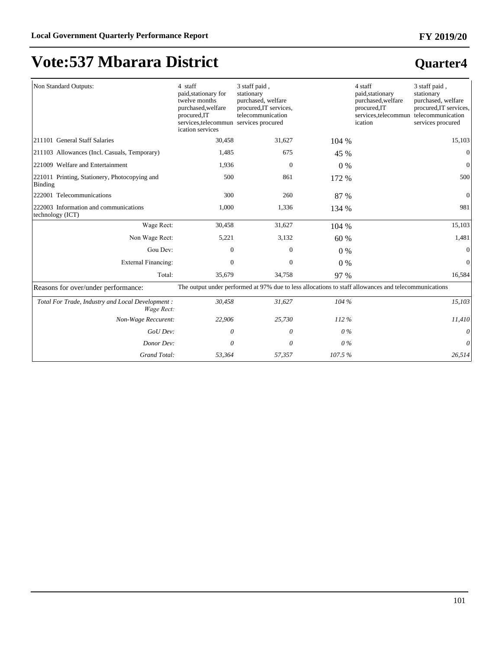#### **FY 2019/20**

# **Vote:537 Mbarara District**

| Non Standard Outputs:                                          | 4 staff<br>paid, stationary for<br>twelve months<br>purchased, welfare<br>procured, IT<br>services, telecommun services procured<br>ication services | 3 staff paid,<br>stationary<br>purchased, welfare<br>procured, IT services,<br>telecommunication     |        | 4 staff<br>paid, stationary<br>purchased, welfare<br>procured, IT<br>services, telecommun telecommunication<br>ication | 3 staff paid,<br>stationary<br>purchased, welfare<br>procured, IT services,<br>services procured |
|----------------------------------------------------------------|------------------------------------------------------------------------------------------------------------------------------------------------------|------------------------------------------------------------------------------------------------------|--------|------------------------------------------------------------------------------------------------------------------------|--------------------------------------------------------------------------------------------------|
| 211101 General Staff Salaries                                  | 30,458                                                                                                                                               | 31,627                                                                                               | 104 %  |                                                                                                                        | 15,103                                                                                           |
| [211103 Allowances (Incl. Casuals, Temporary)                  | 1,485                                                                                                                                                | 675                                                                                                  | 45 %   |                                                                                                                        | $\Omega$                                                                                         |
| 221009 Welfare and Entertainment                               | 1,936                                                                                                                                                | $\mathbf{0}$                                                                                         | $0\%$  |                                                                                                                        | $\Omega$                                                                                         |
| 221011 Printing, Stationery, Photocopying and<br>Binding       | 500                                                                                                                                                  | 861                                                                                                  | 172 %  |                                                                                                                        | 500                                                                                              |
| 222001 Telecommunications                                      | 300                                                                                                                                                  | 260                                                                                                  | 87 %   |                                                                                                                        | $\theta$                                                                                         |
| 222003 Information and communications<br>technology (ICT)      | 1,000                                                                                                                                                | 1,336                                                                                                | 134 %  |                                                                                                                        | 981                                                                                              |
| Wage Rect:                                                     | 30,458                                                                                                                                               | 31,627                                                                                               | 104 %  |                                                                                                                        | 15,103                                                                                           |
| Non Wage Rect:                                                 | 5,221                                                                                                                                                | 3,132                                                                                                | 60 %   |                                                                                                                        | 1,481                                                                                            |
| Gou Dev:                                                       | $\Omega$                                                                                                                                             | $\Omega$                                                                                             | $0\%$  |                                                                                                                        | $\Omega$                                                                                         |
| <b>External Financing:</b>                                     | $\Omega$                                                                                                                                             | $\Omega$                                                                                             | 0%     |                                                                                                                        | $\Omega$                                                                                         |
| Total:                                                         | 35,679                                                                                                                                               | 34,758                                                                                               | 97 %   |                                                                                                                        | 16,584                                                                                           |
| Reasons for over/under performance:                            |                                                                                                                                                      | The output under performed at 97% due to less allocations to staff allowances and telecommunications |        |                                                                                                                        |                                                                                                  |
| Total For Trade, Industry and Local Development:<br>Wage Rect: | 30,458                                                                                                                                               | 31,627                                                                                               | 104 %  |                                                                                                                        | 15,103                                                                                           |
| Non-Wage Reccurent:                                            | 22,906                                                                                                                                               | 25,730                                                                                               | 112%   |                                                                                                                        | 11,410                                                                                           |
| GoU Dev:                                                       | 0                                                                                                                                                    | 0                                                                                                    | $0\%$  |                                                                                                                        | 0                                                                                                |
| Donor Dev:                                                     | 0                                                                                                                                                    | 0                                                                                                    | 0%     |                                                                                                                        | 0                                                                                                |
| Grand Total:                                                   | 53,364                                                                                                                                               | 57,357                                                                                               | 107.5% |                                                                                                                        | 26,514                                                                                           |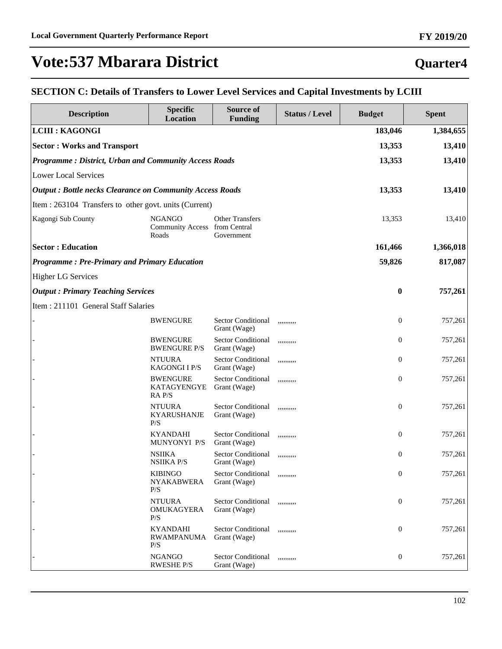### **Quarter4**

#### **SECTION C: Details of Transfers to Lower Level Services and Capital Investments by LCIII**

| <b>Description</b>                                              | <b>Specific</b><br><b>Location</b>                      | Source of<br><b>Funding</b>               | <b>Status / Level</b> | <b>Budget</b>    | <b>Spent</b> |  |
|-----------------------------------------------------------------|---------------------------------------------------------|-------------------------------------------|-----------------------|------------------|--------------|--|
| <b>LCIII : KAGONGI</b>                                          |                                                         |                                           |                       | 183,046          | 1,384,655    |  |
| <b>Sector: Works and Transport</b>                              |                                                         |                                           |                       | 13,353           | 13,410       |  |
|                                                                 | Programme: District, Urban and Community Access Roads   |                                           |                       |                  |              |  |
| <b>Lower Local Services</b>                                     |                                                         |                                           |                       |                  |              |  |
| <b>Output: Bottle necks Clearance on Community Access Roads</b> |                                                         |                                           |                       | 13,353           | 13,410       |  |
| Item : 263104 Transfers to other govt. units (Current)          |                                                         |                                           |                       |                  |              |  |
| Kagongi Sub County                                              | <b>NGANGO</b><br>Community Access from Central<br>Roads | <b>Other Transfers</b><br>Government      |                       | 13,353           | 13,410       |  |
| <b>Sector: Education</b>                                        |                                                         |                                           |                       | 161,466          | 1,366,018    |  |
| <b>Programme: Pre-Primary and Primary Education</b>             |                                                         |                                           |                       | 59,826           | 817,087      |  |
| <b>Higher LG Services</b>                                       |                                                         |                                           |                       |                  |              |  |
| <b>Output: Primary Teaching Services</b>                        |                                                         |                                           |                       | $\bf{0}$         | 757,261      |  |
| Item: 211101 General Staff Salaries                             |                                                         |                                           |                       |                  |              |  |
|                                                                 | <b>BWENGURE</b>                                         | <b>Sector Conditional</b><br>Grant (Wage) | ,,,,,,,,,,            | $\boldsymbol{0}$ | 757,261      |  |
|                                                                 | <b>BWENGURE</b><br><b>BWENGURE P/S</b>                  | Sector Conditional<br>Grant (Wage)        | ,,,,,,,,,,            | $\boldsymbol{0}$ | 757,261      |  |
|                                                                 | <b>NTUURA</b><br><b>KAGONGI I P/S</b>                   | Sector Conditional<br>Grant (Wage)        | ,,,,,,,,,,            | $\boldsymbol{0}$ | 757,261      |  |
|                                                                 | <b>BWENGURE</b><br>KATAGYENGYE<br>RA P/S                | <b>Sector Conditional</b><br>Grant (Wage) | ,,,,,,,,,,            | $\boldsymbol{0}$ | 757,261      |  |
|                                                                 | <b>NTUURA</b><br><b>KYARUSHANJE</b><br>P/S              | <b>Sector Conditional</b><br>Grant (Wage) | ,,,,,,,,,,            | $\boldsymbol{0}$ | 757,261      |  |
|                                                                 | <b>KYANDAHI</b><br>MUNYONYI P/S                         | <b>Sector Conditional</b><br>Grant (Wage) | ,,,,,,,,,,            | $\boldsymbol{0}$ | 757,261      |  |
|                                                                 | <b>NSIIKA</b><br><b>NSIIKA P/S</b>                      | <b>Sector Conditional</b><br>Grant (Wage) | ,,,,,,,,,,            | $\boldsymbol{0}$ | 757,261      |  |
|                                                                 | <b>KIBINGO</b><br><b>NYAKABWERA</b><br>P/S              | Sector Conditional<br>Grant (Wage)        | ,,,,,,,,,,            | $\boldsymbol{0}$ | 757,261      |  |
|                                                                 | <b>NTUURA</b><br>OMUKAGYERA<br>P/S                      | Sector Conditional<br>Grant (Wage)        | ,,,,,,,,,,            | $\boldsymbol{0}$ | 757,261      |  |
|                                                                 | <b>KYANDAHI</b><br><b>RWAMPANUMA</b><br>P/S             | <b>Sector Conditional</b><br>Grant (Wage) | ,,,,,,,,,,            | $\boldsymbol{0}$ | 757,261      |  |
|                                                                 | <b>NGANGO</b><br><b>RWESHE P/S</b>                      | Sector Conditional<br>Grant (Wage)        | ,,,,,,,,,,            | $\boldsymbol{0}$ | 757,261      |  |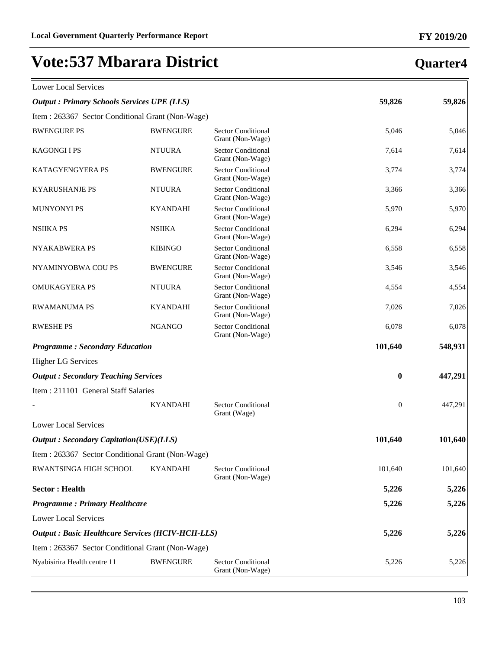| Lower Local Services |  |
|----------------------|--|

### **Quarter4**

 $\overline{\mathbb{1}}$ 

| Lower Local Services                                      |                 |                                               |                  |         |
|-----------------------------------------------------------|-----------------|-----------------------------------------------|------------------|---------|
| <b>Output : Primary Schools Services UPE (LLS)</b>        |                 |                                               | 59,826           | 59,826  |
| Item: 263367 Sector Conditional Grant (Non-Wage)          |                 |                                               |                  |         |
| <b>BWENGURE PS</b>                                        | <b>BWENGURE</b> | <b>Sector Conditional</b><br>Grant (Non-Wage) | 5,046            | 5,046   |
| <b>KAGONGIIPS</b>                                         | <b>NTUURA</b>   | Sector Conditional<br>Grant (Non-Wage)        | 7,614            | 7,614   |
| <b>KATAGYENGYERA PS</b>                                   | <b>BWENGURE</b> | Sector Conditional<br>Grant (Non-Wage)        | 3,774            | 3,774   |
| <b>KYARUSHANJE PS</b>                                     | <b>NTUURA</b>   | <b>Sector Conditional</b><br>Grant (Non-Wage) | 3,366            | 3,366   |
| <b>MUNYONYI PS</b>                                        | <b>KYANDAHI</b> | Sector Conditional<br>Grant (Non-Wage)        | 5,970            | 5,970   |
| <b>NSIIKA PS</b>                                          | <b>NSIIKA</b>   | Sector Conditional<br>Grant (Non-Wage)        | 6,294            | 6,294   |
| <b>NYAKABWERA PS</b>                                      | <b>KIBINGO</b>  | Sector Conditional<br>Grant (Non-Wage)        | 6,558            | 6,558   |
| NYAMINYOBWA COU PS                                        | <b>BWENGURE</b> | <b>Sector Conditional</b><br>Grant (Non-Wage) | 3,546            | 3,546   |
| OMUKAGYERA PS                                             | <b>NTUURA</b>   | <b>Sector Conditional</b><br>Grant (Non-Wage) | 4,554            | 4,554   |
| <b>RWAMANUMA PS</b>                                       | <b>KYANDAHI</b> | <b>Sector Conditional</b><br>Grant (Non-Wage) | 7,026            | 7,026   |
| <b>RWESHE PS</b>                                          | <b>NGANGO</b>   | Sector Conditional<br>Grant (Non-Wage)        | 6,078            | 6,078   |
| <b>Programme: Secondary Education</b>                     |                 |                                               | 101,640          | 548,931 |
| <b>Higher LG Services</b>                                 |                 |                                               |                  |         |
| <b>Output: Secondary Teaching Services</b>                |                 |                                               | $\bf{0}$         | 447,291 |
| Item: 211101 General Staff Salaries                       |                 |                                               |                  |         |
|                                                           | <b>KYANDAHI</b> | <b>Sector Conditional</b><br>Grant (Wage)     | $\boldsymbol{0}$ | 447,291 |
| <b>Lower Local Services</b>                               |                 |                                               |                  |         |
| <b>Output: Secondary Capitation(USE)(LLS)</b>             |                 |                                               | 101,640          | 101,640 |
| Item : 263367 Sector Conditional Grant (Non-Wage)         |                 |                                               |                  |         |
| RWANTSINGA HIGH SCHOOL                                    | <b>KYANDAHI</b> | <b>Sector Conditional</b><br>Grant (Non-Wage) | 101,640          | 101,640 |
| <b>Sector: Health</b>                                     |                 |                                               | 5,226            | 5,226   |
| <b>Programme: Primary Healthcare</b>                      |                 |                                               | 5,226            | 5,226   |
| <b>Lower Local Services</b>                               |                 |                                               |                  |         |
| <b>Output : Basic Healthcare Services (HCIV-HCII-LLS)</b> |                 |                                               | 5,226            | 5,226   |
| Item: 263367 Sector Conditional Grant (Non-Wage)          |                 |                                               |                  |         |
| Nyabisirira Health centre 11                              | <b>BWENGURE</b> | <b>Sector Conditional</b><br>Grant (Non-Wage) | 5,226            | 5,226   |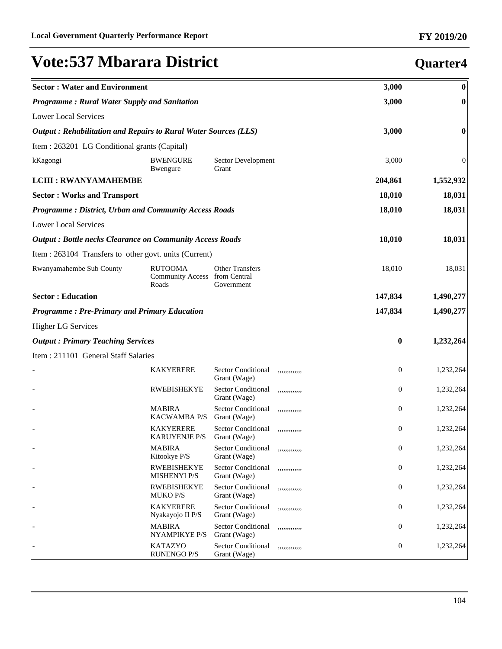**Quarter4**

# **Vote:537 Mbarara District**

#### **Sector : Water and Environment 3,000 0** *Programme : Rural Water Supply and Sanitation* **3,000 0** Lower Local Services *Output : Rehabilitation and Repairs to Rural Water Sources (LLS)* **3,000 0** Item : 263201 LG Conditional grants (Capital) kKagongi BWENGURE Bwengure Sector Development Grant 3,000 0 **LCIII : RWANYAMAHEMBE 204,861 1,552,932 Sector : Works and Transport 18,010 18,031** *Programme : District, Urban and Community Access Roads* **18,010 18,031** Lower Local Services *Output : Bottle necks Clearance on Community Access Roads* **18,010 18,031** Item : 263104 Transfers to other govt. units (Current) Rwanyamahembe Sub County RUTOOMA Community Access Roads Other Transfers from Central Government 18,010 18,031 **Sector : Education 147,834 1,490,277** *Programme : Pre-Primary and Primary Education* **147,834 1,490,277** Higher LG Services *Output : Primary Teaching Services* **0 1,232,264** Item : 211101 General Staff Salaries KAKYERERE Sector Conditional Grant (Wage) ,,,,,,,,,,,,, 0 1,232,264 RWEBISHEKYE Sector Conditional Grant (Wage) ,,,,,,,,,,,,, 0 1,232,264 **MABIRA** KACWAMBA P/S Sector Conditional Grant (Wage) ,,,,,,,,,,,,, 0 1,232,264 **KAKYERERE** KARUYENJE P/S Sector Conditional Grant (Wage) ,,,,,,,,,,,,, 0 1,232,264 **MABIRA** Kitookye P/S Sector Conditional Grant (Wage) ,,,,,,,,,,,,, 0 1,232,264 **RWEBISHEKYE** MISHENYI P/S Sector Conditional Grant (Wage) ,,,,,,,,,,,,, 0 1,232,264 - RWEBISHEKYE MUKO P/S Sector Conditional Grant (Wage) ,,,,,,,,,,,,, 0 1,232,264 **KAKYERERE** Nyakayojo II P/S Sector Conditional Grant (Wage) ,,,,,,,,,,,,, 0 1,232,264 **MABIRA** NYAMPIKYE P/S Sector Conditional Grant (Wage) ,,,,,,,,,,,,, 0 1,232,264 - KATAZYO Sector Conditional ,,,,,,,,,,,,, 0 1,232,264

RUNENGO P/S

Grant (Wage)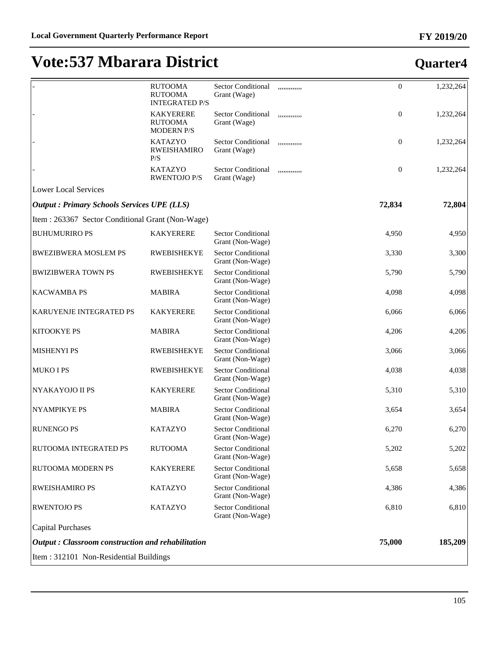|                                                          | <b>RUTOOMA</b><br><b>RUTOOMA</b><br><b>INTEGRATED P/S</b> | <b>Sector Conditional</b><br>Grant (Wage)     | ,,,,,,,,,,,,  | $\overline{0}$   | 1,232,264 |
|----------------------------------------------------------|-----------------------------------------------------------|-----------------------------------------------|---------------|------------------|-----------|
|                                                          | <b>KAKYERERE</b><br><b>RUTOOMA</b><br><b>MODERN P/S</b>   | <b>Sector Conditional</b><br>Grant (Wage)     | ,,,,,,,,,,,,, | $\boldsymbol{0}$ | 1,232,264 |
|                                                          | <b>KATAZYO</b><br><b>RWEISHAMIRO</b><br>P/S               | <b>Sector Conditional</b><br>Grant (Wage)     | ,,,,,,,,,,,,  | $\boldsymbol{0}$ | 1,232,264 |
|                                                          | <b>KATAZYO</b><br><b>RWENTOJO P/S</b>                     | <b>Sector Conditional</b><br>Grant (Wage)     | ,,,,,,,,,,,,, | $\boldsymbol{0}$ | 1,232,264 |
| <b>Lower Local Services</b>                              |                                                           |                                               |               |                  |           |
| <b>Output : Primary Schools Services UPE (LLS)</b>       |                                                           |                                               |               | 72,834           | 72,804    |
| Item: 263367 Sector Conditional Grant (Non-Wage)         |                                                           |                                               |               |                  |           |
| <b>BUHUMURIRO PS</b>                                     | <b>KAKYERERE</b>                                          | <b>Sector Conditional</b><br>Grant (Non-Wage) |               | 4,950            | 4,950     |
| <b>BWEZIBWERA MOSLEM PS</b>                              | <b>RWEBISHEKYE</b>                                        | Sector Conditional<br>Grant (Non-Wage)        |               | 3,330            | 3,300     |
| <b>BWIZIBWERA TOWN PS</b>                                | <b>RWEBISHEKYE</b>                                        | Sector Conditional<br>Grant (Non-Wage)        |               | 5,790            | 5,790     |
| <b>KACWAMBA PS</b>                                       | <b>MABIRA</b>                                             | Sector Conditional<br>Grant (Non-Wage)        |               | 4,098            | 4,098     |
| KARUYENJE INTEGRATED PS                                  | <b>KAKYERERE</b>                                          | Sector Conditional<br>Grant (Non-Wage)        |               | 6,066            | 6,066     |
| KITOOKYE PS                                              | <b>MABIRA</b>                                             | Sector Conditional<br>Grant (Non-Wage)        |               | 4,206            | 4,206     |
| <b>MISHENYI PS</b>                                       | <b>RWEBISHEKYE</b>                                        | Sector Conditional<br>Grant (Non-Wage)        |               | 3,066            | 3,066     |
| MUKO I PS                                                | <b>RWEBISHEKYE</b>                                        | Sector Conditional<br>Grant (Non-Wage)        |               | 4,038            | 4,038     |
| NYAKAYOJO II PS                                          | <b>KAKYERERE</b>                                          | Sector Conditional<br>Grant (Non-Wage)        |               | 5,310            | 5,310     |
| <b>NYAMPIKYE PS</b>                                      | <b>MABIRA</b>                                             | <b>Sector Conditional</b><br>Grant (Non-Wage) |               | 3,654            | 3,654     |
| <b>RUNENGO PS</b>                                        | <b>KATAZYO</b>                                            | Sector Conditional<br>Grant (Non-Wage)        |               | 6,270            | 6,270     |
| RUTOOMA INTEGRATED PS                                    | <b>RUTOOMA</b>                                            | <b>Sector Conditional</b><br>Grant (Non-Wage) |               | 5,202            | 5,202     |
| RUTOOMA MODERN PS                                        | <b>KAKYERERE</b>                                          | <b>Sector Conditional</b><br>Grant (Non-Wage) |               | 5,658            | 5,658     |
| <b>RWEISHAMIRO PS</b>                                    | <b>KATAZYO</b>                                            | <b>Sector Conditional</b><br>Grant (Non-Wage) |               | 4,386            | 4,386     |
| <b>RWENTOJO PS</b>                                       | <b>KATAZYO</b>                                            | <b>Sector Conditional</b><br>Grant (Non-Wage) |               | 6,810            | 6,810     |
| <b>Capital Purchases</b>                                 |                                                           |                                               |               |                  |           |
| <b>Output: Classroom construction and rehabilitation</b> |                                                           |                                               |               | 75,000           | 185,209   |
| Item: 312101 Non-Residential Buildings                   |                                                           |                                               |               |                  |           |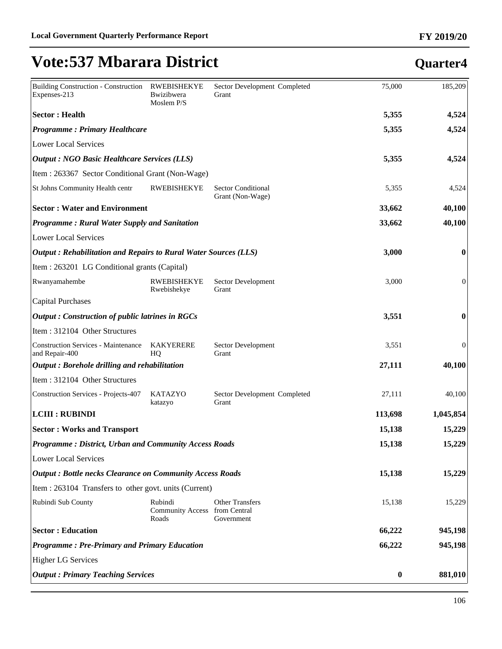| <b>Building Construction - Construction</b><br>Expenses-213     | <b>RWEBISHEKYE</b><br>Bwizibwera<br>Moslem P/S      | Sector Development Completed<br>Grant         | 75,000           | 185,209   |
|-----------------------------------------------------------------|-----------------------------------------------------|-----------------------------------------------|------------------|-----------|
| <b>Sector: Health</b>                                           |                                                     |                                               | 5,355            | 4,524     |
| <b>Programme: Primary Healthcare</b>                            |                                                     |                                               | 5,355            | 4,524     |
| <b>Lower Local Services</b>                                     |                                                     |                                               |                  |           |
| <b>Output : NGO Basic Healthcare Services (LLS)</b>             |                                                     |                                               | 5,355            | 4,524     |
| Item: 263367 Sector Conditional Grant (Non-Wage)                |                                                     |                                               |                  |           |
| St Johns Community Health centr                                 | <b>RWEBISHEKYE</b>                                  | <b>Sector Conditional</b><br>Grant (Non-Wage) | 5,355            | 4,524     |
| <b>Sector: Water and Environment</b>                            |                                                     |                                               | 33,662           | 40,100    |
| <b>Programme: Rural Water Supply and Sanitation</b>             |                                                     |                                               | 33,662           | 40,100    |
| <b>Lower Local Services</b>                                     |                                                     |                                               |                  |           |
| Output: Rehabilitation and Repairs to Rural Water Sources (LLS) |                                                     |                                               | 3,000            | $\bf{0}$  |
| Item : 263201 LG Conditional grants (Capital)                   |                                                     |                                               |                  |           |
| Rwanyamahembe                                                   | <b>RWEBISHEKYE</b><br>Rwebishekye                   | Sector Development<br>Grant                   | 3,000            | 0         |
| <b>Capital Purchases</b>                                        |                                                     |                                               |                  |           |
| <b>Output: Construction of public latrines in RGCs</b>          |                                                     |                                               | 3,551            | 0         |
| Item: 312104 Other Structures                                   |                                                     |                                               |                  |           |
| <b>Construction Services - Maintenance</b><br>and Repair-400    | <b>KAKYERERE</b><br>HQ                              | Sector Development<br>Grant                   | 3,551            | 0         |
| Output: Borehole drilling and rehabilitation                    |                                                     |                                               | 27,111           | 40,100    |
| Item: 312104 Other Structures                                   |                                                     |                                               |                  |           |
| <b>Construction Services - Projects-407</b>                     | <b>KATAZYO</b><br>katazyo                           | Sector Development Completed<br>Grant         | 27,111           | 40,100    |
| <b>LCIII : RUBINDI</b>                                          |                                                     |                                               | 113,698          | 1,045,854 |
| <b>Sector: Works and Transport</b>                              |                                                     |                                               | 15,138           | 15,229    |
| <b>Programme: District, Urban and Community Access Roads</b>    |                                                     |                                               | 15,138           | 15,229    |
| Lower Local Services                                            |                                                     |                                               |                  |           |
| <b>Output: Bottle necks Clearance on Community Access Roads</b> |                                                     |                                               | 15,138           | 15,229    |
| Item : 263104 Transfers to other govt. units (Current)          |                                                     |                                               |                  |           |
| Rubindi Sub County                                              | Rubindi<br>Community Access from Central<br>Roads   | <b>Other Transfers</b><br>Government          | 15,138           | 15,229    |
| <b>Sector: Education</b>                                        |                                                     |                                               |                  | 945,198   |
|                                                                 | <b>Programme: Pre-Primary and Primary Education</b> |                                               |                  | 945,198   |
| <b>Higher LG Services</b>                                       |                                                     |                                               |                  |           |
| <b>Output: Primary Teaching Services</b>                        |                                                     |                                               | $\boldsymbol{0}$ | 881,010   |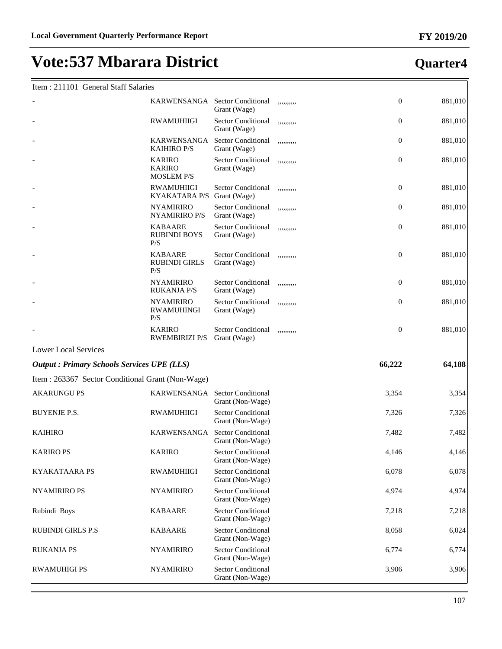#### Item : 211101 General Staff Salaries

|                                                    | KARWENSANGA Sector Conditional                      | Grant (Wage)                                  | ,,,,,,,,,, | $\mathbf{0}$ | 881,010 |
|----------------------------------------------------|-----------------------------------------------------|-----------------------------------------------|------------|--------------|---------|
|                                                    | <b>RWAMUHIIGI</b>                                   | <b>Sector Conditional</b><br>Grant (Wage)     | ,,,,,,,,,, | $\mathbf{0}$ | 881,010 |
|                                                    | KARWENSANGA<br><b>KAIHIRO P/S</b>                   | Sector Conditional<br>Grant (Wage)            | ,,,,,,,,,, | $\mathbf{0}$ | 881,010 |
|                                                    | <b>KARIRO</b><br><b>KARIRO</b><br><b>MOSLEM P/S</b> | <b>Sector Conditional</b><br>Grant (Wage)     | ,,,,,,,,,, | $\mathbf{0}$ | 881,010 |
|                                                    | <b>RWAMUHIIGI</b><br><b>KYAKATARA P/S</b>           | <b>Sector Conditional</b><br>Grant (Wage)     | ,,,,,,,,,, | $\mathbf{0}$ | 881,010 |
|                                                    | <b>NYAMIRIRO</b><br>NYAMIRIRO P/S                   | <b>Sector Conditional</b><br>Grant (Wage)     | ,,,,,,,,,, | $\mathbf{0}$ | 881,010 |
|                                                    | <b>KABAARE</b><br><b>RUBINDI BOYS</b><br>P/S        | <b>Sector Conditional</b><br>Grant (Wage)     | ,,,,,,,,,, | $\mathbf{0}$ | 881,010 |
|                                                    | <b>KABAARE</b><br><b>RUBINDI GIRLS</b><br>P/S       | <b>Sector Conditional</b><br>Grant (Wage)     | ,,,,,,,,,, | $\mathbf{0}$ | 881,010 |
|                                                    | <b>NYAMIRIRO</b><br><b>RUKANJA P/S</b>              | Sector Conditional<br>Grant (Wage)            | ,,,,,,,,,, | $\mathbf{0}$ | 881,010 |
|                                                    | <b>NYAMIRIRO</b><br><b>RWAMUHINGI</b><br>P/S        | Sector Conditional<br>Grant (Wage)            | ,,,,,,,,,, | $\mathbf{0}$ | 881,010 |
|                                                    | <b>KARIRO</b><br><b>RWEMBIRIZI P/S</b>              | <b>Sector Conditional</b><br>Grant (Wage)     | ,,,,,,,,,, | $\mathbf{0}$ | 881,010 |
| <b>Lower Local Services</b>                        |                                                     |                                               |            |              |         |
| <b>Output : Primary Schools Services UPE (LLS)</b> |                                                     |                                               |            | 66,222       | 64,188  |
| Item: 263367 Sector Conditional Grant (Non-Wage)   |                                                     |                                               |            |              |         |
| <b>AKARUNGU PS</b>                                 | KARWENSANGA Sector Conditional                      | Grant (Non-Wage)                              |            | 3,354        | 3,354   |
| <b>BUYENJE P.S.</b>                                | <b>RWAMUHIIGI</b>                                   | <b>Sector Conditional</b><br>Grant (Non-Wage) |            | 7,326        | 7,326   |
| <b>KAIHIRO</b>                                     | KARWENSANGA                                         | <b>Sector Conditional</b><br>Grant (Non-Wage) |            | 7,482        | 7,482   |
| <b>KARIRO PS</b>                                   | <b>KARIRO</b>                                       | <b>Sector Conditional</b><br>Grant (Non-Wage) |            | 4,146        | 4,146   |
| <b>KYAKATAARA PS</b>                               | <b>RWAMUHIIGI</b>                                   | <b>Sector Conditional</b><br>Grant (Non-Wage) |            | 6,078        | 6,078   |
| <b>NYAMIRIRO PS</b>                                | <b>NYAMIRIRO</b>                                    | <b>Sector Conditional</b><br>Grant (Non-Wage) |            | 4,974        | 4,974   |
| Rubindi Boys                                       | <b>KABAARE</b>                                      | <b>Sector Conditional</b><br>Grant (Non-Wage) |            | 7,218        | 7,218   |
| <b>RUBINDI GIRLS P.S</b>                           | <b>KABAARE</b>                                      | <b>Sector Conditional</b><br>Grant (Non-Wage) |            | 8,058        | 6,024   |
| <b>RUKANJA PS</b>                                  | <b>NYAMIRIRO</b>                                    | <b>Sector Conditional</b><br>Grant (Non-Wage) |            | 6,774        | 6,774   |
| <b>RWAMUHIGI PS</b>                                | <b>NYAMIRIRO</b>                                    | <b>Sector Conditional</b><br>Grant (Non-Wage) |            | 3,906        | 3,906   |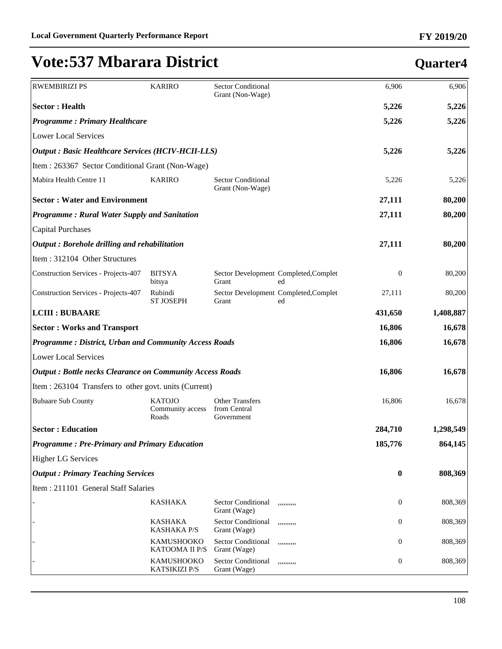| <b>RWEMBIRIZI PS</b>                                            | <b>KARIRO</b>                              | <b>Sector Conditional</b><br>Grant (Non-Wage)        |                                             | 6,906            | 6,906     |
|-----------------------------------------------------------------|--------------------------------------------|------------------------------------------------------|---------------------------------------------|------------------|-----------|
| <b>Sector: Health</b>                                           |                                            |                                                      |                                             | 5,226            | 5,226     |
| <b>Programme: Primary Healthcare</b>                            |                                            |                                                      |                                             | 5,226            | 5,226     |
| <b>Lower Local Services</b>                                     |                                            |                                                      |                                             |                  |           |
| <b>Output : Basic Healthcare Services (HCIV-HCII-LLS)</b>       |                                            |                                                      |                                             | 5,226            | 5,226     |
| Item: 263367 Sector Conditional Grant (Non-Wage)                |                                            |                                                      |                                             |                  |           |
| Mabira Health Centre 11                                         | <b>KARIRO</b>                              | <b>Sector Conditional</b><br>Grant (Non-Wage)        |                                             | 5,226            | 5,226     |
|                                                                 | <b>Sector: Water and Environment</b>       |                                                      |                                             |                  |           |
| Programme: Rural Water Supply and Sanitation                    |                                            |                                                      |                                             | 27,111           | 80,200    |
| <b>Capital Purchases</b>                                        |                                            |                                                      |                                             |                  |           |
| Output: Borehole drilling and rehabilitation                    |                                            |                                                      |                                             | 27,111           | 80,200    |
| Item: 312104 Other Structures                                   |                                            |                                                      |                                             |                  |           |
| <b>Construction Services - Projects-407</b>                     | <b>BITSYA</b><br>bitsya                    | Grant                                                | Sector Development Completed, Complet<br>ed | $\boldsymbol{0}$ | 80,200    |
| <b>Construction Services - Projects-407</b>                     | Rubindi<br><b>ST JOSEPH</b>                | Grant                                                | Sector Development Completed, Complet<br>ed | 27,111           | 80,200    |
| <b>LCIII : BUBAARE</b>                                          |                                            |                                                      |                                             | 431,650          | 1,408,887 |
| <b>Sector: Works and Transport</b>                              |                                            |                                                      |                                             |                  | 16,678    |
| <b>Programme: District, Urban and Community Access Roads</b>    |                                            |                                                      |                                             |                  | 16,678    |
| <b>Lower Local Services</b>                                     |                                            |                                                      |                                             |                  |           |
| <b>Output: Bottle necks Clearance on Community Access Roads</b> |                                            |                                                      |                                             | 16,806           | 16,678    |
| Item : 263104 Transfers to other govt. units (Current)          |                                            |                                                      |                                             |                  |           |
| <b>Bubaare Sub County</b>                                       | <b>KATOJO</b><br>Community access<br>Roads | <b>Other Transfers</b><br>from Central<br>Government |                                             | 16,806           | 16,678    |
| <b>Sector: Education</b>                                        |                                            |                                                      |                                             | 284,710          | 1,298,549 |
| <b>Programme: Pre-Primary and Primary Education</b>             |                                            |                                                      |                                             | 185,776          | 864,145   |
| <b>Higher LG Services</b>                                       |                                            |                                                      |                                             |                  |           |
| <b>Output: Primary Teaching Services</b>                        |                                            |                                                      |                                             | $\bf{0}$         | 808,369   |
| Item: 211101 General Staff Salaries                             |                                            |                                                      |                                             |                  |           |
|                                                                 | <b>KASHAKA</b>                             | <b>Sector Conditional</b><br>Grant (Wage)            |                                             | 0                | 808,369   |
|                                                                 | <b>KASHAKA</b><br><b>KASHAKA P/S</b>       | Sector Conditional<br>Grant (Wage)                   | ,,,,,,,,,,                                  | 0                | 808,369   |
|                                                                 | <b>KAMUSHOOKO</b><br>KATOOMA II P/S        | Sector Conditional<br>Grant (Wage)                   | ,,,,,,,,,,                                  | 0                | 808,369   |
|                                                                 | KAMUSHOOKO<br>KATSIKIZI P/S                | Sector Conditional<br>Grant (Wage)                   | ,,,,,,,,,,                                  | $\mathbf{0}$     | 808,369   |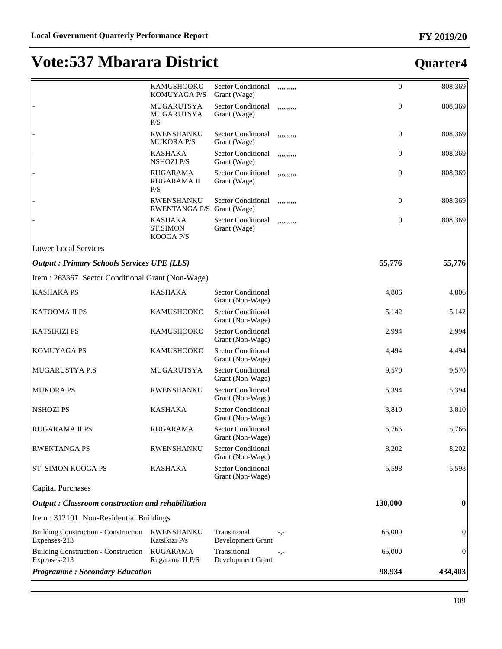|                                                             | KAMUSHOOKO<br><b>KOMUYAGA P/S</b>              | <b>Sector Conditional</b><br>Grant (Wage)     | ,,,,,,,,,, | $\boldsymbol{0}$ | 808,369          |
|-------------------------------------------------------------|------------------------------------------------|-----------------------------------------------|------------|------------------|------------------|
|                                                             | MUGARUTSYA<br>MUGARUTSYA<br>P/S                | <b>Sector Conditional</b><br>Grant (Wage)     | ,,,,,,,,,, | $\boldsymbol{0}$ | 808,369          |
|                                                             | <b>RWENSHANKU</b><br><b>MUKORA P/S</b>         | <b>Sector Conditional</b><br>Grant (Wage)     | ,,,,,,,,,, | $\boldsymbol{0}$ | 808,369          |
|                                                             | <b>KASHAKA</b><br><b>NSHOZI P/S</b>            | Sector Conditional<br>Grant (Wage)            | ,,,,,,,,,, | $\boldsymbol{0}$ | 808,369          |
|                                                             | <b>RUGARAMA</b><br>RUGARAMA II<br>P/S          | <b>Sector Conditional</b><br>Grant (Wage)     | ,,,,,,,,,, | $\boldsymbol{0}$ | 808,369          |
|                                                             | RWENSHANKU<br>RWENTANGA P/S Grant (Wage)       | <b>Sector Conditional</b>                     | ,,,,,,,,,, | $\boldsymbol{0}$ | 808,369          |
|                                                             | <b>KASHAKA</b><br><b>ST.SIMON</b><br>KOOGA P/S | <b>Sector Conditional</b><br>Grant (Wage)     | ,,,,,,,,,, | $\boldsymbol{0}$ | 808,369          |
| <b>Lower Local Services</b>                                 |                                                |                                               |            |                  |                  |
| <b>Output: Primary Schools Services UPE (LLS)</b>           |                                                |                                               |            | 55,776           | 55,776           |
| Item : 263367 Sector Conditional Grant (Non-Wage)           |                                                |                                               |            |                  |                  |
| <b>KASHAKA PS</b>                                           | <b>KASHAKA</b>                                 | <b>Sector Conditional</b><br>Grant (Non-Wage) |            | 4,806            | 4,806            |
| <b>KATOOMA II PS</b>                                        | KAMUSHOOKO                                     | <b>Sector Conditional</b><br>Grant (Non-Wage) |            | 5,142            | 5,142            |
| <b>KATSIKIZI PS</b>                                         | <b>KAMUSHOOKO</b>                              | <b>Sector Conditional</b><br>Grant (Non-Wage) |            | 2,994            | 2,994            |
| <b>KOMUYAGA PS</b>                                          | <b>KAMUSHOOKO</b>                              | <b>Sector Conditional</b><br>Grant (Non-Wage) |            | 4,494            | 4,494            |
| <b>MUGARUSTYA P.S</b>                                       | MUGARUTSYA                                     | <b>Sector Conditional</b><br>Grant (Non-Wage) |            | 9,570            | 9,570            |
| <b>MUKORA PS</b>                                            | RWENSHANKU                                     | <b>Sector Conditional</b><br>Grant (Non-Wage) |            | 5,394            | 5,394            |
| <b>NSHOZI PS</b>                                            | <b>KASHAKA</b>                                 | <b>Sector Conditional</b><br>Grant (Non-Wage) |            | 3,810            | 3,810            |
| <b>RUGARAMA II PS</b>                                       | <b>RUGARAMA</b>                                | <b>Sector Conditional</b><br>Grant (Non-Wage) |            | 5,766            | 5,766            |
| <b>RWENTANGA PS</b>                                         | RWENSHANKU                                     | <b>Sector Conditional</b><br>Grant (Non-Wage) |            | 8,202            | 8,202            |
| <b>ST. SIMON KOOGA PS</b>                                   | <b>KASHAKA</b>                                 | <b>Sector Conditional</b><br>Grant (Non-Wage) |            | 5,598            | 5,598            |
| Capital Purchases                                           |                                                |                                               |            |                  |                  |
| $\vert$ Output : Classroom construction and rehabilitation  |                                                |                                               |            | 130,000          | 0                |
| Item: 312101 Non-Residential Buildings                      |                                                |                                               |            |                  |                  |
| <b>Building Construction - Construction</b><br>Expenses-213 | <b>RWENSHANKU</b><br>Katsikizi P/s             | Transitional<br>Development Grant             | -,-        | 65,000           | $\overline{0}$   |
| <b>Building Construction - Construction</b><br>Expenses-213 | <b>RUGARAMA</b><br>Rugarama II P/S             | Transitional<br>Development Grant             | $-,-$      | 65,000           | $\boldsymbol{0}$ |
| <b>Programme: Secondary Education</b>                       |                                                |                                               |            | 98,934           | 434,403          |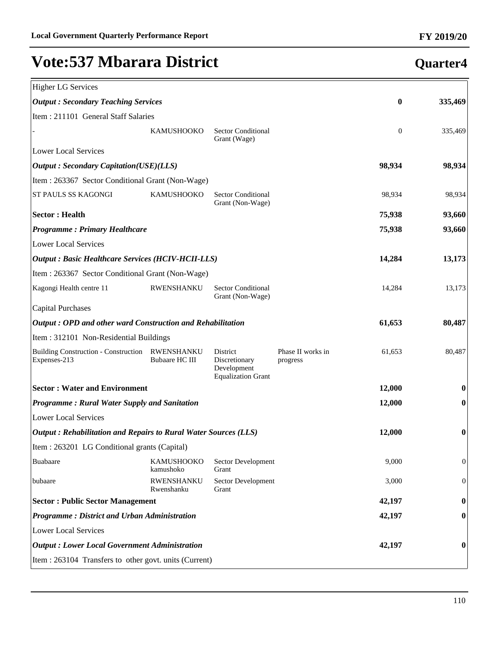| <b>Higher LG Services</b>                                       |                                            |                                                                       |                               |              |              |
|-----------------------------------------------------------------|--------------------------------------------|-----------------------------------------------------------------------|-------------------------------|--------------|--------------|
| <b>Output: Secondary Teaching Services</b>                      |                                            |                                                                       |                               | 0            | 335,469      |
| Item: 211101 General Staff Salaries                             |                                            |                                                                       |                               |              |              |
|                                                                 | <b>KAMUSHOOKO</b>                          | <b>Sector Conditional</b><br>Grant (Wage)                             |                               | $\mathbf{0}$ | 335,469      |
| <b>Lower Local Services</b>                                     |                                            |                                                                       |                               |              |              |
| <b>Output: Secondary Capitation(USE)(LLS)</b>                   |                                            |                                                                       |                               | 98,934       | 98,934       |
| Item: 263367 Sector Conditional Grant (Non-Wage)                |                                            |                                                                       |                               |              |              |
| ST PAULS SS KAGONGI                                             | <b>KAMUSHOOKO</b>                          | <b>Sector Conditional</b><br>Grant (Non-Wage)                         |                               | 98,934       | 98,934       |
| <b>Sector: Health</b>                                           |                                            |                                                                       |                               | 75,938       | 93,660       |
| <b>Programme: Primary Healthcare</b>                            |                                            |                                                                       |                               | 75,938       | 93,660       |
| <b>Lower Local Services</b>                                     |                                            |                                                                       |                               |              |              |
| <b>Output : Basic Healthcare Services (HCIV-HCII-LLS)</b>       |                                            |                                                                       |                               | 14,284       | 13,173       |
| Item: 263367 Sector Conditional Grant (Non-Wage)                |                                            |                                                                       |                               |              |              |
| Kagongi Health centre 11                                        | RWENSHANKU                                 | <b>Sector Conditional</b><br>Grant (Non-Wage)                         |                               | 14,284       | 13,173       |
| Capital Purchases                                               |                                            |                                                                       |                               |              |              |
| Output: OPD and other ward Construction and Rehabilitation      |                                            |                                                                       |                               | 61,653       | 80,487       |
| Item: 312101 Non-Residential Buildings                          |                                            |                                                                       |                               |              |              |
| <b>Building Construction - Construction</b><br>Expenses-213     | <b>RWENSHANKU</b><br><b>Bubaare HC III</b> | District<br>Discretionary<br>Development<br><b>Equalization Grant</b> | Phase II works in<br>progress | 61,653       | 80,487       |
| <b>Sector: Water and Environment</b>                            |                                            |                                                                       |                               | 12,000       | 0            |
| Programme: Rural Water Supply and Sanitation                    |                                            |                                                                       |                               | 12,000       | $\bf{0}$     |
| <b>Lower Local Services</b>                                     |                                            |                                                                       |                               |              |              |
| Output: Rehabilitation and Repairs to Rural Water Sources (LLS) |                                            |                                                                       |                               | 12,000       | 0            |
| Item : 263201 LG Conditional grants (Capital)                   |                                            |                                                                       |                               |              |              |
| Buabaare                                                        | KAMUSHOOKO<br>kamushoko                    | Sector Development<br>Grant                                           |                               | 9,000        | $\mathbf{0}$ |
| bubaare                                                         | <b>RWENSHANKU</b><br>Rwenshanku            | Sector Development<br>Grant                                           |                               | 3,000        | $\mathbf{0}$ |
| <b>Sector: Public Sector Management</b>                         |                                            |                                                                       |                               | 42,197       | $\bf{0}$     |
| Programme: District and Urban Administration                    |                                            |                                                                       |                               | 42,197       | $\bf{0}$     |
| <b>Lower Local Services</b>                                     |                                            |                                                                       |                               |              |              |
| <b>Output : Lower Local Government Administration</b>           |                                            |                                                                       |                               | 42,197       | 0            |
| Item : 263104 Transfers to other govt. units (Current)          |                                            |                                                                       |                               |              |              |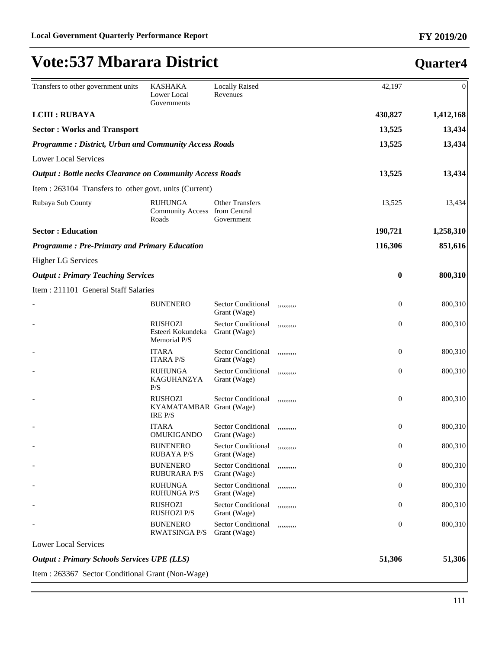| Transfers to other government units                             | <b>KASHAKA</b><br>Lower Local<br>Governments                 | <b>Locally Raised</b><br>Revenues                    |            | 42,197         | $\Omega$  |
|-----------------------------------------------------------------|--------------------------------------------------------------|------------------------------------------------------|------------|----------------|-----------|
| <b>LCIII : RUBAYA</b>                                           |                                                              |                                                      |            | 430,827        | 1,412,168 |
| <b>Sector: Works and Transport</b>                              |                                                              |                                                      |            | 13,525         | 13,434    |
| <b>Programme: District, Urban and Community Access Roads</b>    |                                                              |                                                      |            | 13,525         | 13,434    |
| <b>Lower Local Services</b>                                     |                                                              |                                                      |            |                |           |
| <b>Output: Bottle necks Clearance on Community Access Roads</b> |                                                              |                                                      |            | 13,525         | 13,434    |
| Item : 263104 Transfers to other govt. units (Current)          |                                                              |                                                      |            |                |           |
| Rubaya Sub County                                               | <b>RUHUNGA</b><br><b>Community Access</b><br>Roads           | <b>Other Transfers</b><br>from Central<br>Government |            | 13,525         | 13,434    |
| <b>Sector: Education</b>                                        |                                                              |                                                      |            | 190,721        | 1,258,310 |
| <b>Programme: Pre-Primary and Primary Education</b>             |                                                              |                                                      |            | 116,306        | 851,616   |
| <b>Higher LG Services</b>                                       |                                                              |                                                      |            |                |           |
| <b>Output: Primary Teaching Services</b>                        |                                                              |                                                      |            | $\bf{0}$       | 800,310   |
| Item: 211101 General Staff Salaries                             |                                                              |                                                      |            |                |           |
|                                                                 | <b>BUNENERO</b>                                              | <b>Sector Conditional</b><br>Grant (Wage)            | ,,,,,,,,,, | $\overline{0}$ | 800,310   |
|                                                                 | <b>RUSHOZI</b><br>Esteeri Kokundeka<br>Memorial P/S          | <b>Sector Conditional</b><br>Grant (Wage)            | ,,,,,,,,,, | $\overline{0}$ | 800,310   |
|                                                                 | <b>ITARA</b><br><b>ITARA P/S</b>                             | <b>Sector Conditional</b><br>Grant (Wage)            | ,,,,,,,,,, | $\mathbf{0}$   | 800,310   |
|                                                                 | <b>RUHUNGA</b><br>KAGUHANZYA<br>P/S                          | <b>Sector Conditional</b><br>Grant (Wage)            | ,,,,,,,,,, | $\mathbf{0}$   | 800,310   |
|                                                                 | <b>RUSHOZI</b><br>KYAMATAMBAR Grant (Wage)<br><b>IRE P/S</b> | <b>Sector Conditional</b>                            | ,,,,,,,,,, | $\overline{0}$ | 800,310   |
|                                                                 | <b>ITARA</b><br><b>OMUKIGANDO</b>                            | <b>Sector Conditional</b><br>Grant (Wage)            | ,,,,,,,,,, | $\theta$       | 800,310   |
|                                                                 | <b>BUNENERO</b><br><b>RUBAYA P/S</b>                         | <b>Sector Conditional</b><br>Grant (Wage)            | ,,,,,,,,,, | $\bf{0}$       | 800,310   |
|                                                                 | <b>BUNENERO</b><br><b>RUBURARA P/S</b>                       | <b>Sector Conditional</b><br>Grant (Wage)            | ,,,,,,,,,, | $\mathbf{0}$   | 800,310   |
|                                                                 | <b>RUHUNGA</b><br><b>RUHUNGA P/S</b>                         | <b>Sector Conditional</b><br>Grant (Wage)            | ,,,,,,,,,, | $\mathbf{0}$   | 800,310   |
|                                                                 | <b>RUSHOZI</b><br><b>RUSHOZI P/S</b>                         | <b>Sector Conditional</b><br>Grant (Wage)            | ,,,,,,,,,, | $\mathbf{0}$   | 800,310   |
|                                                                 | <b>BUNENERO</b><br><b>RWATSINGA P/S</b>                      | <b>Sector Conditional</b><br>Grant (Wage)            | ,,,,,,,,,, | $\mathbf{0}$   | 800,310   |
| <b>Lower Local Services</b>                                     |                                                              |                                                      |            |                |           |
| <b>Output : Primary Schools Services UPE (LLS)</b>              |                                                              |                                                      |            | 51,306         | 51,306    |
| Item: 263367 Sector Conditional Grant (Non-Wage)                |                                                              |                                                      |            |                |           |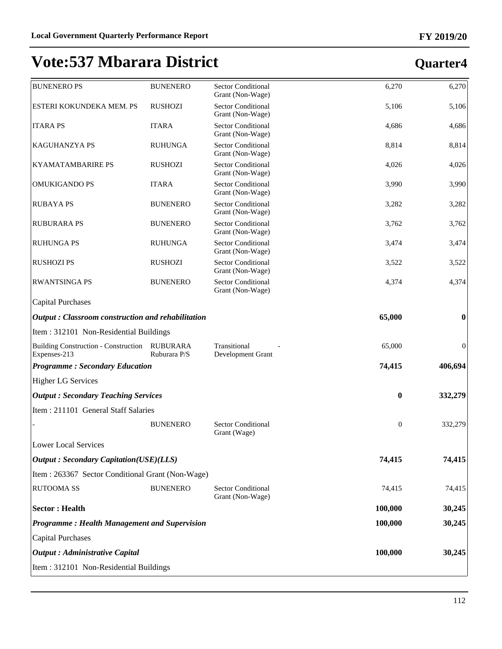| <b>BUNENERO PS</b>                                          | <b>BUNENERO</b>                 | <b>Sector Conditional</b><br>Grant (Non-Wage) | 6,270        | 6,270            |
|-------------------------------------------------------------|---------------------------------|-----------------------------------------------|--------------|------------------|
| ESTERI KOKUNDEKA MEM. PS                                    | <b>RUSHOZI</b>                  | <b>Sector Conditional</b><br>Grant (Non-Wage) | 5,106        | 5,106            |
| <b>ITARA PS</b>                                             | <b>ITARA</b>                    | <b>Sector Conditional</b><br>Grant (Non-Wage) | 4,686        | 4,686            |
| KAGUHANZYA PS                                               | <b>RUHUNGA</b>                  | <b>Sector Conditional</b><br>Grant (Non-Wage) | 8,814        | 8,814            |
| <b>KYAMATAMBARIRE PS</b>                                    | <b>RUSHOZI</b>                  | <b>Sector Conditional</b><br>Grant (Non-Wage) | 4,026        | 4,026            |
| <b>OMUKIGANDO PS</b>                                        | <b>ITARA</b>                    | <b>Sector Conditional</b><br>Grant (Non-Wage) | 3,990        | 3,990            |
| <b>RUBAYA PS</b>                                            | <b>BUNENERO</b>                 | <b>Sector Conditional</b><br>Grant (Non-Wage) | 3,282        | 3,282            |
| <b>RUBURARA PS</b>                                          | <b>BUNENERO</b>                 | <b>Sector Conditional</b><br>Grant (Non-Wage) | 3,762        | 3,762            |
| <b>RUHUNGA PS</b>                                           | <b>RUHUNGA</b>                  | <b>Sector Conditional</b><br>Grant (Non-Wage) | 3,474        | 3,474            |
| <b>RUSHOZI PS</b>                                           | <b>RUSHOZI</b>                  | <b>Sector Conditional</b><br>Grant (Non-Wage) | 3,522        | 3,522            |
| <b>RWANTSINGA PS</b>                                        | <b>BUNENERO</b>                 | <b>Sector Conditional</b><br>Grant (Non-Wage) | 4,374        | 4,374            |
| <b>Capital Purchases</b>                                    |                                 |                                               |              |                  |
| Output: Classroom construction and rehabilitation           |                                 |                                               | 65,000       | $\bf{0}$         |
| Item: 312101 Non-Residential Buildings                      |                                 |                                               |              |                  |
| <b>Building Construction - Construction</b><br>Expenses-213 | <b>RUBURARA</b><br>Ruburara P/S | Transitional<br>Development Grant             | 65,000       | $\boldsymbol{0}$ |
| <b>Programme: Secondary Education</b>                       |                                 |                                               | 74,415       | 406,694          |
| <b>Higher LG Services</b>                                   |                                 |                                               |              |                  |
| <b>Output: Secondary Teaching Services</b>                  |                                 |                                               | $\bf{0}$     | 332,279          |
| Item: 211101 General Staff Salaries                         |                                 |                                               |              |                  |
|                                                             | <b>BUNENERO</b>                 | <b>Sector Conditional</b><br>Grant (Wage)     | $\mathbf{0}$ | 332,279          |
| Lower Local Services                                        |                                 |                                               |              |                  |
| <b>Output: Secondary Capitation(USE)(LLS)</b>               |                                 |                                               | 74,415       | 74,415           |
| Item : 263367 Sector Conditional Grant (Non-Wage)           |                                 |                                               |              |                  |
| <b>RUTOOMA SS</b>                                           | <b>BUNENERO</b>                 | <b>Sector Conditional</b><br>Grant (Non-Wage) | 74,415       | 74,415           |
| <b>Sector: Health</b>                                       |                                 |                                               | 100,000      | 30,245           |
| <b>Programme: Health Management and Supervision</b>         |                                 |                                               | 100,000      | 30,245           |
| <b>Capital Purchases</b>                                    |                                 |                                               |              |                  |
| <b>Output</b> : Administrative Capital                      |                                 |                                               | 100,000      | 30,245           |
| Item: 312101 Non-Residential Buildings                      |                                 |                                               |              |                  |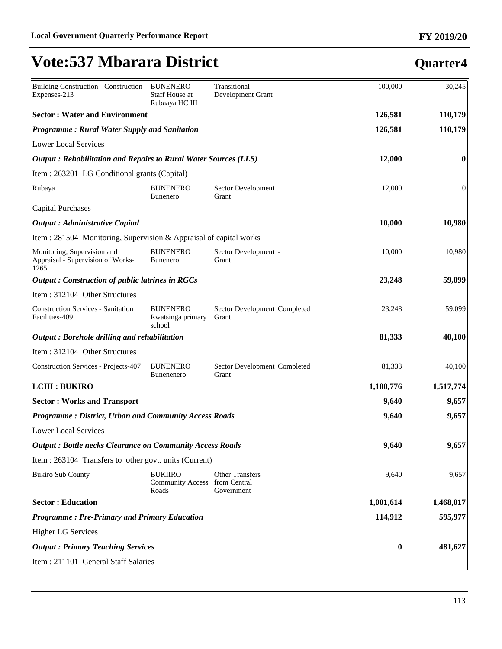| <b>Building Construction - Construction</b><br>Expenses-213              | <b>BUNENERO</b><br>Staff House at<br>Rubaaya HC III      | Transitional<br>Development Grant     | 100,000   | 30,245         |
|--------------------------------------------------------------------------|----------------------------------------------------------|---------------------------------------|-----------|----------------|
| <b>Sector: Water and Environment</b>                                     |                                                          |                                       | 126,581   | 110,179        |
| <b>Programme: Rural Water Supply and Sanitation</b>                      |                                                          |                                       | 126,581   | 110,179        |
| <b>Lower Local Services</b>                                              |                                                          |                                       |           |                |
| Output: Rehabilitation and Repairs to Rural Water Sources (LLS)          |                                                          |                                       | 12,000    | 0              |
| Item : 263201 LG Conditional grants (Capital)                            |                                                          |                                       |           |                |
| Rubaya                                                                   | <b>BUNENERO</b><br><b>Bunenero</b>                       | Sector Development<br>Grant           | 12,000    | $\overline{0}$ |
| <b>Capital Purchases</b>                                                 |                                                          |                                       |           |                |
| <b>Output</b> : Administrative Capital                                   |                                                          |                                       | 10,000    | 10,980         |
| Item : 281504 Monitoring, Supervision & Appraisal of capital works       |                                                          |                                       |           |                |
| Monitoring, Supervision and<br>Appraisal - Supervision of Works-<br>1265 | <b>BUNENERO</b><br><b>Bunenero</b>                       | Sector Development -<br>Grant         | 10,000    | 10,980         |
| <b>Output: Construction of public latrines in RGCs</b>                   |                                                          |                                       | 23,248    | 59,099         |
| Item: 312104 Other Structures                                            |                                                          |                                       |           |                |
| <b>Construction Services - Sanitation</b><br>Facilities-409              | <b>BUNENERO</b><br>Rwatsinga primary<br>school           | Sector Development Completed<br>Grant | 23,248    | 59,099         |
| Output: Borehole drilling and rehabilitation                             |                                                          |                                       | 81,333    | 40,100         |
| Item: 312104 Other Structures                                            |                                                          |                                       |           |                |
| <b>Construction Services - Projects-407</b>                              | <b>BUNENERO</b><br>Bunenenero                            | Sector Development Completed<br>Grant | 81,333    | 40,100         |
| <b>LCIII : BUKIRO</b>                                                    |                                                          |                                       | 1,100,776 | 1,517,774      |
| <b>Sector: Works and Transport</b>                                       |                                                          |                                       | 9,640     | 9,657          |
| <b>Programme: District, Urban and Community Access Roads</b>             |                                                          |                                       | 9,640     | 9,657          |
| <b>Lower Local Services</b>                                              |                                                          |                                       |           |                |
| <b>Output: Bottle necks Clearance on Community Access Roads</b>          |                                                          |                                       | 9,640     | 9,657          |
| Item : 263104 Transfers to other govt. units (Current)                   |                                                          |                                       |           |                |
| <b>Bukiro Sub County</b>                                                 | <b>BUKIIRO</b><br>Community Access from Central<br>Roads | <b>Other Transfers</b><br>Government  | 9,640     | 9,657          |
| <b>Sector: Education</b>                                                 |                                                          |                                       | 1,001,614 | 1,468,017      |
| <b>Programme: Pre-Primary and Primary Education</b>                      |                                                          |                                       | 114,912   | 595,977        |
| <b>Higher LG Services</b>                                                |                                                          |                                       |           |                |
| <b>Output : Primary Teaching Services</b>                                |                                                          |                                       | $\bf{0}$  | 481,627        |
| Item : 211101 General Staff Salaries                                     |                                                          |                                       |           |                |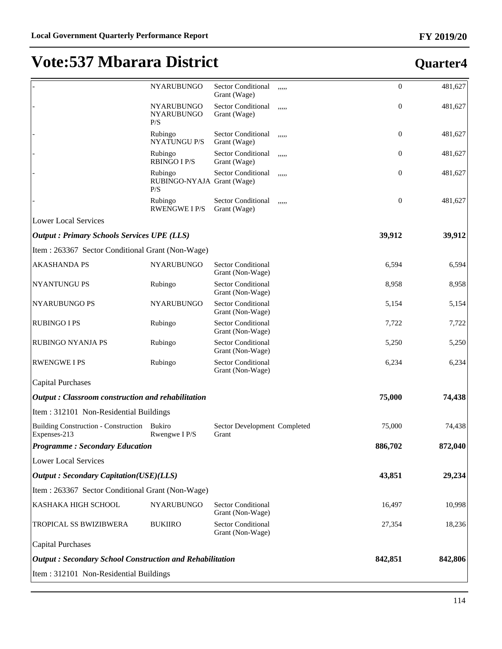|                                                                 | NYARUBUNGO                                   | <b>Sector Conditional</b><br>Grant (Wage)     | ,,,,, | $\boldsymbol{0}$ | 481,627 |
|-----------------------------------------------------------------|----------------------------------------------|-----------------------------------------------|-------|------------------|---------|
|                                                                 | NYARUBUNGO<br><b>NYARUBUNGO</b><br>P/S       | Sector Conditional<br>Grant (Wage)            | ,,,,, | $\boldsymbol{0}$ | 481,627 |
|                                                                 | Rubingo<br><b>NYATUNGU P/S</b>               | Sector Conditional<br>Grant (Wage)            | ,,,,, | $\boldsymbol{0}$ | 481,627 |
|                                                                 | Rubingo<br><b>RBINGO I P/S</b>               | Sector Conditional<br>Grant (Wage)            | ,,,,, | $\boldsymbol{0}$ | 481,627 |
|                                                                 | Rubingo<br>RUBINGO-NYAJA Grant (Wage)<br>P/S | <b>Sector Conditional</b>                     | ,,,,, | $\boldsymbol{0}$ | 481,627 |
|                                                                 | Rubingo<br><b>RWENGWE I P/S</b>              | Sector Conditional<br>Grant (Wage)            | ,,,,, | $\boldsymbol{0}$ | 481,627 |
| <b>Lower Local Services</b>                                     |                                              |                                               |       |                  |         |
| <b>Output : Primary Schools Services UPE (LLS)</b>              |                                              |                                               |       | 39,912           | 39,912  |
| Item: 263367 Sector Conditional Grant (Non-Wage)                |                                              |                                               |       |                  |         |
| <b>AKASHANDA PS</b>                                             | <b>NYARUBUNGO</b>                            | <b>Sector Conditional</b><br>Grant (Non-Wage) |       | 6,594            | 6,594   |
| NYANTUNGU PS                                                    | Rubingo                                      | <b>Sector Conditional</b><br>Grant (Non-Wage) |       | 8,958            | 8,958   |
| NYARUBUNGO PS                                                   | NYARUBUNGO                                   | <b>Sector Conditional</b><br>Grant (Non-Wage) |       | 5,154            | 5,154   |
| <b>RUBINGO I PS</b>                                             | Rubingo                                      | <b>Sector Conditional</b><br>Grant (Non-Wage) |       | 7,722            | 7,722   |
| RUBINGO NYANJA PS                                               | Rubingo                                      | <b>Sector Conditional</b><br>Grant (Non-Wage) |       | 5,250            | 5,250   |
| <b>RWENGWE I PS</b>                                             | Rubingo                                      | <b>Sector Conditional</b><br>Grant (Non-Wage) |       | 6,234            | 6,234   |
| <b>Capital Purchases</b>                                        |                                              |                                               |       |                  |         |
| Output: Classroom construction and rehabilitation               |                                              |                                               |       | 75,000           | 74,438  |
| Item: 312101 Non-Residential Buildings                          |                                              |                                               |       |                  |         |
| <b>Building Construction - Construction</b><br>Expenses-213     | Bukiro<br>Rwengwe I P/S                      | Sector Development Completed<br>Grant         |       | 75,000           | 74,438  |
| <b>Programme: Secondary Education</b>                           |                                              |                                               |       | 886,702          | 872,040 |
| <b>Lower Local Services</b>                                     |                                              |                                               |       |                  |         |
| <b>Output: Secondary Capitation(USE)(LLS)</b>                   |                                              |                                               |       | 43,851           | 29,234  |
| Item : 263367 Sector Conditional Grant (Non-Wage)               |                                              |                                               |       |                  |         |
| KASHAKA HIGH SCHOOL                                             | NYARUBUNGO                                   | <b>Sector Conditional</b><br>Grant (Non-Wage) |       | 16,497           | 10,998  |
| TROPICAL SS BWIZIBWERA                                          | <b>BUKIIRO</b>                               | <b>Sector Conditional</b><br>Grant (Non-Wage) |       | 27,354           | 18,236  |
| <b>Capital Purchases</b>                                        |                                              |                                               |       |                  |         |
| <b>Output: Secondary School Construction and Rehabilitation</b> |                                              |                                               |       | 842,851          | 842,806 |
| Item: 312101 Non-Residential Buildings                          |                                              |                                               |       |                  |         |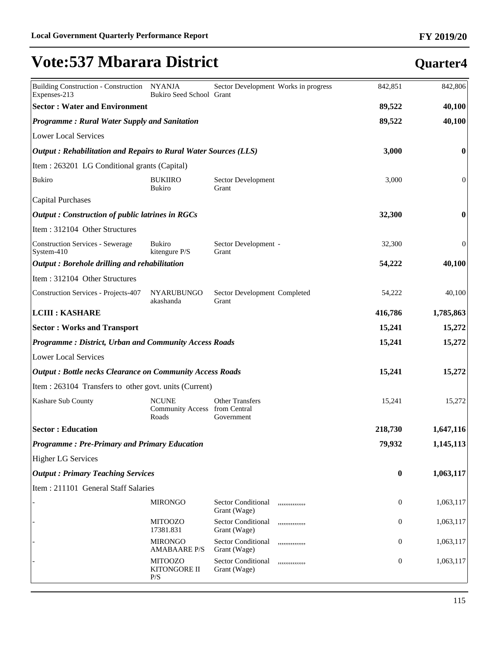| Building Construction - Construction NYANJA<br>Expenses-213     | Bukiro Seed School Grant                         | Sector Development Works in progress                         | 842,851  | 842,806          |
|-----------------------------------------------------------------|--------------------------------------------------|--------------------------------------------------------------|----------|------------------|
| <b>Sector: Water and Environment</b>                            |                                                  |                                                              | 89,522   | 40,100           |
| <b>Programme: Rural Water Supply and Sanitation</b>             |                                                  |                                                              | 89,522   | 40,100           |
| <b>Lower Local Services</b>                                     |                                                  |                                                              |          |                  |
| Output: Rehabilitation and Repairs to Rural Water Sources (LLS) |                                                  |                                                              | 3,000    | 0                |
| Item : 263201 LG Conditional grants (Capital)                   |                                                  |                                                              |          |                  |
| <b>Bukiro</b>                                                   | <b>BUKIIRO</b><br><b>Bukiro</b>                  | Sector Development<br>Grant                                  | 3,000    | $\boldsymbol{0}$ |
| <b>Capital Purchases</b>                                        |                                                  |                                                              |          |                  |
| <b>Output: Construction of public latrines in RGCs</b>          |                                                  |                                                              | 32,300   | $\bf{0}$         |
| Item: 312104 Other Structures                                   |                                                  |                                                              |          |                  |
| <b>Construction Services - Sewerage</b><br>System-410           | <b>Bukiro</b><br>kitengure P/S                   | Sector Development -<br>Grant                                | 32,300   | $\mathbf{0}$     |
| Output: Borehole drilling and rehabilitation                    |                                                  |                                                              | 54,222   | 40,100           |
| Item: 312104 Other Structures                                   |                                                  |                                                              |          |                  |
| <b>Construction Services - Projects-407</b>                     | <b>NYARUBUNGO</b><br>akashanda                   | Sector Development Completed<br>Grant                        | 54,222   | 40,100           |
| <b>LCIII : KASHARE</b>                                          |                                                  |                                                              | 416,786  | 1,785,863        |
| <b>Sector: Works and Transport</b>                              |                                                  |                                                              | 15,241   | 15,272           |
| <b>Programme: District, Urban and Community Access Roads</b>    |                                                  |                                                              | 15,241   | 15,272           |
| <b>Lower Local Services</b>                                     |                                                  |                                                              |          |                  |
| <b>Output: Bottle necks Clearance on Community Access Roads</b> |                                                  |                                                              | 15,241   | 15,272           |
| Item : 263104 Transfers to other govt. units (Current)          |                                                  |                                                              |          |                  |
| Kashare Sub County                                              | <b>NCUNE</b><br><b>Community Access</b><br>Roads | <b>Other Transfers</b><br>from Central<br>Government         | 15,241   | 15,272           |
| <b>Sector: Education</b>                                        |                                                  |                                                              | 218,730  | 1,647,116        |
| <b>Programme: Pre-Primary and Primary Education</b>             |                                                  |                                                              | 79,932   | 1,145,113        |
| <b>Higher LG Services</b>                                       |                                                  |                                                              |          |                  |
| <b>Output : Primary Teaching Services</b>                       |                                                  |                                                              | $\bf{0}$ | 1,063,117        |
| Item: 211101 General Staff Salaries                             |                                                  |                                                              |          |                  |
|                                                                 | <b>MIRONGO</b>                                   | <b>Sector Conditional</b><br>,,,,,,,,,,,,,,<br>Grant (Wage)  | 0        | 1,063,117        |
|                                                                 | <b>MITOOZO</b><br>17381.831                      | <b>Sector Conditional</b><br>,,,,,,,,,,,,,,,<br>Grant (Wage) | 0        | 1,063,117        |
|                                                                 | <b>MIRONGO</b><br><b>AMABAARE P/S</b>            | <b>Sector Conditional</b><br>,,,,,,,,,,,,,,,<br>Grant (Wage) | 0        | 1,063,117        |
|                                                                 | <b>MITOOZO</b><br>KITONGORE II<br>P/S            | <b>Sector Conditional</b><br>,,,,,,,,,,,,,,,<br>Grant (Wage) | 0        | 1,063,117        |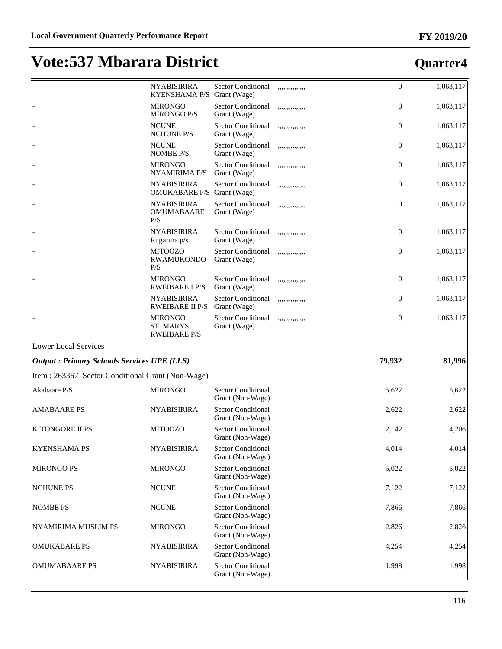|                                                   | <b>NYABISIRIRA</b><br><b>KYENSHAMA P/S</b>                | <b>Sector Conditional</b><br>Grant (Wage)     | ,,,,,,,,,,,,,,  | $\boldsymbol{0}$ | 1,063,117                                          |
|---------------------------------------------------|-----------------------------------------------------------|-----------------------------------------------|-----------------|------------------|----------------------------------------------------|
|                                                   | <b>MIRONGO</b><br><b>MIRONGO P/S</b>                      | <b>Sector Conditional</b><br>Grant (Wage)     | ,,,,,,,,,,,,,,, | $\mathbf{0}$     | 1,063,117                                          |
|                                                   | <b>NCUNE</b><br><b>NCHUNE P/S</b>                         | <b>Sector Conditional</b><br>Grant (Wage)     | ,,,,,,,,,,,,,,, | $\mathbf{0}$     | 1,063,117                                          |
|                                                   | <b>NCUNE</b><br><b>NOMBE P/S</b>                          | <b>Sector Conditional</b><br>Grant (Wage)     | ,,,,,,,,,,,,,,, | $\mathbf{0}$     | 1,063,117                                          |
|                                                   | <b>MIRONGO</b><br><b>NYAMIRIMA P/S</b>                    | <b>Sector Conditional</b><br>Grant (Wage)     | ,,,,,,,,,,,,,,, | $\mathbf{0}$     | 1,063,117                                          |
|                                                   | <b>NYABISIRIRA</b><br><b>OMUKABARE P/S</b> Grant (Wage)   | <b>Sector Conditional</b>                     | ,,,,,,,,,,,,,,, | $\mathbf{0}$     | 1,063,117                                          |
|                                                   | <b>NYABISIRIRA</b><br><b>OMUMABAARE</b><br>P/S            | <b>Sector Conditional</b><br>Grant (Wage)     | ,,,,,,,,,,,,,,, | $\mathbf{0}$     | 1,063,117                                          |
|                                                   | <b>NYABISIRIRA</b><br>Rugarura p/s                        | <b>Sector Conditional</b><br>Grant (Wage)     | ,,,,,,,,,,,,,,, | $\mathbf{0}$     | 1,063,117                                          |
|                                                   | <b>MITOOZO</b><br><b>RWAMUKONDO</b><br>P/S                | <b>Sector Conditional</b><br>Grant (Wage)     | ,,,,,,,,,,,,,,  | $\mathbf{0}$     | 1,063,117                                          |
|                                                   | <b>MIRONGO</b><br><b>RWEIBARE I P/S</b>                   | <b>Sector Conditional</b><br>Grant (Wage)     | ,,,,,,,,,,,,,,, | $\mathbf{0}$     | 1,063,117                                          |
|                                                   | <b>NYABISIRIRA</b><br><b>RWEIBARE II P/S</b>              | Sector Conditional<br>Grant (Wage)            | ,,,,,,,,,,,,,,, | $\overline{0}$   | 1,063,117                                          |
|                                                   | <b>MIRONGO</b><br><b>ST. MARYS</b><br><b>RWEIBARE P/S</b> | Sector Conditional<br>Grant (Wage)            | ,,,,,,,,,,,,,,  | $\mathbf{0}$     | 1,063,117                                          |
| <b>Lower Local Services</b>                       |                                                           |                                               |                 |                  |                                                    |
| <b>Output: Primary Schools Services UPE (LLS)</b> |                                                           |                                               |                 | 79,932           | 81,996                                             |
| Item : 263367 Sector Conditional Grant (Non-Wage) |                                                           |                                               |                 |                  |                                                    |
| Akabaare P/S                                      |                                                           |                                               |                 |                  |                                                    |
|                                                   | <b>MIRONGO</b>                                            | <b>Sector Conditional</b><br>Grant (Non-Wage) |                 | 5,622            |                                                    |
| <b>AMABAARE PS</b>                                | <b>NYABISIRIRA</b>                                        | <b>Sector Conditional</b><br>Grant (Non-Wage) |                 | 2,622            |                                                    |
| <b>KITONGORE II PS</b>                            | <b>MITOOZO</b>                                            | <b>Sector Conditional</b><br>Grant (Non-Wage) |                 | 2,142            | 5,622<br>2,622<br>4,206                            |
| <b>KYENSHAMA PS</b>                               | <b>NYABISIRIRA</b>                                        | Sector Conditional<br>Grant (Non-Wage)        |                 | 4,014            |                                                    |
| <b>MIRONGO PS</b>                                 | <b>MIRONGO</b>                                            | <b>Sector Conditional</b><br>Grant (Non-Wage) |                 | 5,022            |                                                    |
| <b>NCHUNE PS</b>                                  | <b>NCUNE</b>                                              | <b>Sector Conditional</b><br>Grant (Non-Wage) |                 | 7,122            |                                                    |
| <b>NOMBE PS</b>                                   | <b>NCUNE</b>                                              | <b>Sector Conditional</b><br>Grant (Non-Wage) |                 | 7,866            |                                                    |
| NYAMIRIMA MUSLIM PS                               | <b>MIRONGO</b>                                            | <b>Sector Conditional</b><br>Grant (Non-Wage) |                 | 2,826            |                                                    |
| <b>OMUKABARE PS</b>                               | <b>NYABISIRIRA</b>                                        | <b>Sector Conditional</b><br>Grant (Non-Wage) |                 | 4,254            | 4,014<br>5,022<br>7,122<br>7,866<br>2,826<br>4,254 |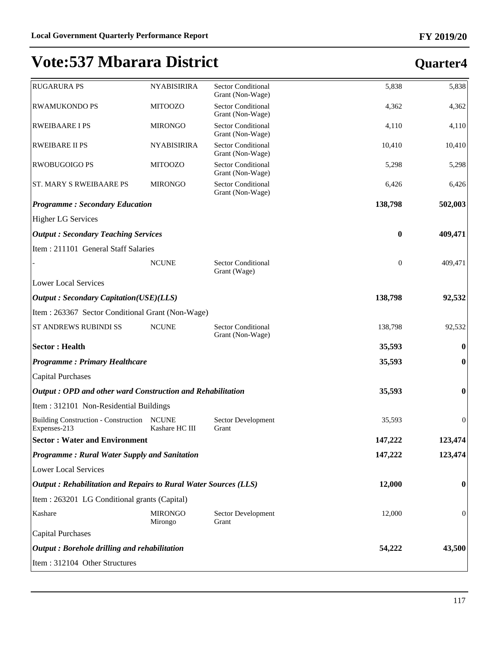#### **FY 2019/20**

| <b>RUGARURA PS</b>                                              | <b>NYABISIRIRA</b>             | <b>Sector Conditional</b><br>Grant (Non-Wage) | 5,838            | 5,838            |
|-----------------------------------------------------------------|--------------------------------|-----------------------------------------------|------------------|------------------|
| <b>RWAMUKONDO PS</b>                                            | <b>MITOOZO</b>                 | <b>Sector Conditional</b><br>Grant (Non-Wage) | 4,362            | 4,362            |
| <b>RWEIBAARE I PS</b>                                           | <b>MIRONGO</b>                 | <b>Sector Conditional</b><br>Grant (Non-Wage) | 4,110            | 4,110            |
| <b>RWEIBARE II PS</b>                                           | <b>NYABISIRIRA</b>             | <b>Sector Conditional</b><br>Grant (Non-Wage) | 10,410           | 10,410           |
| <b>RWOBUGOIGO PS</b>                                            | <b>MITOOZO</b>                 | <b>Sector Conditional</b><br>Grant (Non-Wage) | 5,298            | 5,298            |
| <b>ST. MARY S RWEIBAARE PS</b>                                  | <b>MIRONGO</b>                 | <b>Sector Conditional</b><br>Grant (Non-Wage) | 6,426            | 6,426            |
| <b>Programme: Secondary Education</b>                           |                                |                                               | 138,798          | 502,003          |
| <b>Higher LG Services</b>                                       |                                |                                               |                  |                  |
| <b>Output: Secondary Teaching Services</b>                      |                                |                                               | $\bf{0}$         | 409,471          |
| Item: 211101 General Staff Salaries                             |                                |                                               |                  |                  |
|                                                                 | <b>NCUNE</b>                   | <b>Sector Conditional</b><br>Grant (Wage)     | $\boldsymbol{0}$ | 409,471          |
| <b>Lower Local Services</b>                                     |                                |                                               |                  |                  |
| <b>Output: Secondary Capitation(USE)(LLS)</b>                   |                                |                                               | 138,798          | 92,532           |
| Item: 263367 Sector Conditional Grant (Non-Wage)                |                                |                                               |                  |                  |
| ST ANDREWS RUBINDI SS                                           | <b>NCUNE</b>                   | <b>Sector Conditional</b><br>Grant (Non-Wage) | 138,798          | 92,532           |
| <b>Sector: Health</b>                                           |                                |                                               | 35,593           | $\bf{0}$         |
| <b>Programme: Primary Healthcare</b>                            |                                |                                               | 35,593           | 0                |
| <b>Capital Purchases</b>                                        |                                |                                               |                  |                  |
| Output: OPD and other ward Construction and Rehabilitation      |                                |                                               | 35,593           | $\bf{0}$         |
| Item: 312101 Non-Residential Buildings                          |                                |                                               |                  |                  |
| <b>Building Construction - Construction</b><br>Expenses-213     | <b>NCUNE</b><br>Kashare HC III | Sector Development<br>Grant                   | 35,593           | $\mathbf{0}$     |
| <b>Sector: Water and Environment</b>                            |                                |                                               | 147,222          | 123,474          |
| <b>Programme: Rural Water Supply and Sanitation</b>             |                                |                                               | 147,222          | 123,474          |
| <b>Lower Local Services</b>                                     |                                |                                               |                  |                  |
| Output: Rehabilitation and Repairs to Rural Water Sources (LLS) |                                |                                               | 12,000           | $\boldsymbol{0}$ |
| Item : 263201 LG Conditional grants (Capital)                   |                                |                                               |                  |                  |
| Kashare                                                         | <b>MIRONGO</b><br>Mirongo      | Sector Development<br>Grant                   | 12,000           | $\mathbf{0}$     |
| <b>Capital Purchases</b>                                        |                                |                                               |                  |                  |
| Output: Borehole drilling and rehabilitation                    |                                |                                               | 54,222           | 43,500           |
| Item: 312104 Other Structures                                   |                                |                                               |                  |                  |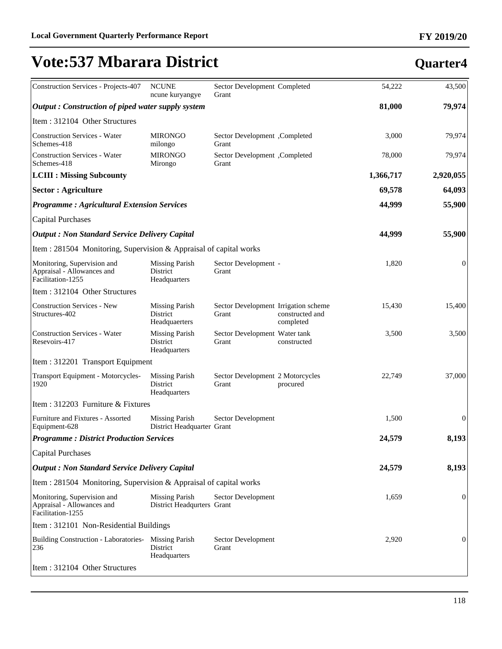| Construction Services - Projects-407                                           | <b>NCUNE</b><br>ncune kuryangye                     | Sector Development Completed<br>Grant         |                              | 54,222    | 43,500           |
|--------------------------------------------------------------------------------|-----------------------------------------------------|-----------------------------------------------|------------------------------|-----------|------------------|
| Output: Construction of piped water supply system                              |                                                     |                                               |                              | 81,000    | 79,974           |
| Item: 312104 Other Structures                                                  |                                                     |                                               |                              |           |                  |
| <b>Construction Services - Water</b><br>Schemes-418                            | <b>MIRONGO</b><br>milongo                           | Sector Development, Completed<br>Grant        |                              | 3,000     | 79,974           |
| <b>Construction Services - Water</b><br>Schemes-418                            | <b>MIRONGO</b><br>Mirongo                           | Sector Development, Completed<br>Grant        |                              | 78,000    | 79,974           |
| <b>LCIII : Missing Subcounty</b>                                               |                                                     |                                               |                              | 1,366,717 | 2,920,055        |
| <b>Sector : Agriculture</b>                                                    |                                                     |                                               |                              | 69,578    | 64,093           |
| <b>Programme: Agricultural Extension Services</b>                              |                                                     |                                               |                              | 44,999    | 55,900           |
| <b>Capital Purchases</b>                                                       |                                                     |                                               |                              |           |                  |
| <b>Output : Non Standard Service Delivery Capital</b>                          |                                                     |                                               |                              | 44,999    | 55,900           |
| Item : 281504 Monitoring, Supervision & Appraisal of capital works             |                                                     |                                               |                              |           |                  |
| Monitoring, Supervision and<br>Appraisal - Allowances and<br>Facilitation-1255 | <b>Missing Parish</b><br>District<br>Headquarters   | Sector Development -<br>Grant                 |                              | 1,820     | 0                |
| Item: 312104 Other Structures                                                  |                                                     |                                               |                              |           |                  |
| <b>Construction Services - New</b><br>Structures-402                           | <b>Missing Parish</b><br>District<br>Headquaerters  | Sector Development Irrigation scheme<br>Grant | constructed and<br>completed | 15,430    | 15,400           |
| <b>Construction Services - Water</b><br>Resevoirs-417                          | <b>Missing Parish</b><br>District<br>Headquarters   | Sector Development Water tank<br>Grant        | constructed                  | 3,500     | 3,500            |
| Item: 312201 Transport Equipment                                               |                                                     |                                               |                              |           |                  |
| Transport Equipment - Motorcycles-<br>1920                                     | <b>Missing Parish</b><br>District<br>Headquarters   | Sector Development 2 Motorcycles<br>Grant     | procured                     | 22,749    | 37,000           |
| Item: 312203 Furniture & Fixtures                                              |                                                     |                                               |                              |           |                  |
| Furniture and Fixtures - Assorted<br>Equipment-628                             | <b>Missing Parish</b><br>District Headquarter Grant | Sector Development                            |                              | 1,500     | $\boldsymbol{0}$ |
| <b>Programme: District Production Services</b>                                 |                                                     |                                               |                              | 24,579    | 8,193            |
| <b>Capital Purchases</b>                                                       |                                                     |                                               |                              |           |                  |
| <b>Output: Non Standard Service Delivery Capital</b>                           |                                                     |                                               |                              | 24,579    | 8,193            |
| Item : 281504 Monitoring, Supervision & Appraisal of capital works             |                                                     |                                               |                              |           |                  |
| Monitoring, Supervision and<br>Appraisal - Allowances and<br>Facilitation-1255 | <b>Missing Parish</b><br>District Headqurters Grant | Sector Development                            |                              | 1,659     | 0                |
| Item: 312101 Non-Residential Buildings                                         |                                                     |                                               |                              |           |                  |
| Building Construction - Laboratories- Missing Parish<br>236                    | District<br>Headquarters                            | Sector Development<br>Grant                   |                              | 2,920     | 0                |
| Item: 312104 Other Structures                                                  |                                                     |                                               |                              |           |                  |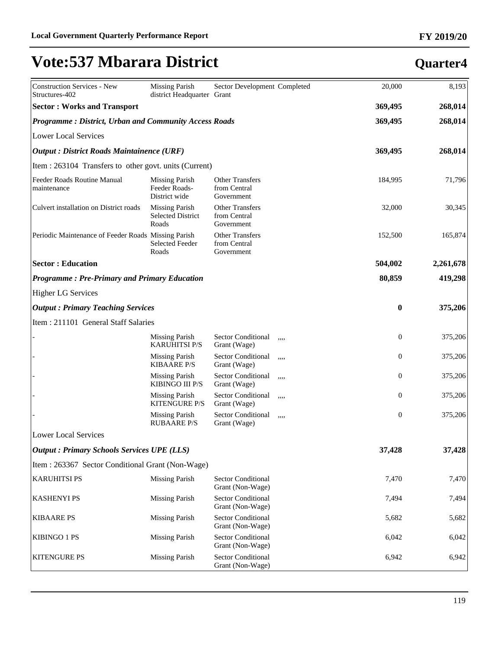| <b>Construction Services - New</b><br>Structures-402         | <b>Missing Parish</b><br>district Headquarter Grant        | Sector Development Completed                         |      | 20,000       | 8,193     |
|--------------------------------------------------------------|------------------------------------------------------------|------------------------------------------------------|------|--------------|-----------|
| <b>Sector: Works and Transport</b>                           |                                                            |                                                      |      | 369,495      | 268,014   |
| <b>Programme: District, Urban and Community Access Roads</b> |                                                            |                                                      |      | 369,495      | 268,014   |
| <b>Lower Local Services</b>                                  |                                                            |                                                      |      |              |           |
| <b>Output</b> : District Roads Maintainence (URF)            |                                                            |                                                      |      | 369,495      | 268,014   |
| Item : 263104 Transfers to other govt. units (Current)       |                                                            |                                                      |      |              |           |
| Feeder Roads Routine Manual<br>maintenance                   | <b>Missing Parish</b><br>Feeder Roads-<br>District wide    | <b>Other Transfers</b><br>from Central<br>Government |      | 184,995      | 71,796    |
| Culvert installation on District roads                       | <b>Missing Parish</b><br><b>Selected District</b><br>Roads | <b>Other Transfers</b><br>from Central<br>Government |      | 32,000       | 30,345    |
| Periodic Maintenance of Feeder Roads Missing Parish          | <b>Selected Feeder</b><br>Roads                            | <b>Other Transfers</b><br>from Central<br>Government |      | 152,500      | 165,874   |
| <b>Sector: Education</b>                                     |                                                            |                                                      |      | 504,002      | 2,261,678 |
| <b>Programme: Pre-Primary and Primary Education</b>          |                                                            |                                                      |      | 80,859       | 419,298   |
| <b>Higher LG Services</b>                                    |                                                            |                                                      |      |              |           |
| <b>Output: Primary Teaching Services</b>                     |                                                            |                                                      |      | $\bf{0}$     | 375,206   |
| Item: 211101 General Staff Salaries                          |                                                            |                                                      |      |              |           |
|                                                              | <b>Missing Parish</b><br><b>KARUHITSI P/S</b>              | Sector Conditional<br>Grant (Wage)                   | ,,,, | $\mathbf{0}$ | 375,206   |
|                                                              | <b>Missing Parish</b><br><b>KIBAARE P/S</b>                | Sector Conditional<br>Grant (Wage)                   | ,,,, | $\mathbf{0}$ | 375,206   |
|                                                              | <b>Missing Parish</b><br>KIBINGO III P/S                   | Sector Conditional<br>Grant (Wage)                   | ,,,, | $\mathbf{0}$ | 375,206   |
|                                                              | <b>Missing Parish</b><br><b>KITENGURE P/S</b>              | Sector Conditional<br>Grant (Wage)                   | ,,,, | $\mathbf{0}$ | 375,206   |
|                                                              | <b>Missing Parish</b><br><b>RUBAARE P/S</b>                | <b>Sector Conditional</b><br>Grant (Wage)            | ,,,, | $\mathbf{0}$ | 375,206   |
| <b>Lower Local Services</b>                                  |                                                            |                                                      |      |              |           |
| <b>Output : Primary Schools Services UPE (LLS)</b>           |                                                            |                                                      |      | 37,428       | 37,428    |
| Item: 263367 Sector Conditional Grant (Non-Wage)             |                                                            |                                                      |      |              |           |
| <b>KARUHITSI PS</b>                                          | <b>Missing Parish</b>                                      | <b>Sector Conditional</b><br>Grant (Non-Wage)        |      | 7,470        | 7,470     |
| <b>KASHENYI PS</b>                                           | <b>Missing Parish</b>                                      | <b>Sector Conditional</b><br>Grant (Non-Wage)        |      | 7,494        | 7,494     |
| <b>KIBAARE PS</b>                                            | <b>Missing Parish</b>                                      | <b>Sector Conditional</b><br>Grant (Non-Wage)        |      | 5,682        | 5,682     |
| KIBINGO 1 PS                                                 | <b>Missing Parish</b>                                      | <b>Sector Conditional</b><br>Grant (Non-Wage)        |      | 6,042        | 6,042     |
| <b>KITENGURE PS</b>                                          | <b>Missing Parish</b>                                      | <b>Sector Conditional</b><br>Grant (Non-Wage)        |      | 6,942        | 6,942     |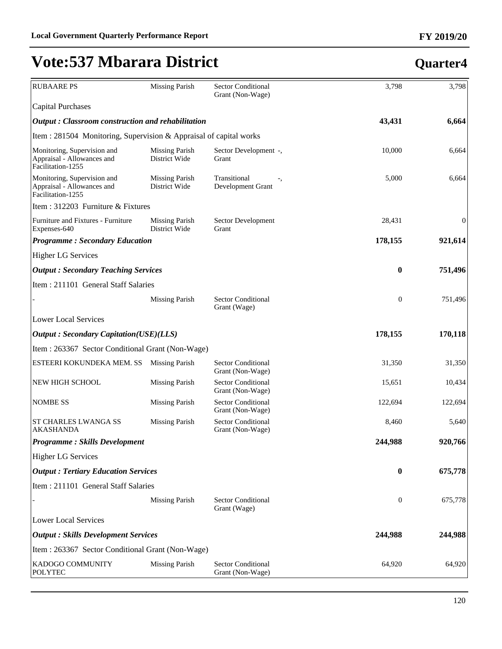| <b>RUBAARE PS</b>                                                              | <b>Missing Parish</b>                  | <b>Sector Conditional</b><br>Grant (Non-Wage) | 3,798            | 3,798            |
|--------------------------------------------------------------------------------|----------------------------------------|-----------------------------------------------|------------------|------------------|
| Capital Purchases                                                              |                                        |                                               |                  |                  |
| <b>Output</b> : Classroom construction and rehabilitation                      |                                        |                                               | 43,431           | 6,664            |
| Item : 281504 Monitoring, Supervision & Appraisal of capital works             |                                        |                                               |                  |                  |
| Monitoring, Supervision and<br>Appraisal - Allowances and<br>Facilitation-1255 | <b>Missing Parish</b><br>District Wide | Sector Development -,<br>Grant                | 10,000           | 6,664            |
| Monitoring, Supervision and<br>Appraisal - Allowances and<br>Facilitation-1255 | <b>Missing Parish</b><br>District Wide | Transitional<br>Development Grant             | 5,000            | 6,664            |
| Item : 312203 Furniture & Fixtures                                             |                                        |                                               |                  |                  |
| Furniture and Fixtures - Furniture<br>Expenses-640                             | <b>Missing Parish</b><br>District Wide | Sector Development<br>Grant                   | 28,431           | $\boldsymbol{0}$ |
| <b>Programme: Secondary Education</b>                                          |                                        |                                               | 178,155          | 921,614          |
| <b>Higher LG Services</b>                                                      |                                        |                                               |                  |                  |
| <b>Output</b> : Secondary Teaching Services                                    |                                        |                                               | $\bf{0}$         | 751,496          |
| Item : 211101 General Staff Salaries                                           |                                        |                                               |                  |                  |
|                                                                                | <b>Missing Parish</b>                  | Sector Conditional<br>Grant (Wage)            | $\boldsymbol{0}$ | 751,496          |
| <b>Lower Local Services</b>                                                    |                                        |                                               |                  |                  |
| <b>Output: Secondary Capitation(USE)(LLS)</b>                                  |                                        |                                               | 178,155          | 170,118          |
| Item : 263367 Sector Conditional Grant (Non-Wage)                              |                                        |                                               |                  |                  |
| ESTEERI KOKUNDEKA MEM. SS                                                      | <b>Missing Parish</b>                  | <b>Sector Conditional</b><br>Grant (Non-Wage) | 31,350           | 31,350           |
| NEW HIGH SCHOOL                                                                | <b>Missing Parish</b>                  | <b>Sector Conditional</b><br>Grant (Non-Wage) | 15,651           | 10,434           |
| <b>NOMBE SS</b>                                                                | <b>Missing Parish</b>                  | <b>Sector Conditional</b><br>Grant (Non-Wage) | 122,694          | 122,694          |
| <b>ST CHARLES LWANGA SS</b><br><b>AKASHANDA</b>                                | <b>Missing Parish</b>                  | <b>Sector Conditional</b><br>Grant (Non-Wage) | 8,460            | 5,640            |
| <b>Programme: Skills Development</b>                                           |                                        |                                               | 244,988          | 920,766          |
| <b>Higher LG Services</b>                                                      |                                        |                                               |                  |                  |
| <b>Output: Tertiary Education Services</b>                                     |                                        |                                               | $\bf{0}$         | 675,778          |
| Item : 211101 General Staff Salaries                                           |                                        |                                               |                  |                  |
|                                                                                | <b>Missing Parish</b>                  | <b>Sector Conditional</b><br>Grant (Wage)     | $\boldsymbol{0}$ | 675,778          |
| <b>Lower Local Services</b>                                                    |                                        |                                               |                  |                  |
| <b>Output: Skills Development Services</b>                                     |                                        |                                               | 244,988          | 244,988          |
| Item : 263367 Sector Conditional Grant (Non-Wage)                              |                                        |                                               |                  |                  |
| KADOGO COMMUNITY<br><b>POLYTEC</b>                                             | <b>Missing Parish</b>                  | <b>Sector Conditional</b><br>Grant (Non-Wage) | 64,920           | 64,920           |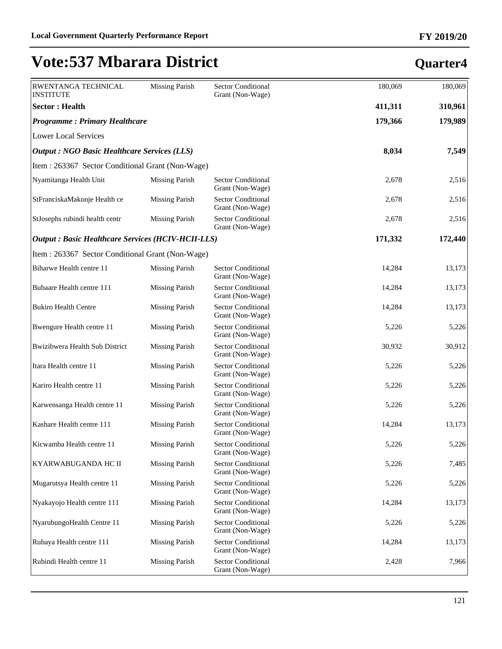| RWENTANGA TECHNICAL<br>INSTITUTE                          | <b>Missing Parish</b> | <b>Sector Conditional</b><br>Grant (Non-Wage) | 180,069 | 180,069 |  |  |
|-----------------------------------------------------------|-----------------------|-----------------------------------------------|---------|---------|--|--|
| <b>Sector: Health</b>                                     |                       |                                               | 411,311 | 310,961 |  |  |
| <b>Programme: Primary Healthcare</b>                      |                       |                                               | 179,366 | 179,989 |  |  |
| <b>Lower Local Services</b>                               |                       |                                               |         |         |  |  |
| <b>Output: NGO Basic Healthcare Services (LLS)</b>        | 8,034                 | 7,549                                         |         |         |  |  |
| Item: 263367 Sector Conditional Grant (Non-Wage)          |                       |                                               |         |         |  |  |
| Nyamitanga Health Unit                                    | <b>Missing Parish</b> | <b>Sector Conditional</b><br>Grant (Non-Wage) | 2,678   | 2,516   |  |  |
| StFranciskaMakonje Health ce                              | <b>Missing Parish</b> | <b>Sector Conditional</b><br>Grant (Non-Wage) | 2,678   | 2,516   |  |  |
| StJosephs rubindi health centr                            | <b>Missing Parish</b> | Sector Conditional<br>Grant (Non-Wage)        | 2,678   | 2,516   |  |  |
| <b>Output : Basic Healthcare Services (HCIV-HCII-LLS)</b> | 171,332               | 172,440                                       |         |         |  |  |
| Item: 263367 Sector Conditional Grant (Non-Wage)          |                       |                                               |         |         |  |  |
| Biharwe Health centre 11                                  | <b>Missing Parish</b> | <b>Sector Conditional</b><br>Grant (Non-Wage) | 14,284  | 13,173  |  |  |
| Bubaare Health centre 111                                 | <b>Missing Parish</b> | <b>Sector Conditional</b><br>Grant (Non-Wage) | 14,284  | 13,173  |  |  |
| <b>Bukiro Health Centre</b>                               | <b>Missing Parish</b> | <b>Sector Conditional</b><br>Grant (Non-Wage) | 14,284  | 13,173  |  |  |
| Bwengure Health centre 11                                 | <b>Missing Parish</b> | <b>Sector Conditional</b><br>Grant (Non-Wage) | 5,226   | 5,226   |  |  |
| Bwizibwera Health Sub District                            | <b>Missing Parish</b> | <b>Sector Conditional</b><br>Grant (Non-Wage) | 30,932  | 30,912  |  |  |
| Itara Health centre 11                                    | <b>Missing Parish</b> | <b>Sector Conditional</b><br>Grant (Non-Wage) | 5,226   | 5,226   |  |  |
| Kariro Health centre 11                                   | <b>Missing Parish</b> | <b>Sector Conditional</b><br>Grant (Non-Wage) | 5,226   | 5,226   |  |  |
| Karwensanga Health centre 11                              | <b>Missing Parish</b> | <b>Sector Conditional</b><br>Grant (Non-Wage) | 5,226   | 5,226   |  |  |
| Kashare Health centre 111                                 | <b>Missing Parish</b> | Sector Conditional<br>Grant (Non-Wage)        | 14,284  | 13,173  |  |  |
| Kicwamba Health centre 11                                 | <b>Missing Parish</b> | <b>Sector Conditional</b><br>Grant (Non-Wage) | 5,226   | 5,226   |  |  |
| KYARWABUGANDA HC II                                       | <b>Missing Parish</b> | <b>Sector Conditional</b><br>Grant (Non-Wage) | 5,226   | 7,485   |  |  |
| Mugarutsya Health centre 11                               | <b>Missing Parish</b> | <b>Sector Conditional</b><br>Grant (Non-Wage) | 5,226   | 5,226   |  |  |
| Nyakayojo Health centre 111                               | <b>Missing Parish</b> | Sector Conditional<br>Grant (Non-Wage)        | 14,284  | 13,173  |  |  |
| NyarubungoHealth Centre 11                                | <b>Missing Parish</b> | Sector Conditional<br>Grant (Non-Wage)        | 5,226   | 5,226   |  |  |
| Rubaya Health centre 111                                  | <b>Missing Parish</b> | <b>Sector Conditional</b><br>Grant (Non-Wage) | 14,284  | 13,173  |  |  |
| Rubindi Health centre 11                                  | <b>Missing Parish</b> | Sector Conditional<br>Grant (Non-Wage)        | 2,428   | 7,966   |  |  |